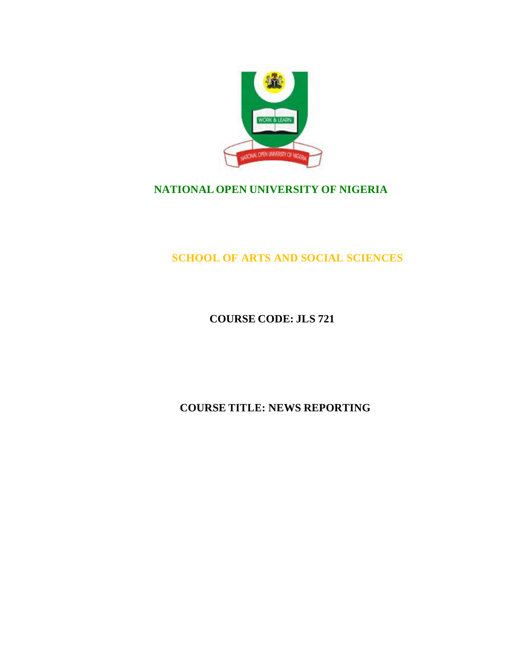

### **NATIONAL OPEN UNIVERSITY OF NIGERIA**

## **SCHOOL OF ARTS AND SOCIAL SCIENCES**

**COURSE CODE: JLS 721**

**COURSE TITLE: NEWS REPORTING**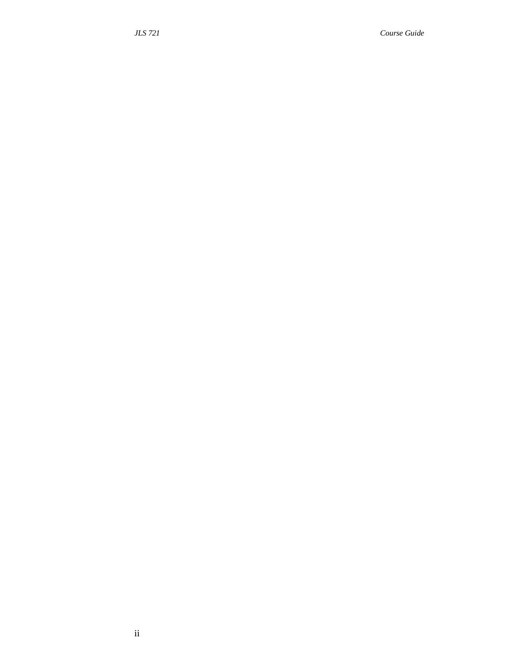ii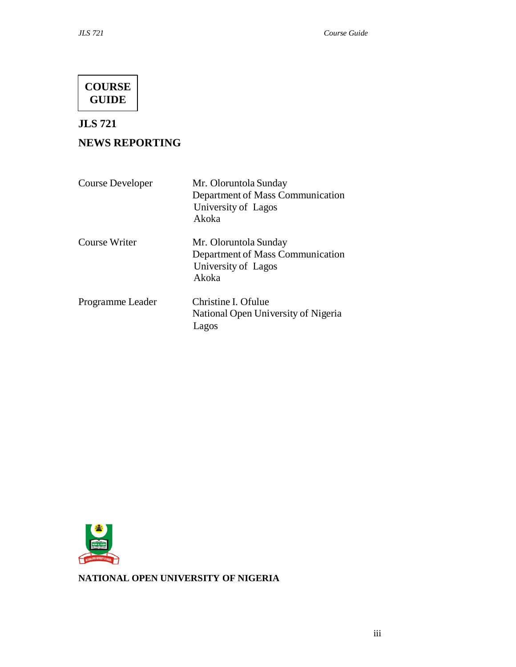# **COURSE GUIDE**

# **JLS 721 NEWS REPORTING**

| <b>Course Developer</b> | Mr. Oloruntola Sunday<br>Department of Mass Communication<br>University of Lagos<br>Akoka |
|-------------------------|-------------------------------------------------------------------------------------------|
| Course Writer           | Mr. Oloruntola Sunday<br>Department of Mass Communication<br>University of Lagos<br>Akoka |
| Programme Leader        | Christine I. Ofulue<br>National Open University of Nigeria<br>Lagos                       |



#### **NATIONAL OPEN UNIVERSITY OF NIGERIA**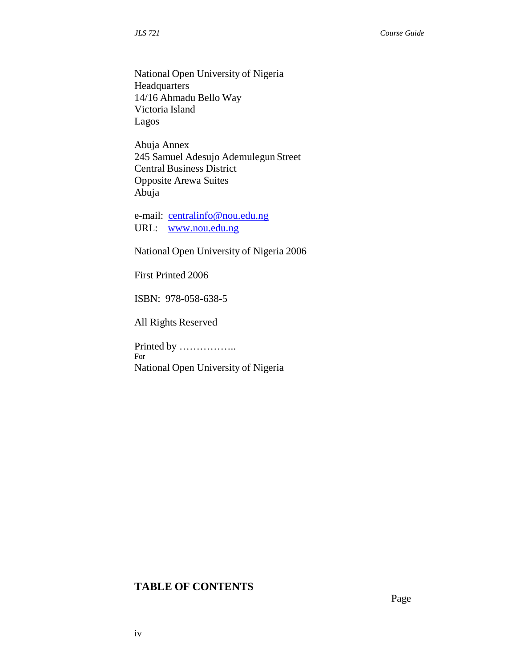National Open University of Nigeria Headquarters 14/16 Ahmadu Bello Way Victoria Island Lagos

Abuja Annex 245 Samuel Adesujo Ademulegun Street Central Business District Opposite Arewa Suites Abuja

e-mail: centralinfo@nou.edu.ng URL: www.nou.edu.ng

National Open University of Nigeria 2006

First Printed 2006

ISBN: 978-058-638-5

All Rights Reserved

Printed by …………….. For National Open University of Nigeria

### **TABLE OF CONTENTS**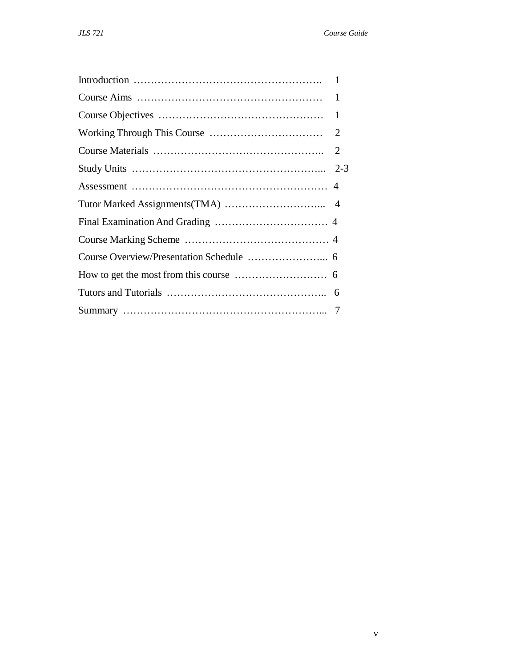| 1 |
|---|
| 2 |
| 2 |
|   |
|   |
|   |
|   |
|   |
|   |
|   |
|   |
|   |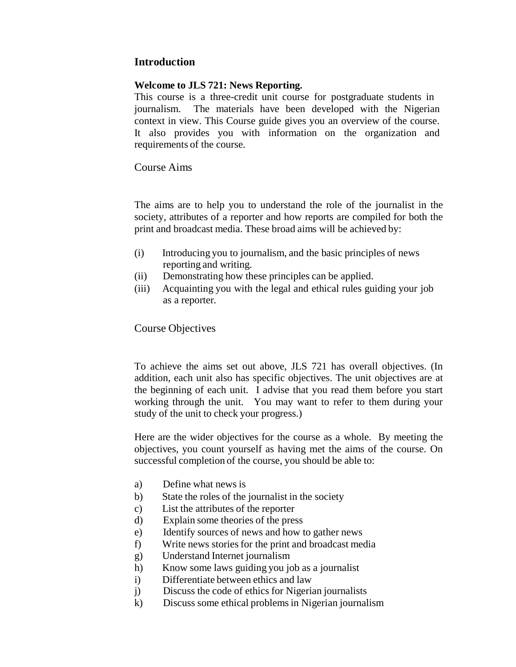#### **Introduction**

#### **Welcome to JLS 721: News Reporting.**

This course is a three-credit unit course for postgraduate students in journalism. The materials have been developed with the Nigerian context in view. This Course guide gives you an overview of the course. It also provides you with information on the organization and requirements of the course.

#### Course Aims

The aims are to help you to understand the role of the journalist in the society, attributes of a reporter and how reports are compiled for both the print and broadcast media. These broad aims will be achieved by:

- (i) Introducing you to journalism, and the basic principles of news reporting and writing.
- (ii) Demonstrating how these principles can be applied.
- (iii) Acquainting you with the legal and ethical rules guiding your job as a reporter.

Course Objectives

To achieve the aims set out above, JLS 721 has overall objectives. (In addition, each unit also has specific objectives. The unit objectives are at the beginning of each unit. I advise that you read them before you start working through the unit. You may want to refer to them during your study of the unit to check your progress.)

Here are the wider objectives for the course as a whole. By meeting the objectives, you count yourself as having met the aims of the course. On successful completion of the course, you should be able to:

- a) Define what news is
- b) State the roles of the journalist in the society
- c) List the attributes of the reporter
- d) Explain some theories of the press
- e) Identify sources of news and how to gather news
- f) Write news stories for the print and broadcast media
- g) Understand Internet journalism
- h) Know some laws guiding you job as a journalist
- i) Differentiate between ethics and law
- j) Discuss the code of ethics for Nigerian journalists
- k) Discuss some ethical problems in Nigerian journalism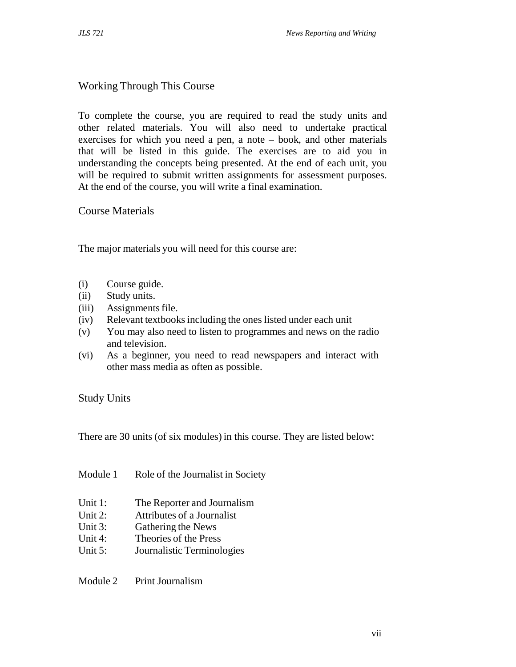#### Working Through This Course

To complete the course, you are required to read the study units and other related materials. You will also need to undertake practical exercises for which you need a pen, a note – book, and other materials that will be listed in this guide. The exercises are to aid you in understanding the concepts being presented. At the end of each unit, you will be required to submit written assignments for assessment purposes. At the end of the course, you will write a final examination.

#### Course Materials

The major materials you will need for this course are:

- (i) Course guide.
- (ii) Study units.
- (iii) Assignments file.
- (iv) Relevant textbooks including the ones listed under each unit
- (v) You may also need to listen to programmes and news on the radio and television.
- (vi) As a beginner, you need to read newspapers and interact with other mass media as often as possible.

Study Units

There are 30 units (of six modules) in this course. They are listed below:

| Module 1 Role of the Journalist in Society |
|--------------------------------------------|
|                                            |
|                                            |

- Unit 1: The Reporter and Journalism
- Unit 2: Attributes of a Journalist
- Unit 3: Gathering the News
- Unit 4: Theories of the Press
- Unit 5: Journalistic Terminologies

Module 2 Print Journalism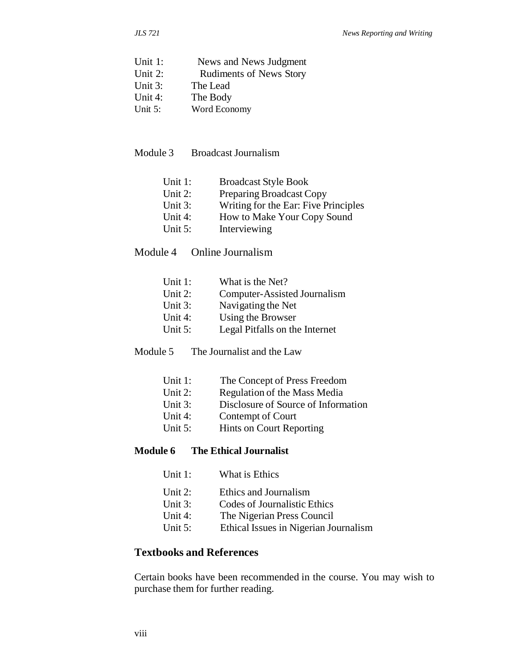| Unit $1$ : | News and News Judgment         |
|------------|--------------------------------|
| Unit 2:    | <b>Rudiments of News Story</b> |
| Unit $3$ : | The Lead                       |
| Unit 4:    | The Body                       |
| Unit 5:    | Word Economy                   |

Module 3 Broadcast Journalism

- Unit 1: Broadcast Style Book
- Unit 2: Preparing Broadcast Copy
- Unit 3: Writing for the Ear: Five Principles
- Unit 4: How to Make Your Copy Sound
- Unit 5: Interviewing

#### Module 4 Online Journalism

- Unit 1: What is the Net?
- Unit 2: Computer-Assisted Journalism
- Unit 3: Navigating the Net
- Unit 4: Using the Browser
- Unit 5: Legal Pitfalls on the Internet

#### Module 5 The Journalist and the Law

- Unit 1: The Concept of Press Freedom
- Unit 2: Regulation of the Mass Media
- Unit 3: Disclosure of Source of Information
- Unit 4: Contempt of Court
- Unit 5: Hints on Court Reporting

#### **Module 6 The Ethical Journalist**

- Unit 1: What is Ethics
- Unit 2: Ethics and Journalism
- Unit 3: Codes of Journalistic Ethics
- Unit 4: The Nigerian Press Council
- Unit 5: Ethical Issues in Nigerian Journalism

#### **Textbooks and References**

Certain books have been recommended in the course. You may wish to purchase them for further reading.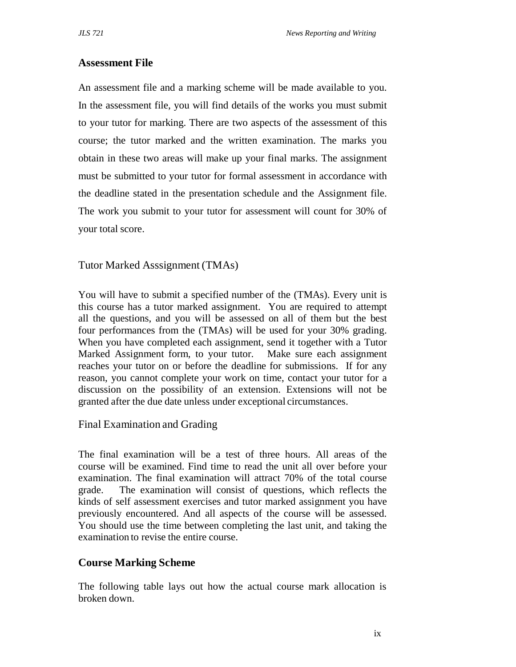#### **Assessment File**

An assessment file and a marking scheme will be made available to you. In the assessment file, you will find details of the works you must submit to your tutor for marking. There are two aspects of the assessment of this course; the tutor marked and the written examination. The marks you obtain in these two areas will make up your final marks. The assignment must be submitted to your tutor for formal assessment in accordance with the deadline stated in the presentation schedule and the Assignment file. The work you submit to your tutor for assessment will count for 30% of your total score.

#### Tutor Marked Asssignment (TMAs)

You will have to submit a specified number of the (TMAs). Every unit is this course has a tutor marked assignment. You are required to attempt all the questions, and you will be assessed on all of them but the best four performances from the (TMAs) will be used for your 30% grading. When you have completed each assignment, send it together with a Tutor Marked Assignment form, to your tutor. Make sure each assignment reaches your tutor on or before the deadline for submissions. If for any reason, you cannot complete your work on time, contact your tutor for a discussion on the possibility of an extension. Extensions will not be granted after the due date unless under exceptional circumstances.

#### Final Examination and Grading

The final examination will be a test of three hours. All areas of the course will be examined. Find time to read the unit all over before your examination. The final examination will attract 70% of the total course grade. The examination will consist of questions, which reflects the kinds of self assessment exercises and tutor marked assignment you have previously encountered. And all aspects of the course will be assessed. You should use the time between completing the last unit, and taking the examination to revise the entire course.

### **Course Marking Scheme**

The following table lays out how the actual course mark allocation is broken down.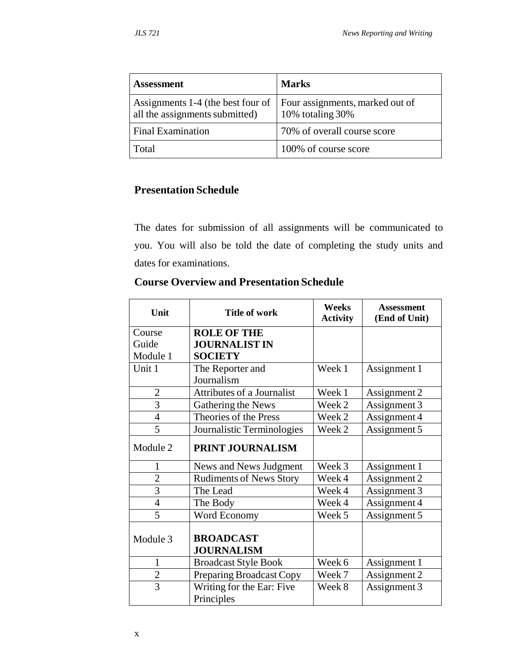| <b>Assessment</b>                                                   | <b>Marks</b>                                        |
|---------------------------------------------------------------------|-----------------------------------------------------|
| Assignments 1-4 (the best four of<br>all the assignments submitted) | Four assignments, marked out of<br>10% totaling 30% |
| Final Examination                                                   | 70% of overall course score                         |
| Total                                                               | 100% of course score                                |

#### **Presentation Schedule**

The dates for submission of all assignments will be communicated to you. You will also be told the date of completing the study units and dates for examinations.

#### **Course Overview and Presentation Schedule**

| Unit           | <b>Title of work</b>                    | <b>Weeks</b><br><b>Activity</b> | <b>Assessment</b><br>(End of Unit) |
|----------------|-----------------------------------------|---------------------------------|------------------------------------|
| Course         | <b>ROLE OF THE</b>                      |                                 |                                    |
| Guide          | <b>JOURNALIST IN</b>                    |                                 |                                    |
| Module 1       | <b>SOCIETY</b>                          |                                 |                                    |
| Unit 1         | The Reporter and                        | Week 1                          | Assignment 1                       |
|                | Journalism                              |                                 |                                    |
| $\overline{2}$ | Attributes of a Journalist              | Week 1                          | Assignment 2                       |
| 3              | Gathering the News                      | Week 2                          | Assignment 3                       |
| $\overline{4}$ | Theories of the Press                   | Week 2                          | Assignment 4                       |
| 5              | Journalistic Terminologies              | Week 2                          | Assignment 5                       |
| Module 2       | PRINT JOURNALISM                        |                                 |                                    |
| $\mathbf{1}$   | News and News Judgment                  | Week 3                          | Assignment 1                       |
| $\overline{2}$ | <b>Rudiments of News Story</b>          | Week 4                          | Assignment 2                       |
| $\overline{3}$ | The Lead                                | Week 4                          | Assignment 3                       |
| $\overline{4}$ | The Body                                | Week 4                          | Assignment 4                       |
| 5              | Word Economy                            | Week 5                          | Assignment 5                       |
| Module 3       | <b>BROADCAST</b><br><b>JOURNALISM</b>   |                                 |                                    |
| $\mathbf{1}$   | <b>Broadcast Style Book</b>             | Week 6                          | Assignment 1                       |
| $\overline{c}$ | <b>Preparing Broadcast Copy</b>         | Week 7                          | Assignment 2                       |
| $\overline{3}$ | Writing for the Ear: Five<br>Principles | Week 8                          | Assignment 3                       |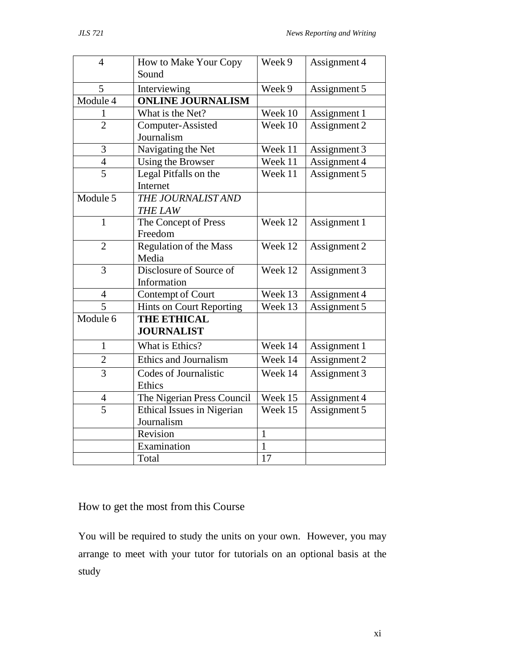| $\overline{4}$        | How to Make Your Copy<br>Sound    | Week 9         | Assignment 4 |
|-----------------------|-----------------------------------|----------------|--------------|
|                       |                                   |                |              |
| 5                     | Interviewing                      | Week 9         | Assignment 5 |
| Module 4              | <b>ONLINE JOURNALISM</b>          |                |              |
|                       | What is the Net?                  | Week 10        | Assignment 1 |
| $\overline{2}$        | Computer-Assisted                 | Week 10        | Assignment 2 |
|                       | Journalism                        |                |              |
| 3                     | Navigating the Net                | Week 11        | Assignment 3 |
| $\overline{4}$        | Using the Browser                 | Week 11        | Assignment 4 |
| $\overline{5}$        | Legal Pitfalls on the             | Week 11        | Assignment 5 |
|                       | Internet                          |                |              |
| Module 5              | THE JOURNALIST AND                |                |              |
|                       | <b>THE LAW</b>                    |                |              |
| $\overline{1}$        | The Concept of Press              | Week 12        | Assignment 1 |
|                       | Freedom                           |                |              |
| $\overline{2}$        | <b>Regulation of the Mass</b>     | Week 12        | Assignment 2 |
|                       | Media                             |                |              |
| 3                     | Disclosure of Source of           | Week 12        | Assignment 3 |
|                       | Information                       |                |              |
| 4                     | Contempt of Court                 | Week 13        | Assignment 4 |
| $\overline{5}$        | <b>Hints on Court Reporting</b>   | Week 13        | Assignment 5 |
| Module $\overline{6}$ | <b>THE ETHICAL</b>                |                |              |
|                       | <b>JOURNALIST</b>                 |                |              |
| $\mathbf{1}$          | What is Ethics?                   | Week 14        | Assignment 1 |
| $\overline{2}$        | <b>Ethics and Journalism</b>      | Week 14        | Assignment 2 |
| $\overline{3}$        | <b>Codes of Journalistic</b>      | Week 14        | Assignment 3 |
|                       | Ethics                            |                |              |
| 4                     | The Nigerian Press Council        | Week 15        | Assignment 4 |
| $\overline{5}$        | <b>Ethical Issues in Nigerian</b> | Week 15        | Assignment 5 |
|                       | Journalism                        |                |              |
|                       | Revision                          | $\mathbf{1}$   |              |
|                       | Examination                       | $\overline{1}$ |              |
|                       | Total                             | 17             |              |

How to get the most from this Course

You will be required to study the units on your own. However, you may arrange to meet with your tutor for tutorials on an optional basis at the study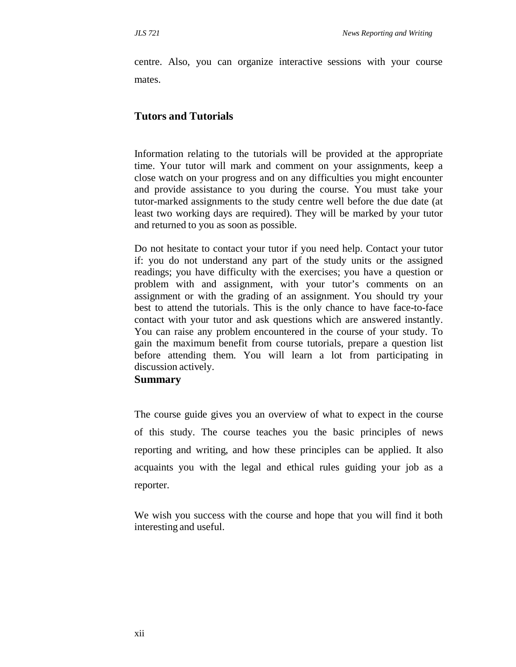centre. Also, you can organize interactive sessions with your course mates.

#### **Tutors and Tutorials**

Information relating to the tutorials will be provided at the appropriate time. Your tutor will mark and comment on your assignments, keep a close watch on your progress and on any difficulties you might encounter and provide assistance to you during the course. You must take your tutor-marked assignments to the study centre well before the due date (at least two working days are required). They will be marked by your tutor and returned to you as soon as possible.

Do not hesitate to contact your tutor if you need help. Contact your tutor if: you do not understand any part of the study units or the assigned readings; you have difficulty with the exercises; you have a question or problem with and assignment, with your tutor's comments on an assignment or with the grading of an assignment. You should try your best to attend the tutorials. This is the only chance to have face-to-face contact with your tutor and ask questions which are answered instantly. You can raise any problem encountered in the course of your study. To gain the maximum benefit from course tutorials, prepare a question list before attending them. You will learn a lot from participating in discussion actively.

#### **Summary**

The course guide gives you an overview of what to expect in the course of this study. The course teaches you the basic principles of news reporting and writing, and how these principles can be applied. It also acquaints you with the legal and ethical rules guiding your job as a reporter.

We wish you success with the course and hope that you will find it both interesting and useful.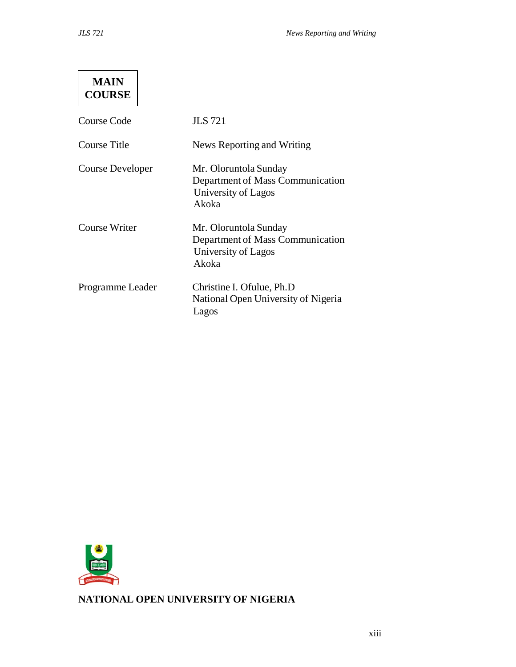| <b>MAIN</b><br><b>COURSE</b> |                                                                                           |
|------------------------------|-------------------------------------------------------------------------------------------|
| <b>Course Code</b>           | <b>JLS</b> 721                                                                            |
| Course Title                 | News Reporting and Writing                                                                |
| Course Developer             | Mr. Oloruntola Sunday<br>Department of Mass Communication<br>University of Lagos<br>Akoka |
| <b>Course Writer</b>         | Mr. Oloruntola Sunday<br>Department of Mass Communication<br>University of Lagos<br>Akoka |
| Programme Leader             | Christine I. Ofulue, Ph.D<br>National Open University of Nigeria<br>Lagos                 |



### **NATIONAL OPEN UNIVERSITY OF NIGERIA**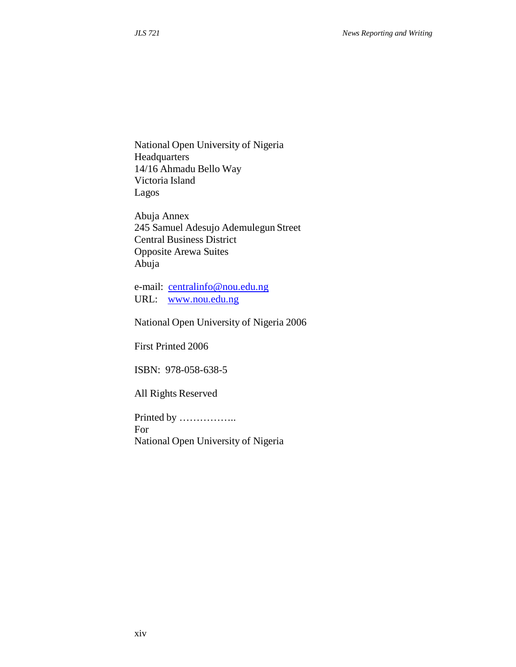National Open University of Nigeria Headquarters 14/16 Ahmadu Bello Way Victoria Island Lagos

Abuja Annex 245 Samuel Adesujo Ademulegun Street Central Business District Opposite Arewa Suites Abuja

e-mail: centralinfo@nou.edu.ng URL: www.nou.edu.ng

National Open University of Nigeria 2006

First Printed 2006

ISBN: 978-058-638-5

All Rights Reserved

Printed by …………….. For National Open University of Nigeria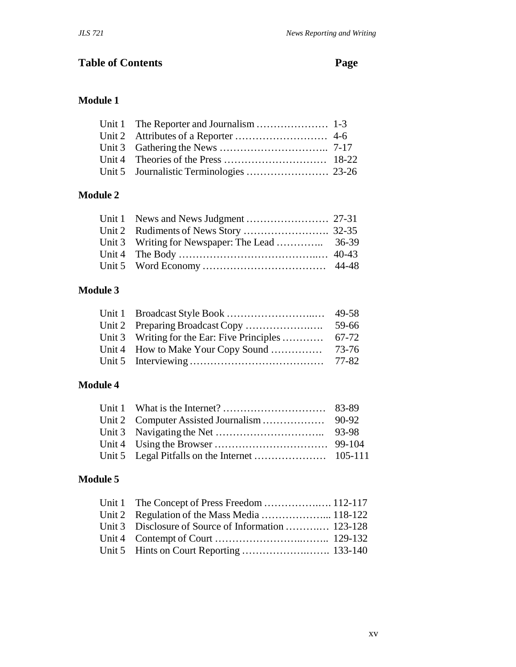# **Table of Contents** Page

### **Module 1**

#### **Module 2**

### **Module 3**

### **Module 4**

### **Module 5**

| Unit 3 Disclosure of Source of Information  123-128 |
|-----------------------------------------------------|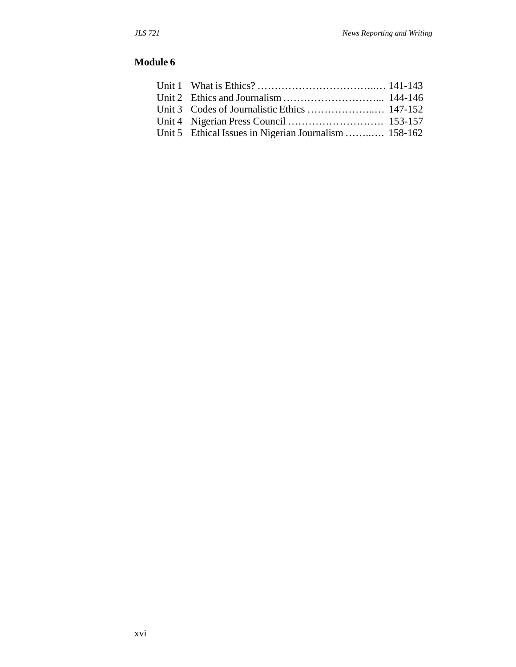### **Module 6**

| Unit 5 Ethical Issues in Nigerian Journalism  158-162 |  |
|-------------------------------------------------------|--|
|                                                       |  |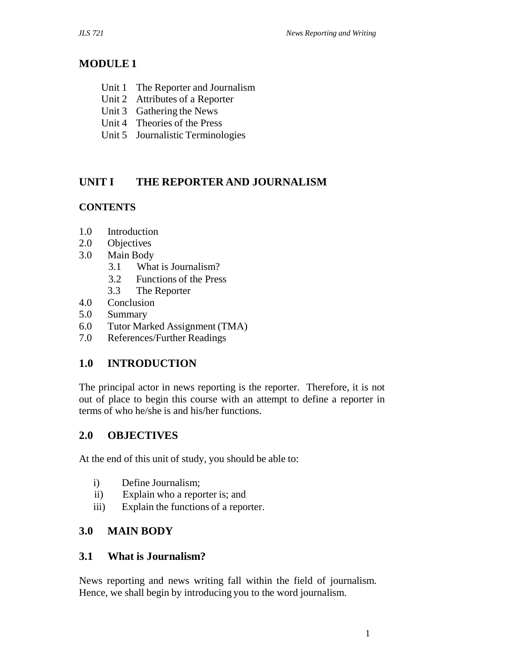### **MODULE 1**

- Unit 1 The Reporter and Journalism
- Unit 2 Attributes of a Reporter
- Unit 3 Gathering the News
- Unit 4 Theories of the Press
- Unit 5 Journalistic Terminologies

### **UNIT I THE REPORTER AND JOURNALISM**

### **CONTENTS**

- 1.0 Introduction
- 2.0 Objectives
- 3.0 Main Body
	- 3.1 What is Journalism?
	- 3.2 Functions of the Press
	- 3.3 The Reporter
- 4.0 Conclusion
- 5.0 Summary
- 6.0 Tutor Marked Assignment (TMA)
- 7.0 References/Further Readings

### **1.0 INTRODUCTION**

The principal actor in news reporting is the reporter. Therefore, it is not out of place to begin this course with an attempt to define a reporter in terms of who he/she is and his/her functions.

### **2.0 OBJECTIVES**

At the end of this unit of study, you should be able to:

- i) Define Journalism;
- ii) Explain who a reporter is; and
- iii) Explain the functions of a reporter.

### **3.0 MAIN BODY**

### **3.1 What is Journalism?**

News reporting and news writing fall within the field of journalism. Hence, we shall begin by introducing you to the word journalism.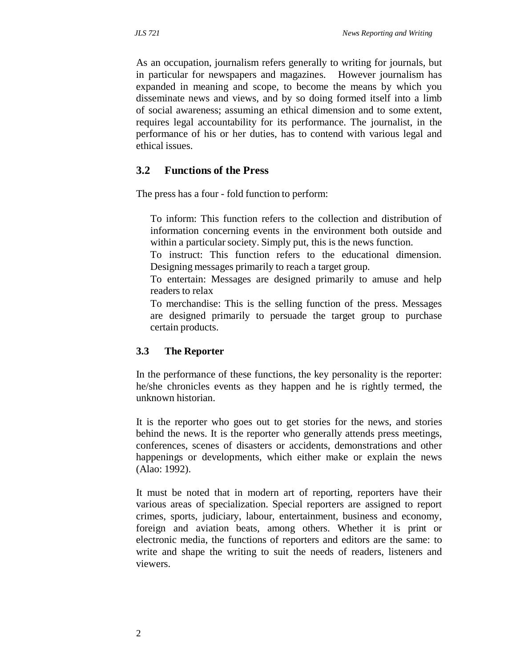As an occupation, journalism refers generally to writing for journals, but in particular for newspapers and magazines. However journalism has expanded in meaning and scope, to become the means by which you disseminate news and views, and by so doing formed itself into a limb of social awareness; assuming an ethical dimension and to some extent, requires legal accountability for its performance. The journalist, in the performance of his or her duties, has to contend with various legal and ethical issues.

#### **3.2 Functions of the Press**

The press has a four - fold function to perform:

To inform: This function refers to the collection and distribution of information concerning events in the environment both outside and within a particular society. Simply put, this is the news function.

To instruct: This function refers to the educational dimension. Designing messages primarily to reach a target group.

To entertain: Messages are designed primarily to amuse and help readers to relax

To merchandise: This is the selling function of the press. Messages are designed primarily to persuade the target group to purchase certain products.

#### **3.3 The Reporter**

In the performance of these functions, the key personality is the reporter: he/she chronicles events as they happen and he is rightly termed, the unknown historian.

It is the reporter who goes out to get stories for the news, and stories behind the news. It is the reporter who generally attends press meetings, conferences, scenes of disasters or accidents, demonstrations and other happenings or developments, which either make or explain the news (Alao: 1992).

It must be noted that in modern art of reporting, reporters have their various areas of specialization. Special reporters are assigned to report crimes, sports, judiciary, labour, entertainment, business and economy, foreign and aviation beats, among others. Whether it is print or electronic media, the functions of reporters and editors are the same: to write and shape the writing to suit the needs of readers, listeners and viewers.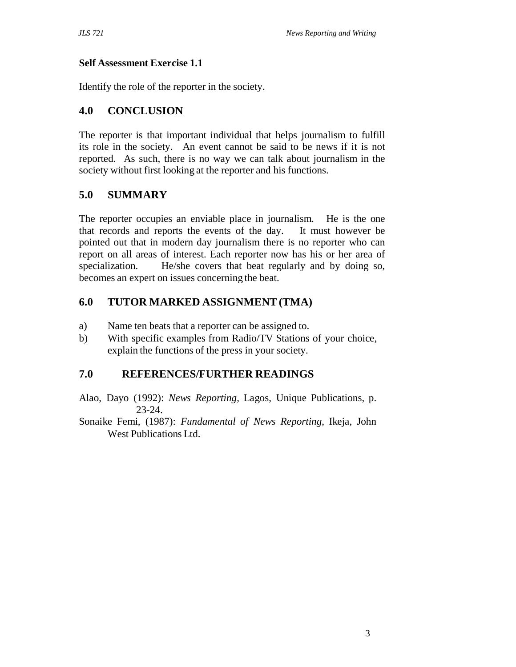#### **Self Assessment Exercise 1.1**

Identify the role of the reporter in the society.

#### **4.0 CONCLUSION**

The reporter is that important individual that helps journalism to fulfill its role in the society. An event cannot be said to be news if it is not reported. As such, there is no way we can talk about journalism in the society without first looking at the reporter and his functions.

### **5.0 SUMMARY**

The reporter occupies an enviable place in journalism. He is the one that records and reports the events of the day. It must however be pointed out that in modern day journalism there is no reporter who can report on all areas of interest. Each reporter now has his or her area of specialization. He/she covers that beat regularly and by doing so, becomes an expert on issues concerning the beat.

### **6.0 TUTOR MARKED ASSIGNMENT (TMA)**

- a) Name ten beats that a reporter can be assigned to.
- b) With specific examples from Radio/TV Stations of your choice, explain the functions of the press in your society.

### **7.0 REFERENCES/FURTHER READINGS**

Alao, Dayo (1992): *News Reporting,* Lagos, Unique Publications, p. 23-24.

Sonaike Femi, (1987): *Fundamental of News Reporting*, Ikeja, John West Publications Ltd.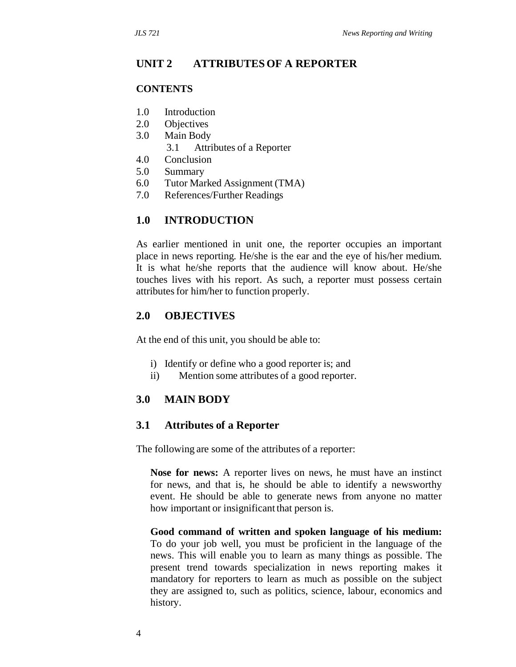#### **UNIT 2 ATTRIBUTES OF A REPORTER**

#### **CONTENTS**

- 1.0 Introduction
- 2.0 Objectives
- 3.0 Main Body
	- 3.1 Attributes of a Reporter
- 4.0 Conclusion
- 5.0 Summary
- 6.0 Tutor Marked Assignment (TMA)
- 7.0 References/Further Readings

#### **1.0 INTRODUCTION**

As earlier mentioned in unit one, the reporter occupies an important place in news reporting. He/she is the ear and the eye of his/her medium. It is what he/she reports that the audience will know about. He/she touches lives with his report. As such, a reporter must possess certain attributes for him/her to function properly.

#### **2.0 OBJECTIVES**

At the end of this unit, you should be able to:

- i) Identify or define who a good reporter is; and
- ii) Mention some attributes of a good reporter.

#### **3.0 MAIN BODY**

#### **3.1 Attributes of a Reporter**

The following are some of the attributes of a reporter:

**Nose for news:** A reporter lives on news, he must have an instinct for news, and that is, he should be able to identify a newsworthy event. He should be able to generate news from anyone no matter how important or insignificant that person is.

**Good command of written and spoken language of his medium:**  To do your job well, you must be proficient in the language of the news. This will enable you to learn as many things as possible. The present trend towards specialization in news reporting makes it mandatory for reporters to learn as much as possible on the subject they are assigned to, such as politics, science, labour, economics and history.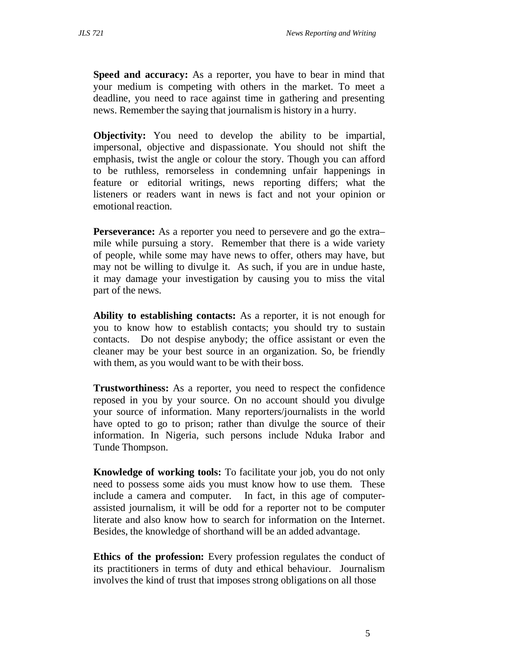**Speed and accuracy:** As a reporter, you have to bear in mind that your medium is competing with others in the market. To meet a deadline, you need to race against time in gathering and presenting news. Remember the saying that journalism is history in a hurry.

**Objectivity:** You need to develop the ability to be impartial. impersonal, objective and dispassionate. You should not shift the emphasis, twist the angle or colour the story. Though you can afford to be ruthless, remorseless in condemning unfair happenings in feature or editorial writings, news reporting differs; what the listeners or readers want in news is fact and not your opinion or emotional reaction.

**Perseverance:** As a reporter you need to persevere and go the extra– mile while pursuing a story. Remember that there is a wide variety of people, while some may have news to offer, others may have, but may not be willing to divulge it. As such, if you are in undue haste, it may damage your investigation by causing you to miss the vital part of the news.

**Ability to establishing contacts:** As a reporter, it is not enough for you to know how to establish contacts; you should try to sustain contacts. Do not despise anybody; the office assistant or even the cleaner may be your best source in an organization. So, be friendly with them, as you would want to be with their boss.

**Trustworthiness:** As a reporter, you need to respect the confidence reposed in you by your source. On no account should you divulge your source of information. Many reporters/journalists in the world have opted to go to prison; rather than divulge the source of their information. In Nigeria, such persons include Nduka Irabor and Tunde Thompson.

**Knowledge of working tools:** To facilitate your job, you do not only need to possess some aids you must know how to use them. These include a camera and computer. In fact, in this age of computerassisted journalism, it will be odd for a reporter not to be computer literate and also know how to search for information on the Internet. Besides, the knowledge of shorthand will be an added advantage.

**Ethics of the profession:** Every profession regulates the conduct of its practitioners in terms of duty and ethical behaviour. Journalism involves the kind of trust that imposes strong obligations on all those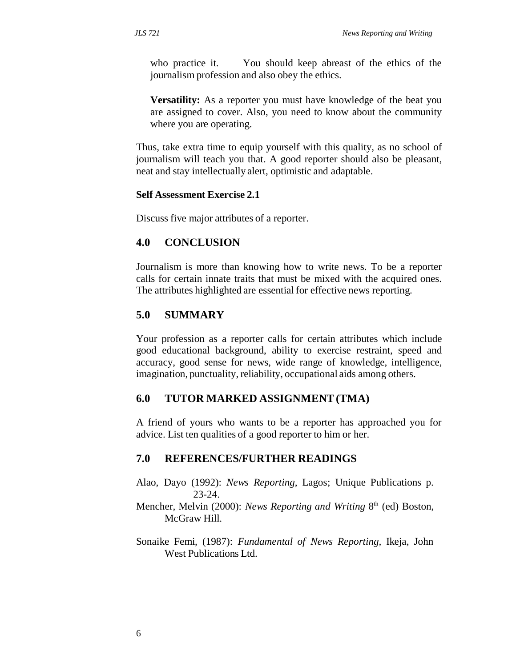who practice it. You should keep abreast of the ethics of the journalism profession and also obey the ethics.

**Versatility:** As a reporter you must have knowledge of the beat you are assigned to cover. Also, you need to know about the community where you are operating.

Thus, take extra time to equip yourself with this quality, as no school of journalism will teach you that. A good reporter should also be pleasant, neat and stay intellectually alert, optimistic and adaptable.

#### **Self Assessment Exercise 2.1**

Discuss five major attributes of a reporter.

### **4.0 CONCLUSION**

Journalism is more than knowing how to write news. To be a reporter calls for certain innate traits that must be mixed with the acquired ones. The attributes highlighted are essential for effective news reporting.

### **5.0 SUMMARY**

Your profession as a reporter calls for certain attributes which include good educational background, ability to exercise restraint, speed and accuracy, good sense for news, wide range of knowledge, intelligence, imagination, punctuality, reliability, occupational aids among others.

### **6.0 TUTOR MARKED ASSIGNMENT (TMA)**

A friend of yours who wants to be a reporter has approached you for advice. List ten qualities of a good reporter to him or her.

### **7.0 REFERENCES/FURTHER READINGS**

- Alao, Dayo (1992): *News Reporting*, Lagos; Unique Publications p. 23-24.
- Mencher, Melvin (2000): *News Reporting and Writing 8<sup>th</sup>* (ed) Boston, McGraw Hill.

Sonaike Femi, (1987): *Fundamental of News Reporting,* Ikeja, John West Publications Ltd.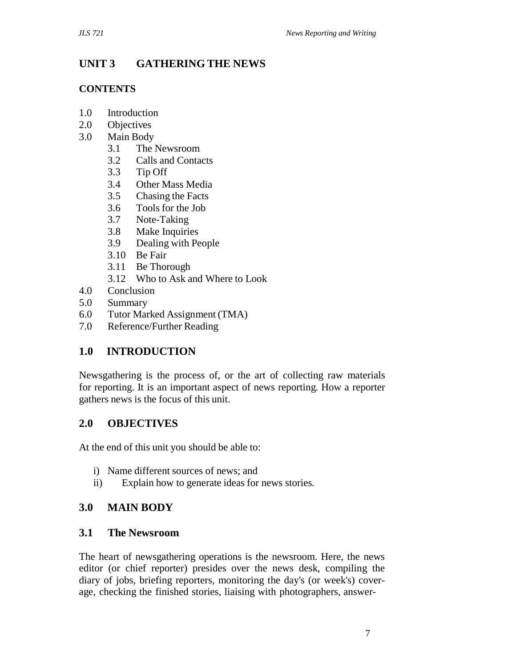### **UNIT 3 GATHERING THE NEWS**

#### **CONTENTS**

- 1.0 Introduction
- 2.0 Objectives
- 3.0 Main Body
	- 3.1 The Newsroom
	- 3.2 Calls and Contacts
	- 3.3 Tip Off
	- 3.4 Other Mass Media
	- 3.5 Chasing the Facts
	- 3.6 Tools for the Job
	- 3.7 Note-Taking
	- 3.8 Make Inquiries<br>3.9 Dealing with Pe
	- Dealing with People
	- 3.10 Be Fair
	- 3.11 Be Thorough
	- 3.12 Who to Ask and Where to Look
- 4.0 Conclusion
- 5.0 Summary
- 6.0 Tutor Marked Assignment (TMA)
- 7.0 Reference/Further Reading

### **1.0 INTRODUCTION**

Newsgathering is the process of, or the art of collecting raw materials for reporting. It is an important aspect of news reporting. How a reporter gathers news is the focus of this unit.

### **2.0 OBJECTIVES**

At the end of this unit you should be able to:

- i) Name different sources of news; and
- ii) Explain how to generate ideas for news stories.

### **3.0 MAIN BODY**

### **3.1 The Newsroom**

The heart of newsgathering operations is the newsroom. Here, the news editor (or chief reporter) presides over the news desk, compiling the diary of jobs, briefing reporters, monitoring the day's (or week's) coverage, checking the finished stories, liaising with photographers, answer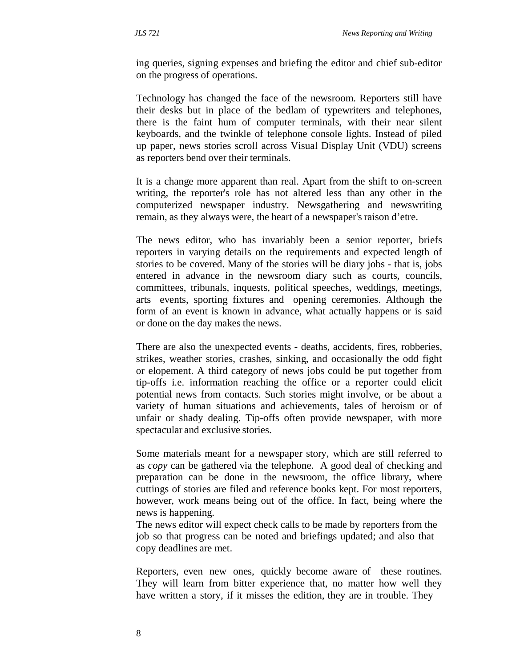ing queries, signing expenses and briefing the editor and chief sub-editor on the progress of operations.

Technology has changed the face of the newsroom. Reporters still have their desks but in place of the bedlam of typewriters and telephones, there is the faint hum of computer terminals, with their near silent keyboards, and the twinkle of telephone console lights. Instead of piled up paper, news stories scroll across Visual Display Unit (VDU) screens as reporters bend over their terminals.

It is a change more apparent than real. Apart from the shift to on-screen writing, the reporter's role has not altered less than any other in the computerized newspaper industry. Newsgathering and newswriting remain, as they always were, the heart of a newspaper's raison d'etre.

The news editor, who has invariably been a senior reporter, briefs reporters in varying details on the requirements and expected length of stories to be covered. Many of the stories will be diary jobs - that is, jobs entered in advance in the newsroom diary such as courts, councils, committees, tribunals, inquests, political speeches, weddings, meetings, arts events, sporting fixtures and opening ceremonies. Although the form of an event is known in advance, what actually happens or is said or done on the day makes the news.

There are also the unexpected events - deaths, accidents, fires, robberies, strikes, weather stories, crashes, sinking, and occasionally the odd fight or elopement. A third category of news jobs could be put together from tip-offs i.e. information reaching the office or a reporter could elicit potential news from contacts. Such stories might involve, or be about a variety of human situations and achievements, tales of heroism or of unfair or shady dealing. Tip-offs often provide newspaper, with more spectacular and exclusive stories.

Some materials meant for a newspaper story, which are still referred to as *copy* can be gathered via the telephone. A good deal of checking and preparation can be done in the newsroom, the office library, where cuttings of stories are filed and reference books kept. For most reporters, however, work means being out of the office. In fact, being where the news is happening.

The news editor will expect check calls to be made by reporters from the job so that progress can be noted and briefings updated; and also that copy deadlines are met.

Reporters, even new ones, quickly become aware of these routines. They will learn from bitter experience that, no matter how well they have written a story, if it misses the edition, they are in trouble. They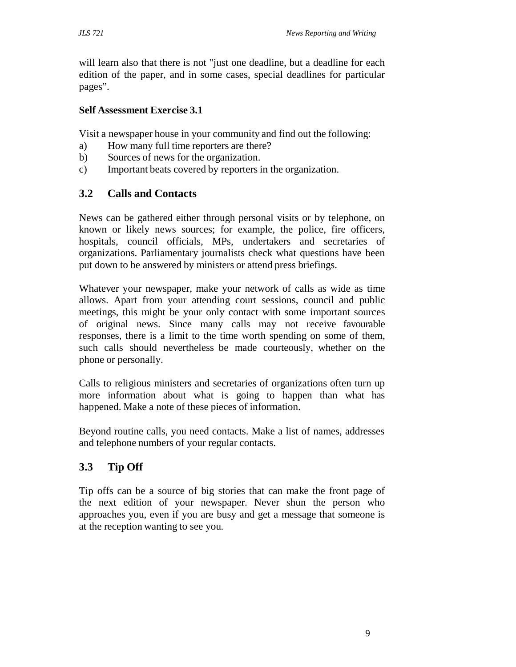will learn also that there is not "just one deadline, but a deadline for each edition of the paper, and in some cases, special deadlines for particular pages".

#### **Self Assessment Exercise 3.1**

Visit a newspaper house in your community and find out the following:

- a) How many full time reporters are there?
- b) Sources of news for the organization.
- c) Important beats covered by reporters in the organization.

### **3.2 Calls and Contacts**

News can be gathered either through personal visits or by telephone, on known or likely news sources; for example, the police, fire officers, hospitals, council officials, MPs, undertakers and secretaries of organizations. Parliamentary journalists check what questions have been put down to be answered by ministers or attend press briefings.

Whatever your newspaper, make your network of calls as wide as time allows. Apart from your attending court sessions, council and public meetings, this might be your only contact with some important sources of original news. Since many calls may not receive favourable responses, there is a limit to the time worth spending on some of them, such calls should nevertheless be made courteously, whether on the phone or personally.

Calls to religious ministers and secretaries of organizations often turn up more information about what is going to happen than what has happened. Make a note of these pieces of information.

Beyond routine calls, you need contacts. Make a list of names, addresses and telephone numbers of your regular contacts.

### **3.3 Tip Off**

Tip offs can be a source of big stories that can make the front page of the next edition of your newspaper. Never shun the person who approaches you, even if you are busy and get a message that someone is at the reception wanting to see you.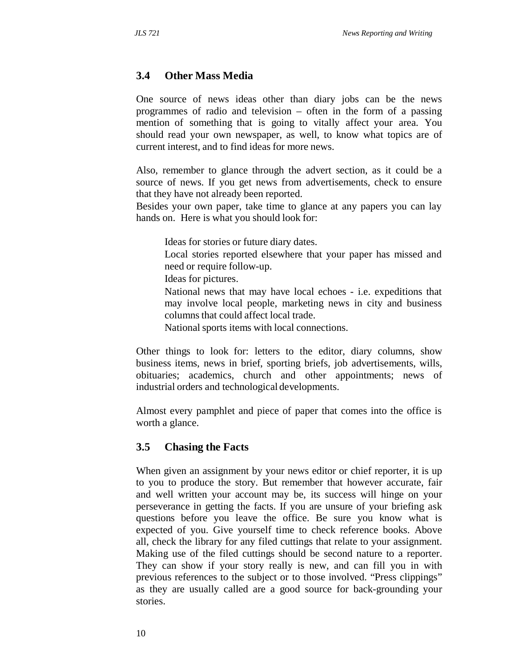#### **3.4 Other Mass Media**

One source of news ideas other than diary jobs can be the news programmes of radio and television – often in the form of a passing mention of something that is going to vitally affect your area. You should read your own newspaper, as well, to know what topics are of current interest, and to find ideas for more news.

Also, remember to glance through the advert section, as it could be a source of news. If you get news from advertisements, check to ensure that they have not already been reported.

Besides your own paper, take time to glance at any papers you can lay hands on. Here is what you should look for:

Ideas for stories or future diary dates.

Local stories reported elsewhere that your paper has missed and need or require follow-up.

Ideas for pictures.

National news that may have local echoes - i.e. expeditions that may involve local people, marketing news in city and business columns that could affect local trade.

National sports items with local connections.

Other things to look for: letters to the editor, diary columns, show business items, news in brief, sporting briefs, job advertisements, wills, obituaries; academics, church and other appointments; news of industrial orders and technological developments.

Almost every pamphlet and piece of paper that comes into the office is worth a glance.

#### **3.5 Chasing the Facts**

When given an assignment by your news editor or chief reporter, it is up to you to produce the story. But remember that however accurate, fair and well written your account may be, its success will hinge on your perseverance in getting the facts. If you are unsure of your briefing ask questions before you leave the office. Be sure you know what is expected of you. Give yourself time to check reference books. Above all, check the library for any filed cuttings that relate to your assignment. Making use of the filed cuttings should be second nature to a reporter. They can show if your story really is new, and can fill you in with previous references to the subject or to those involved. "Press clippings" as they are usually called are a good source for back-grounding your stories.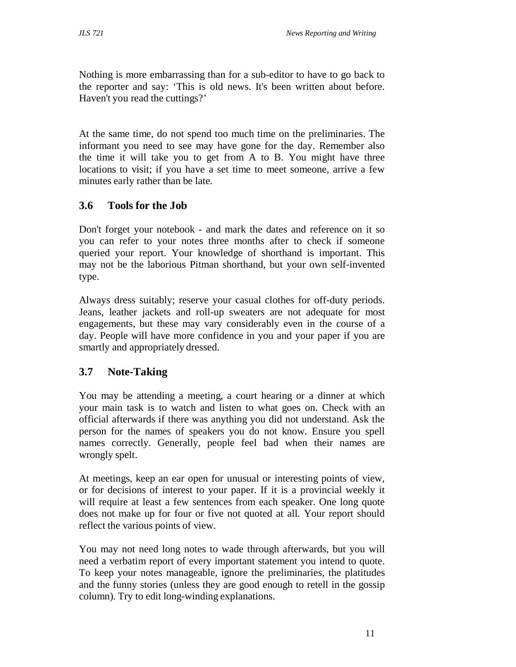Nothing is more embarrassing than for a sub-editor to have to go back to the reporter and say: 'This is old news. It's been written about before. Haven't you read the cuttings?'

At the same time, do not spend too much time on the preliminaries. The informant you need to see may have gone for the day. Remember also the time it will take you to get from A to B. You might have three locations to visit; if you have a set time to meet someone, arrive a few minutes early rather than be late.

### **3.6 Tools for the Job**

Don't forget your notebook - and mark the dates and reference on it so you can refer to your notes three months after to check if someone queried your report. Your knowledge of shorthand is important. This may not be the laborious Pitman shorthand, but your own self-invented type.

Always dress suitably; reserve your casual clothes for off-duty periods. Jeans, leather jackets and roll-up sweaters are not adequate for most engagements, but these may vary considerably even in the course of a day. People will have more confidence in you and your paper if you are smartly and appropriately dressed.

### **3.7 Note-Taking**

You may be attending a meeting, a court hearing or a dinner at which your main task is to watch and listen to what goes on. Check with an official afterwards if there was anything you did not understand. Ask the person for the names of speakers you do not know. Ensure you spell names correctly. Generally, people feel bad when their names are wrongly spelt.

At meetings, keep an ear open for unusual or interesting points of view, or for decisions of interest to your paper. If it is a provincial weekly it will require at least a few sentences from each speaker. One long quote does not make up for four or five not quoted at all. Your report should reflect the various points of view.

You may not need long notes to wade through afterwards, but you will need a verbatim report of every important statement you intend to quote. To keep your notes manageable, ignore the preliminaries, the platitudes and the funny stories (unless they are good enough to retell in the gossip column). Try to edit long-winding explanations.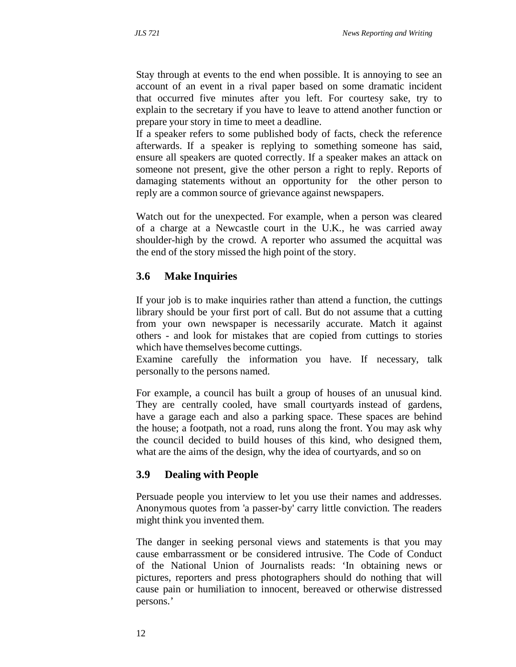Stay through at events to the end when possible. It is annoying to see an account of an event in a rival paper based on some dramatic incident that occurred five minutes after you left. For courtesy sake, try to explain to the secretary if you have to leave to attend another function or prepare your story in time to meet a deadline.

If a speaker refers to some published body of facts, check the reference afterwards. If a speaker is replying to something someone has said, ensure all speakers are quoted correctly. If a speaker makes an attack on someone not present, give the other person a right to reply. Reports of damaging statements without an opportunity for the other person to reply are a common source of grievance against newspapers.

Watch out for the unexpected. For example, when a person was cleared of a charge at a Newcastle court in the U.K., he was carried away shoulder-high by the crowd. A reporter who assumed the acquittal was the end of the story missed the high point of the story.

### **3.6 Make Inquiries**

If your job is to make inquiries rather than attend a function, the cuttings library should be your first port of call. But do not assume that a cutting from your own newspaper is necessarily accurate. Match it against others - and look for mistakes that are copied from cuttings to stories which have themselves become cuttings.

Examine carefully the information you have. If necessary, talk personally to the persons named.

For example, a council has built a group of houses of an unusual kind. They are centrally cooled, have small courtyards instead of gardens, have a garage each and also a parking space. These spaces are behind the house; a footpath, not a road, runs along the front. You may ask why the council decided to build houses of this kind, who designed them, what are the aims of the design, why the idea of courtyards, and so on

### **3.9 Dealing with People**

Persuade people you interview to let you use their names and addresses. Anonymous quotes from 'a passer-by' carry little conviction. The readers might think you invented them.

The danger in seeking personal views and statements is that you may cause embarrassment or be considered intrusive. The Code of Conduct of the National Union of Journalists reads: 'In obtaining news or pictures, reporters and press photographers should do nothing that will cause pain or humiliation to innocent, bereaved or otherwise distressed persons.'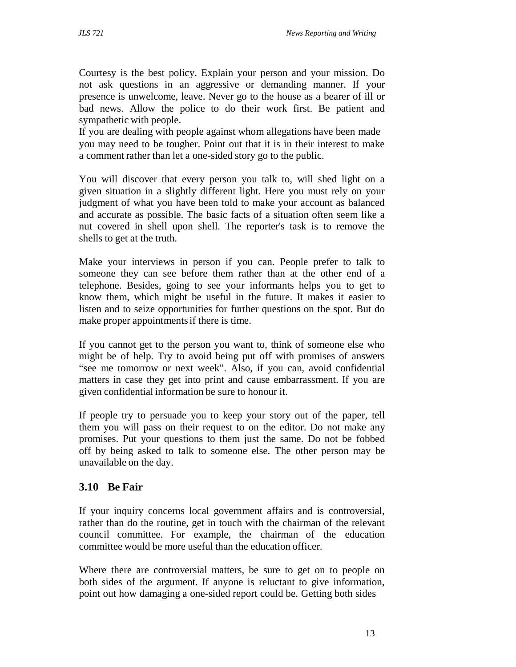Courtesy is the best policy. Explain your person and your mission. Do not ask questions in an aggressive or demanding manner. If your presence is unwelcome, leave. Never go to the house as a bearer of ill or bad news. Allow the police to do their work first. Be patient and sympathetic with people.

If you are dealing with people against whom allegations have been made you may need to be tougher. Point out that it is in their interest to make a comment rather than let a one-sided story go to the public.

You will discover that every person you talk to, will shed light on a given situation in a slightly different light. Here you must rely on your judgment of what you have been told to make your account as balanced and accurate as possible. The basic facts of a situation often seem like a nut covered in shell upon shell. The reporter's task is to remove the shells to get at the truth.

Make your interviews in person if you can. People prefer to talk to someone they can see before them rather than at the other end of a telephone. Besides, going to see your informants helps you to get to know them, which might be useful in the future. It makes it easier to listen and to seize opportunities for further questions on the spot. But do make proper appointments if there is time.

If you cannot get to the person you want to, think of someone else who might be of help. Try to avoid being put off with promises of answers "see me tomorrow or next week". Also, if you can, avoid confidential matters in case they get into print and cause embarrassment. If you are given confidential information be sure to honour it.

If people try to persuade you to keep your story out of the paper, tell them you will pass on their request to on the editor. Do not make any promises. Put your questions to them just the same. Do not be fobbed off by being asked to talk to someone else. The other person may be unavailable on the day.

### **3.10 Be Fair**

If your inquiry concerns local government affairs and is controversial, rather than do the routine, get in touch with the chairman of the relevant council committee. For example, the chairman of the education committee would be more useful than the education officer.

Where there are controversial matters, be sure to get on to people on both sides of the argument. If anyone is reluctant to give information, point out how damaging a one-sided report could be. Getting both sides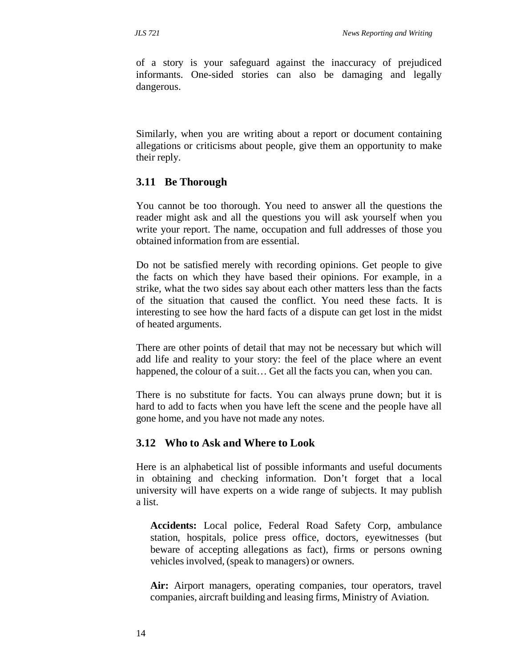of a story is your safeguard against the inaccuracy of prejudiced informants. One-sided stories can also be damaging and legally dangerous.

Similarly, when you are writing about a report or document containing allegations or criticisms about people, give them an opportunity to make their reply.

#### **3.11 Be Thorough**

You cannot be too thorough. You need to answer all the questions the reader might ask and all the questions you will ask yourself when you write your report. The name, occupation and full addresses of those you obtained information from are essential.

Do not be satisfied merely with recording opinions. Get people to give the facts on which they have based their opinions. For example, in a strike, what the two sides say about each other matters less than the facts of the situation that caused the conflict. You need these facts. It is interesting to see how the hard facts of a dispute can get lost in the midst of heated arguments.

There are other points of detail that may not be necessary but which will add life and reality to your story: the feel of the place where an event happened, the colour of a suit... Get all the facts you can, when you can.

There is no substitute for facts. You can always prune down; but it is hard to add to facts when you have left the scene and the people have all gone home, and you have not made any notes.

#### **3.12 Who to Ask and Where to Look**

Here is an alphabetical list of possible informants and useful documents in obtaining and checking information. Don't forget that a local university will have experts on a wide range of subjects. It may publish a list.

**Accidents:** Local police, Federal Road Safety Corp, ambulance station, hospitals, police press office, doctors, eyewitnesses (but beware of accepting allegations as fact), firms or persons owning vehicles involved, (speak to managers) or owners.

Air: Airport managers, operating companies, tour operators, travel companies, aircraft building and leasing firms, Ministry of Aviation.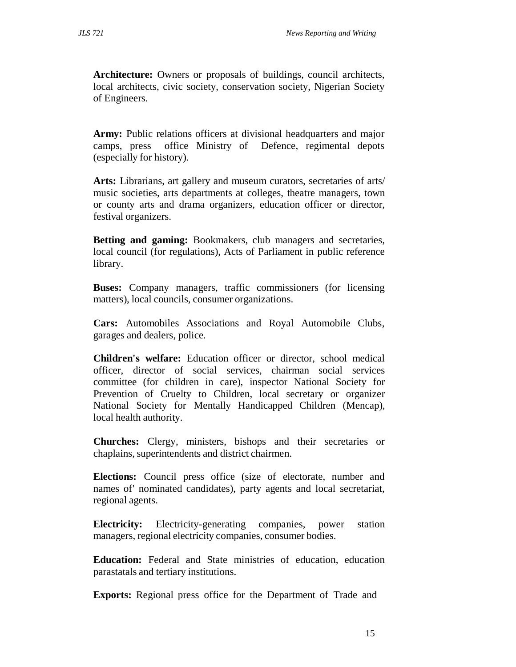**Architecture:** Owners or proposals of buildings, council architects, local architects, civic society, conservation society, Nigerian Society of Engineers.

Army: Public relations officers at divisional headquarters and major camps, press office Ministry of Defence, regimental depots (especially for history).

**Arts:** Librarians, art gallery and museum curators, secretaries of arts/ music societies, arts departments at colleges, theatre managers, town or county arts and drama organizers, education officer or director, festival organizers.

**Betting and gaming:** Bookmakers, club managers and secretaries, local council (for regulations), Acts of Parliament in public reference library.

**Buses:** Company managers, traffic commissioners (for licensing matters), local councils, consumer organizations.

**Cars:** Automobiles Associations and Royal Automobile Clubs, garages and dealers, police.

**Children's welfare:** Education officer or director, school medical officer, director of social services, chairman social services committee (for children in care), inspector National Society for Prevention of Cruelty to Children, local secretary or organizer National Society for Mentally Handicapped Children (Mencap), local health authority.

**Churches:** Clergy, ministers, bishops and their secretaries or chaplains, superintendents and district chairmen.

**Elections:** Council press office (size of electorate, number and names of' nominated candidates), party agents and local secretariat, regional agents.

**Electricity:** Electricity-generating companies, power station managers, regional electricity companies, consumer bodies.

**Education:** Federal and State ministries of education, education parastatals and tertiary institutions.

**Exports:** Regional press office for the Department of Trade and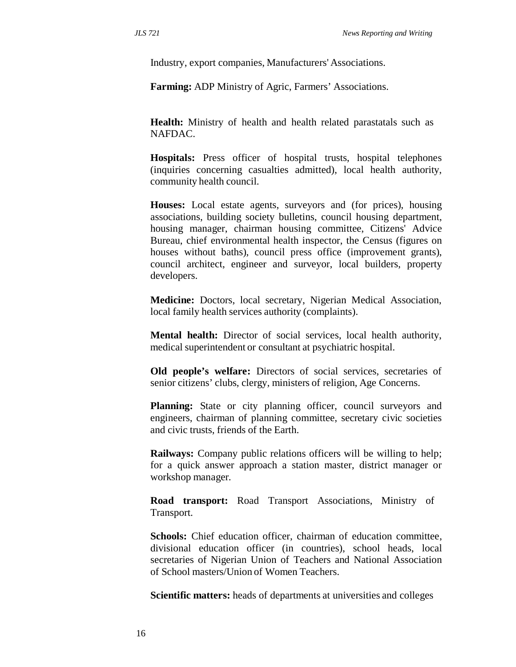Industry, export companies, Manufacturers' Associations.

**Farming:** ADP Ministry of Agric, Farmers' Associations.

**Health:** Ministry of health and health related parastatals such as NAFDAC.

**Hospitals:** Press officer of hospital trusts, hospital telephones (inquiries concerning casualties admitted), local health authority, community health council.

**Houses:** Local estate agents, surveyors and (for prices), housing associations, building society bulletins, council housing department, housing manager, chairman housing committee, Citizens' Advice Bureau, chief environmental health inspector, the Census (figures on houses without baths), council press office (improvement grants), council architect, engineer and surveyor, local builders, property developers.

**Medicine:** Doctors, local secretary, Nigerian Medical Association, local family health services authority (complaints).

**Mental health:** Director of social services, local health authority, medical superintendent or consultant at psychiatric hospital.

**Old people's welfare:** Directors of social services, secretaries of senior citizens' clubs, clergy, ministers of religion, Age Concerns.

**Planning:** State or city planning officer, council surveyors and engineers, chairman of planning committee, secretary civic societies and civic trusts, friends of the Earth.

**Railways:** Company public relations officers will be willing to help; for a quick answer approach a station master, district manager or workshop manager.

**Road transport:** Road Transport Associations, Ministry of Transport.

**Schools:** Chief education officer, chairman of education committee, divisional education officer (in countries), school heads, local secretaries of Nigerian Union of Teachers and National Association of School masters/Union of Women Teachers.

**Scientific matters:** heads of departments at universities and colleges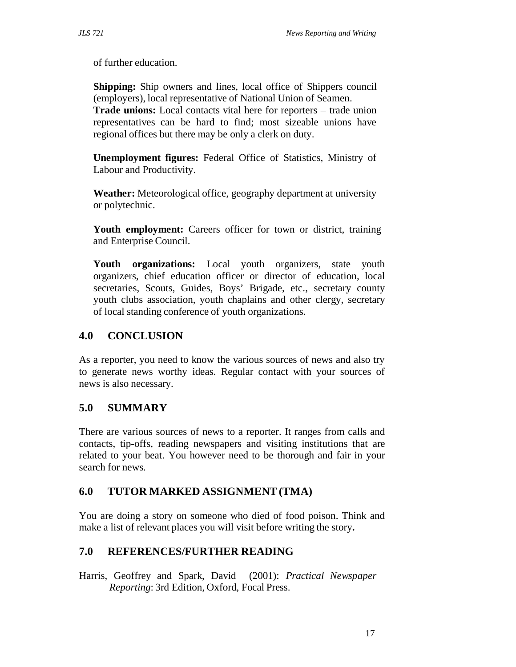of further education.

**Shipping:** Ship owners and lines, local office of Shippers council (employers), local representative of National Union of Seamen.

**Trade unions:** Local contacts vital here for reporters – trade union representatives can be hard to find; most sizeable unions have regional offices but there may be only a clerk on duty.

**Unemployment figures:** Federal Office of Statistics, Ministry of Labour and Productivity.

**Weather:** Meteorological office, geography department at university or polytechnic.

Youth employment: Careers officer for town or district, training and Enterprise Council.

Youth organizations: Local youth organizers, state youth organizers, chief education officer or director of education, local secretaries, Scouts, Guides, Boys' Brigade, etc., secretary county youth clubs association, youth chaplains and other clergy, secretary of local standing conference of youth organizations.

### **4.0 CONCLUSION**

As a reporter, you need to know the various sources of news and also try to generate news worthy ideas. Regular contact with your sources of news is also necessary.

### **5.0 SUMMARY**

There are various sources of news to a reporter. It ranges from calls and contacts, tip-offs, reading newspapers and visiting institutions that are related to your beat. You however need to be thorough and fair in your search for news.

### **6.0 TUTOR MARKED ASSIGNMENT (TMA)**

You are doing a story on someone who died of food poison. Think and make a list of relevant places you will visit before writing the story**.**

### **7.0 REFERENCES/FURTHER READING**

Harris, Geoffrey and Spark, David (2001): *Practical Newspaper Reporting*: 3rd Edition, Oxford, Focal Press.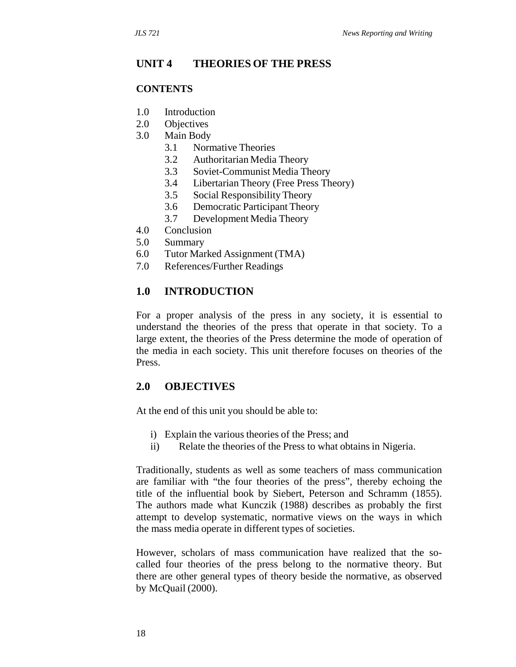#### **UNIT 4 THEORIES OF THE PRESS**

#### **CONTENTS**

- 1.0 Introduction
- 2.0 Objectives
- 3.0 Main Body
	- 3.1 Normative Theories
	- 3.2 Authoritarian Media Theory
	- 3.3 Soviet-Communist Media Theory
	- 3.4 Libertarian Theory (Free Press Theory)
	- 3.5 Social Responsibility Theory
	- 3.6 Democratic Participant Theory
	- 3.7 Development Media Theory
- 4.0 Conclusion
- 5.0 Summary
- 6.0 Tutor Marked Assignment (TMA)
- 7.0 References/Further Readings

#### **1.0 INTRODUCTION**

For a proper analysis of the press in any society, it is essential to understand the theories of the press that operate in that society. To a large extent, the theories of the Press determine the mode of operation of the media in each society. This unit therefore focuses on theories of the Press.

#### **2.0 OBJECTIVES**

At the end of this unit you should be able to:

- i) Explain the various theories of the Press; and
- ii) Relate the theories of the Press to what obtains in Nigeria.

Traditionally, students as well as some teachers of mass communication are familiar with "the four theories of the press", thereby echoing the title of the influential book by Siebert, Peterson and Schramm (1855). The authors made what Kunczik (1988) describes as probably the first attempt to develop systematic, normative views on the ways in which the mass media operate in different types of societies.

However, scholars of mass communication have realized that the socalled four theories of the press belong to the normative theory. But there are other general types of theory beside the normative, as observed by McQuail (2000).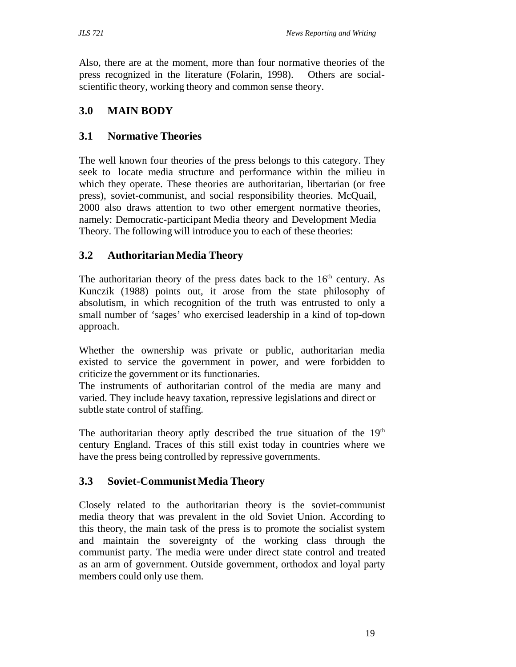Also, there are at the moment, more than four normative theories of the press recognized in the literature (Folarin, 1998). Others are socialscientific theory, working theory and common sense theory.

### **3.0 MAIN BODY**

### **3.1 Normative Theories**

The well known four theories of the press belongs to this category. They seek to locate media structure and performance within the milieu in which they operate. These theories are authoritarian, libertarian (or free press), soviet-communist, and social responsibility theories. McQuail, 2000 also draws attention to two other emergent normative theories, namely: Democratic-participant Media theory and Development Media Theory. The following will introduce you to each of these theories:

# **3.2 Authoritarian Media Theory**

The authoritarian theory of the press dates back to the  $16<sup>th</sup>$  century. As Kunczik (1988) points out, it arose from the state philosophy of absolutism, in which recognition of the truth was entrusted to only a small number of 'sages' who exercised leadership in a kind of top-down approach.

Whether the ownership was private or public, authoritarian media existed to service the government in power, and were forbidden to criticize the government or its functionaries.

The instruments of authoritarian control of the media are many and varied. They include heavy taxation, repressive legislations and direct or subtle state control of staffing.

The authoritarian theory aptly described the true situation of the  $19<sup>th</sup>$ century England. Traces of this still exist today in countries where we have the press being controlled by repressive governments.

# **3.3 Soviet-Communist Media Theory**

Closely related to the authoritarian theory is the soviet-communist media theory that was prevalent in the old Soviet Union. According to this theory, the main task of the press is to promote the socialist system and maintain the sovereignty of the working class through the communist party. The media were under direct state control and treated as an arm of government. Outside government, orthodox and loyal party members could only use them.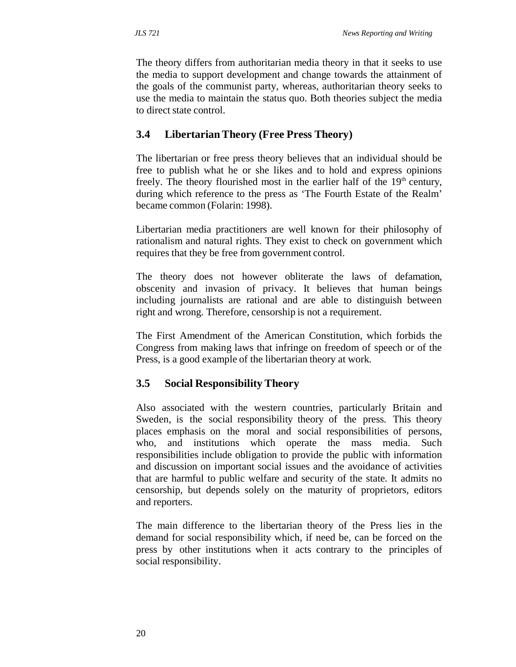The theory differs from authoritarian media theory in that it seeks to use the media to support development and change towards the attainment of the goals of the communist party, whereas, authoritarian theory seeks to use the media to maintain the status quo. Both theories subject the media to direct state control.

### **3.4 Libertarian Theory (Free Press Theory)**

The libertarian or free press theory believes that an individual should be free to publish what he or she likes and to hold and express opinions freely. The theory flourished most in the earlier half of the  $19<sup>th</sup>$  century, during which reference to the press as 'The Fourth Estate of the Realm' became common (Folarin: 1998).

Libertarian media practitioners are well known for their philosophy of rationalism and natural rights. They exist to check on government which requires that they be free from government control.

The theory does not however obliterate the laws of defamation, obscenity and invasion of privacy. It believes that human beings including journalists are rational and are able to distinguish between right and wrong. Therefore, censorship is not a requirement.

The First Amendment of the American Constitution, which forbids the Congress from making laws that infringe on freedom of speech or of the Press, is a good example of the libertarian theory at work.

### **3.5 Social Responsibility Theory**

Also associated with the western countries, particularly Britain and Sweden, is the social responsibility theory of the press. This theory places emphasis on the moral and social responsibilities of persons, who, and institutions which operate the mass media. Such responsibilities include obligation to provide the public with information and discussion on important social issues and the avoidance of activities that are harmful to public welfare and security of the state. It admits no censorship, but depends solely on the maturity of proprietors, editors and reporters.

The main difference to the libertarian theory of the Press lies in the demand for social responsibility which, if need be, can be forced on the press by other institutions when it acts contrary to the principles of social responsibility.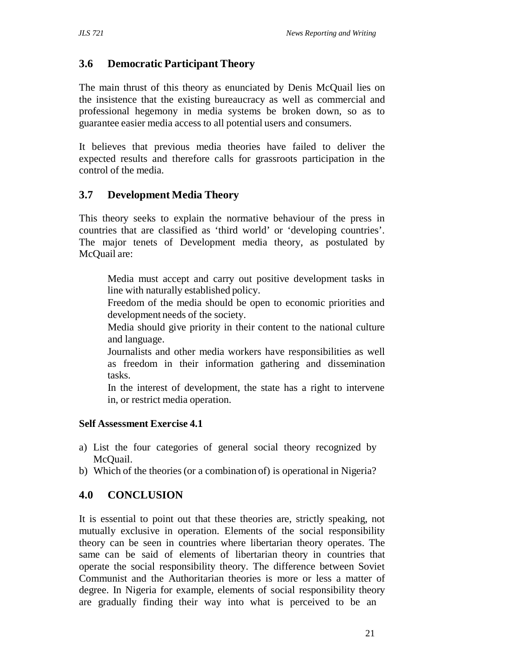## **3.6 Democratic Participant Theory**

The main thrust of this theory as enunciated by Denis McQuail lies on the insistence that the existing bureaucracy as well as commercial and professional hegemony in media systems be broken down, so as to guarantee easier media access to all potential users and consumers.

It believes that previous media theories have failed to deliver the expected results and therefore calls for grassroots participation in the control of the media.

## **3.7 Development Media Theory**

This theory seeks to explain the normative behaviour of the press in countries that are classified as 'third world' or 'developing countries'. The major tenets of Development media theory, as postulated by McQuail are:

Media must accept and carry out positive development tasks in line with naturally established policy.

Freedom of the media should be open to economic priorities and development needs of the society.

Media should give priority in their content to the national culture and language.

Journalists and other media workers have responsibilities as well as freedom in their information gathering and dissemination tasks.

In the interest of development, the state has a right to intervene in, or restrict media operation.

## **Self Assessment Exercise 4.1**

- a) List the four categories of general social theory recognized by McQuail.
- b) Which of the theories (or a combination of) is operational in Nigeria?

## **4.0 CONCLUSION**

It is essential to point out that these theories are, strictly speaking, not mutually exclusive in operation. Elements of the social responsibility theory can be seen in countries where libertarian theory operates. The same can be said of elements of libertarian theory in countries that operate the social responsibility theory. The difference between Soviet Communist and the Authoritarian theories is more or less a matter of degree. In Nigeria for example, elements of social responsibility theory are gradually finding their way into what is perceived to be an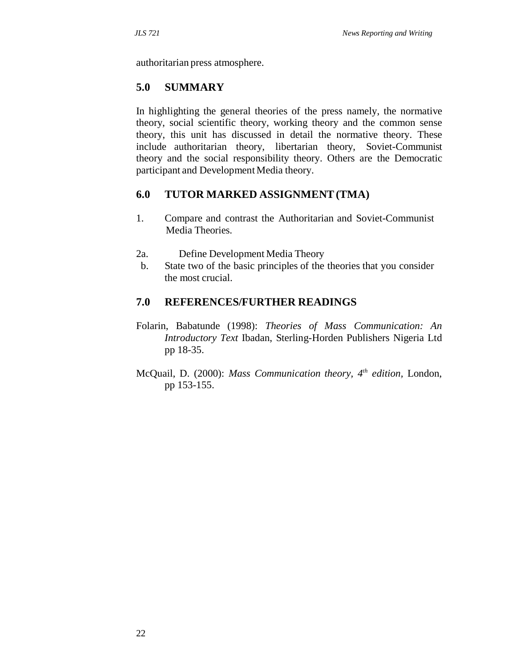authoritarian press atmosphere.

### **5.0 SUMMARY**

In highlighting the general theories of the press namely, the normative theory, social scientific theory, working theory and the common sense theory, this unit has discussed in detail the normative theory. These include authoritarian theory, libertarian theory, Soviet-Communist theory and the social responsibility theory. Others are the Democratic participant and Development Media theory.

### **6.0 TUTOR MARKED ASSIGNMENT (TMA)**

- 1. Compare and contrast the Authoritarian and Soviet-Communist Media Theories.
- 2a. Define Development Media Theory
- b. State two of the basic principles of the theories that you consider the most crucial.

## **7.0 REFERENCES/FURTHER READINGS**

- Folarin, Babatunde (1998): *Theories of Mass Communication: An Introductory Text* Ibadan, Sterling-Horden Publishers Nigeria Ltd pp 18-35.
- McQuail, D. (2000): *Mass Communication theory, 4th edition,* London, pp 153-155.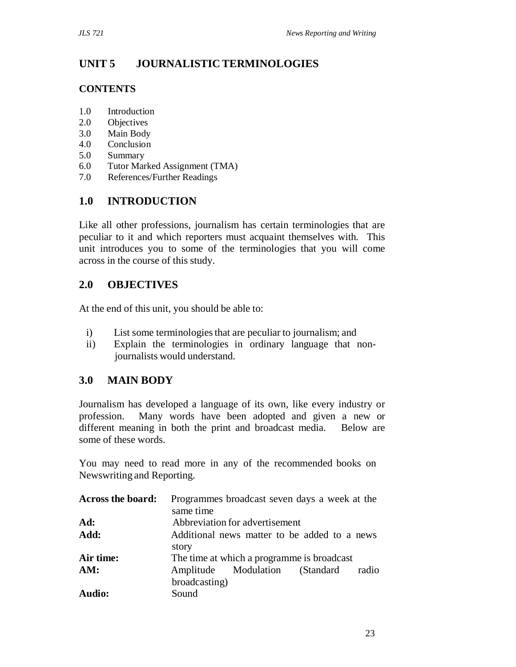# **UNIT 5 JOURNALISTIC TERMINOLOGIES**

#### **CONTENTS**

- 1.0 Introduction
- 2.0 Objectives
- 3.0 Main Body
- 4.0 Conclusion
- 5.0 Summary
- 6.0 Tutor Marked Assignment (TMA)
- 7.0 References/Further Readings

## **1.0 INTRODUCTION**

Like all other professions, journalism has certain terminologies that are peculiar to it and which reporters must acquaint themselves with. This unit introduces you to some of the terminologies that you will come across in the course of this study.

## **2.0 OBJECTIVES**

At the end of this unit, you should be able to:

- i) List some terminologies that are peculiar to journalism; and
- ii) Explain the terminologies in ordinary language that nonjournalists would understand.

## **3.0 MAIN BODY**

Journalism has developed a language of its own, like every industry or profession. Many words have been adopted and given a new or different meaning in both the print and broadcast media. Below are some of these words.

You may need to read more in any of the recommended books on Newswriting and Reporting.

| <b>Across the board:</b> | Programmes broadcast seven days a week at the |                                |  |       |
|--------------------------|-----------------------------------------------|--------------------------------|--|-------|
|                          | same time                                     |                                |  |       |
| Ad:                      | Abbreviation for advertisement                |                                |  |       |
| Add:                     | Additional news matter to be added to a news  |                                |  |       |
|                          | story                                         |                                |  |       |
| Air time:                | The time at which a programme is broadcast    |                                |  |       |
| AM:                      |                                               | Amplitude Modulation (Standard |  | radio |
|                          | broadcasting)                                 |                                |  |       |
| <b>Audio:</b>            | Sound                                         |                                |  |       |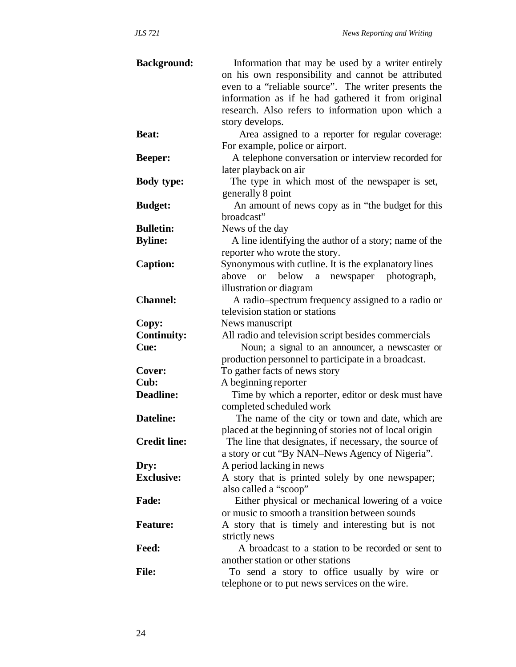| <b>Background:</b>  | Information that may be used by a writer entirely                                                               |
|---------------------|-----------------------------------------------------------------------------------------------------------------|
|                     | on his own responsibility and cannot be attributed                                                              |
|                     | even to a "reliable source". The writer presents the<br>information as if he had gathered it from original      |
|                     | research. Also refers to information upon which a                                                               |
|                     | story develops.                                                                                                 |
| <b>Beat:</b>        | Area assigned to a reporter for regular coverage:                                                               |
|                     | For example, police or airport.                                                                                 |
| <b>Beeper:</b>      | A telephone conversation or interview recorded for                                                              |
|                     | later playback on air                                                                                           |
| <b>Body type:</b>   | The type in which most of the newspaper is set,                                                                 |
|                     | generally 8 point                                                                                               |
| <b>Budget:</b>      | An amount of news copy as in "the budget for this                                                               |
|                     | broadcast"                                                                                                      |
| <b>Bulletin:</b>    | News of the day                                                                                                 |
| <b>Byline:</b>      | A line identifying the author of a story; name of the                                                           |
|                     | reporter who wrote the story.                                                                                   |
| <b>Caption:</b>     | Synonymous with cutline. It is the explanatory lines                                                            |
|                     | below<br>a newspaper photograph,<br>above<br><b>or</b>                                                          |
|                     | illustration or diagram                                                                                         |
| <b>Channel:</b>     | A radio-spectrum frequency assigned to a radio or                                                               |
|                     | television station or stations                                                                                  |
| Copy:               | News manuscript                                                                                                 |
| <b>Continuity:</b>  | All radio and television script besides commercials                                                             |
| Cue:                | Noun; a signal to an announcer, a newscaster or                                                                 |
|                     | production personnel to participate in a broadcast.                                                             |
| Cover:              | To gather facts of news story                                                                                   |
| Cub:                | A beginning reporter                                                                                            |
| Deadline:           | Time by which a reporter, editor or desk must have                                                              |
|                     | completed scheduled work                                                                                        |
| <b>Dateline:</b>    | The name of the city or town and date, which are                                                                |
| <b>Credit line:</b> | placed at the beginning of stories not of local origin<br>The line that designates, if necessary, the source of |
|                     | a story or cut "By NAN-News Agency of Nigeria".                                                                 |
| Dry:                | A period lacking in news                                                                                        |
| <b>Exclusive:</b>   | A story that is printed solely by one newspaper;                                                                |
|                     | also called a "scoop"                                                                                           |
| <b>Fade:</b>        | Either physical or mechanical lowering of a voice                                                               |
|                     | or music to smooth a transition between sounds                                                                  |
| <b>Feature:</b>     | A story that is timely and interesting but is not                                                               |
|                     | strictly news                                                                                                   |
| Feed:               | A broadcast to a station to be recorded or sent to                                                              |
|                     | another station or other stations                                                                               |
| <b>File:</b>        | To send a story to office usually by wire or                                                                    |
|                     | telephone or to put news services on the wire.                                                                  |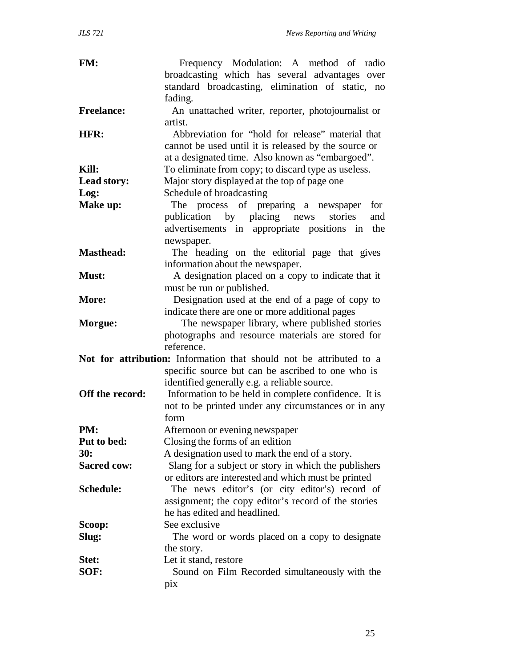| FM:                | Frequency Modulation: A method of radio                             |  |  |
|--------------------|---------------------------------------------------------------------|--|--|
|                    | broadcasting which has several advantages over                      |  |  |
|                    | standard broadcasting, elimination of static, no<br>fading.         |  |  |
| <b>Freelance:</b>  | An unattached writer, reporter, photojournalist or                  |  |  |
|                    | artist.                                                             |  |  |
| HFR:               | Abbreviation for "hold for release" material that                   |  |  |
|                    | cannot be used until it is released by the source or                |  |  |
|                    | at a designated time. Also known as "embargoed".                    |  |  |
| Kill:              | To eliminate from copy; to discard type as useless.                 |  |  |
| Lead story:        | Major story displayed at the top of page one                        |  |  |
| Log:               | Schedule of broadcasting                                            |  |  |
| Make up:           | The process of preparing a newspaper<br>for                         |  |  |
|                    | by placing news<br>publication<br>stories<br>and                    |  |  |
|                    | advertisements in appropriate positions in<br>the                   |  |  |
|                    | newspaper.                                                          |  |  |
| <b>Masthead:</b>   | The heading on the editorial page that gives                        |  |  |
|                    | information about the newspaper.                                    |  |  |
| <b>Must:</b>       | A designation placed on a copy to indicate that it                  |  |  |
|                    | must be run or published.                                           |  |  |
| More:              | Designation used at the end of a page of copy to                    |  |  |
|                    | indicate there are one or more additional pages                     |  |  |
| Morgue:            | The newspaper library, where published stories                      |  |  |
|                    | photographs and resource materials are stored for                   |  |  |
|                    | reference.                                                          |  |  |
|                    | Not for attribution: Information that should not be attributed to a |  |  |
|                    | specific source but can be ascribed to one who is                   |  |  |
|                    | identified generally e.g. a reliable source.                        |  |  |
| Off the record:    | Information to be held in complete confidence. It is                |  |  |
|                    | not to be printed under any circumstances or in any                 |  |  |
|                    | form                                                                |  |  |
| PM:                | Afternoon or evening newspaper                                      |  |  |
| Put to bed:        | Closing the forms of an edition                                     |  |  |
| 30:                | A designation used to mark the end of a story.                      |  |  |
| <b>Sacred cow:</b> | Slang for a subject or story in which the publishers                |  |  |
|                    | or editors are interested and which must be printed                 |  |  |
| Schedule:          | The news editor's (or city editor's) record of                      |  |  |
|                    | assignment; the copy editor's record of the stories                 |  |  |
|                    | he has edited and headlined.                                        |  |  |
| Scoop:             | See exclusive                                                       |  |  |
| Slug:              | The word or words placed on a copy to designate                     |  |  |
|                    | the story.                                                          |  |  |
| Stet:              | Let it stand, restore                                               |  |  |
| SOF:               | Sound on Film Recorded simultaneously with the                      |  |  |
|                    | pix                                                                 |  |  |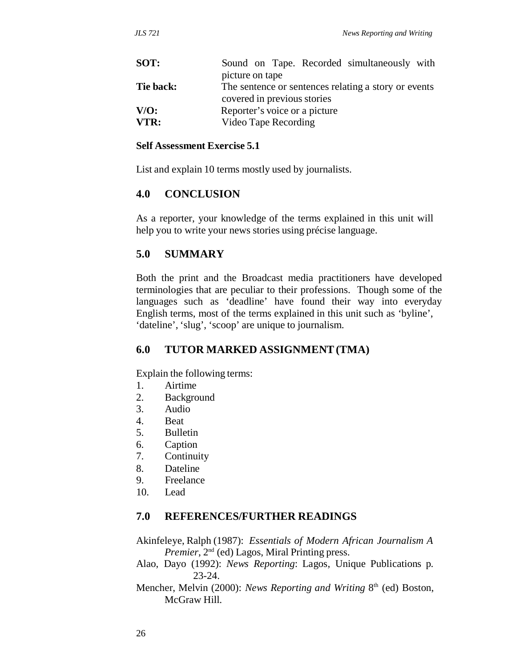| SOT:      | Sound on Tape. Recorded simultaneously with          |  |  |
|-----------|------------------------------------------------------|--|--|
|           | picture on tape                                      |  |  |
| Tie back: | The sentence or sentences relating a story or events |  |  |
|           | covered in previous stories                          |  |  |
| $V/O$ :   | Reporter's voice or a picture                        |  |  |
| VTR:      | Video Tape Recording                                 |  |  |

#### **Self Assessment Exercise 5.1**

List and explain 10 terms mostly used by journalists.

#### **4.0 CONCLUSION**

As a reporter, your knowledge of the terms explained in this unit will help you to write your news stories using précise language.

#### **5.0 SUMMARY**

Both the print and the Broadcast media practitioners have developed terminologies that are peculiar to their professions. Though some of the languages such as 'deadline' have found their way into everyday English terms, most of the terms explained in this unit such as 'byline', 'dateline', 'slug', 'scoop' are unique to journalism.

#### **6.0 TUTOR MARKED ASSIGNMENT (TMA)**

Explain the following terms:

- 1. Airtime
- 2. Background
- 3. Audio
- 4. Beat
- 5. Bulletin
- 6. Caption
- 7. Continuity
- 8. Dateline
- 9. Freelance
- 10. Lead

#### **7.0 REFERENCES/FURTHER READINGS**

Akinfeleye, Ralph (1987): *Essentials of Modern African Journalism A Premier*,  $2<sup>nd</sup>$  (ed) Lagos, Miral Printing press.

Alao, Dayo (1992): *News Reporting*: Lagos, Unique Publications p. 23-24.

Mencher, Melvin (2000): *News Reporting and Writing* 8<sup>th</sup> (ed) Boston, McGraw Hill.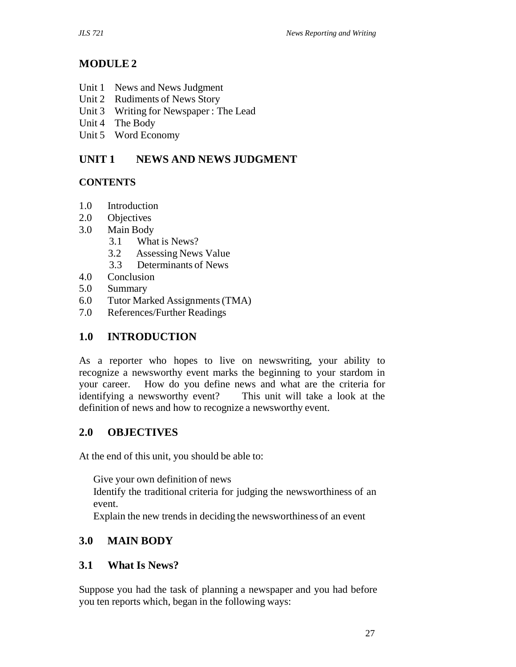# **MODULE 2**

- Unit 1 News and News Judgment
- Unit 2 Rudiments of News Story
- Unit 3 Writing for Newspaper : The Lead
- Unit 4 The Body
- Unit 5 Word Economy

# **UNIT 1 NEWS AND NEWS JUDGMENT**

## **CONTENTS**

- 1.0 Introduction
- 2.0 Objectives
- 3.0 Main Body
	- 3.1 What is News?
	- 3.2 Assessing News Value
	- 3.3 Determinants of News
- 4.0 Conclusion
- 5.0 Summary
- 6.0 Tutor Marked Assignments (TMA)
- 7.0 References/Further Readings

## **1.0 INTRODUCTION**

As a reporter who hopes to live on newswriting, your ability to recognize a newsworthy event marks the beginning to your stardom in your career. How do you define news and what are the criteria for identifying a newsworthy event? This unit will take a look at the definition of news and how to recognize a newsworthy event.

## **2.0 OBJECTIVES**

At the end of this unit, you should be able to:

Give your own definition of news

Identify the traditional criteria for judging the newsworthiness of an event.

Explain the new trends in deciding the newsworthiness of an event

# **3.0 MAIN BODY**

## **3.1 What Is News?**

Suppose you had the task of planning a newspaper and you had before you ten reports which, began in the following ways: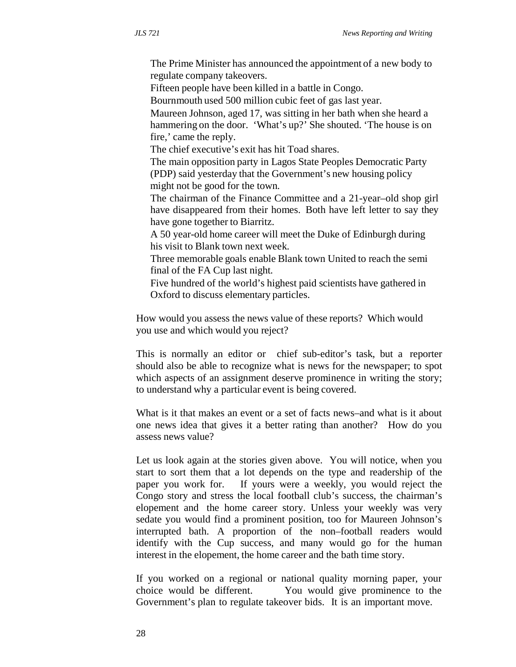The Prime Minister has announced the appointment of a new body to regulate company takeovers.

Fifteen people have been killed in a battle in Congo.

Bournmouth used 500 million cubic feet of gas last year.

Maureen Johnson, aged 17, was sitting in her bath when she heard a hammering on the door. 'What's up?' She shouted. 'The house is on fire,' came the reply.

The chief executive's exit has hit Toad shares.

The main opposition party in Lagos State Peoples Democratic Party (PDP) said yesterday that the Government's new housing policy might not be good for the town.

The chairman of the Finance Committee and a 21-year–old shop girl have disappeared from their homes. Both have left letter to say they have gone together to Biarritz.

A 50 year-old home career will meet the Duke of Edinburgh during his visit to Blank town next week.

Three memorable goals enable Blank town United to reach the semi final of the FA Cup last night.

Five hundred of the world's highest paid scientists have gathered in Oxford to discuss elementary particles.

How would you assess the news value of these reports? Which would you use and which would you reject?

This is normally an editor or chief sub-editor's task, but a reporter should also be able to recognize what is news for the newspaper; to spot which aspects of an assignment deserve prominence in writing the story; to understand why a particular event is being covered.

What is it that makes an event or a set of facts news–and what is it about one news idea that gives it a better rating than another? How do you assess news value?

Let us look again at the stories given above. You will notice, when you start to sort them that a lot depends on the type and readership of the paper you work for. If yours were a weekly, you would reject the Congo story and stress the local football club's success, the chairman's elopement and the home career story. Unless your weekly was very sedate you would find a prominent position, too for Maureen Johnson's interrupted bath. A proportion of the non–football readers would identify with the Cup success, and many would go for the human interest in the elopement, the home career and the bath time story.

If you worked on a regional or national quality morning paper, your choice would be different. You would give prominence to the Government's plan to regulate takeover bids. It is an important move.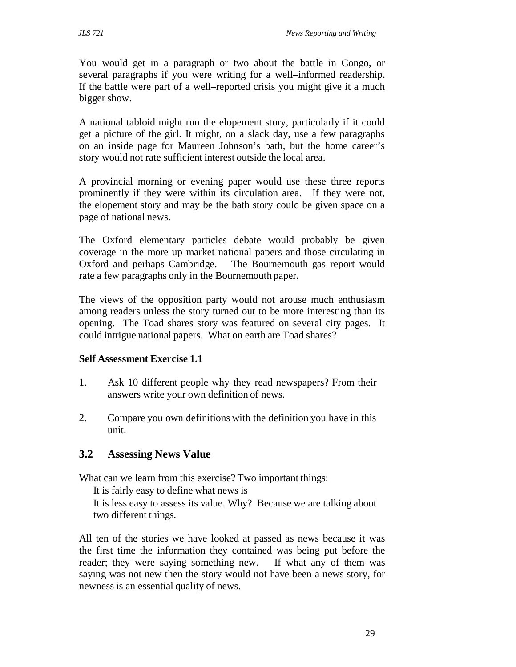You would get in a paragraph or two about the battle in Congo, or several paragraphs if you were writing for a well–informed readership. If the battle were part of a well–reported crisis you might give it a much bigger show.

A national tabloid might run the elopement story, particularly if it could get a picture of the girl. It might, on a slack day, use a few paragraphs on an inside page for Maureen Johnson's bath, but the home career's story would not rate sufficient interest outside the local area.

A provincial morning or evening paper would use these three reports prominently if they were within its circulation area. If they were not, the elopement story and may be the bath story could be given space on a page of national news.

The Oxford elementary particles debate would probably be given coverage in the more up market national papers and those circulating in Oxford and perhaps Cambridge. The Bournemouth gas report would rate a few paragraphs only in the Bournemouth paper.

The views of the opposition party would not arouse much enthusiasm among readers unless the story turned out to be more interesting than its opening. The Toad shares story was featured on several city pages. It could intrigue national papers. What on earth are Toad shares?

## **Self Assessment Exercise 1.1**

- 1. Ask 10 different people why they read newspapers? From their answers write your own definition of news.
- 2. Compare you own definitions with the definition you have in this unit.

## **3.2 Assessing News Value**

What can we learn from this exercise? Two important things:

It is fairly easy to define what news is

It is less easy to assess its value. Why? Because we are talking about two different things.

All ten of the stories we have looked at passed as news because it was the first time the information they contained was being put before the reader; they were saying something new. If what any of them was saying was not new then the story would not have been a news story, for newness is an essential quality of news.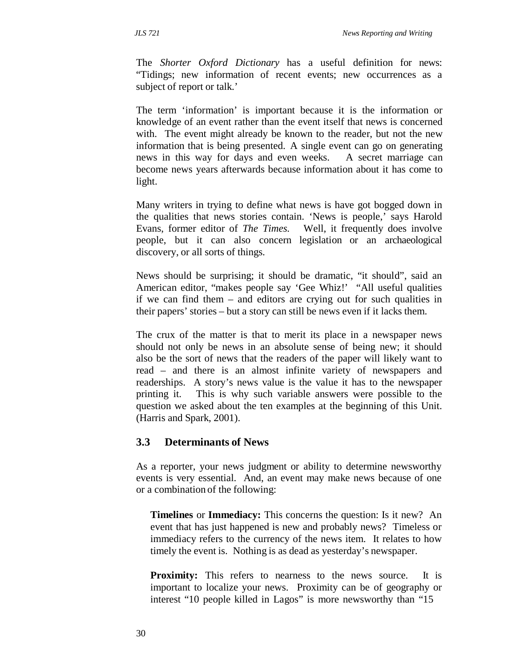The *Shorter Oxford Dictionary* has a useful definition for news: "Tidings; new information of recent events; new occurrences as a subject of report or talk.'

The term 'information' is important because it is the information or knowledge of an event rather than the event itself that news is concerned with. The event might already be known to the reader, but not the new information that is being presented. A single event can go on generating news in this way for days and even weeks. A secret marriage can become news years afterwards because information about it has come to light.

Many writers in trying to define what news is have got bogged down in the qualities that news stories contain. 'News is people,' says Harold Evans, former editor of *The Times.* Well, it frequently does involve people, but it can also concern legislation or an archaeological discovery, or all sorts of things.

News should be surprising; it should be dramatic, "it should", said an American editor, "makes people say 'Gee Whiz!' "All useful qualities if we can find them – and editors are crying out for such qualities in their papers' stories – but a story can still be news even if it lacks them.

The crux of the matter is that to merit its place in a newspaper news should not only be news in an absolute sense of being new; it should also be the sort of news that the readers of the paper will likely want to read – and there is an almost infinite variety of newspapers and readerships. A story's news value is the value it has to the newspaper printing it. This is why such variable answers were possible to the question we asked about the ten examples at the beginning of this Unit. (Harris and Spark, 2001).

#### **3.3 Determinants of News**

As a reporter, your news judgment or ability to determine newsworthy events is very essential. And, an event may make news because of one or a combination of the following:

**Timelines** or **Immediacy:** This concerns the question: Is it new? An event that has just happened is new and probably news? Timeless or immediacy refers to the currency of the news item. It relates to how timely the event is. Nothing is as dead as yesterday's newspaper.

**Proximity:** This refers to nearness to the news source. It is important to localize your news. Proximity can be of geography or interest "10 people killed in Lagos" is more newsworthy than "15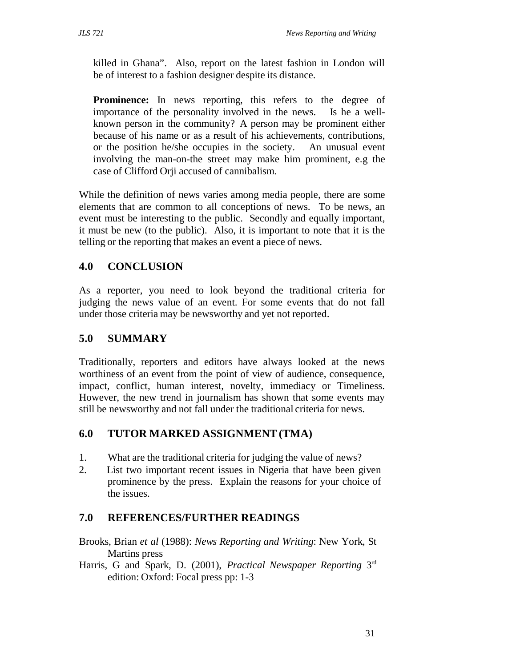killed in Ghana". Also, report on the latest fashion in London will be of interest to a fashion designer despite its distance.

**Prominence:** In news reporting, this refers to the degree of importance of the personality involved in the news. Is he a wellknown person in the community? A person may be prominent either because of his name or as a result of his achievements, contributions, or the position he/she occupies in the society. An unusual event involving the man-on-the street may make him prominent, e.g the case of Clifford Orji accused of cannibalism.

While the definition of news varies among media people, there are some elements that are common to all conceptions of news. To be news, an event must be interesting to the public. Secondly and equally important, it must be new (to the public). Also, it is important to note that it is the telling or the reporting that makes an event a piece of news.

# **4.0 CONCLUSION**

As a reporter, you need to look beyond the traditional criteria for judging the news value of an event. For some events that do not fall under those criteria may be newsworthy and yet not reported.

# **5.0 SUMMARY**

Traditionally, reporters and editors have always looked at the news worthiness of an event from the point of view of audience, consequence, impact, conflict, human interest, novelty, immediacy or Timeliness. However, the new trend in journalism has shown that some events may still be newsworthy and not fall under the traditional criteria for news.

# **6.0 TUTOR MARKED ASSIGNMENT (TMA)**

- 1. What are the traditional criteria for judging the value of news?
- 2. List two important recent issues in Nigeria that have been given prominence by the press. Explain the reasons for your choice of the issues.

# **7.0 REFERENCES/FURTHER READINGS**

- Brooks, Brian *et al* (1988): *News Reporting and Writing*: New York, St Martins press
- Harris, G and Spark, D. (2001), *Practical Newspaper Reporting* 3rd edition: Oxford: Focal press pp: 1-3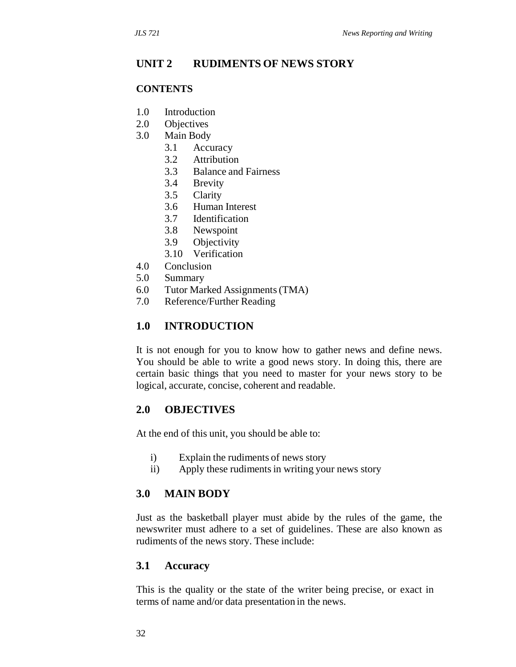### **UNIT 2 RUDIMENTS OF NEWS STORY**

#### **CONTENTS**

- 1.0 Introduction
- 2.0 Objectives
- 3.0 Main Body
	- 3.1 Accuracy
	- 3.2 Attribution
	- 3.3 Balance and Fairness
	- 3.4 Brevity
	- 3.5 Clarity
	- 3.6 Human Interest
	- 3.7 Identification
	- 3.8 Newspoint
	- 3.9 Objectivity
	- 3.10 Verification
- 4.0 Conclusion
- 5.0 Summary
- 6.0 Tutor Marked Assignments (TMA)
- 7.0 Reference/Further Reading

#### **1.0 INTRODUCTION**

It is not enough for you to know how to gather news and define news. You should be able to write a good news story. In doing this, there are certain basic things that you need to master for your news story to be logical, accurate, concise, coherent and readable.

#### **2.0 OBJECTIVES**

At the end of this unit, you should be able to:

- i) Explain the rudiments of news story
- ii) Apply these rudiments in writing your news story

#### **3.0 MAIN BODY**

Just as the basketball player must abide by the rules of the game, the newswriter must adhere to a set of guidelines. These are also known as rudiments of the news story. These include:

#### **3.1 Accuracy**

This is the quality or the state of the writer being precise, or exact in terms of name and/or data presentation in the news.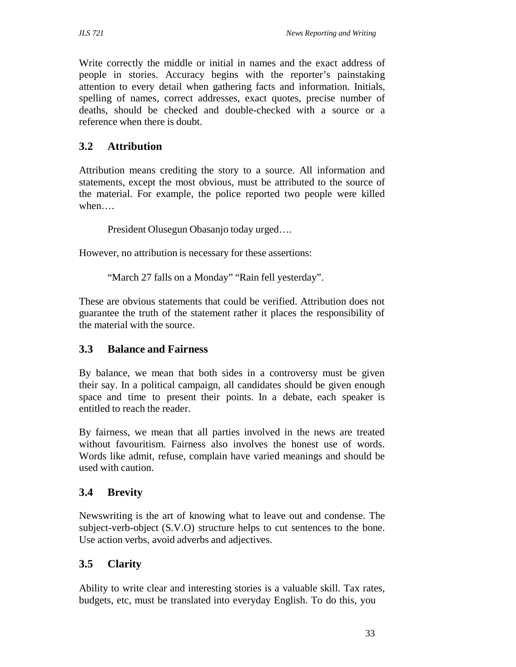Write correctly the middle or initial in names and the exact address of people in stories. Accuracy begins with the reporter's painstaking attention to every detail when gathering facts and information. Initials, spelling of names, correct addresses, exact quotes, precise number of deaths, should be checked and double-checked with a source or a reference when there is doubt.

## **3.2 Attribution**

Attribution means crediting the story to a source. All information and statements, except the most obvious, must be attributed to the source of the material. For example, the police reported two people were killed when….

President Olusegun Obasanjo today urged….

However, no attribution is necessary for these assertions:

"March 27 falls on a Monday" "Rain fell yesterday".

These are obvious statements that could be verified. Attribution does not guarantee the truth of the statement rather it places the responsibility of the material with the source.

## **3.3 Balance and Fairness**

By balance, we mean that both sides in a controversy must be given their say. In a political campaign, all candidates should be given enough space and time to present their points. In a debate, each speaker is entitled to reach the reader.

By fairness, we mean that all parties involved in the news are treated without favouritism. Fairness also involves the honest use of words. Words like admit, refuse, complain have varied meanings and should be used with caution.

# **3.4 Brevity**

Newswriting is the art of knowing what to leave out and condense. The subject-verb-object (S.V.O) structure helps to cut sentences to the bone. Use action verbs, avoid adverbs and adjectives.

# **3.5 Clarity**

Ability to write clear and interesting stories is a valuable skill. Tax rates, budgets, etc, must be translated into everyday English. To do this, you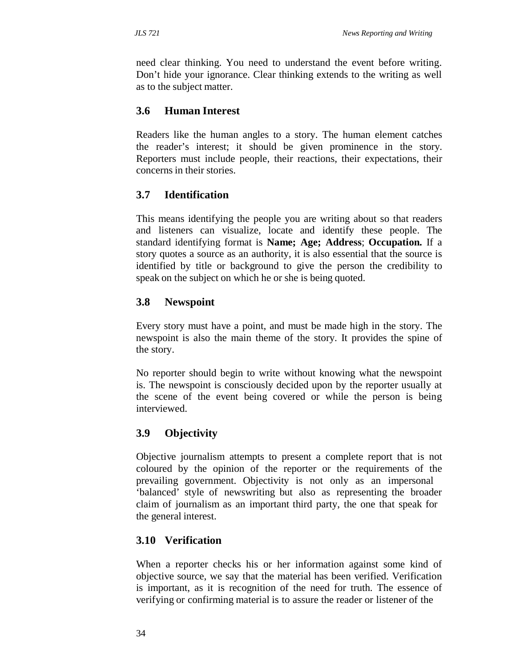need clear thinking. You need to understand the event before writing. Don't hide your ignorance. Clear thinking extends to the writing as well as to the subject matter.

### **3.6 Human Interest**

Readers like the human angles to a story. The human element catches the reader's interest; it should be given prominence in the story. Reporters must include people, their reactions, their expectations, their concerns in their stories.

## **3.7 Identification**

This means identifying the people you are writing about so that readers and listeners can visualize, locate and identify these people. The standard identifying format is **Name; Age; Address**; **Occupation.** If a story quotes a source as an authority, it is also essential that the source is identified by title or background to give the person the credibility to speak on the subject on which he or she is being quoted.

## **3.8 Newspoint**

Every story must have a point, and must be made high in the story. The newspoint is also the main theme of the story. It provides the spine of the story.

No reporter should begin to write without knowing what the newspoint is. The newspoint is consciously decided upon by the reporter usually at the scene of the event being covered or while the person is being interviewed.

## **3.9 Objectivity**

Objective journalism attempts to present a complete report that is not coloured by the opinion of the reporter or the requirements of the prevailing government. Objectivity is not only as an impersonal 'balanced' style of newswriting but also as representing the broader claim of journalism as an important third party, the one that speak for the general interest.

## **3.10 Verification**

When a reporter checks his or her information against some kind of objective source, we say that the material has been verified. Verification is important, as it is recognition of the need for truth. The essence of verifying or confirming material is to assure the reader or listener of the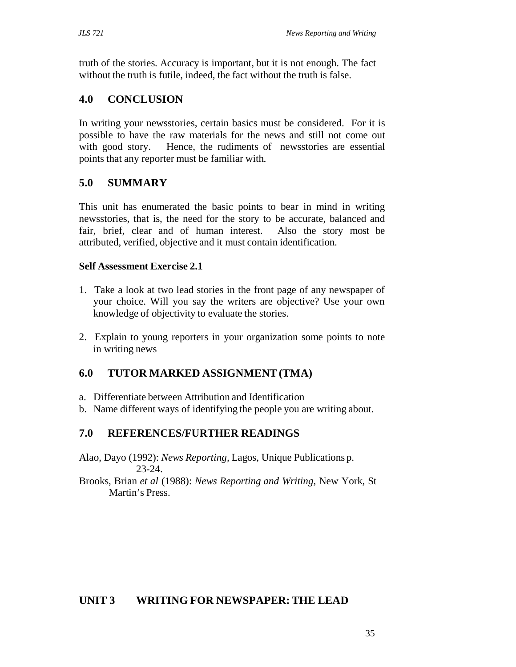truth of the stories. Accuracy is important, but it is not enough. The fact without the truth is futile, indeed, the fact without the truth is false.

# **4.0 CONCLUSION**

In writing your newsstories, certain basics must be considered. For it is possible to have the raw materials for the news and still not come out with good story. Hence, the rudiments of newsstories are essential points that any reporter must be familiar with.

# **5.0 SUMMARY**

This unit has enumerated the basic points to bear in mind in writing newsstories, that is, the need for the story to be accurate, balanced and fair, brief, clear and of human interest. Also the story most be attributed, verified, objective and it must contain identification.

# **Self Assessment Exercise 2.1**

- 1. Take a look at two lead stories in the front page of any newspaper of your choice. Will you say the writers are objective? Use your own knowledge of objectivity to evaluate the stories.
- 2. Explain to young reporters in your organization some points to note in writing news

# **6.0 TUTOR MARKED ASSIGNMENT (TMA)**

- a. Differentiate between Attribution and Identification
- b. Name different ways of identifying the people you are writing about.

# **7.0 REFERENCES/FURTHER READINGS**

- Alao, Dayo (1992): *News Reporting,* Lagos, Unique Publications p. 23-24.
- Brooks, Brian *et al* (1988): *News Reporting and Writing,* New York, St Martin's Press.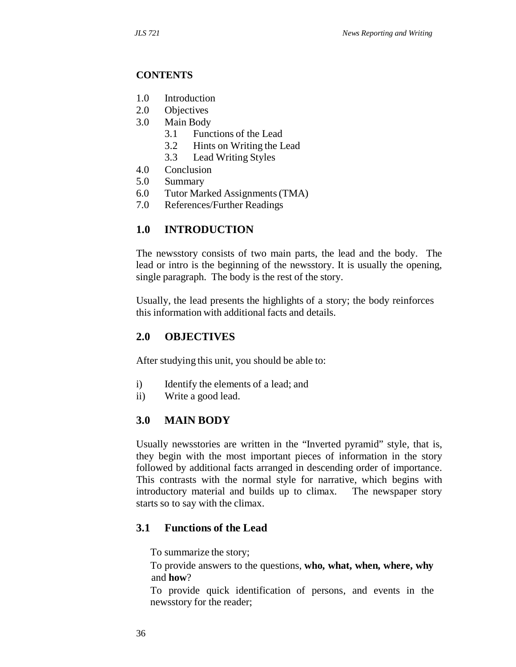#### **CONTENTS**

- 1.0 Introduction
- 2.0 Objectives
- 3.0 Main Body
	- 3.1 Functions of the Lead
	- 3.2 Hints on Writing the Lead
	- 3.3 Lead Writing Styles
- 4.0 Conclusion
- 5.0 Summary
- 6.0 Tutor Marked Assignments (TMA)
- 7.0 References/Further Readings

#### **1.0 INTRODUCTION**

The newsstory consists of two main parts, the lead and the body. The lead or intro is the beginning of the newsstory. It is usually the opening, single paragraph. The body is the rest of the story.

Usually, the lead presents the highlights of a story; the body reinforces this information with additional facts and details.

#### **2.0 OBJECTIVES**

After studying this unit, you should be able to:

- i) Identify the elements of a lead; and
- ii) Write a good lead.

#### **3.0 MAIN BODY**

Usually newsstories are written in the "Inverted pyramid" style, that is, they begin with the most important pieces of information in the story followed by additional facts arranged in descending order of importance. This contrasts with the normal style for narrative, which begins with introductory material and builds up to climax. The newspaper story starts so to say with the climax.

#### **3.1 Functions of the Lead**

To summarize the story;

To provide answers to the questions, **who, what, when, where, why** and **how**?

To provide quick identification of persons, and events in the newsstory for the reader;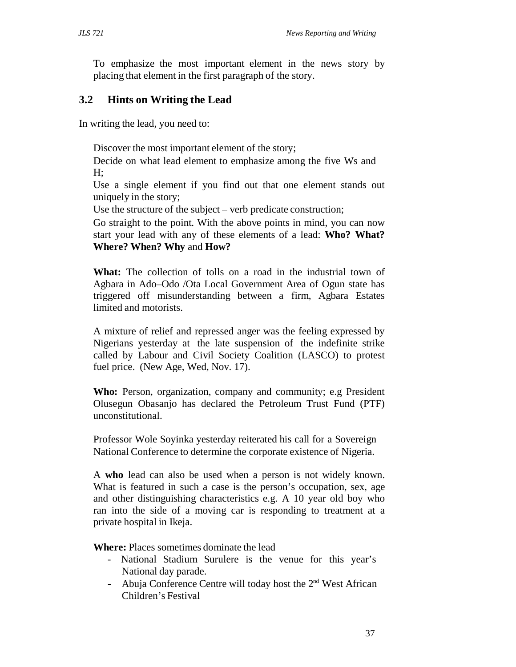To emphasize the most important element in the news story by placing that element in the first paragraph of the story.

### **3.2 Hints on Writing the Lead**

In writing the lead, you need to:

Discover the most important element of the story;

Decide on what lead element to emphasize among the five Ws and  $H:$ 

Use a single element if you find out that one element stands out uniquely in the story;

Use the structure of the subject – verb predicate construction;

Go straight to the point. With the above points in mind, you can now start your lead with any of these elements of a lead: **Who? What? Where? When? Why** and **How?**

**What:** The collection of tolls on a road in the industrial town of Agbara in Ado–Odo /Ota Local Government Area of Ogun state has triggered off misunderstanding between a firm, Agbara Estates limited and motorists.

A mixture of relief and repressed anger was the feeling expressed by Nigerians yesterday at the late suspension of the indefinite strike called by Labour and Civil Society Coalition (LASCO) to protest fuel price. (New Age, Wed, Nov. 17).

**Who:** Person, organization, company and community; e.g President Olusegun Obasanjo has declared the Petroleum Trust Fund (PTF) unconstitutional.

Professor Wole Soyinka yesterday reiterated his call for a Sovereign National Conference to determine the corporate existence of Nigeria.

A **who** lead can also be used when a person is not widely known. What is featured in such a case is the person's occupation, sex, age and other distinguishing characteristics e.g. A 10 year old boy who ran into the side of a moving car is responding to treatment at a private hospital in Ikeja.

**Where:** Places sometimes dominate the lead

- National Stadium Surulere is the venue for this year's National day parade.
- Abuja Conference Centre will today host the  $2<sup>nd</sup>$  West African Children's Festival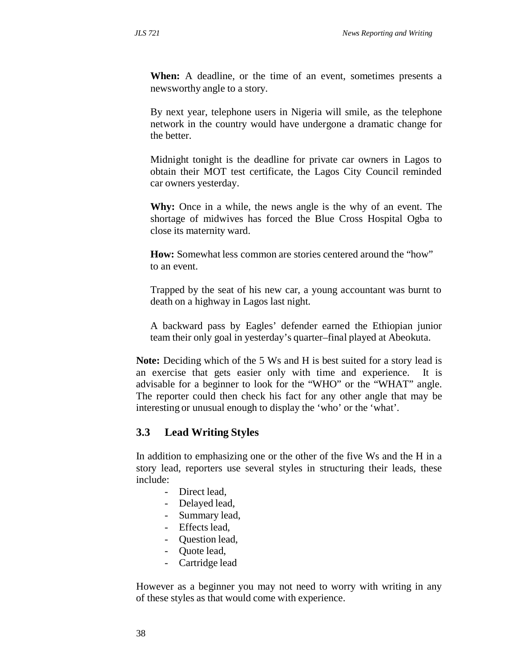**When:** A deadline, or the time of an event, sometimes presents a newsworthy angle to a story.

By next year, telephone users in Nigeria will smile, as the telephone network in the country would have undergone a dramatic change for the better.

Midnight tonight is the deadline for private car owners in Lagos to obtain their MOT test certificate, the Lagos City Council reminded car owners yesterday.

**Why:** Once in a while, the news angle is the why of an event. The shortage of midwives has forced the Blue Cross Hospital Ogba to close its maternity ward.

How: Somewhat less common are stories centered around the "how" to an event.

Trapped by the seat of his new car, a young accountant was burnt to death on a highway in Lagos last night.

A backward pass by Eagles' defender earned the Ethiopian junior team their only goal in yesterday's quarter–final played at Abeokuta.

Note: Deciding which of the 5 Ws and H is best suited for a story lead is an exercise that gets easier only with time and experience. It is advisable for a beginner to look for the "WHO" or the "WHAT" angle. The reporter could then check his fact for any other angle that may be interesting or unusual enough to display the 'who' or the 'what'.

#### **3.3 Lead Writing Styles**

In addition to emphasizing one or the other of the five Ws and the H in a story lead, reporters use several styles in structuring their leads, these include:

- Direct lead,
- Delayed lead,
- Summary lead,
- Effects lead,
- Question lead,
- Quote lead,
- Cartridge lead

However as a beginner you may not need to worry with writing in any of these styles as that would come with experience.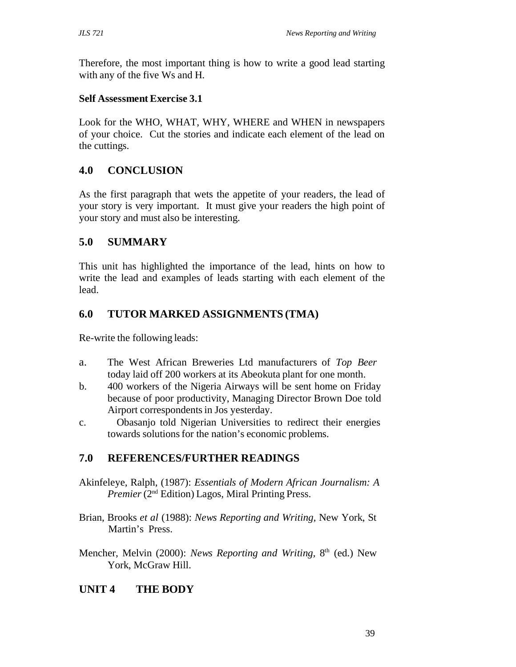Therefore, the most important thing is how to write a good lead starting with any of the five Ws and H.

### **Self Assessment Exercise 3.1**

Look for the WHO, WHAT, WHY, WHERE and WHEN in newspapers of your choice. Cut the stories and indicate each element of the lead on the cuttings.

## **4.0 CONCLUSION**

As the first paragraph that wets the appetite of your readers, the lead of your story is very important. It must give your readers the high point of your story and must also be interesting.

## **5.0 SUMMARY**

This unit has highlighted the importance of the lead, hints on how to write the lead and examples of leads starting with each element of the lead.

## **6.0 TUTOR MARKED ASSIGNMENTS (TMA)**

Re-write the following leads:

- a. The West African Breweries Ltd manufacturers of *Top Beer* today laid off 200 workers at its Abeokuta plant for one month.
- b. 400 workers of the Nigeria Airways will be sent home on Friday because of poor productivity, Managing Director Brown Doe told Airport correspondents in Jos yesterday.
- c. Obasanjo told Nigerian Universities to redirect their energies towards solutions for the nation's economic problems.

## **7.0 REFERENCES/FURTHER READINGS**

- Akinfeleye, Ralph, (1987): *Essentials of Modern African Journalism: A Premier* (2<sup>nd</sup> Edition) Lagos, Miral Printing Press.
- Brian, Brooks *et al* (1988): *News Reporting and Writing,* New York, St Martin's Press.
- Mencher, Melvin (2000): *News Reporting and Writing*, 8<sup>th</sup> (ed.) New York, McGraw Hill.

# **UNIT 4 THE BODY**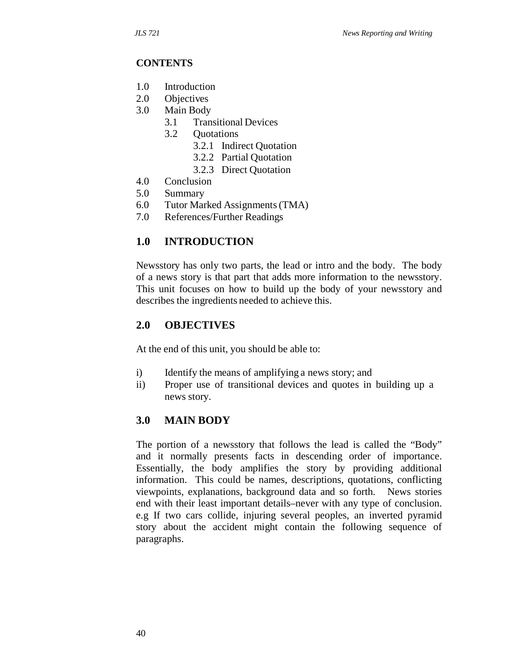#### **CONTENTS**

- 1.0 Introduction
- 2.0 Objectives
- 3.0 Main Body
	- 3.1 Transitional Devices
	- 3.2 Quotations
		- 3.2.1 Indirect Quotation
		- 3.2.2 Partial Quotation
		- 3.2.3 Direct Quotation
- 4.0 Conclusion
- 5.0 Summary
- 6.0 Tutor Marked Assignments (TMA)
- 7.0 References/Further Readings

## **1.0 INTRODUCTION**

Newsstory has only two parts, the lead or intro and the body. The body of a news story is that part that adds more information to the newsstory. This unit focuses on how to build up the body of your newsstory and describes the ingredients needed to achieve this.

### **2.0 OBJECTIVES**

At the end of this unit, you should be able to:

- i) Identify the means of amplifying a news story; and
- ii) Proper use of transitional devices and quotes in building up a news story.

## **3.0 MAIN BODY**

The portion of a newsstory that follows the lead is called the "Body" and it normally presents facts in descending order of importance. Essentially, the body amplifies the story by providing additional information. This could be names, descriptions, quotations, conflicting viewpoints, explanations, background data and so forth. News stories end with their least important details–never with any type of conclusion. e.g If two cars collide, injuring several peoples, an inverted pyramid story about the accident might contain the following sequence of paragraphs.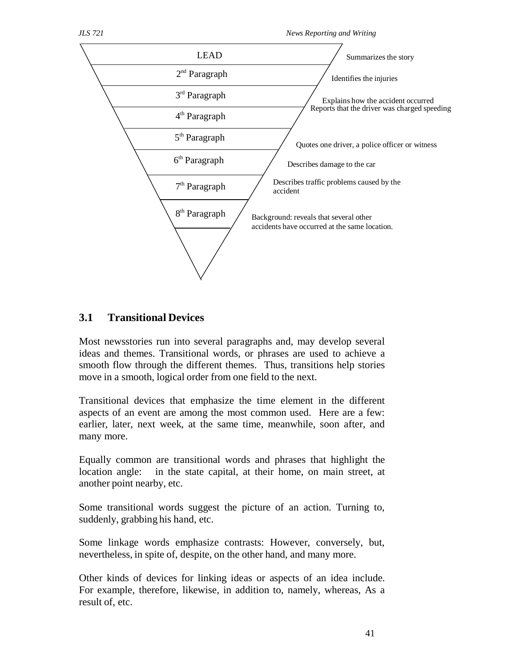

### **3.1 Transitional Devices**

Most newsstories run into several paragraphs and, may develop several ideas and themes. Transitional words, or phrases are used to achieve a smooth flow through the different themes. Thus, transitions help stories move in a smooth, logical order from one field to the next.

Transitional devices that emphasize the time element in the different aspects of an event are among the most common used. Here are a few: earlier, later, next week, at the same time, meanwhile, soon after, and many more.

Equally common are transitional words and phrases that highlight the location angle: in the state capital, at their home, on main street, at another point nearby, etc.

Some transitional words suggest the picture of an action. Turning to, suddenly, grabbing his hand, etc.

Some linkage words emphasize contrasts: However, conversely, but, nevertheless, in spite of, despite, on the other hand, and many more.

Other kinds of devices for linking ideas or aspects of an idea include. For example, therefore, likewise, in addition to, namely, whereas, As a result of, etc.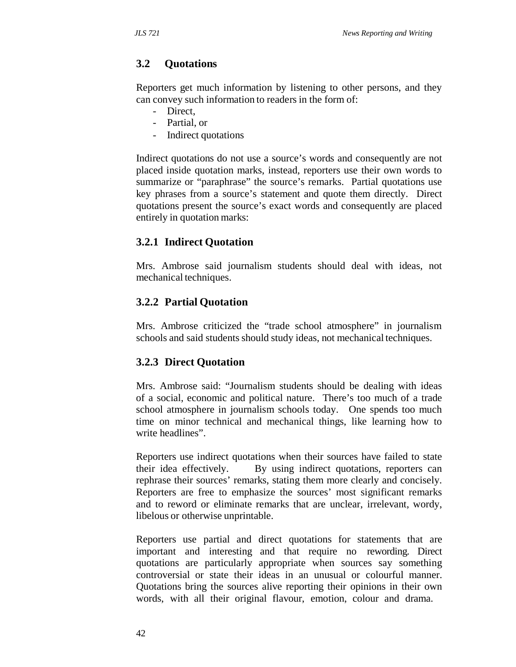#### **3.2 Quotations**

Reporters get much information by listening to other persons, and they can convey such information to readers in the form of:

- Direct,
- Partial, or
- Indirect quotations

Indirect quotations do not use a source's words and consequently are not placed inside quotation marks, instead, reporters use their own words to summarize or "paraphrase" the source's remarks. Partial quotations use key phrases from a source's statement and quote them directly. Direct quotations present the source's exact words and consequently are placed entirely in quotation marks:

#### **3.2.1 Indirect Quotation**

Mrs. Ambrose said journalism students should deal with ideas, not mechanical techniques.

#### **3.2.2 Partial Quotation**

Mrs. Ambrose criticized the "trade school atmosphere" in journalism schools and said students should study ideas, not mechanical techniques.

#### **3.2.3 Direct Quotation**

Mrs. Ambrose said: "Journalism students should be dealing with ideas of a social, economic and political nature. There's too much of a trade school atmosphere in journalism schools today. One spends too much time on minor technical and mechanical things, like learning how to write headlines".

Reporters use indirect quotations when their sources have failed to state their idea effectively. By using indirect quotations, reporters can rephrase their sources' remarks, stating them more clearly and concisely. Reporters are free to emphasize the sources' most significant remarks and to reword or eliminate remarks that are unclear, irrelevant, wordy, libelous or otherwise unprintable.

Reporters use partial and direct quotations for statements that are important and interesting and that require no rewording. Direct quotations are particularly appropriate when sources say something controversial or state their ideas in an unusual or colourful manner. Quotations bring the sources alive reporting their opinions in their own words, with all their original flavour, emotion, colour and drama.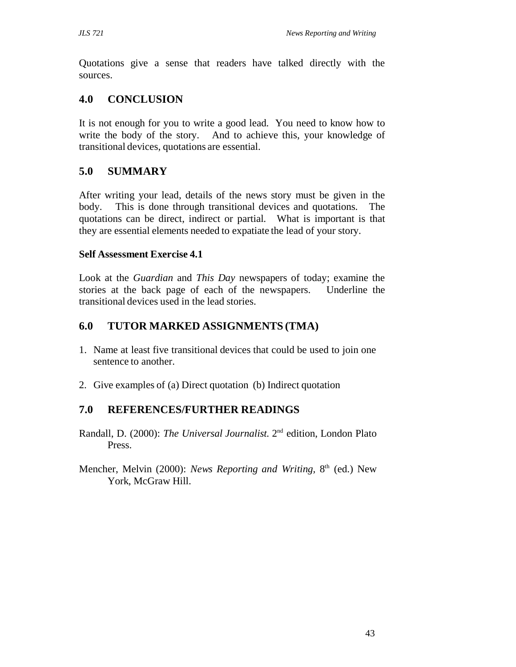Quotations give a sense that readers have talked directly with the sources.

# **4.0 CONCLUSION**

It is not enough for you to write a good lead. You need to know how to write the body of the story. And to achieve this, your knowledge of transitional devices, quotations are essential.

# **5.0 SUMMARY**

After writing your lead, details of the news story must be given in the body. This is done through transitional devices and quotations. The quotations can be direct, indirect or partial. What is important is that they are essential elements needed to expatiate the lead of your story.

## **Self Assessment Exercise 4.1**

Look at the *Guardian* and *This Day* newspapers of today; examine the stories at the back page of each of the newspapers. Underline the transitional devices used in the lead stories.

# **6.0 TUTOR MARKED ASSIGNMENTS (TMA)**

- 1. Name at least five transitional devices that could be used to join one sentence to another.
- 2. Give examples of (a) Direct quotation (b) Indirect quotation

# **7.0 REFERENCES/FURTHER READINGS**

- Randall, D. (2000): *The Universal Journalist.* 2nd edition, London Plato Press.
- Mencher, Melvin (2000): *News Reporting and Writing*, 8<sup>th</sup> (ed.) New York, McGraw Hill.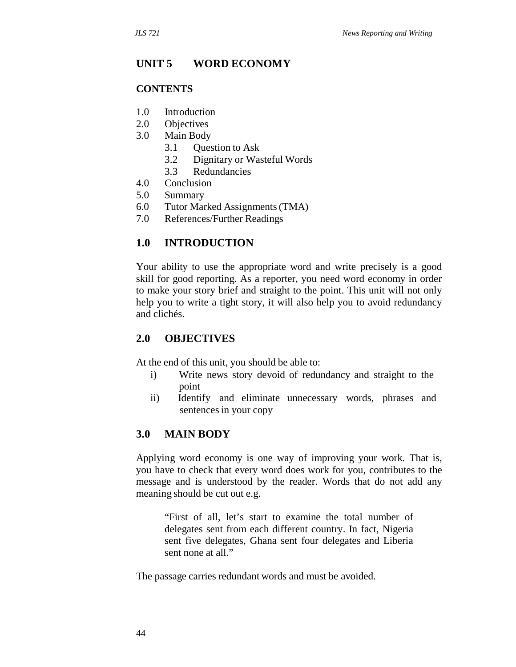#### **UNIT 5 WORD ECONOMY**

#### **CONTENTS**

- 1.0 Introduction
- 2.0 Objectives
- 3.0 Main Body
	- 3.1 Question to Ask
	- 3.2 Dignitary or Wasteful Words
	- 3.3 Redundancies
- 4.0 Conclusion
- 5.0 Summary
- 6.0 Tutor Marked Assignments (TMA)
- 7.0 References/Further Readings

#### **1.0 INTRODUCTION**

Your ability to use the appropriate word and write precisely is a good skill for good reporting. As a reporter, you need word economy in order to make your story brief and straight to the point. This unit will not only help you to write a tight story, it will also help you to avoid redundancy and clichés.

#### **2.0 OBJECTIVES**

At the end of this unit, you should be able to:

- i) Write news story devoid of redundancy and straight to the point
- ii) Identify and eliminate unnecessary words, phrases and sentences in your copy

#### **3.0 MAIN BODY**

Applying word economy is one way of improving your work. That is, you have to check that every word does work for you, contributes to the message and is understood by the reader. Words that do not add any meaning should be cut out e.g.

"First of all, let's start to examine the total number of delegates sent from each different country. In fact, Nigeria sent five delegates, Ghana sent four delegates and Liberia sent none at all."

The passage carries redundant words and must be avoided.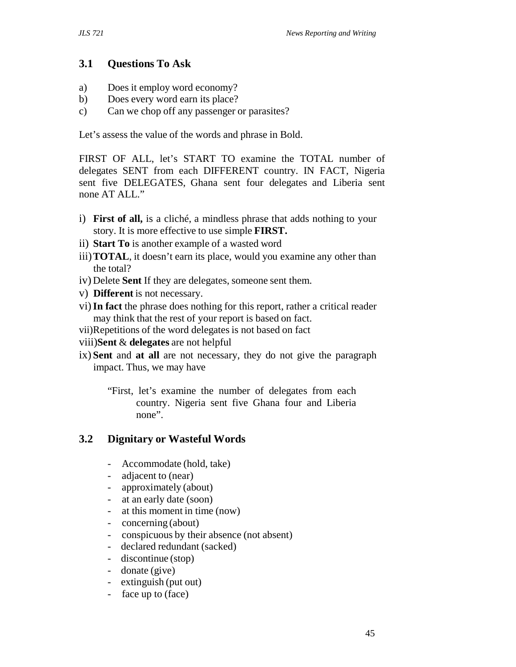## **3.1 Questions To Ask**

- a) Does it employ word economy?
- b) Does every word earn its place?
- c) Can we chop off any passenger or parasites?

Let's assess the value of the words and phrase in Bold.

FIRST OF ALL, let's START TO examine the TOTAL number of delegates SENT from each DIFFERENT country. IN FACT, Nigeria sent five DELEGATES, Ghana sent four delegates and Liberia sent none AT ALL."

- i) **First of all,** is a cliché, a mindless phrase that adds nothing to your story. It is more effective to use simple **FIRST.**
- ii) **Start To** is another example of a wasted word
- iii)**TOTAL**, it doesn't earn its place, would you examine any other than the total?
- iv) Delete **Sent** If they are delegates, someone sent them.
- v) **Different** is not necessary.
- vi) **In fact** the phrase does nothing for this report, rather a critical reader may think that the rest of your report is based on fact.
- vii)Repetitions of the word delegates is not based on fact
- viii)**Sent** & **delegates** are not helpful
- ix) **Sent** and **at all** are not necessary, they do not give the paragraph impact. Thus, we may have

"First, let's examine the number of delegates from each country. Nigeria sent five Ghana four and Liberia none".

## **3.2 Dignitary or Wasteful Words**

- Accommodate (hold, take)
- adjacent to (near)
- approximately (about)
- at an early date (soon)
- at this moment in time (now)
- concerning (about)
- conspicuous by their absence (not absent)
- declared redundant (sacked)
- discontinue (stop)
- donate (give)
- extinguish (put out)
- face up to (face)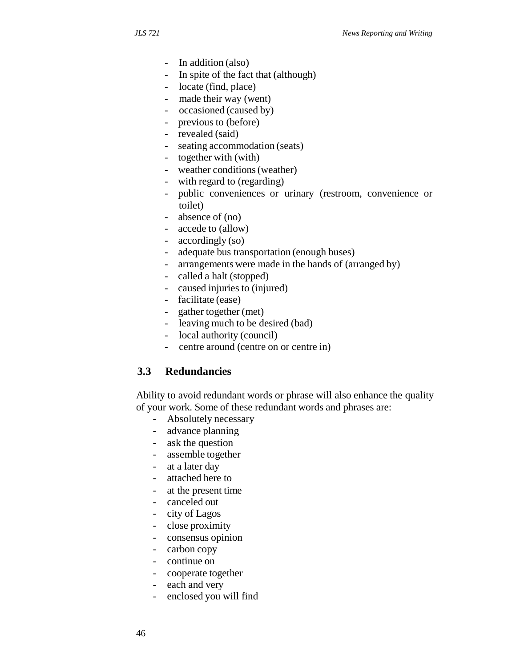- In addition (also)
- In spite of the fact that (although)
- locate (find, place)
- made their way (went)
- occasioned (caused by)
- previous to (before)
- revealed (said)
- seating accommodation (seats)
- together with (with)
- weather conditions (weather)
- with regard to (regarding)
- public conveniences or urinary (restroom, convenience or toilet)
- absence of (no)
- accede to (allow)
- accordingly (so)
- adequate bus transportation (enough buses)
- arrangements were made in the hands of (arranged by)
- called a halt (stopped)
- caused injuries to (injured)
- facilitate (ease)
- gather together (met)
- leaving much to be desired (bad)
- local authority (council)
- centre around (centre on or centre in)

#### **3.3 Redundancies**

Ability to avoid redundant words or phrase will also enhance the quality of your work. Some of these redundant words and phrases are:

- Absolutely necessary
- advance planning
- ask the question
- assemble together
- at a later day
- attached here to
- at the present time
- canceled out
- city of Lagos
- close proximity
- consensus opinion
- carbon copy
- continue on
- cooperate together
- each and very
- enclosed you will find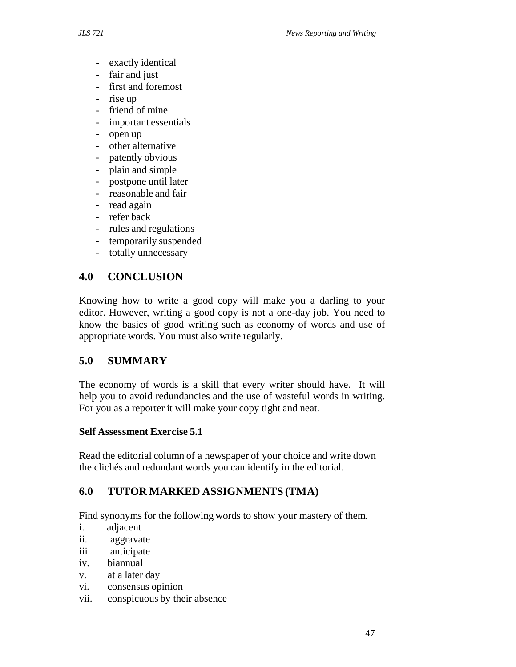- exactly identical
- fair and just
- first and foremost
- rise up
- friend of mine
- important essentials
- open up
- other alternative
- patently obvious
- plain and simple
- postpone until later
- reasonable and fair
- read again
- refer back
- rules and regulations
- temporarily suspended
- totally unnecessary

# **4.0 CONCLUSION**

Knowing how to write a good copy will make you a darling to your editor. However, writing a good copy is not a one-day job. You need to know the basics of good writing such as economy of words and use of appropriate words. You must also write regularly.

# **5.0 SUMMARY**

The economy of words is a skill that every writer should have. It will help you to avoid redundancies and the use of wasteful words in writing. For you as a reporter it will make your copy tight and neat.

## **Self Assessment Exercise 5.1**

Read the editorial column of a newspaper of your choice and write down the clichés and redundant words you can identify in the editorial.

# **6.0 TUTOR MARKED ASSIGNMENTS (TMA)**

Find synonyms for the following words to show your mastery of them.

- i. adjacent
- ii. aggravate
- iii. anticipate
- iv. biannual
- v. at a later day
- vi. consensus opinion
- vii. conspicuous by their absence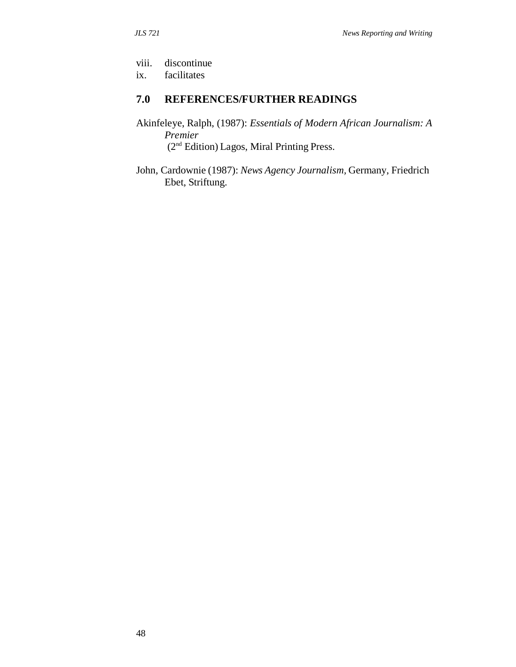viii. discontinue

ix. facilitates

# **7.0 REFERENCES/FURTHER READINGS**

- Akinfeleye, Ralph, (1987): *Essentials of Modern African Journalism: A Premier* (2nd Edition) Lagos, Miral Printing Press.
- John, Cardownie (1987): *News Agency Journalism,* Germany, Friedrich Ebet, Striftung.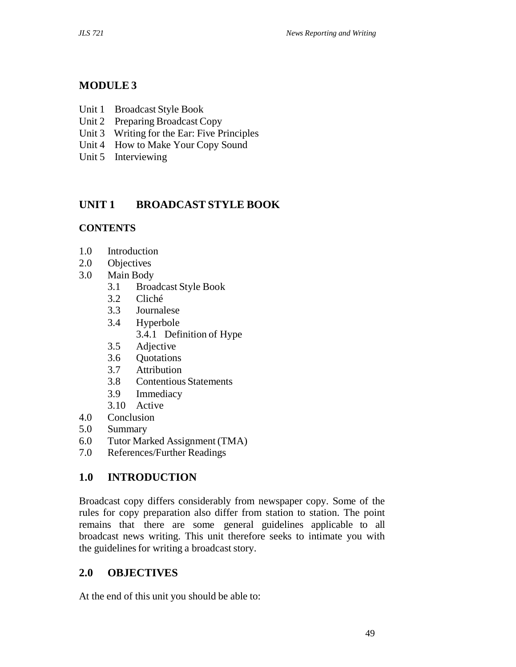## **MODULE 3**

- Unit 1 Broadcast Style Book
- Unit 2 Preparing Broadcast Copy
- Unit 3 Writing for the Ear: Five Principles
- Unit 4 How to Make Your Copy Sound
- Unit 5 Interviewing

## **UNIT 1 BROADCAST STYLE BOOK**

#### **CONTENTS**

- 1.0 Introduction
- 2.0 Objectives
- 3.0 Main Body
	- 3.1 Broadcast Style Book
	- 3.2 Cliché
	- 3.3 Journalese
	- 3.4 Hyperbole
		- 3.4.1 Definition of Hype
	- 3.5 Adjective
	- 3.6 Quotations
	- 3.7 Attribution
	- 3.8 Contentious Statements
	- 3.9 Immediacy
	- 3.10 Active
- 4.0 Conclusion
- 5.0 Summary
- 6.0 Tutor Marked Assignment (TMA)
- 7.0 References/Further Readings

## **1.0 INTRODUCTION**

Broadcast copy differs considerably from newspaper copy. Some of the rules for copy preparation also differ from station to station. The point remains that there are some general guidelines applicable to all broadcast news writing. This unit therefore seeks to intimate you with the guidelines for writing a broadcast story.

## **2.0 OBJECTIVES**

At the end of this unit you should be able to: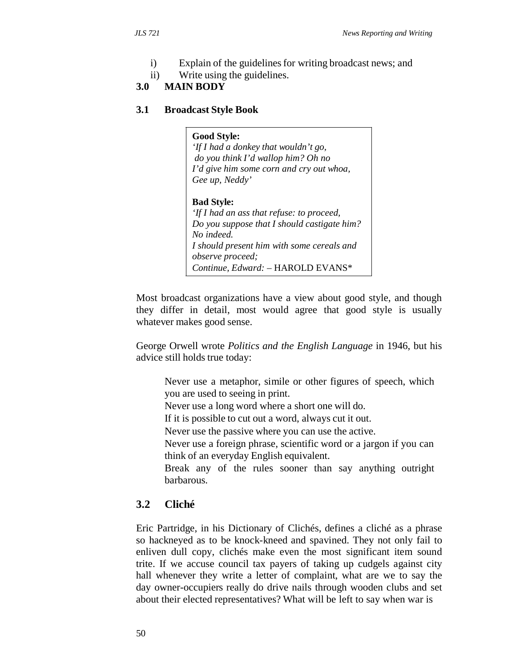- i) Explain of the guidelines for writing broadcast news; and
- ii) Write using the guidelines.

#### **3.0 MAIN BODY**

#### **3.1 Broadcast Style Book**

**Good Style:** *'If I had a donkey that wouldn't go, do you think I'd wallop him? Oh no I'd give him some corn and cry out whoa, Gee up, Neddy'* **Bad Style:** *'If I had an ass that refuse: to proceed, Do you suppose that I should castigate him? No indeed. I should present him with some cereals and observe proceed; Continue, Edward: –* HAROLD EVANS\*

Most broadcast organizations have a view about good style, and though they differ in detail, most would agree that good style is usually whatever makes good sense.

George Orwell wrote *Politics and the English Language* in 1946, but his advice still holds true today:

Never use a metaphor, simile or other figures of speech, which you are used to seeing in print.

Never use a long word where a short one will do.

If it is possible to cut out a word, always cut it out.

Never use the passive where you can use the active.

Never use a foreign phrase, scientific word or a jargon if you can think of an everyday English equivalent.

Break any of the rules sooner than say anything outright barbarous.

#### **3.2 Cliché**

Eric Partridge, in his Dictionary of Clichés, defines a cliché as a phrase so hackneyed as to be knock-kneed and spavined. They not only fail to enliven dull copy, clichés make even the most significant item sound trite. If we accuse council tax payers of taking up cudgels against city hall whenever they write a letter of complaint, what are we to say the day owner-occupiers really do drive nails through wooden clubs and set about their elected representatives? What will be left to say when war is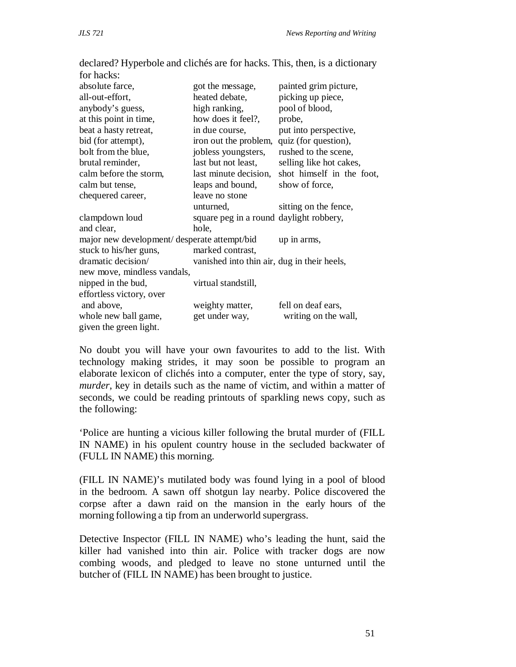| for hacks:                                  |                                             |                           |
|---------------------------------------------|---------------------------------------------|---------------------------|
| absolute farce,                             | got the message,                            | painted grim picture,     |
| all-out-effort,                             | heated debate,                              | picking up piece,         |
| anybody's guess,                            | high ranking,                               | pool of blood,            |
| at this point in time,                      | how does it feel?,                          | probe,                    |
| beat a hasty retreat,                       | in due course,                              | put into perspective,     |
| bid (for attempt),                          | iron out the problem,                       | quiz (for question),      |
| bolt from the blue,                         | jobless youngsters,                         | rushed to the scene,      |
| brutal reminder,                            | last but not least,                         | selling like hot cakes,   |
| calm before the storm,                      | last minute decision,                       | shot himself in the foot, |
| calm but tense,                             | leaps and bound,                            | show of force,            |
| chequered career,                           | leave no stone                              |                           |
|                                             | unturned,                                   | sitting on the fence,     |
| clampdown loud                              | square peg in a round daylight robbery,     |                           |
| and clear,                                  | hole,                                       |                           |
| major new development/desperate attempt/bid |                                             | up in arms,               |
| stuck to his/her guns,                      | marked contrast,                            |                           |
| dramatic decision                           | vanished into thin air, dug in their heels, |                           |
| new move, mindless vandals,                 |                                             |                           |
| nipped in the bud,                          | virtual standstill,                         |                           |
| effortless victory, over                    |                                             |                           |
| and above,                                  | weighty matter,                             | fell on deaf ears,        |
| whole new ball game,                        | get under way,                              | writing on the wall,      |
| given the green light.                      |                                             |                           |

declared? Hyperbole and clichés are for hacks. This, then, is a dictionary for hacks:

No doubt you will have your own favourites to add to the list. With technology making strides, it may soon be possible to program an elaborate lexicon of clichés into a computer, enter the type of story, say, *murder*, key in details such as the name of victim, and within a matter of seconds, we could be reading printouts of sparkling news copy, such as the following:

'Police are hunting a vicious killer following the brutal murder of (FILL IN NAME) in his opulent country house in the secluded backwater of (FULL IN NAME) this morning.

(FILL IN NAME)'s mutilated body was found lying in a pool of blood in the bedroom. A sawn off shotgun lay nearby. Police discovered the corpse after a dawn raid on the mansion in the early hours of the morning following a tip from an underworld supergrass.

Detective Inspector (FILL IN NAME) who's leading the hunt, said the killer had vanished into thin air. Police with tracker dogs are now combing woods, and pledged to leave no stone unturned until the butcher of (FILL IN NAME) has been brought to justice.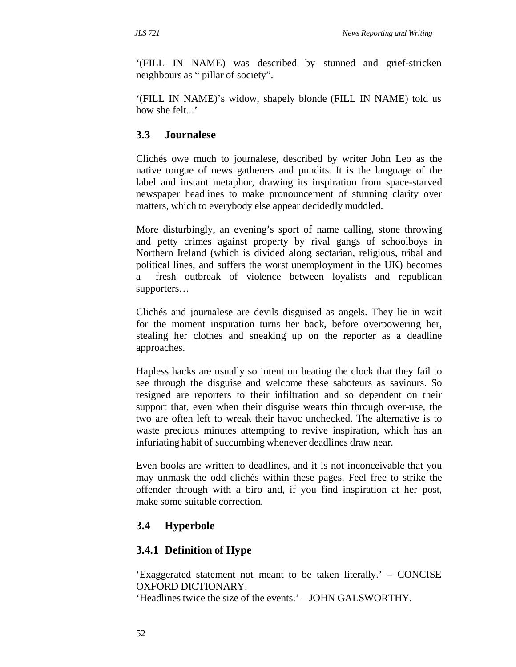'(FILL IN NAME) was described by stunned and grief-stricken neighbours as " pillar of society".

'(FILL IN NAME)'s widow, shapely blonde (FILL IN NAME) told us how she felt...'

### **3.3 Journalese**

Clichés owe much to journalese, described by writer John Leo as the native tongue of news gatherers and pundits. It is the language of the label and instant metaphor, drawing its inspiration from space-starved newspaper headlines to make pronouncement of stunning clarity over matters, which to everybody else appear decidedly muddled.

More disturbingly, an evening's sport of name calling, stone throwing and petty crimes against property by rival gangs of schoolboys in Northern Ireland (which is divided along sectarian, religious, tribal and political lines, and suffers the worst unemployment in the UK) becomes a fresh outbreak of violence between loyalists and republican supporters…

Clichés and journalese are devils disguised as angels. They lie in wait for the moment inspiration turns her back, before overpowering her, stealing her clothes and sneaking up on the reporter as a deadline approaches.

Hapless hacks are usually so intent on beating the clock that they fail to see through the disguise and welcome these saboteurs as saviours. So resigned are reporters to their infiltration and so dependent on their support that, even when their disguise wears thin through over-use, the two are often left to wreak their havoc unchecked. The alternative is to waste precious minutes attempting to revive inspiration, which has an infuriating habit of succumbing whenever deadlines draw near.

Even books are written to deadlines, and it is not inconceivable that you may unmask the odd clichés within these pages. Feel free to strike the offender through with a biro and, if you find inspiration at her post, make some suitable correction.

## **3.4 Hyperbole**

## **3.4.1 Definition of Hype**

'Exaggerated statement not meant to be taken literally.' – CONCISE OXFORD DICTIONARY.

'Headlines twice the size of the events.' – JOHN GALSWORTHY.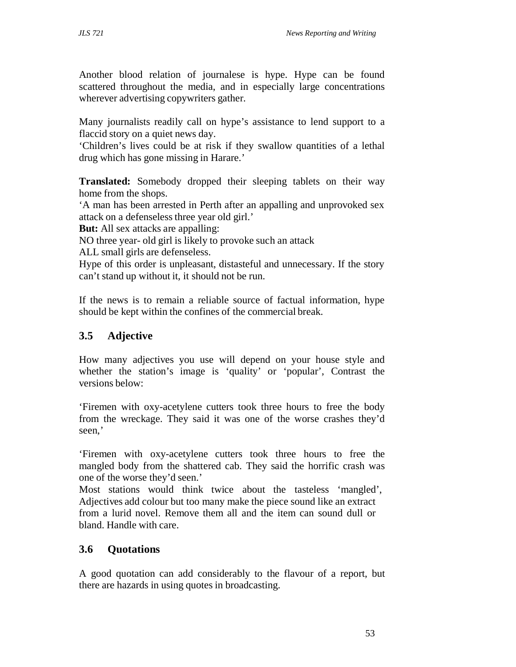Another blood relation of journalese is hype. Hype can be found scattered throughout the media, and in especially large concentrations wherever advertising copywriters gather.

Many journalists readily call on hype's assistance to lend support to a flaccid story on a quiet news day.

'Children's lives could be at risk if they swallow quantities of a lethal drug which has gone missing in Harare.'

**Translated:** Somebody dropped their sleeping tablets on their way home from the shops.

'A man has been arrested in Perth after an appalling and unprovoked sex attack on a defenseless three year old girl.'

**But:** All sex attacks are appalling:

NO three year- old girl is likely to provoke such an attack

ALL small girls are defenseless.

Hype of this order is unpleasant, distasteful and unnecessary. If the story can't stand up without it, it should not be run.

If the news is to remain a reliable source of factual information, hype should be kept within the confines of the commercial break.

## **3.5 Adjective**

How many adjectives you use will depend on your house style and whether the station's image is 'quality' or 'popular', Contrast the versions below:

'Firemen with oxy-acetylene cutters took three hours to free the body from the wreckage. They said it was one of the worse crashes they'd seen,'

'Firemen with oxy-acetylene cutters took three hours to free the mangled body from the shattered cab. They said the horrific crash was one of the worse they'd seen.'

Most stations would think twice about the tasteless 'mangled', Adjectives add colour but too many make the piece sound like an extract from a lurid novel. Remove them all and the item can sound dull or bland. Handle with care.

## **3.6 Quotations**

A good quotation can add considerably to the flavour of a report, but there are hazards in using quotes in broadcasting.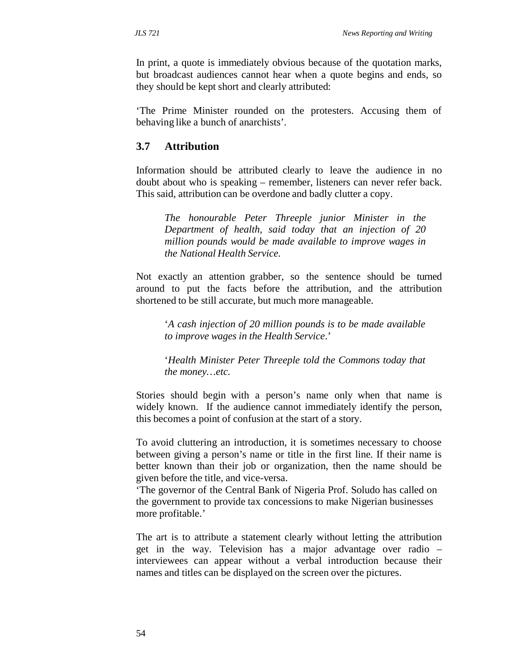In print, a quote is immediately obvious because of the quotation marks, but broadcast audiences cannot hear when a quote begins and ends, so they should be kept short and clearly attributed:

'The Prime Minister rounded on the protesters. Accusing them of behaving like a bunch of anarchists'.

## **3.7 Attribution**

Information should be attributed clearly to leave the audience in no doubt about who is speaking – remember, listeners can never refer back. This said, attribution can be overdone and badly clutter a copy.

*The honourable Peter Threeple junior Minister in the Department of health, said today that an injection of 20 million pounds would be made available to improve wages in the National Health Service.*

Not exactly an attention grabber, so the sentence should be turned around to put the facts before the attribution, and the attribution shortened to be still accurate, but much more manageable.

'*A cash injection of 20 million pounds is to be made available to improve wages in the Health Service*.'

'*Health Minister Peter Threeple told the Commons today that the money…etc.*

Stories should begin with a person's name only when that name is widely known. If the audience cannot immediately identify the person, this becomes a point of confusion at the start of a story.

To avoid cluttering an introduction, it is sometimes necessary to choose between giving a person's name or title in the first line. If their name is better known than their job or organization, then the name should be given before the title, and vice-versa.

'The governor of the Central Bank of Nigeria Prof. Soludo has called on the government to provide tax concessions to make Nigerian businesses more profitable.'

The art is to attribute a statement clearly without letting the attribution get in the way. Television has a major advantage over radio – interviewees can appear without a verbal introduction because their names and titles can be displayed on the screen over the pictures.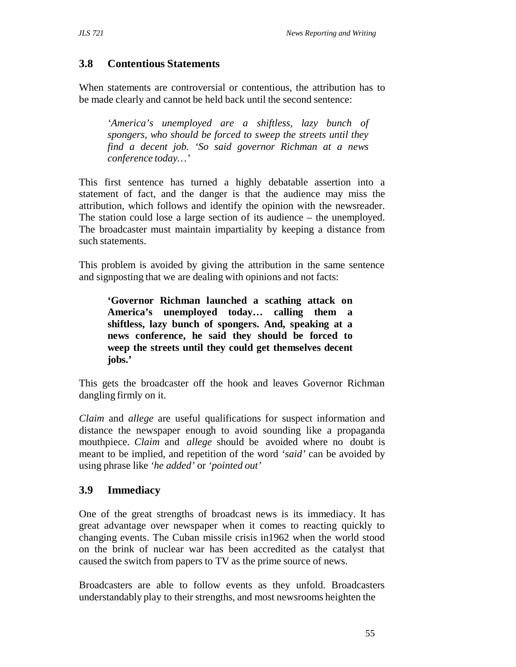## **3.8 Contentious Statements**

When statements are controversial or contentious, the attribution has to be made clearly and cannot be held back until the second sentence:

*'America's unemployed are a shiftless, lazy bunch of spongers, who should be forced to sweep the streets until they find a decent job. 'So said governor Richman at a news conference today…'*

This first sentence has turned a highly debatable assertion into a statement of fact, and the danger is that the audience may miss the attribution, which follows and identify the opinion with the newsreader. The station could lose a large section of its audience – the unemployed. The broadcaster must maintain impartiality by keeping a distance from such statements.

This problem is avoided by giving the attribution in the same sentence and signposting that we are dealing with opinions and not facts:

**'Governor Richman launched a scathing attack on America's unemployed today… calling them a shiftless, lazy bunch of spongers. And, speaking at a news conference, he said they should be forced to weep the streets until they could get themselves decent jobs.'**

This gets the broadcaster off the hook and leaves Governor Richman dangling firmly on it.

*Claim* and *allege* are useful qualifications for suspect information and distance the newspaper enough to avoid sounding like a propaganda mouthpiece. *Claim* and *allege* should be avoided where no doubt is meant to be implied, and repetition of the word *'said'* can be avoided by using phrase like *'he added'* or *'pointed out'*

## **3.9 Immediacy**

One of the great strengths of broadcast news is its immediacy. It has great advantage over newspaper when it comes to reacting quickly to changing events. The Cuban missile crisis in1962 when the world stood on the brink of nuclear war has been accredited as the catalyst that caused the switch from papers to TV as the prime source of news.

Broadcasters are able to follow events as they unfold. Broadcasters understandably play to their strengths, and most newsrooms heighten the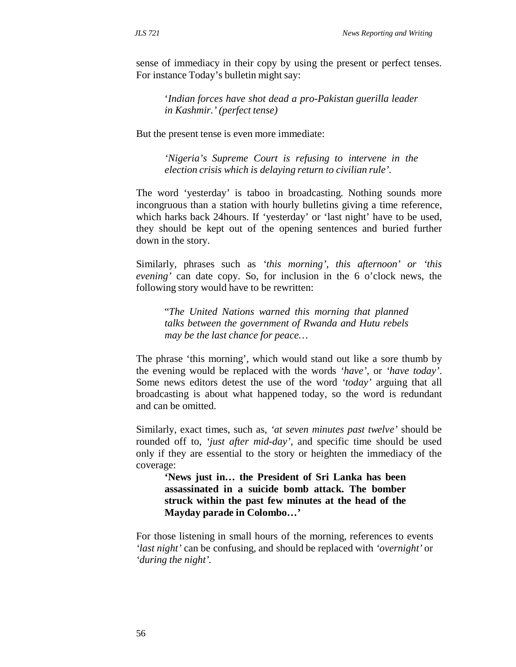sense of immediacy in their copy by using the present or perfect tenses. For instance Today's bulletin might say:

'*Indian forces have shot dead a pro-Pakistan guerilla leader in Kashmir.' (perfect tense)*

But the present tense is even more immediate:

*'Nigeria's Supreme Court is refusing to intervene in the election crisis which is delaying return to civilian rule'.*

The word 'yesterday' is taboo in broadcasting. Nothing sounds more incongruous than a station with hourly bulletins giving a time reference, which harks back 24hours. If 'yesterday' or 'last night' have to be used, they should be kept out of the opening sentences and buried further down in the story.

Similarly, phrases such as *'this morning'*, *this afternoon' or 'this evening'* can date copy. So, for inclusion in the 6 o'clock news, the following story would have to be rewritten:

"*The United Nations warned this morning that planned talks between the government of Rwanda and Hutu rebels may be the last chance for peace…*

The phrase 'this morning', which would stand out like a sore thumb by the evening would be replaced with the words *'have'*, or *'have today'*. Some news editors detest the use of the word *'today'* arguing that all broadcasting is about what happened today, so the word is redundant and can be omitted.

Similarly, exact times, such as, *'at seven minutes past twelve'* should be rounded off to, *'just after mid-day'*, and specific time should be used only if they are essential to the story or heighten the immediacy of the coverage:

**'News just in… the President of Sri Lanka has been assassinated in a suicide bomb attack. The bomber struck within the past few minutes at the head of the Mayday parade in Colombo…'**

For those listening in small hours of the morning, references to events *'last night'* can be confusing, and should be replaced with *'overnight'* or *'during the night'.*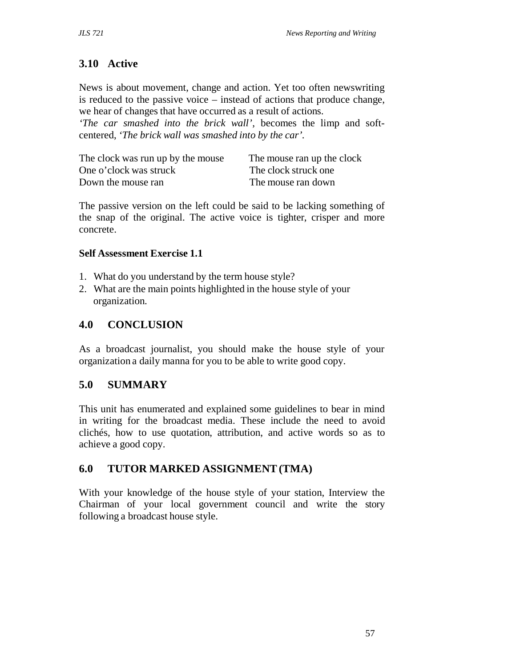# **3.10 Active**

News is about movement, change and action. Yet too often newswriting is reduced to the passive voice – instead of actions that produce change, we hear of changes that have occurred as a result of actions.

*'The car smashed into the brick wall'*, becomes the limp and softcentered, *'The brick wall was smashed into by the car'.*

| The clock was run up by the mouse | The mouse ran up the clock |
|-----------------------------------|----------------------------|
| One o'clock was struck            | The clock struck one       |
| Down the mouse ran                | The mouse ran down         |

The passive version on the left could be said to be lacking something of the snap of the original. The active voice is tighter, crisper and more concrete.

### **Self Assessment Exercise 1.1**

- 1. What do you understand by the term house style?
- 2. What are the main points highlighted in the house style of your organization.

## **4.0 CONCLUSION**

As a broadcast journalist, you should make the house style of your organization a daily manna for you to be able to write good copy.

# **5.0 SUMMARY**

This unit has enumerated and explained some guidelines to bear in mind in writing for the broadcast media. These include the need to avoid clichés, how to use quotation, attribution, and active words so as to achieve a good copy.

# **6.0 TUTOR MARKED ASSIGNMENT (TMA)**

With your knowledge of the house style of your station, Interview the Chairman of your local government council and write the story following a broadcast house style.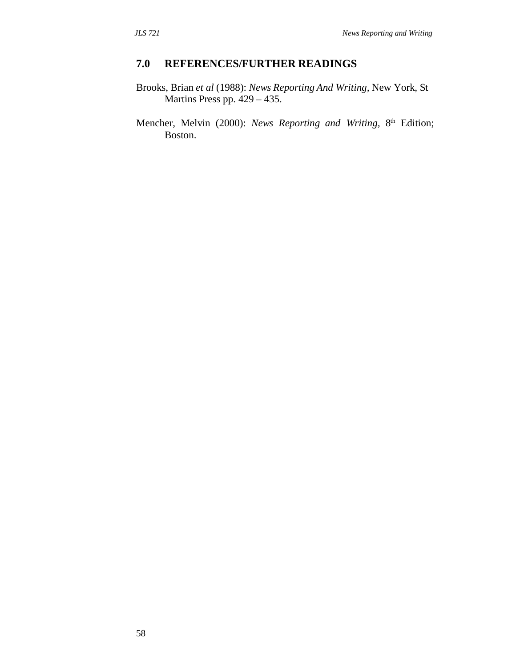### **7.0 REFERENCES/FURTHER READINGS**

- Brooks, Brian *et al* (1988): *News Reporting And Writing,* New York, St Martins Press pp. 429 – 435.
- Mencher, Melvin (2000): *News Reporting and Writing*, 8<sup>th</sup> Edition; Boston.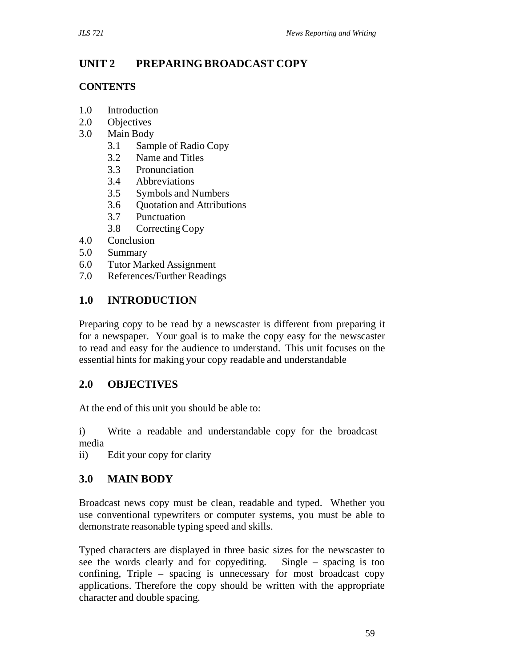# **UNIT 2 PREPARING BROADCAST COPY**

### **CONTENTS**

- 1.0 Introduction
- 2.0 Objectives
- 3.0 Main Body
	- 3.1 Sample of Radio Copy
	- 3.2 Name and Titles
	- 3.3 Pronunciation
	- 3.4 Abbreviations
	- 3.5 Symbols and Numbers
	- 3.6 Quotation and Attributions
	- 3.7 Punctuation
	- 3.8 Correcting Copy
- 4.0 Conclusion
- 5.0 Summary
- 6.0 Tutor Marked Assignment
- 7.0 References/Further Readings

# **1.0 INTRODUCTION**

Preparing copy to be read by a newscaster is different from preparing it for a newspaper. Your goal is to make the copy easy for the newscaster to read and easy for the audience to understand. This unit focuses on the essential hints for making your copy readable and understandable

# **2.0 OBJECTIVES**

At the end of this unit you should be able to:

i) Write a readable and understandable copy for the broadcast media

ii) Edit your copy for clarity

# **3.0 MAIN BODY**

Broadcast news copy must be clean, readable and typed. Whether you use conventional typewriters or computer systems, you must be able to demonstrate reasonable typing speed and skills.

Typed characters are displayed in three basic sizes for the newscaster to see the words clearly and for copyediting. Single – spacing is too confining, Triple – spacing is unnecessary for most broadcast copy applications. Therefore the copy should be written with the appropriate character and double spacing.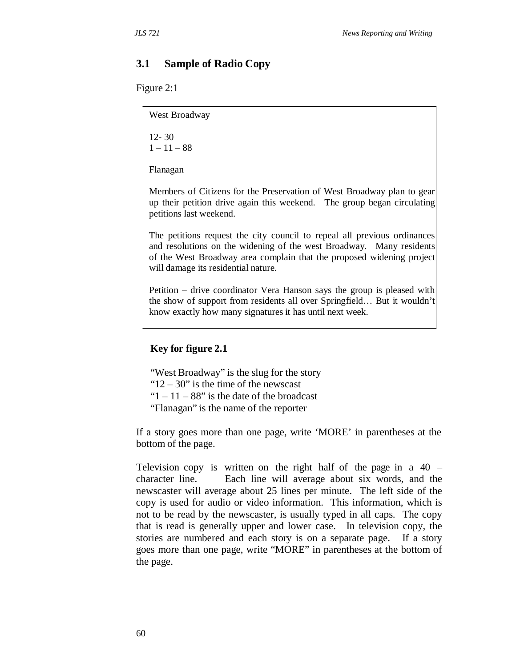#### **3.1 Sample of Radio Copy**

Figure 2:1

West Broadway

12- 30  $1 - 11 - 88$ 

Flanagan

Members of Citizens for the Preservation of West Broadway plan to gear up their petition drive again this weekend. The group began circulating petitions last weekend.

The petitions request the city council to repeal all previous ordinances and resolutions on the widening of the west Broadway. Many residents of the West Broadway area complain that the proposed widening project will damage its residential nature.

Petition – drive coordinator Vera Hanson says the group is pleased with the show of support from residents all over Springfield… But it wouldn't know exactly how many signatures it has until next week.

#### **Key for figure 2.1**

"West Broadway" is the slug for the story

" $12 - 30$ " is the time of the newscast

" $1 - 11 - 88$ " is the date of the broadcast

"Flanagan" is the name of the reporter

If a story goes more than one page, write 'MORE' in parentheses at the bottom of the page.

Television copy is written on the right half of the page in a  $40$ character line. Each line will average about six words, and the newscaster will average about 25 lines per minute. The left side of the copy is used for audio or video information. This information, which is not to be read by the newscaster, is usually typed in all caps. The copy that is read is generally upper and lower case. In television copy, the stories are numbered and each story is on a separate page. If a story goes more than one page, write "MORE" in parentheses at the bottom of the page.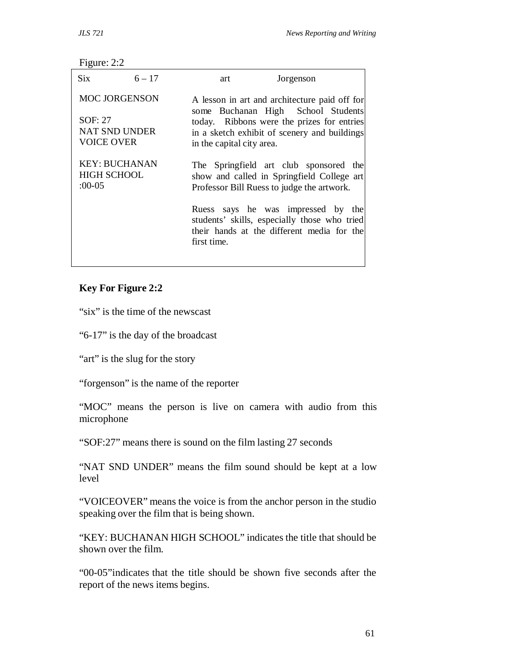| $H2UTE$ : |  |
|-----------|--|
|           |  |

| Six<br>$6 - 17$                                                       | Jorgenson<br>art                                                                                                                                                                                               |
|-----------------------------------------------------------------------|----------------------------------------------------------------------------------------------------------------------------------------------------------------------------------------------------------------|
| <b>MOC JORGENSON</b><br>SOF: 27<br>NAT SND UNDER<br><b>VOICE OVER</b> | A lesson in art and architecture paid off for<br>some Buchanan High School Students<br>today. Ribbons were the prizes for entries<br>in a sketch exhibit of scenery and buildings<br>in the capital city area. |
| <b>KEY: BUCHANAN</b><br><b>HIGH SCHOOL</b><br>$:00-05$                | The Springfield art club sponsored the<br>show and called in Springfield College art<br>Professor Bill Ruess to judge the artwork.                                                                             |
|                                                                       | Ruess says he was impressed by<br>thel<br>students' skills, especially those who tried<br>their hands at the different media for the<br>first time.                                                            |

### **Key For Figure 2:2**

"six" is the time of the newscast"

"6-17" is the day of the broadcast

"art" is the slug for the story"

"forgenson" is the name of the reporter

"MOC" means the person is live on camera with audio from this microphone

"SOF:27" means there is sound on the film lasting 27 seconds

"NAT SND UNDER" means the film sound should be kept at a low level

"VOICEOVER" means the voice is from the anchor person in the studio speaking over the film that is being shown.

"KEY: BUCHANAN HIGH SCHOOL" indicates the title that should be shown over the film.

"00-05"indicates that the title should be shown five seconds after the report of the news items begins.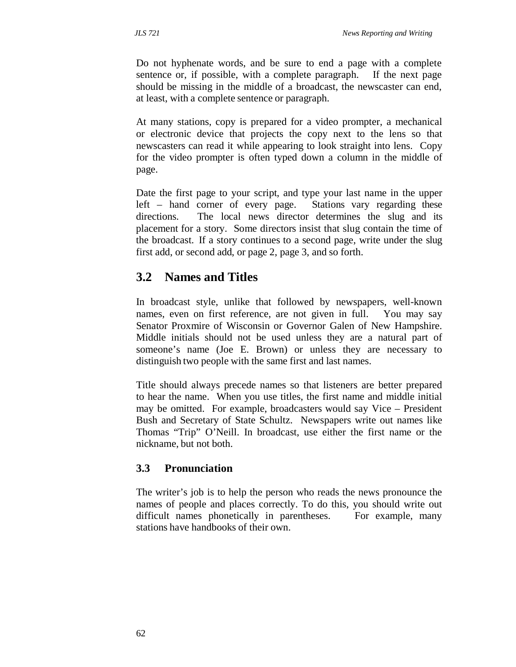Do not hyphenate words, and be sure to end a page with a complete sentence or, if possible, with a complete paragraph. If the next page should be missing in the middle of a broadcast, the newscaster can end, at least, with a complete sentence or paragraph.

At many stations, copy is prepared for a video prompter, a mechanical or electronic device that projects the copy next to the lens so that newscasters can read it while appearing to look straight into lens. Copy for the video prompter is often typed down a column in the middle of page.

Date the first page to your script, and type your last name in the upper left – hand corner of every page. Stations vary regarding these directions. The local news director determines the slug and its placement for a story. Some directors insist that slug contain the time of the broadcast. If a story continues to a second page, write under the slug first add, or second add, or page 2, page 3, and so forth.

# **3.2 Names and Titles**

In broadcast style, unlike that followed by newspapers, well-known names, even on first reference, are not given in full. You may say Senator Proxmire of Wisconsin or Governor Galen of New Hampshire. Middle initials should not be used unless they are a natural part of someone's name (Joe E. Brown) or unless they are necessary to distinguish two people with the same first and last names.

Title should always precede names so that listeners are better prepared to hear the name. When you use titles, the first name and middle initial may be omitted. For example, broadcasters would say Vice – President Bush and Secretary of State Schultz. Newspapers write out names like Thomas "Trip" O'Neill. In broadcast, use either the first name or the nickname, but not both.

# **3.3 Pronunciation**

The writer's job is to help the person who reads the news pronounce the names of people and places correctly. To do this, you should write out difficult names phonetically in parentheses. For example, many stations have handbooks of their own.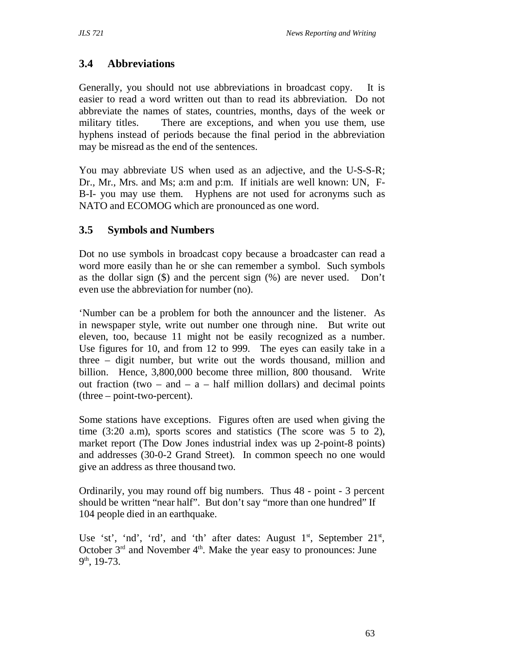## **3.4 Abbreviations**

Generally, you should not use abbreviations in broadcast copy. It is easier to read a word written out than to read its abbreviation. Do not abbreviate the names of states, countries, months, days of the week or military titles. There are exceptions, and when you use them, use hyphens instead of periods because the final period in the abbreviation may be misread as the end of the sentences.

You may abbreviate US when used as an adjective, and the U-S-S-R; Dr., Mr., Mrs. and Ms; a:m and p:m. If initials are well known: UN, F-B-I- you may use them. Hyphens are not used for acronyms such as NATO and ECOMOG which are pronounced as one word.

### **3.5 Symbols and Numbers**

Dot no use symbols in broadcast copy because a broadcaster can read a word more easily than he or she can remember a symbol. Such symbols as the dollar sign (\$) and the percent sign (%) are never used. Don't even use the abbreviation for number (no).

'Number can be a problem for both the announcer and the listener. As in newspaper style, write out number one through nine. But write out eleven, too, because 11 might not be easily recognized as a number. Use figures for 10, and from 12 to 999. The eyes can easily take in a three – digit number, but write out the words thousand, million and billion. Hence, 3,800,000 become three million, 800 thousand. Write out fraction (two  $-$  and  $-$  a  $-$  half million dollars) and decimal points (three – point-two-percent).

Some stations have exceptions. Figures often are used when giving the time (3:20 a.m), sports scores and statistics (The score was 5 to 2), market report (The Dow Jones industrial index was up 2-point-8 points) and addresses (30-0-2 Grand Street). In common speech no one would give an address as three thousand two.

Ordinarily, you may round off big numbers. Thus 48 - point - 3 percent should be written "near half". But don't say "more than one hundred" If 104 people died in an earthquake.

Use 'st', 'nd', 'rd', and 'th' after dates: August  $1<sup>st</sup>$ , September  $21<sup>st</sup>$ , October  $3<sup>rd</sup>$  and November  $4<sup>th</sup>$ . Make the year easy to pronounces: June 9th, 19-73.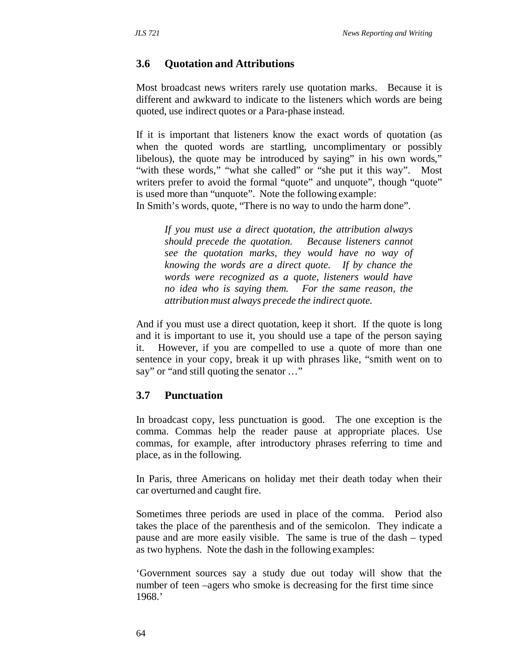#### **3.6 Quotation and Attributions**

Most broadcast news writers rarely use quotation marks. Because it is different and awkward to indicate to the listeners which words are being quoted, use indirect quotes or a Para-phase instead.

If it is important that listeners know the exact words of quotation (as when the quoted words are startling, uncomplimentary or possibly libelous), the quote may be introduced by saying" in his own words," "with these words," "what she called" or "she put it this way". Most writers prefer to avoid the formal "quote" and unquote", though "quote" is used more than "unquote". Note the following example:

In Smith's words, quote, "There is no way to undo the harm done".

*If you must use a direct quotation, the attribution always should precede the quotation. Because listeners cannot see the quotation marks, they would have no way of knowing the words are a direct quote. If by chance the words were recognized as a quote, listeners would have no idea who is saying them. For the same reason, the attribution must always precede the indirect quote.*

And if you must use a direct quotation, keep it short. If the quote is long and it is important to use it, you should use a tape of the person saying it. However, if you are compelled to use a quote of more than one sentence in your copy, break it up with phrases like, "smith went on to say" or "and still quoting the senator ..."

#### **3.7 Punctuation**

In broadcast copy, less punctuation is good. The one exception is the comma. Commas help the reader pause at appropriate places. Use commas, for example, after introductory phrases referring to time and place, as in the following.

In Paris, three Americans on holiday met their death today when their car overturned and caught fire.

Sometimes three periods are used in place of the comma. Period also takes the place of the parenthesis and of the semicolon. They indicate a pause and are more easily visible. The same is true of the dash – typed as two hyphens. Note the dash in the following examples:

'Government sources say a study due out today will show that the number of teen –agers who smoke is decreasing for the first time since 1968.'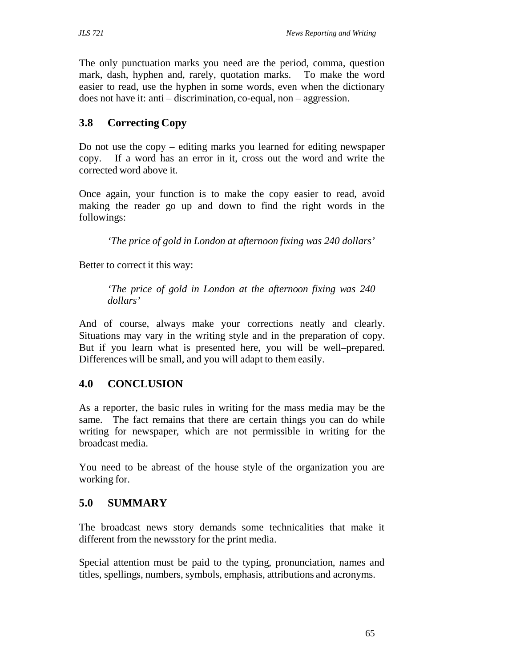The only punctuation marks you need are the period, comma, question mark, dash, hyphen and, rarely, quotation marks. To make the word easier to read, use the hyphen in some words, even when the dictionary does not have it: anti – discrimination, co-equal, non – aggression.

# **3.8 Correcting Copy**

Do not use the copy – editing marks you learned for editing newspaper copy. If a word has an error in it, cross out the word and write the corrected word above it.

Once again, your function is to make the copy easier to read, avoid making the reader go up and down to find the right words in the followings:

*'The price of gold in London at afternoon fixing was 240 dollars'*

Better to correct it this way:

*'The price of gold in London at the afternoon fixing was 240 dollars'*

And of course, always make your corrections neatly and clearly. Situations may vary in the writing style and in the preparation of copy. But if you learn what is presented here, you will be well–prepared. Differences will be small, and you will adapt to them easily.

# **4.0 CONCLUSION**

As a reporter, the basic rules in writing for the mass media may be the same. The fact remains that there are certain things you can do while writing for newspaper, which are not permissible in writing for the broadcast media.

You need to be abreast of the house style of the organization you are working for.

# **5.0 SUMMARY**

The broadcast news story demands some technicalities that make it different from the newsstory for the print media.

Special attention must be paid to the typing, pronunciation, names and titles, spellings, numbers, symbols, emphasis, attributions and acronyms.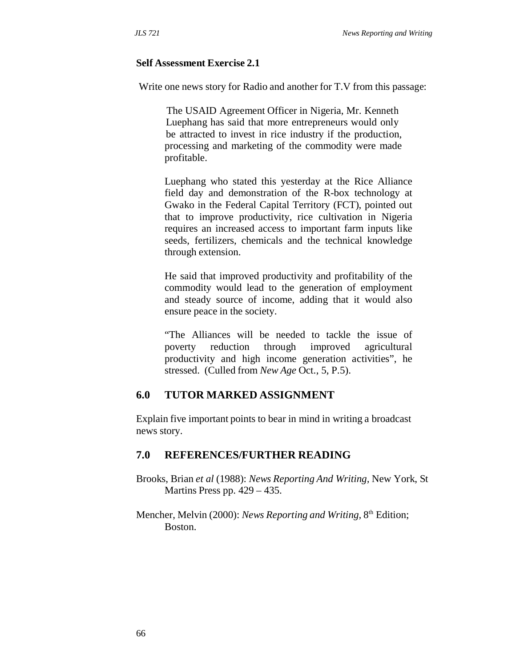#### **Self Assessment Exercise 2.1**

Write one news story for Radio and another for T.V from this passage:

The USAID Agreement Officer in Nigeria, Mr. Kenneth Luephang has said that more entrepreneurs would only be attracted to invest in rice industry if the production, processing and marketing of the commodity were made profitable.

Luephang who stated this yesterday at the Rice Alliance field day and demonstration of the R-box technology at Gwako in the Federal Capital Territory (FCT), pointed out that to improve productivity, rice cultivation in Nigeria requires an increased access to important farm inputs like seeds, fertilizers, chemicals and the technical knowledge through extension.

He said that improved productivity and profitability of the commodity would lead to the generation of employment and steady source of income, adding that it would also ensure peace in the society.

"The Alliances will be needed to tackle the issue of poverty reduction through improved agricultural productivity and high income generation activities", he stressed. (Culled from *New Age* Oct., 5, P.5).

### **6.0 TUTOR MARKED ASSIGNMENT**

Explain five important points to bear in mind in writing a broadcast news story.

#### **7.0 REFERENCES/FURTHER READING**

Brooks, Brian *et al* (1988): *News Reporting And Writing,* New York, St Martins Press pp. 429 – 435.

Mencher, Melvin (2000): *News Reporting and Writing*, 8<sup>th</sup> Edition; Boston.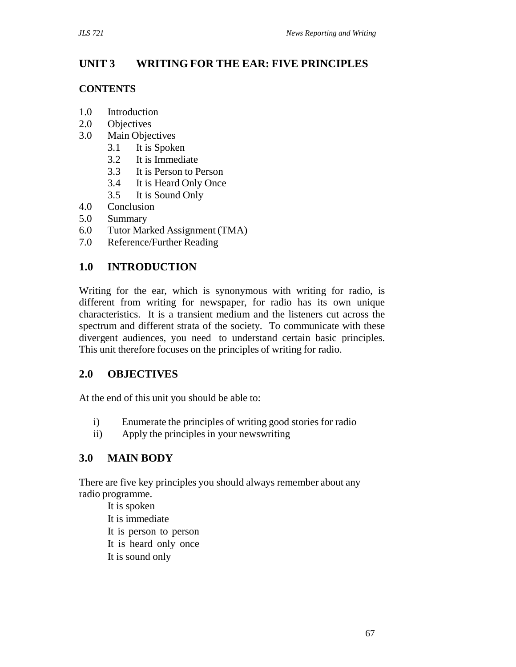# **UNIT 3 WRITING FOR THE EAR: FIVE PRINCIPLES**

### **CONTENTS**

- 1.0 Introduction
- 2.0 Objectives
- 3.0 Main Objectives
	- 3.1 It is Spoken
	- 3.2 It is Immediate
	- 3.3 It is Person to Person
	- 3.4 It is Heard Only Once
	- 3.5 It is Sound Only
- 4.0 Conclusion
- 5.0 Summary
- 6.0 Tutor Marked Assignment (TMA)
- 7.0 Reference/Further Reading

## **1.0 INTRODUCTION**

Writing for the ear, which is synonymous with writing for radio, is different from writing for newspaper, for radio has its own unique characteristics. It is a transient medium and the listeners cut across the spectrum and different strata of the society. To communicate with these divergent audiences, you need to understand certain basic principles. This unit therefore focuses on the principles of writing for radio.

## **2.0 OBJECTIVES**

At the end of this unit you should be able to:

- i) Enumerate the principles of writing good stories for radio
- ii) Apply the principles in your newswriting

## **3.0 MAIN BODY**

There are five key principles you should always remember about any radio programme.

It is spoken It is immediate It is person to person It is heard only once It is sound only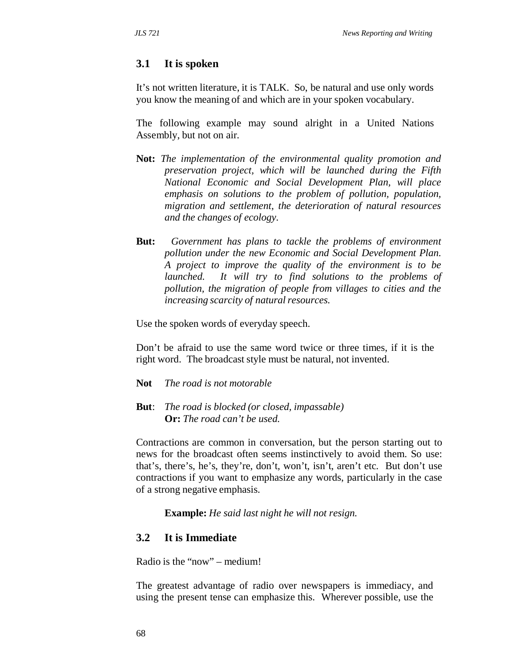#### **3.1 It is spoken**

It's not written literature, it is TALK. So, be natural and use only words you know the meaning of and which are in your spoken vocabulary.

The following example may sound alright in a United Nations Assembly, but not on air.

- **Not:** *The implementation of the environmental quality promotion and preservation project, which will be launched during the Fifth National Economic and Social Development Plan, will place emphasis on solutions to the problem of pollution, population, migration and settlement, the deterioration of natural resources and the changes of ecology.*
- **But:** *Government has plans to tackle the problems of environment pollution under the new Economic and Social Development Plan. A project to improve the quality of the environment is to be*  launched. It will try to find solutions to the problems of *pollution, the migration of people from villages to cities and the increasing scarcity of natural resources.*

Use the spoken words of everyday speech.

Don't be afraid to use the same word twice or three times, if it is the right word. The broadcast style must be natural, not invented.

- **Not** *The road is not motorable*
- **But**: *The road is blocked (or closed, impassable)* **Or:** *The road can't be used.*

Contractions are common in conversation, but the person starting out to news for the broadcast often seems instinctively to avoid them. So use: that's, there's, he's, they're, don't, won't, isn't, aren't etc. But don't use contractions if you want to emphasize any words, particularly in the case of a strong negative emphasis.

**Example:** *He said last night he will not resign.*

#### **3.2 It is Immediate**

Radio is the "now" – medium!

The greatest advantage of radio over newspapers is immediacy, and using the present tense can emphasize this. Wherever possible, use the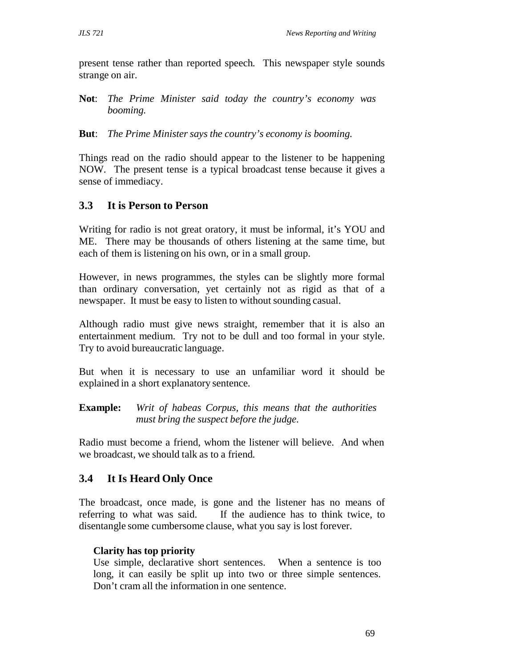present tense rather than reported speech. This newspaper style sounds strange on air.

**Not**: *The Prime Minister said today the country's economy was booming.*

**But**: *The Prime Minister says the country's economy is booming.*

Things read on the radio should appear to the listener to be happening NOW. The present tense is a typical broadcast tense because it gives a sense of immediacy.

### **3.3 It is Person to Person**

Writing for radio is not great oratory, it must be informal, it's YOU and ME. There may be thousands of others listening at the same time, but each of them is listening on his own, or in a small group.

However, in news programmes, the styles can be slightly more formal than ordinary conversation, yet certainly not as rigid as that of a newspaper. It must be easy to listen to without sounding casual.

Although radio must give news straight, remember that it is also an entertainment medium. Try not to be dull and too formal in your style. Try to avoid bureaucratic language.

But when it is necessary to use an unfamiliar word it should be explained in a short explanatory sentence.

**Example:** *Writ of habeas Corpus, this means that the authorities must bring the suspect before the judge.*

Radio must become a friend, whom the listener will believe. And when we broadcast, we should talk as to a friend.

## **3.4 It Is Heard Only Once**

The broadcast, once made, is gone and the listener has no means of referring to what was said. If the audience has to think twice, to disentangle some cumbersome clause, what you say is lost forever.

### **Clarity has top priority**

Use simple, declarative short sentences. When a sentence is too long, it can easily be split up into two or three simple sentences. Don't cram all the information in one sentence.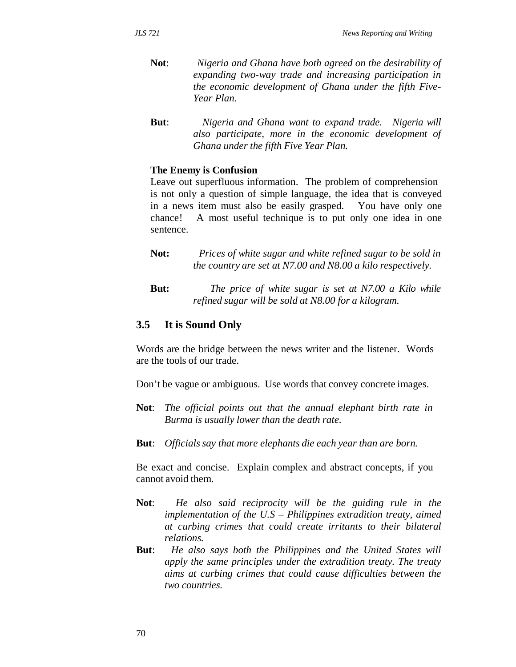- **Not**: *Nigeria and Ghana have both agreed on the desirability of expanding two-way trade and increasing participation in the economic development of Ghana under the fifth Five-Year Plan.*
- **But**: *Nigeria and Ghana want to expand trade. Nigeria will also participate, more in the economic development of Ghana under the fifth Five Year Plan.*

#### **The Enemy is Confusion**

Leave out superfluous information. The problem of comprehension is not only a question of simple language, the idea that is conveyed in a news item must also be easily grasped. You have only one chance! A most useful technique is to put only one idea in one sentence.

- **Not:** *Prices of white sugar and white refined sugar to be sold in the country are set at N7.00 and N8.00 a kilo respectively.*
- **But:** *The price of white sugar is set at N7.00 a Kilo while refined sugar will be sold at N8.00 for a kilogram.*

#### **3.5 It is Sound Only**

Words are the bridge between the news writer and the listener. Words are the tools of our trade.

Don't be vague or ambiguous. Use words that convey concrete images.

- **Not**: *The official points out that the annual elephant birth rate in Burma is usually lower than the death rate.*
- **But**: *Officials say that more elephants die each year than are born.*

Be exact and concise. Explain complex and abstract concepts, if you cannot avoid them.

- **Not**: *He also said reciprocity will be the guiding rule in the implementation of the U.S – Philippines extradition treaty, aimed at curbing crimes that could create irritants to their bilateral relations.*
- **But**: *He also says both the Philippines and the United States will apply the same principles under the extradition treaty. The treaty aims at curbing crimes that could cause difficulties between the two countries.*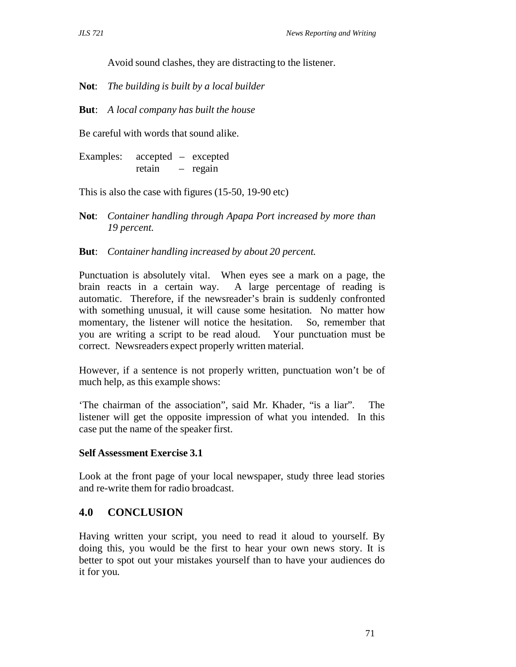Avoid sound clashes, they are distracting to the listener.

**Not**: *The building is built by a local builder* 

**But**: *A local company has built the house* 

Be careful with words that sound alike.

Examples: accepted – excepted retain – regain

This is also the case with figures (15-50, 19-90 etc)

**Not**: *Container handling through Apapa Port increased by more than 19 percent.*

**But**: *Container handling increased by about 20 percent.*

Punctuation is absolutely vital. When eyes see a mark on a page, the brain reacts in a certain way. A large percentage of reading is automatic. Therefore, if the newsreader's brain is suddenly confronted with something unusual, it will cause some hesitation. No matter how momentary, the listener will notice the hesitation. So, remember that you are writing a script to be read aloud. Your punctuation must be correct. Newsreaders expect properly written material.

However, if a sentence is not properly written, punctuation won't be of much help, as this example shows:

'The chairman of the association", said Mr. Khader, "is a liar". The listener will get the opposite impression of what you intended. In this case put the name of the speaker first.

### **Self Assessment Exercise 3.1**

Look at the front page of your local newspaper, study three lead stories and re-write them for radio broadcast.

### **4.0 CONCLUSION**

Having written your script, you need to read it aloud to yourself. By doing this, you would be the first to hear your own news story. It is better to spot out your mistakes yourself than to have your audiences do it for you.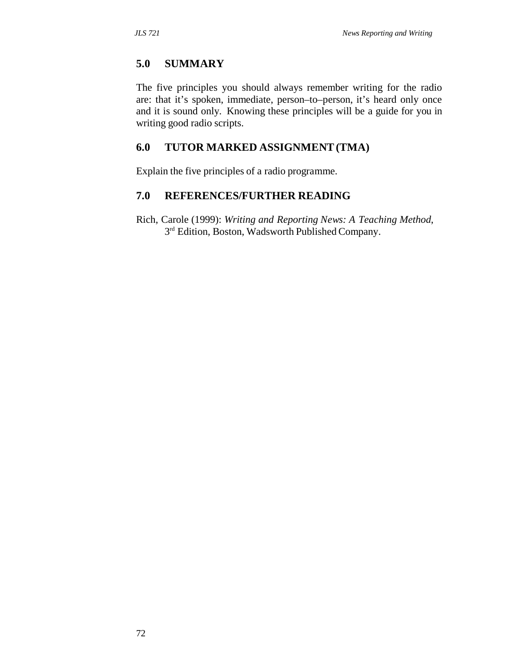#### **5.0 SUMMARY**

The five principles you should always remember writing for the radio are: that it's spoken, immediate, person–to–person, it's heard only once and it is sound only. Knowing these principles will be a guide for you in writing good radio scripts.

#### **6.0 TUTOR MARKED ASSIGNMENT (TMA)**

Explain the five principles of a radio programme.

### **7.0 REFERENCES/FURTHER READING**

Rich, Carole (1999): *Writing and Reporting News: A Teaching Method*, 3<sup>rd</sup> Edition, Boston, Wadsworth Published Company.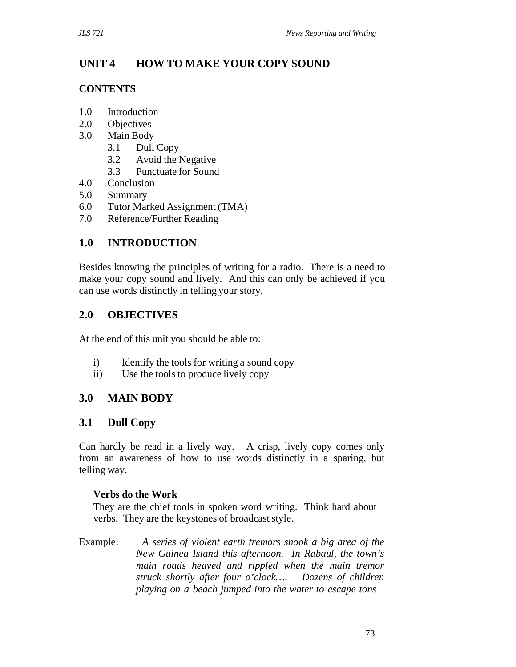# **UNIT 4 HOW TO MAKE YOUR COPY SOUND**

#### **CONTENTS**

- 1.0 Introduction
- 2.0 Objectives
- 3.0 Main Body
	- 3.1 Dull Copy
	- 3.2 Avoid the Negative
	- 3.3 Punctuate for Sound
- 4.0 Conclusion
- 5.0 Summary
- 6.0 Tutor Marked Assignment (TMA)
- 7.0 Reference/Further Reading

## **1.0 INTRODUCTION**

Besides knowing the principles of writing for a radio. There is a need to make your copy sound and lively. And this can only be achieved if you can use words distinctly in telling your story.

### **2.0 OBJECTIVES**

At the end of this unit you should be able to:

- i) Identify the tools for writing a sound copy
- ii) Use the tools to produce lively copy

## **3.0 MAIN BODY**

## **3.1 Dull Copy**

Can hardly be read in a lively way. A crisp, lively copy comes only from an awareness of how to use words distinctly in a sparing, but telling way.

### **Verbs do the Work**

They are the chief tools in spoken word writing. Think hard about verbs. They are the keystones of broadcast style.

Example: *A series of violent earth tremors shook a big area of the New Guinea Island this afternoon. In Rabaul, the town's main roads heaved and rippled when the main tremor struck shortly after four o'clock…. Dozens of children playing on a beach jumped into the water to escape tons*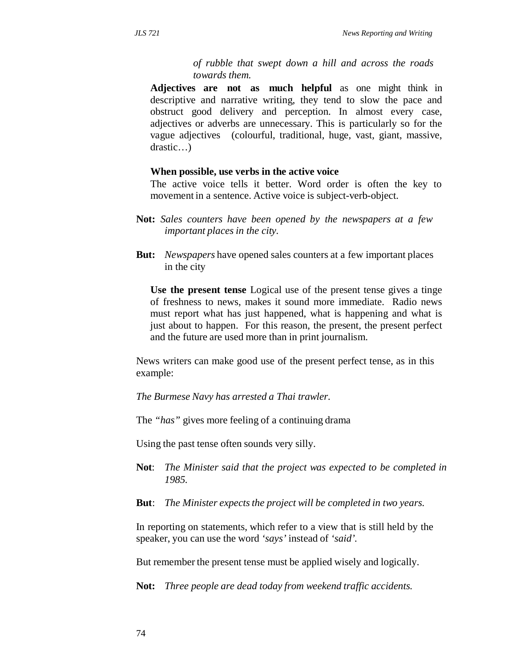*of rubble that swept down a hill and across the roads towards them.*

**Adjectives are not as much helpful** as one might think in descriptive and narrative writing, they tend to slow the pace and obstruct good delivery and perception. In almost every case, adjectives or adverbs are unnecessary. This is particularly so for the vague adjectives (colourful, traditional, huge, vast, giant, massive, drastic…)

#### **When possible, use verbs in the active voice**

The active voice tells it better. Word order is often the key to movement in a sentence. Active voice is subject-verb-object.

- **Not:** *Sales counters have been opened by the newspapers at a few important places in the city.*
- **But:** *Newspapers* have opened sales counters at a few important places in the city

**Use the present tense** Logical use of the present tense gives a tinge of freshness to news, makes it sound more immediate. Radio news must report what has just happened, what is happening and what is just about to happen. For this reason, the present, the present perfect and the future are used more than in print journalism.

News writers can make good use of the present perfect tense, as in this example:

*The Burmese Navy has arrested a Thai trawler.*

The *"has"* gives more feeling of a continuing drama

Using the past tense often sounds very silly.

- **Not**: *The Minister said that the project was expected to be completed in 1985.*
- **But**: *The Minister expects the project will be completed in two years.*

In reporting on statements, which refer to a view that is still held by the speaker, you can use the word *'says'* instead of *'said'.*

But remember the present tense must be applied wisely and logically.

**Not:** *Three people are dead today from weekend traffic accidents.*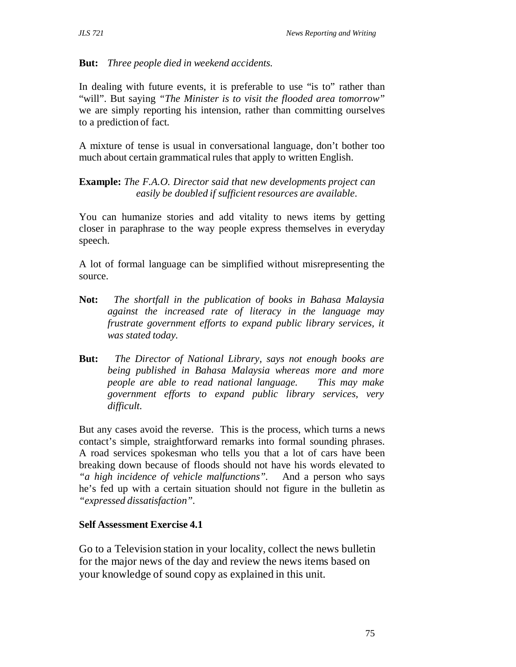## **But:** *Three people died in weekend accidents.*

In dealing with future events, it is preferable to use "is to" rather than "will". But saying *"The Minister is to visit the flooded area tomorrow"*  we are simply reporting his intension, rather than committing ourselves to a prediction of fact.

A mixture of tense is usual in conversational language, don't bother too much about certain grammatical rules that apply to written English.

**Example:** *The F.A.O. Director said that new developments project can easily be doubled if sufficient resources are available*.

You can humanize stories and add vitality to news items by getting closer in paraphrase to the way people express themselves in everyday speech.

A lot of formal language can be simplified without misrepresenting the source.

- **Not:** *The shortfall in the publication of books in Bahasa Malaysia against the increased rate of literacy in the language may frustrate government efforts to expand public library services, it was stated today.*
- **But:** *The Director of National Library, says not enough books are being published in Bahasa Malaysia whereas more and more people are able to read national language. This may make government efforts to expand public library services, very difficult.*

But any cases avoid the reverse. This is the process, which turns a news contact's simple, straightforward remarks into formal sounding phrases. A road services spokesman who tells you that a lot of cars have been breaking down because of floods should not have his words elevated to *"a high incidence of vehicle malfunctions".* And a person who says he's fed up with a certain situation should not figure in the bulletin as *"expressed dissatisfaction".*

### **Self Assessment Exercise 4.1**

Go to a Television station in your locality, collect the news bulletin for the major news of the day and review the news items based on your knowledge of sound copy as explained in this unit.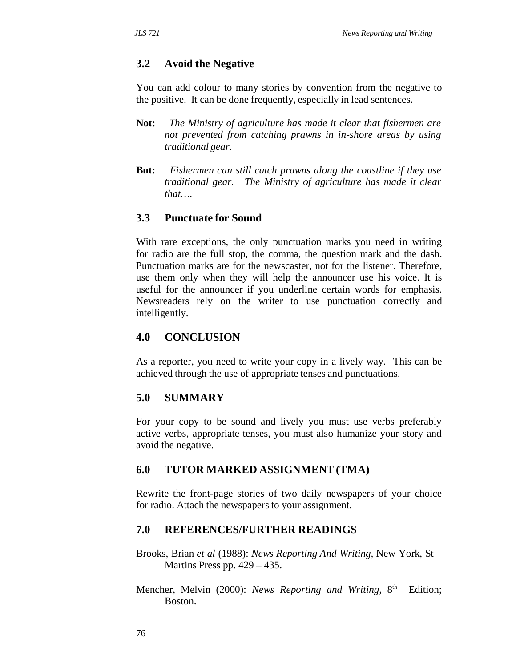### **3.2 Avoid the Negative**

You can add colour to many stories by convention from the negative to the positive. It can be done frequently, especially in lead sentences.

- **Not:** *The Ministry of agriculture has made it clear that fishermen are not prevented from catching prawns in in-shore areas by using traditional gear.*
- **But:** *Fishermen can still catch prawns along the coastline if they use traditional gear. The Ministry of agriculture has made it clear that….*

### **3.3 Punctuate for Sound**

With rare exceptions, the only punctuation marks you need in writing for radio are the full stop, the comma, the question mark and the dash. Punctuation marks are for the newscaster, not for the listener. Therefore, use them only when they will help the announcer use his voice. It is useful for the announcer if you underline certain words for emphasis. Newsreaders rely on the writer to use punctuation correctly and intelligently.

### **4.0 CONCLUSION**

As a reporter, you need to write your copy in a lively way. This can be achieved through the use of appropriate tenses and punctuations.

## **5.0 SUMMARY**

For your copy to be sound and lively you must use verbs preferably active verbs, appropriate tenses, you must also humanize your story and avoid the negative.

### **6.0 TUTOR MARKED ASSIGNMENT (TMA)**

Rewrite the front-page stories of two daily newspapers of your choice for radio. Attach the newspapers to your assignment.

### **7.0 REFERENCES/FURTHER READINGS**

Brooks, Brian *et al* (1988): *News Reporting And Writing,* New York, St Martins Press pp. 429 – 435.

Mencher, Melvin (2000): *News Reporting and Writing*, 8<sup>th</sup> Edition; Boston.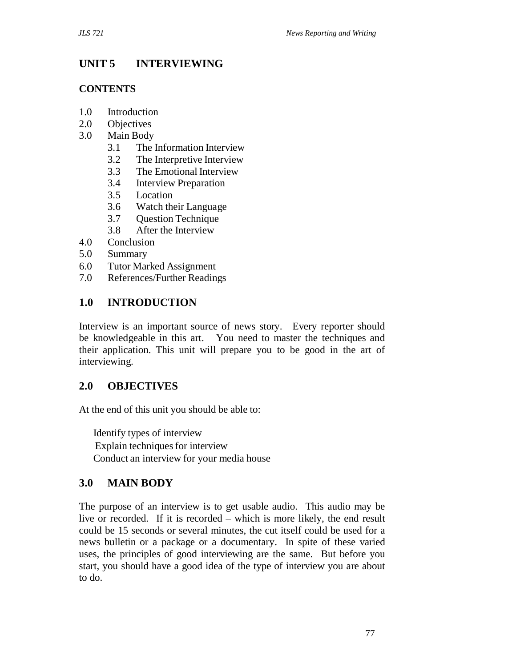# **UNIT 5 INTERVIEWING**

### **CONTENTS**

- 1.0 Introduction
- 2.0 Objectives
- 3.0 Main Body
	- 3.1 The Information Interview
	- 3.2 The Interpretive Interview
	- 3.3 The Emotional Interview
	- 3.4 Interview Preparation
	- 3.5 Location
	- 3.6 Watch their Language
	- 3.7 Question Technique
	- 3.8 After the Interview
- 4.0 Conclusion
- 5.0 Summary
- 6.0 Tutor Marked Assignment
- 7.0 References/Further Readings

## **1.0 INTRODUCTION**

Interview is an important source of news story. Every reporter should be knowledgeable in this art. You need to master the techniques and their application. This unit will prepare you to be good in the art of interviewing.

## **2.0 OBJECTIVES**

At the end of this unit you should be able to:

Identify types of interview Explain techniques for interview Conduct an interview for your media house

# **3.0 MAIN BODY**

The purpose of an interview is to get usable audio. This audio may be live or recorded. If it is recorded – which is more likely, the end result could be 15 seconds or several minutes, the cut itself could be used for a news bulletin or a package or a documentary. In spite of these varied uses, the principles of good interviewing are the same. But before you start, you should have a good idea of the type of interview you are about to do.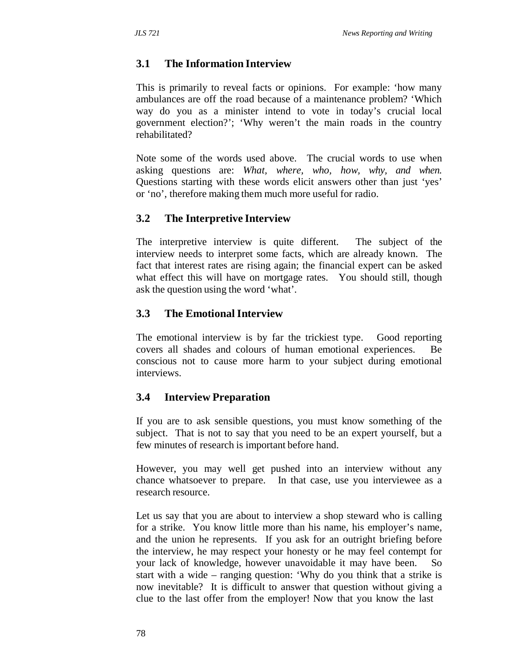#### **3.1 The Information Interview**

This is primarily to reveal facts or opinions. For example: 'how many ambulances are off the road because of a maintenance problem? 'Which way do you as a minister intend to vote in today's crucial local government election?'; 'Why weren't the main roads in the country rehabilitated?

Note some of the words used above. The crucial words to use when asking questions are: *What, where, who, how, why, and when.*  Questions starting with these words elicit answers other than just 'yes' or 'no', therefore making them much more useful for radio.

#### **3.2 The Interpretive Interview**

The interpretive interview is quite different. The subject of the interview needs to interpret some facts, which are already known. The fact that interest rates are rising again; the financial expert can be asked what effect this will have on mortgage rates. You should still, though ask the question using the word 'what'.

#### **3.3 The Emotional Interview**

The emotional interview is by far the trickiest type. Good reporting covers all shades and colours of human emotional experiences. conscious not to cause more harm to your subject during emotional interviews.

#### **3.4 Interview Preparation**

If you are to ask sensible questions, you must know something of the subject. That is not to say that you need to be an expert yourself, but a few minutes of research is important before hand.

However, you may well get pushed into an interview without any chance whatsoever to prepare. In that case, use you interviewee as a research resource.

Let us say that you are about to interview a shop steward who is calling for a strike. You know little more than his name, his employer's name, and the union he represents. If you ask for an outright briefing before the interview, he may respect your honesty or he may feel contempt for your lack of knowledge, however unavoidable it may have been. So start with a wide – ranging question: 'Why do you think that a strike is now inevitable? It is difficult to answer that question without giving a clue to the last offer from the employer! Now that you know the last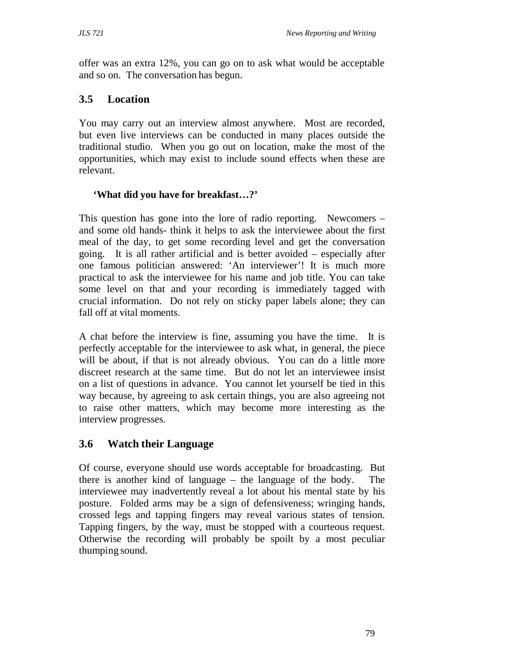offer was an extra 12%, you can go on to ask what would be acceptable and so on. The conversation has begun.

# **3.5 Location**

You may carry out an interview almost anywhere. Most are recorded, but even live interviews can be conducted in many places outside the traditional studio. When you go out on location, make the most of the opportunities, which may exist to include sound effects when these are relevant.

## **'What did you have for breakfast…?'**

This question has gone into the lore of radio reporting. Newcomers – and some old hands- think it helps to ask the interviewee about the first meal of the day, to get some recording level and get the conversation going. It is all rather artificial and is better avoided – especially after one famous politician answered: 'An interviewer'! It is much more practical to ask the interviewee for his name and job title. You can take some level on that and your recording is immediately tagged with crucial information. Do not rely on sticky paper labels alone; they can fall off at vital moments.

A chat before the interview is fine, assuming you have the time. It is perfectly acceptable for the interviewee to ask what, in general, the piece will be about, if that is not already obvious. You can do a little more discreet research at the same time. But do not let an interviewee insist on a list of questions in advance. You cannot let yourself be tied in this way because, by agreeing to ask certain things, you are also agreeing not to raise other matters, which may become more interesting as the interview progresses.

# **3.6 Watch their Language**

Of course, everyone should use words acceptable for broadcasting. But there is another kind of language – the language of the body. The interviewee may inadvertently reveal a lot about his mental state by his posture. Folded arms may be a sign of defensiveness; wringing hands, crossed legs and tapping fingers may reveal various states of tension. Tapping fingers, by the way, must be stopped with a courteous request. Otherwise the recording will probably be spoilt by a most peculiar thumping sound.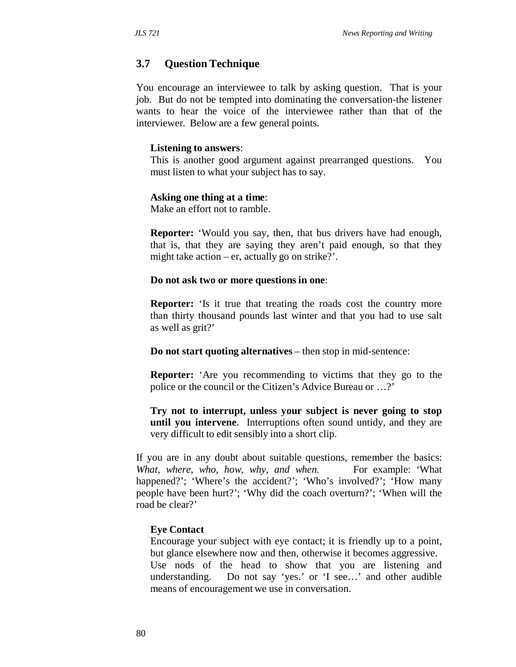#### **3.7 Question Technique**

You encourage an interviewee to talk by asking question. That is your job. But do not be tempted into dominating the conversation-the listener wants to hear the voice of the interviewee rather than that of the interviewer. Below are a few general points.

#### **Listening to answers**:

This is another good argument against prearranged questions. You must listen to what your subject has to say.

#### **Asking one thing at a time**:

Make an effort not to ramble.

**Reporter:** 'Would you say, then, that bus drivers have had enough, that is, that they are saying they aren't paid enough, so that they might take action – er, actually go on strike?'.

#### **Do not ask two or more questions in one**:

**Reporter:** 'Is it true that treating the roads cost the country more than thirty thousand pounds last winter and that you had to use salt as well as grit?'

**Do not start quoting alternatives** – then stop in mid-sentence:

**Reporter:** 'Are you recommending to victims that they go to the police or the council or the Citizen's Advice Bureau or …?'

**Try not to interrupt, unless your subject is never going to stop until you intervene**. Interruptions often sound untidy, and they are very difficult to edit sensibly into a short clip.

If you are in any doubt about suitable questions, remember the basics: *What, where, who, how, why, and when.* For example: 'What happened?'; 'Where's the accident?'; 'Who's involved?'; 'How many people have been hurt?'; 'Why did the coach overturn?'; 'When will the road be clear?'

#### **Eye Contact**

Encourage your subject with eye contact; it is friendly up to a point, but glance elsewhere now and then, otherwise it becomes aggressive. Use nods of the head to show that you are listening and understanding. Do not say 'yes.' or 'I see…' and other audible means of encouragement we use in conversation.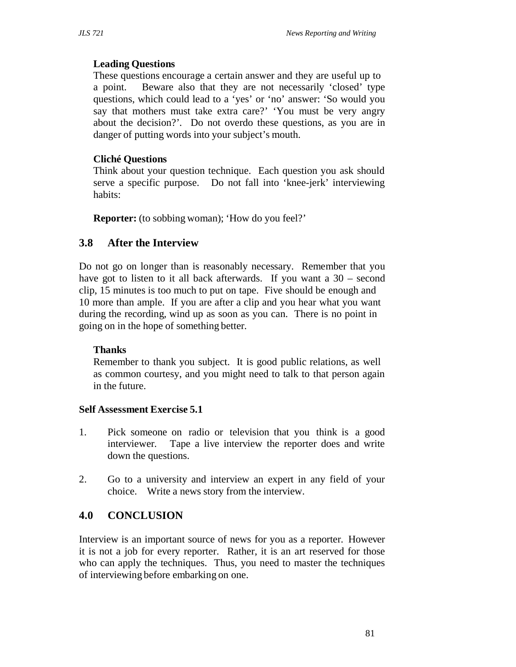## **Leading Questions**

These questions encourage a certain answer and they are useful up to a point. Beware also that they are not necessarily 'closed' type questions, which could lead to a 'yes' or 'no' answer: 'So would you say that mothers must take extra care?' 'You must be very angry about the decision?'. Do not overdo these questions, as you are in danger of putting words into your subject's mouth.

### **Cliché Questions**

Think about your question technique. Each question you ask should serve a specific purpose. Do not fall into 'knee-jerk' interviewing habits:

**Reporter:** (to sobbing woman); 'How do you feel?'

## **3.8 After the Interview**

Do not go on longer than is reasonably necessary. Remember that you have got to listen to it all back afterwards. If you want a 30 – second clip, 15 minutes is too much to put on tape. Five should be enough and 10 more than ample. If you are after a clip and you hear what you want during the recording, wind up as soon as you can. There is no point in going on in the hope of something better.

## **Thanks**

Remember to thank you subject. It is good public relations, as well as common courtesy, and you might need to talk to that person again in the future.

### **Self Assessment Exercise 5.1**

- 1. Pick someone on radio or television that you think is a good interviewer. Tape a live interview the reporter does and write down the questions.
- 2. Go to a university and interview an expert in any field of your choice. Write a news story from the interview.

# **4.0 CONCLUSION**

Interview is an important source of news for you as a reporter. However it is not a job for every reporter. Rather, it is an art reserved for those who can apply the techniques. Thus, you need to master the techniques of interviewing before embarking on one.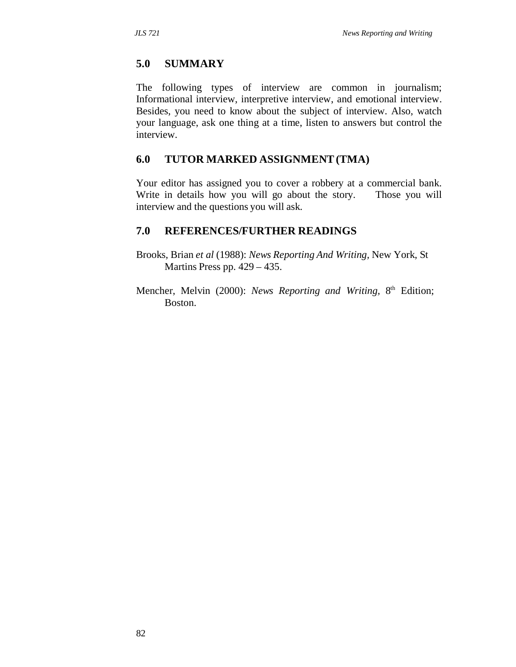# **5.0 SUMMARY**

The following types of interview are common in journalism; Informational interview, interpretive interview, and emotional interview. Besides, you need to know about the subject of interview. Also, watch your language, ask one thing at a time, listen to answers but control the interview.

# **6.0 TUTOR MARKED ASSIGNMENT (TMA)**

Your editor has assigned you to cover a robbery at a commercial bank. Write in details how you will go about the story. Those you will interview and the questions you will ask.

## **7.0 REFERENCES/FURTHER READINGS**

- Brooks, Brian *et al* (1988): *News Reporting And Writing,* New York, St Martins Press pp. 429 – 435.
- Mencher, Melvin (2000): *News Reporting and Writing*, 8<sup>th</sup> Edition; Boston.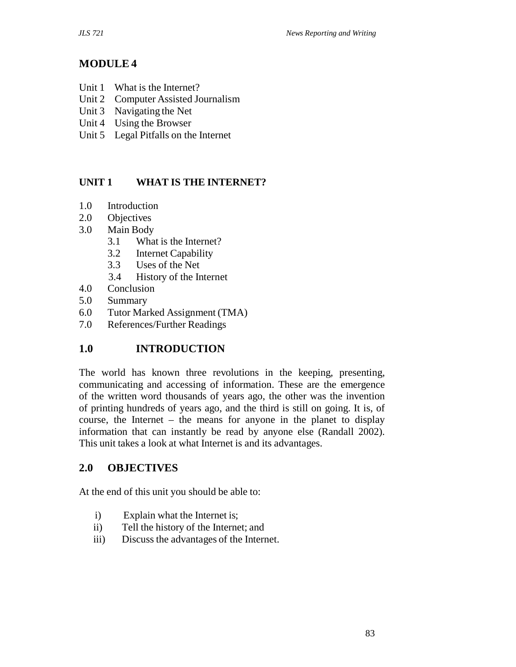## **MODULE 4**

- Unit 1 What is the Internet?
- Unit 2 Computer Assisted Journalism
- Unit 3 Navigating the Net
- Unit 4 Using the Browser
- Unit 5 Legal Pitfalls on the Internet

### **UNIT 1 WHAT IS THE INTERNET?**

- 1.0 Introduction
- 2.0 Objectives
- 3.0 Main Body
	- 3.1 What is the Internet?
	- 3.2 Internet Capability
	- 3.3 Uses of the Net
	- 3.4 History of the Internet
- 4.0 Conclusion
- 5.0 Summary
- 6.0 Tutor Marked Assignment (TMA)
- 7.0 References/Further Readings

## **1.0 INTRODUCTION**

The world has known three revolutions in the keeping, presenting, communicating and accessing of information. These are the emergence of the written word thousands of years ago, the other was the invention of printing hundreds of years ago, and the third is still on going. It is, of course, the Internet – the means for anyone in the planet to display information that can instantly be read by anyone else (Randall 2002). This unit takes a look at what Internet is and its advantages.

### **2.0 OBJECTIVES**

At the end of this unit you should be able to:

- i) Explain what the Internet is;
- ii) Tell the history of the Internet; and
- iii) Discuss the advantages of the Internet.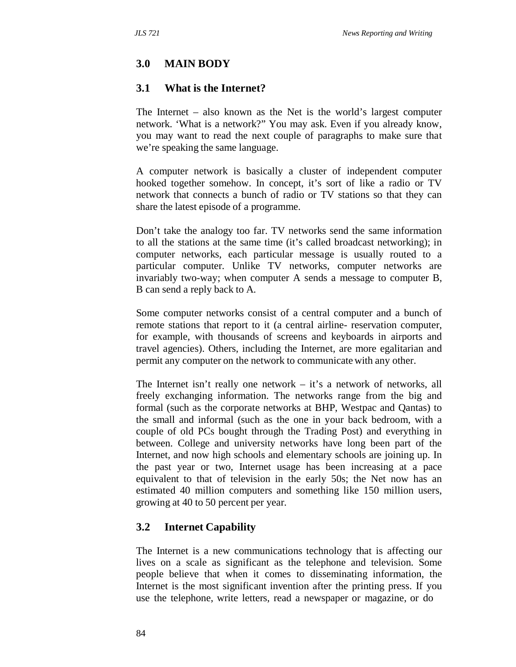### **3.0 MAIN BODY**

#### **3.1 What is the Internet?**

The Internet – also known as the Net is the world's largest computer network. 'What is a network?" You may ask. Even if you already know, you may want to read the next couple of paragraphs to make sure that we're speaking the same language.

A computer network is basically a cluster of independent computer hooked together somehow. In concept, it's sort of like a radio or TV network that connects a bunch of radio or TV stations so that they can share the latest episode of a programme.

Don't take the analogy too far. TV networks send the same information to all the stations at the same time (it's called broadcast networking); in computer networks, each particular message is usually routed to a particular computer. Unlike TV networks, computer networks are invariably two-way; when computer A sends a message to computer B, B can send a reply back to A.

Some computer networks consist of a central computer and a bunch of remote stations that report to it (a central airline- reservation computer, for example, with thousands of screens and keyboards in airports and travel agencies). Others, including the Internet, are more egalitarian and permit any computer on the network to communicate with any other.

The Internet isn't really one network – it's a network of networks, all freely exchanging information. The networks range from the big and formal (such as the corporate networks at BHP, Westpac and Qantas) to the small and informal (such as the one in your back bedroom, with a couple of old PCs bought through the Trading Post) and everything in between. College and university networks have long been part of the Internet, and now high schools and elementary schools are joining up. In the past year or two, Internet usage has been increasing at a pace equivalent to that of television in the early 50s; the Net now has an estimated 40 million computers and something like 150 million users, growing at 40 to 50 percent per year.

### **3.2 Internet Capability**

The Internet is a new communications technology that is affecting our lives on a scale as significant as the telephone and television. Some people believe that when it comes to disseminating information, the Internet is the most significant invention after the printing press. If you use the telephone, write letters, read a newspaper or magazine, or do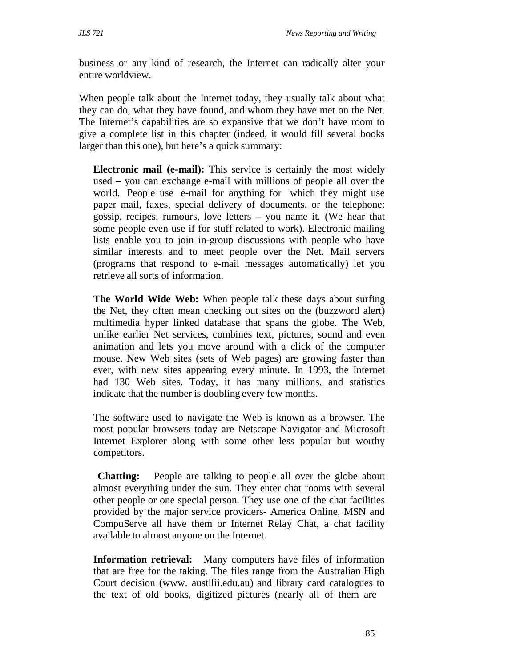business or any kind of research, the Internet can radically alter your entire worldview.

When people talk about the Internet today, they usually talk about what they can do, what they have found, and whom they have met on the Net. The Internet's capabilities are so expansive that we don't have room to give a complete list in this chapter (indeed, it would fill several books larger than this one), but here's a quick summary:

**Electronic mail (e-mail):** This service is certainly the most widely used – you can exchange e-mail with millions of people all over the world. People use e-mail for anything for which they might use paper mail, faxes, special delivery of documents, or the telephone: gossip, recipes, rumours, love letters – you name it. (We hear that some people even use if for stuff related to work). Electronic mailing lists enable you to join in-group discussions with people who have similar interests and to meet people over the Net. Mail servers (programs that respond to e-mail messages automatically) let you retrieve all sorts of information.

**The World Wide Web:** When people talk these days about surfing the Net, they often mean checking out sites on the (buzzword alert) multimedia hyper linked database that spans the globe. The Web, unlike earlier Net services, combines text, pictures, sound and even animation and lets you move around with a click of the computer mouse. New Web sites (sets of Web pages) are growing faster than ever, with new sites appearing every minute. In 1993, the Internet had 130 Web sites. Today, it has many millions, and statistics indicate that the number is doubling every few months.

The software used to navigate the Web is known as a browser. The most popular browsers today are Netscape Navigator and Microsoft Internet Explorer along with some other less popular but worthy competitors.

**Chatting:** People are talking to people all over the globe about almost everything under the sun. They enter chat rooms with several other people or one special person. They use one of the chat facilities provided by the major service providers- America Online, MSN and CompuServe all have them or Internet Relay Chat, a chat facility available to almost anyone on the Internet.

**Information retrieval:** Many computers have files of information that are free for the taking. The files range from the Australian High Court decision (www. austllii.edu.au) and library card catalogues to the text of old books, digitized pictures (nearly all of them are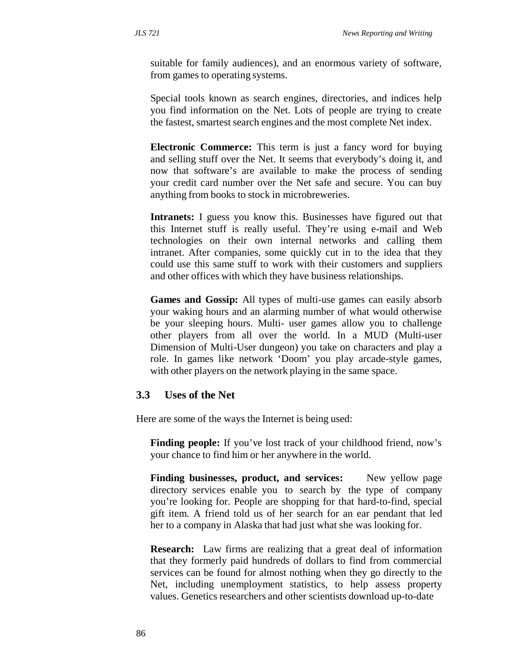suitable for family audiences), and an enormous variety of software, from games to operating systems.

Special tools known as search engines, directories, and indices help you find information on the Net. Lots of people are trying to create the fastest, smartest search engines and the most complete Net index.

**Electronic Commerce:** This term is just a fancy word for buying and selling stuff over the Net. It seems that everybody's doing it, and now that software's are available to make the process of sending your credit card number over the Net safe and secure. You can buy anything from books to stock in microbreweries.

**Intranets:** I guess you know this. Businesses have figured out that this Internet stuff is really useful. They're using e-mail and Web technologies on their own internal networks and calling them intranet. After companies, some quickly cut in to the idea that they could use this same stuff to work with their customers and suppliers and other offices with which they have business relationships.

**Games and Gossip:** All types of multi-use games can easily absorb your waking hours and an alarming number of what would otherwise be your sleeping hours. Multi- user games allow you to challenge other players from all over the world. In a MUD (Multi-user Dimension of Multi-User dungeon) you take on characters and play a role. In games like network 'Doom' you play arcade-style games, with other players on the network playing in the same space.

### **3.3 Uses of the Net**

Here are some of the ways the Internet is being used:

**Finding people:** If you've lost track of your childhood friend, now's your chance to find him or her anywhere in the world.

**Finding businesses, product, and services:** New yellow page directory services enable you to search by the type of company you're looking for. People are shopping for that hard-to-find, special gift item. A friend told us of her search for an ear pendant that led her to a company in Alaska that had just what she was looking for.

**Research:** Law firms are realizing that a great deal of information that they formerly paid hundreds of dollars to find from commercial services can be found for almost nothing when they go directly to the Net, including unemployment statistics, to help assess property values. Genetics researchers and other scientists download up-to-date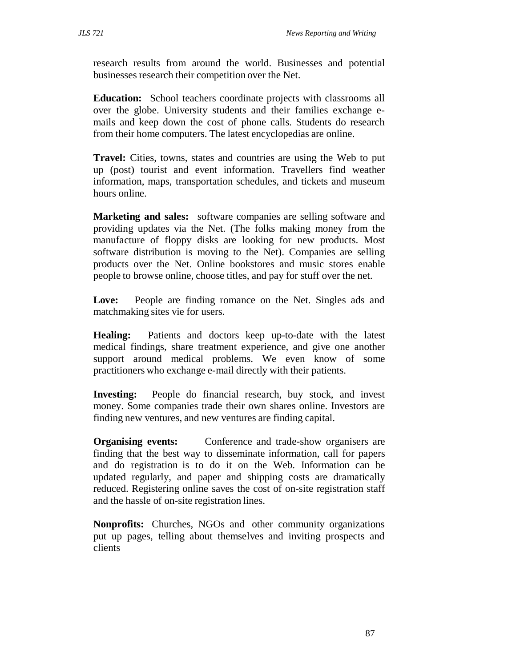research results from around the world. Businesses and potential businesses research their competition over the Net.

**Education:** School teachers coordinate projects with classrooms all over the globe. University students and their families exchange emails and keep down the cost of phone calls. Students do research from their home computers. The latest encyclopedias are online.

**Travel:** Cities, towns, states and countries are using the Web to put up (post) tourist and event information. Travellers find weather information, maps, transportation schedules, and tickets and museum hours online.

**Marketing and sales:** software companies are selling software and providing updates via the Net. (The folks making money from the manufacture of floppy disks are looking for new products. Most software distribution is moving to the Net). Companies are selling products over the Net. Online bookstores and music stores enable people to browse online, choose titles, and pay for stuff over the net.

Love: People are finding romance on the Net. Singles ads and matchmaking sites vie for users.

**Healing:** Patients and doctors keep up-to-date with the latest medical findings, share treatment experience, and give one another support around medical problems. We even know of some practitioners who exchange e-mail directly with their patients.

**Investing:** People do financial research, buy stock, and invest money. Some companies trade their own shares online. Investors are finding new ventures, and new ventures are finding capital.

**Organising events:** Conference and trade-show organisers are finding that the best way to disseminate information, call for papers and do registration is to do it on the Web. Information can be updated regularly, and paper and shipping costs are dramatically reduced. Registering online saves the cost of on-site registration staff and the hassle of on-site registration lines.

**Nonprofits:** Churches, NGOs and other community organizations put up pages, telling about themselves and inviting prospects and clients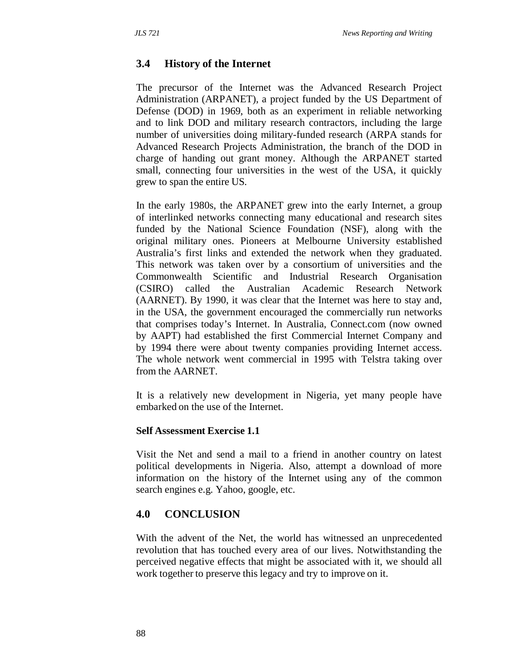#### **3.4 History of the Internet**

The precursor of the Internet was the Advanced Research Project Administration (ARPANET), a project funded by the US Department of Defense (DOD) in 1969, both as an experiment in reliable networking and to link DOD and military research contractors, including the large number of universities doing military-funded research (ARPA stands for Advanced Research Projects Administration, the branch of the DOD in charge of handing out grant money. Although the ARPANET started small, connecting four universities in the west of the USA, it quickly grew to span the entire US.

In the early 1980s, the ARPANET grew into the early Internet, a group of interlinked networks connecting many educational and research sites funded by the National Science Foundation (NSF), along with the original military ones. Pioneers at Melbourne University established Australia's first links and extended the network when they graduated. This network was taken over by a consortium of universities and the Commonwealth Scientific and Industrial Research Organisation (CSIRO) called the Australian Academic Research Network (AARNET). By 1990, it was clear that the Internet was here to stay and, in the USA, the government encouraged the commercially run networks that comprises today's Internet. In Australia, Connect.com (now owned by AAPT) had established the first Commercial Internet Company and by 1994 there were about twenty companies providing Internet access. The whole network went commercial in 1995 with Telstra taking over from the AARNET.

It is a relatively new development in Nigeria, yet many people have embarked on the use of the Internet.

#### **Self Assessment Exercise 1.1**

Visit the Net and send a mail to a friend in another country on latest political developments in Nigeria. Also, attempt a download of more information on the history of the Internet using any of the common search engines e.g. Yahoo, google, etc.

#### **4.0 CONCLUSION**

With the advent of the Net, the world has witnessed an unprecedented revolution that has touched every area of our lives. Notwithstanding the perceived negative effects that might be associated with it, we should all work together to preserve this legacy and try to improve on it.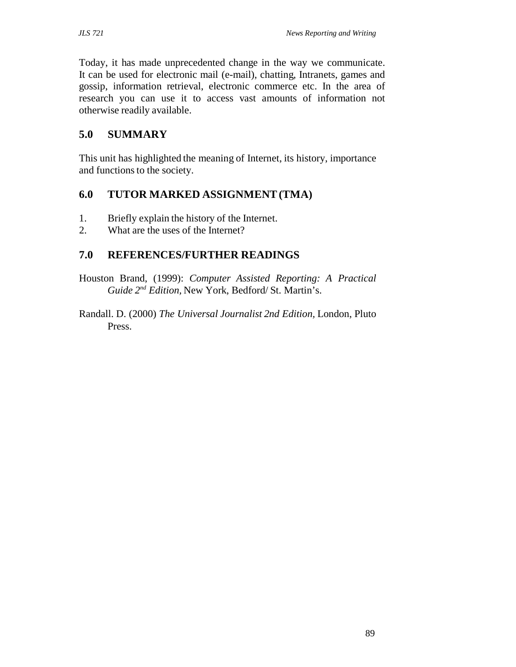Today, it has made unprecedented change in the way we communicate. It can be used for electronic mail (e-mail), chatting, Intranets, games and gossip, information retrieval, electronic commerce etc. In the area of research you can use it to access vast amounts of information not otherwise readily available.

## **5.0 SUMMARY**

This unit has highlighted the meaning of Internet, its history, importance and functions to the society.

## **6.0 TUTOR MARKED ASSIGNMENT (TMA)**

- 1. Briefly explain the history of the Internet.
- 2. What are the uses of the Internet?

## **7.0 REFERENCES/FURTHER READINGS**

Houston Brand, (1999): *Computer Assisted Reporting: A Practical Guide 2nd Edition,* New York, Bedford/ St. Martin's.

Randall. D. (2000) *The Universal Journalist 2nd Edition,* London, Pluto Press.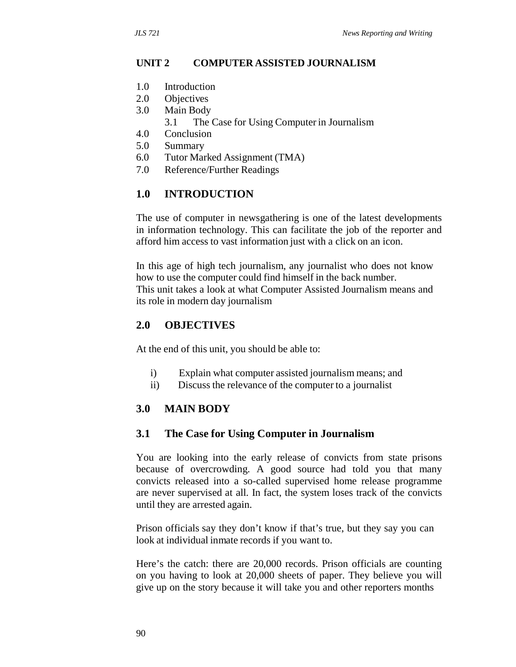#### **UNIT 2 COMPUTER ASSISTED JOURNALISM**

- 1.0 Introduction
- 2.0 Objectives
- 3.0 Main Body
	- 3.1 The Case for Using Computer in Journalism
- 4.0 Conclusion
- 5.0 Summary
- 6.0 Tutor Marked Assignment (TMA)
- 7.0 Reference/Further Readings

### **1.0 INTRODUCTION**

The use of computer in newsgathering is one of the latest developments in information technology. This can facilitate the job of the reporter and afford him access to vast information just with a click on an icon.

In this age of high tech journalism, any journalist who does not know how to use the computer could find himself in the back number. This unit takes a look at what Computer Assisted Journalism means and its role in modern day journalism

#### **2.0 OBJECTIVES**

At the end of this unit, you should be able to:

- i) Explain what computer assisted journalism means; and
- ii) Discuss the relevance of the computer to a journalist

### **3.0 MAIN BODY**

#### **3.1 The Case for Using Computer in Journalism**

You are looking into the early release of convicts from state prisons because of overcrowding. A good source had told you that many convicts released into a so-called supervised home release programme are never supervised at all. In fact, the system loses track of the convicts until they are arrested again.

Prison officials say they don't know if that's true, but they say you can look at individual inmate records if you want to.

Here's the catch: there are 20,000 records. Prison officials are counting on you having to look at 20,000 sheets of paper. They believe you will give up on the story because it will take you and other reporters months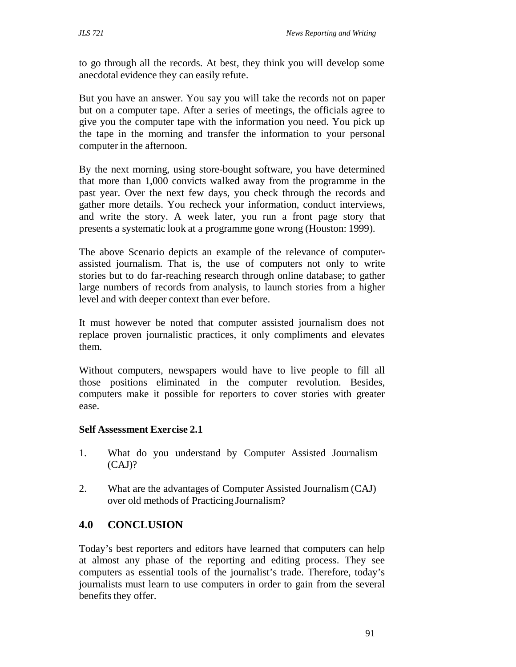to go through all the records. At best, they think you will develop some anecdotal evidence they can easily refute.

But you have an answer. You say you will take the records not on paper but on a computer tape. After a series of meetings, the officials agree to give you the computer tape with the information you need. You pick up the tape in the morning and transfer the information to your personal computer in the afternoon.

By the next morning, using store-bought software, you have determined that more than 1,000 convicts walked away from the programme in the past year. Over the next few days, you check through the records and gather more details. You recheck your information, conduct interviews, and write the story. A week later, you run a front page story that presents a systematic look at a programme gone wrong (Houston: 1999).

The above Scenario depicts an example of the relevance of computerassisted journalism. That is, the use of computers not only to write stories but to do far-reaching research through online database; to gather large numbers of records from analysis, to launch stories from a higher level and with deeper context than ever before.

It must however be noted that computer assisted journalism does not replace proven journalistic practices, it only compliments and elevates them.

Without computers, newspapers would have to live people to fill all those positions eliminated in the computer revolution. Besides, computers make it possible for reporters to cover stories with greater ease.

### **Self Assessment Exercise 2.1**

- 1. What do you understand by Computer Assisted Journalism  $(CAJ)?$
- 2. What are the advantages of Computer Assisted Journalism (CAJ) over old methods of Practicing Journalism?

# **4.0 CONCLUSION**

Today's best reporters and editors have learned that computers can help at almost any phase of the reporting and editing process. They see computers as essential tools of the journalist's trade. Therefore, today's journalists must learn to use computers in order to gain from the several benefits they offer.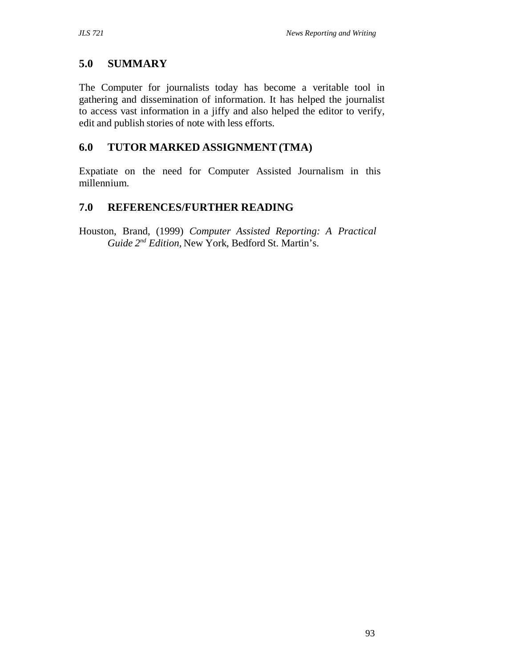# **5.0 SUMMARY**

The Computer for journalists today has become a veritable tool in gathering and dissemination of information. It has helped the journalist to access vast information in a jiffy and also helped the editor to verify, edit and publish stories of note with less efforts.

# **6.0 TUTOR MARKED ASSIGNMENT (TMA)**

Expatiate on the need for Computer Assisted Journalism in this millennium.

# **7.0 REFERENCES/FURTHER READING**

Houston, Brand, (1999) *Computer Assisted Reporting: A Practical Guide 2nd Edition,* New York, Bedford St. Martin's.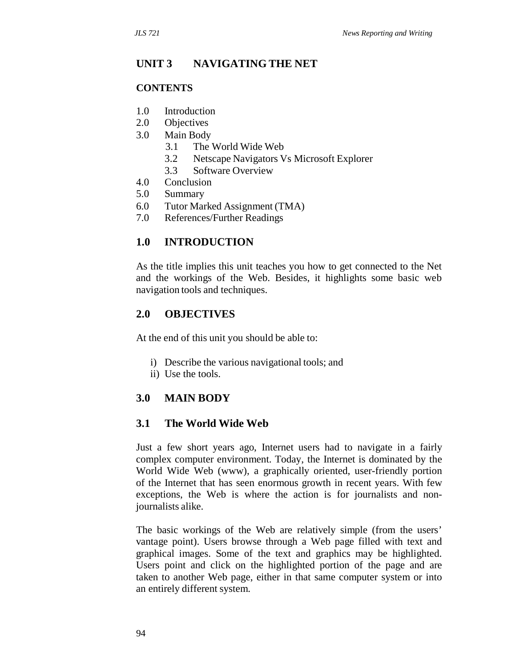### **UNIT 3 NAVIGATING THE NET**

#### **CONTENTS**

- 1.0 Introduction
- 2.0 Objectives
- 3.0 Main Body
	- 3.1 The World Wide Web
	- 3.2 Netscape Navigators Vs Microsoft Explorer
	- 3.3 Software Overview
- 4.0 Conclusion
- 5.0 Summary
- 6.0 Tutor Marked Assignment (TMA)
- 7.0 References/Further Readings

### **1.0 INTRODUCTION**

As the title implies this unit teaches you how to get connected to the Net and the workings of the Web. Besides, it highlights some basic web navigation tools and techniques.

### **2.0 OBJECTIVES**

At the end of this unit you should be able to:

- i) Describe the various navigational tools; and
- ii) Use the tools.

## **3.0 MAIN BODY**

### **3.1 The World Wide Web**

Just a few short years ago, Internet users had to navigate in a fairly complex computer environment. Today, the Internet is dominated by the World Wide Web (www), a graphically oriented, user-friendly portion of the Internet that has seen enormous growth in recent years. With few exceptions, the Web is where the action is for journalists and nonjournalists alike.

The basic workings of the Web are relatively simple (from the users' vantage point). Users browse through a Web page filled with text and graphical images. Some of the text and graphics may be highlighted. Users point and click on the highlighted portion of the page and are taken to another Web page, either in that same computer system or into an entirely different system.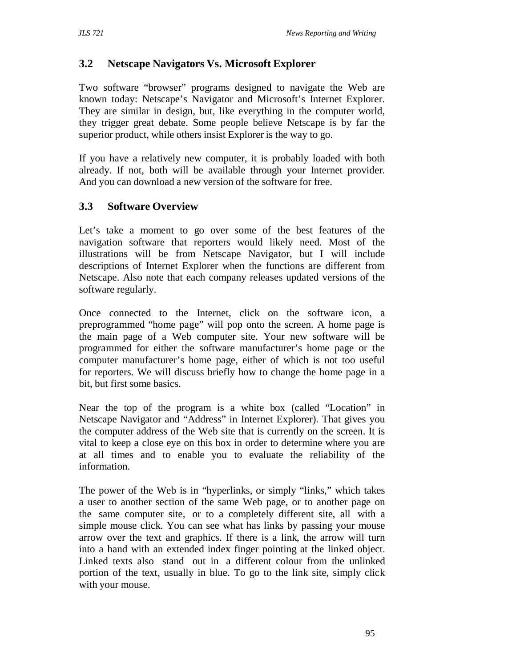## **3.2 Netscape Navigators Vs. Microsoft Explorer**

Two software "browser" programs designed to navigate the Web are known today: Netscape's Navigator and Microsoft's Internet Explorer. They are similar in design, but, like everything in the computer world, they trigger great debate. Some people believe Netscape is by far the superior product, while others insist Explorer is the way to go.

If you have a relatively new computer, it is probably loaded with both already. If not, both will be available through your Internet provider. And you can download a new version of the software for free.

## **3.3 Software Overview**

Let's take a moment to go over some of the best features of the navigation software that reporters would likely need. Most of the illustrations will be from Netscape Navigator, but I will include descriptions of Internet Explorer when the functions are different from Netscape. Also note that each company releases updated versions of the software regularly.

Once connected to the Internet, click on the software icon, a preprogrammed "home page" will pop onto the screen. A home page is the main page of a Web computer site. Your new software will be programmed for either the software manufacturer's home page or the computer manufacturer's home page, either of which is not too useful for reporters. We will discuss briefly how to change the home page in a bit, but first some basics.

Near the top of the program is a white box (called "Location" in Netscape Navigator and "Address" in Internet Explorer). That gives you the computer address of the Web site that is currently on the screen. It is vital to keep a close eye on this box in order to determine where you are at all times and to enable you to evaluate the reliability of the information.

The power of the Web is in "hyperlinks, or simply "links," which takes a user to another section of the same Web page, or to another page on the same computer site, or to a completely different site, all with a simple mouse click. You can see what has links by passing your mouse arrow over the text and graphics. If there is a link, the arrow will turn into a hand with an extended index finger pointing at the linked object. Linked texts also stand out in a different colour from the unlinked portion of the text, usually in blue. To go to the link site, simply click with your mouse.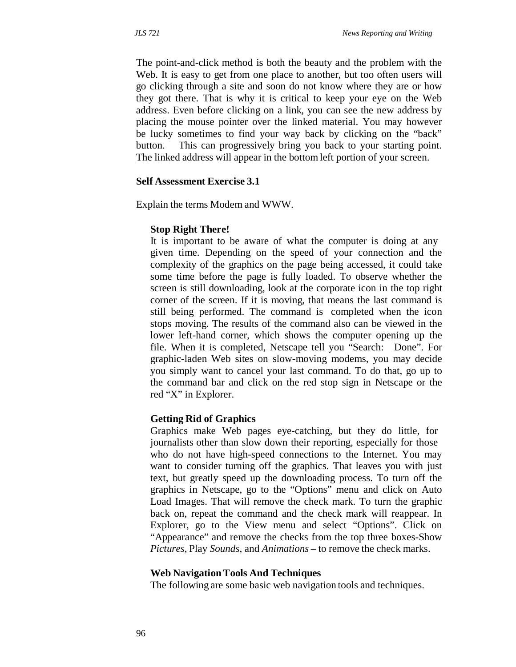The point-and-click method is both the beauty and the problem with the Web. It is easy to get from one place to another, but too often users will go clicking through a site and soon do not know where they are or how they got there. That is why it is critical to keep your eye on the Web address. Even before clicking on a link, you can see the new address by placing the mouse pointer over the linked material. You may however be lucky sometimes to find your way back by clicking on the "back" button. This can progressively bring you back to your starting point. The linked address will appear in the bottom left portion of your screen.

#### **Self Assessment Exercise 3.1**

Explain the terms Modem and WWW.

#### **Stop Right There!**

It is important to be aware of what the computer is doing at any given time. Depending on the speed of your connection and the complexity of the graphics on the page being accessed, it could take some time before the page is fully loaded. To observe whether the screen is still downloading, look at the corporate icon in the top right corner of the screen. If it is moving, that means the last command is still being performed. The command is completed when the icon stops moving. The results of the command also can be viewed in the lower left-hand corner, which shows the computer opening up the file. When it is completed, Netscape tell you "Search: Done". For graphic-laden Web sites on slow-moving modems, you may decide you simply want to cancel your last command. To do that, go up to the command bar and click on the red stop sign in Netscape or the red "X" in Explorer.

#### **Getting Rid of Graphics**

Graphics make Web pages eye-catching, but they do little, for journalists other than slow down their reporting, especially for those who do not have high-speed connections to the Internet. You may want to consider turning off the graphics. That leaves you with just text, but greatly speed up the downloading process. To turn off the graphics in Netscape, go to the "Options" menu and click on Auto Load Images. That will remove the check mark. To turn the graphic back on, repeat the command and the check mark will reappear. In Explorer, go to the View menu and select "Options". Click on "Appearance" and remove the checks from the top three boxes-Show *Pictures*, Play *Sounds*, and *Animations* – to remove the check marks.

#### **Web Navigation Tools And Techniques**

The following are some basic web navigation tools and techniques.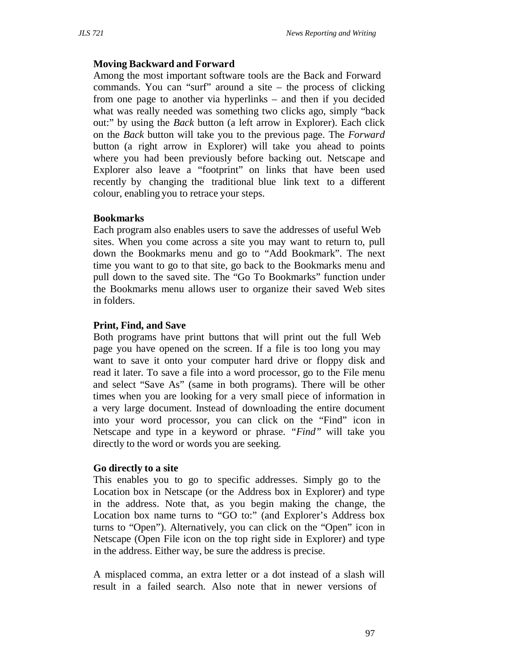## **Moving Backward and Forward**

Among the most important software tools are the Back and Forward commands. You can "surf" around a site – the process of clicking from one page to another via hyperlinks – and then if you decided what was really needed was something two clicks ago, simply "back out:" by using the *Back* button (a left arrow in Explorer). Each click on the *Back* button will take you to the previous page. The *Forward*  button (a right arrow in Explorer) will take you ahead to points where you had been previously before backing out. Netscape and Explorer also leave a "footprint" on links that have been used recently by changing the traditional blue link text to a different colour, enabling you to retrace your steps.

### **Bookmarks**

Each program also enables users to save the addresses of useful Web sites. When you come across a site you may want to return to, pull down the Bookmarks menu and go to "Add Bookmark". The next time you want to go to that site, go back to the Bookmarks menu and pull down to the saved site. The "Go To Bookmarks" function under the Bookmarks menu allows user to organize their saved Web sites in folders.

### **Print, Find, and Save**

Both programs have print buttons that will print out the full Web page you have opened on the screen. If a file is too long you may want to save it onto your computer hard drive or floppy disk and read it later. To save a file into a word processor, go to the File menu and select "Save As" (same in both programs). There will be other times when you are looking for a very small piece of information in a very large document. Instead of downloading the entire document into your word processor, you can click on the "Find" icon in Netscape and type in a keyword or phrase. *"Find"* will take you directly to the word or words you are seeking.

### **Go directly to a site**

This enables you to go to specific addresses. Simply go to the Location box in Netscape (or the Address box in Explorer) and type in the address. Note that, as you begin making the change, the Location box name turns to "GO to:" (and Explorer's Address box turns to "Open"). Alternatively, you can click on the "Open" icon in Netscape (Open File icon on the top right side in Explorer) and type in the address. Either way, be sure the address is precise.

A misplaced comma, an extra letter or a dot instead of a slash will result in a failed search. Also note that in newer versions of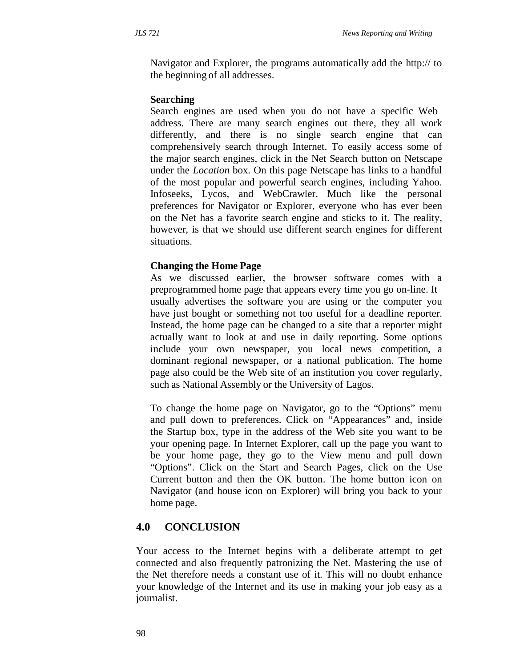Navigator and Explorer, the programs automatically add the http:// to the beginning of all addresses.

#### **Searching**

Search engines are used when you do not have a specific Web address. There are many search engines out there, they all work differently, and there is no single search engine that can comprehensively search through Internet. To easily access some of the major search engines, click in the Net Search button on Netscape under the *Location* box. On this page Netscape has links to a handful of the most popular and powerful search engines, including Yahoo. Infoseeks, Lycos, and WebCrawler. Much like the personal preferences for Navigator or Explorer, everyone who has ever been on the Net has a favorite search engine and sticks to it. The reality, however, is that we should use different search engines for different situations.

#### **Changing the Home Page**

As we discussed earlier, the browser software comes with a preprogrammed home page that appears every time you go on-line. It usually advertises the software you are using or the computer you have just bought or something not too useful for a deadline reporter. Instead, the home page can be changed to a site that a reporter might actually want to look at and use in daily reporting. Some options include your own newspaper, you local news competition, a dominant regional newspaper, or a national publication. The home page also could be the Web site of an institution you cover regularly, such as National Assembly or the University of Lagos.

To change the home page on Navigator, go to the "Options" menu and pull down to preferences. Click on "Appearances" and, inside the Startup box, type in the address of the Web site you want to be your opening page. In Internet Explorer, call up the page you want to be your home page, they go to the View menu and pull down "Options". Click on the Start and Search Pages, click on the Use Current button and then the OK button. The home button icon on Navigator (and house icon on Explorer) will bring you back to your home page.

### **4.0 CONCLUSION**

Your access to the Internet begins with a deliberate attempt to get connected and also frequently patronizing the Net. Mastering the use of the Net therefore needs a constant use of it. This will no doubt enhance your knowledge of the Internet and its use in making your job easy as a journalist.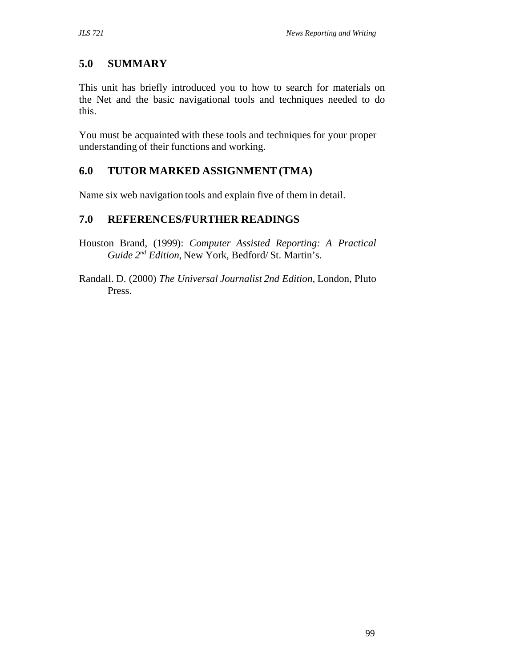# **5.0 SUMMARY**

This unit has briefly introduced you to how to search for materials on the Net and the basic navigational tools and techniques needed to do this.

You must be acquainted with these tools and techniques for your proper understanding of their functions and working.

## **6.0 TUTOR MARKED ASSIGNMENT (TMA)**

Name six web navigation tools and explain five of them in detail.

### **7.0 REFERENCES/FURTHER READINGS**

- Houston Brand, (1999): *Computer Assisted Reporting: A Practical Guide 2nd Edition,* New York, Bedford/ St. Martin's.
- Randall. D. (2000) *The Universal Journalist 2nd Edition,* London, Pluto Press.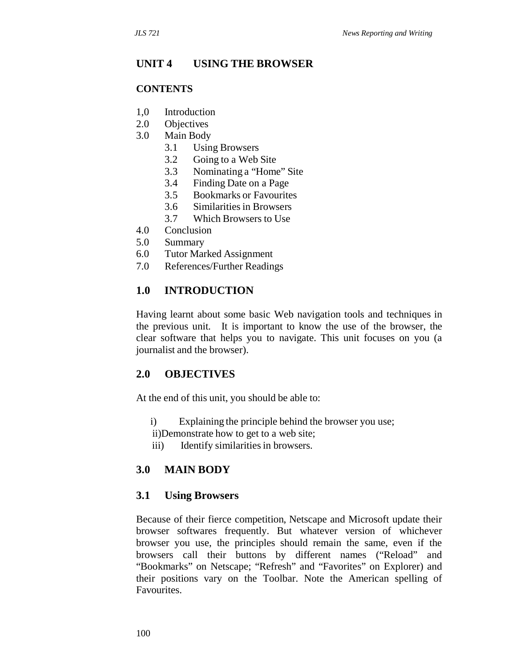### **UNIT 4 USING THE BROWSER**

#### **CONTENTS**

- 1,0 Introduction
- 2.0 Objectives
- 3.0 Main Body
	- 3.1 Using Browsers
	- 3.2 Going to a Web Site
	- 3.3 Nominating a "Home" Site
	- 3.4 Finding Date on a Page
	- 3.5 Bookmarks or Favourites
	- 3.6 Similarities in Browsers
	- 3.7 Which Browsers to Use
- 4.0 Conclusion
- 5.0 Summary
- 6.0 Tutor Marked Assignment
- 7.0 References/Further Readings

#### **1.0 INTRODUCTION**

Having learnt about some basic Web navigation tools and techniques in the previous unit. It is important to know the use of the browser, the clear software that helps you to navigate. This unit focuses on you (a journalist and the browser).

### **2.0 OBJECTIVES**

At the end of this unit, you should be able to:

- i) Explaining the principle behind the browser you use;
- ii)Demonstrate how to get to a web site;
- iii) Identify similarities in browsers.

### **3.0 MAIN BODY**

#### **3.1 Using Browsers**

Because of their fierce competition, Netscape and Microsoft update their browser softwares frequently. But whatever version of whichever browser you use, the principles should remain the same, even if the browsers call their buttons by different names ("Reload" and "Bookmarks" on Netscape; "Refresh" and "Favorites" on Explorer) and their positions vary on the Toolbar. Note the American spelling of Favourites.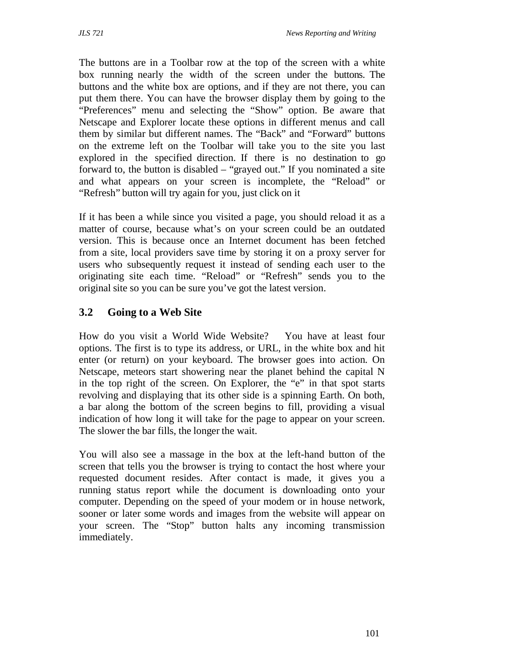The buttons are in a Toolbar row at the top of the screen with a white box running nearly the width of the screen under the buttons. The buttons and the white box are options, and if they are not there, you can put them there. You can have the browser display them by going to the "Preferences" menu and selecting the "Show" option. Be aware that Netscape and Explorer locate these options in different menus and call them by similar but different names. The "Back" and "Forward" buttons on the extreme left on the Toolbar will take you to the site you last explored in the specified direction. If there is no destination to go forward to, the button is disabled – "grayed out." If you nominated a site and what appears on your screen is incomplete, the "Reload" or "Refresh" button will try again for you, just click on it

If it has been a while since you visited a page, you should reload it as a matter of course, because what's on your screen could be an outdated version. This is because once an Internet document has been fetched from a site, local providers save time by storing it on a proxy server for users who subsequently request it instead of sending each user to the originating site each time. "Reload" or "Refresh" sends you to the original site so you can be sure you've got the latest version.

# **3.2 Going to a Web Site**

How do you visit a World Wide Website? You have at least four options. The first is to type its address, or URL, in the white box and hit enter (or return) on your keyboard. The browser goes into action. On Netscape, meteors start showering near the planet behind the capital N in the top right of the screen. On Explorer, the "e" in that spot starts revolving and displaying that its other side is a spinning Earth. On both, a bar along the bottom of the screen begins to fill, providing a visual indication of how long it will take for the page to appear on your screen. The slower the bar fills, the longer the wait.

You will also see a massage in the box at the left-hand button of the screen that tells you the browser is trying to contact the host where your requested document resides. After contact is made, it gives you a running status report while the document is downloading onto your computer. Depending on the speed of your modem or in house network, sooner or later some words and images from the website will appear on your screen. The "Stop" button halts any incoming transmission immediately.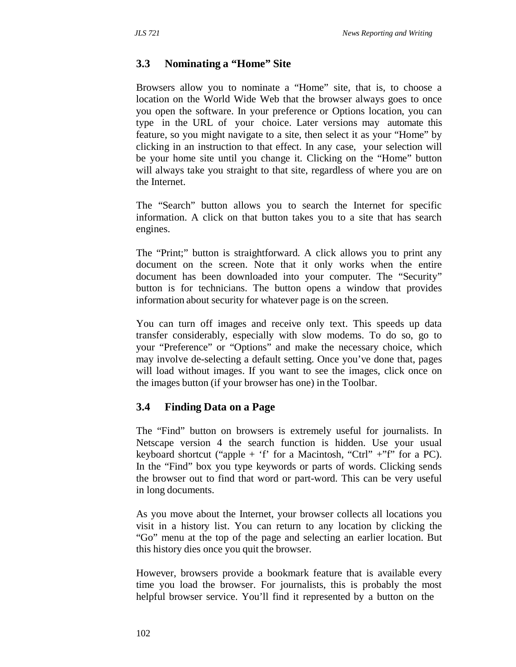### **3.3 Nominating a "Home" Site**

Browsers allow you to nominate a "Home" site, that is, to choose a location on the World Wide Web that the browser always goes to once you open the software. In your preference or Options location, you can type in the URL of your choice. Later versions may automate this feature, so you might navigate to a site, then select it as your "Home" by clicking in an instruction to that effect. In any case, your selection will be your home site until you change it. Clicking on the "Home" button will always take you straight to that site, regardless of where you are on the Internet.

The "Search" button allows you to search the Internet for specific information. A click on that button takes you to a site that has search engines.

The "Print;" button is straightforward. A click allows you to print any document on the screen. Note that it only works when the entire document has been downloaded into your computer. The "Security" button is for technicians. The button opens a window that provides information about security for whatever page is on the screen.

You can turn off images and receive only text. This speeds up data transfer considerably, especially with slow modems. To do so, go to your "Preference" or "Options" and make the necessary choice, which may involve de-selecting a default setting. Once you've done that, pages will load without images. If you want to see the images, click once on the images button (if your browser has one) in the Toolbar.

#### **3.4 Finding Data on a Page**

The "Find" button on browsers is extremely useful for journalists. In Netscape version 4 the search function is hidden. Use your usual keyboard shortcut ("apple  $+$  'f' for a Macintosh, "Ctrl" +"f" for a PC). In the "Find" box you type keywords or parts of words. Clicking sends the browser out to find that word or part-word. This can be very useful in long documents.

As you move about the Internet, your browser collects all locations you visit in a history list. You can return to any location by clicking the "Go" menu at the top of the page and selecting an earlier location. But this history dies once you quit the browser.

However, browsers provide a bookmark feature that is available every time you load the browser. For journalists, this is probably the most helpful browser service. You'll find it represented by a button on the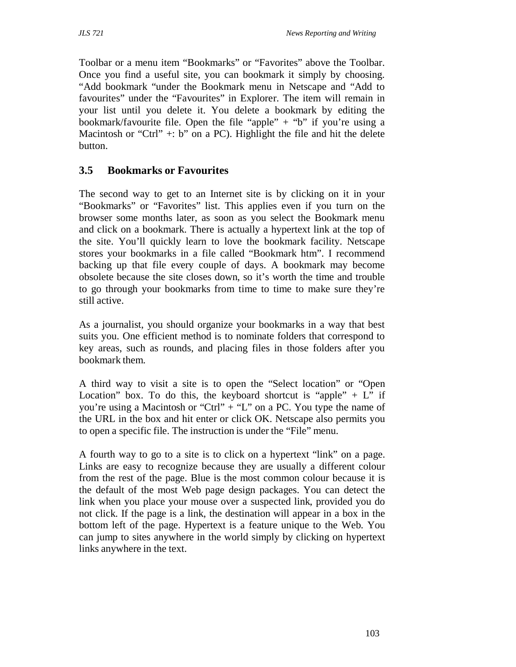Toolbar or a menu item "Bookmarks" or "Favorites" above the Toolbar. Once you find a useful site, you can bookmark it simply by choosing. "Add bookmark "under the Bookmark menu in Netscape and "Add to favourites" under the "Favourites" in Explorer. The item will remain in your list until you delete it. You delete a bookmark by editing the bookmark/favourite file. Open the file "apple"  $+$  "b" if you're using a Macintosh or "Ctrl" +: b" on a PC). Highlight the file and hit the delete button.

## **3.5 Bookmarks or Favourites**

The second way to get to an Internet site is by clicking on it in your "Bookmarks" or "Favorites" list. This applies even if you turn on the browser some months later, as soon as you select the Bookmark menu and click on a bookmark. There is actually a hypertext link at the top of the site. You'll quickly learn to love the bookmark facility. Netscape stores your bookmarks in a file called "Bookmark htm". I recommend backing up that file every couple of days. A bookmark may become obsolete because the site closes down, so it's worth the time and trouble to go through your bookmarks from time to time to make sure they're still active.

As a journalist, you should organize your bookmarks in a way that best suits you. One efficient method is to nominate folders that correspond to key areas, such as rounds, and placing files in those folders after you bookmark them.

A third way to visit a site is to open the "Select location" or "Open Location" box. To do this, the keyboard shortcut is "apple"  $+ L$ " if you're using a Macintosh or "Ctrl" + "L" on a PC. You type the name of the URL in the box and hit enter or click OK. Netscape also permits you to open a specific file. The instruction is under the "File" menu.

A fourth way to go to a site is to click on a hypertext "link" on a page. Links are easy to recognize because they are usually a different colour from the rest of the page. Blue is the most common colour because it is the default of the most Web page design packages. You can detect the link when you place your mouse over a suspected link, provided you do not click. If the page is a link, the destination will appear in a box in the bottom left of the page. Hypertext is a feature unique to the Web. You can jump to sites anywhere in the world simply by clicking on hypertext links anywhere in the text.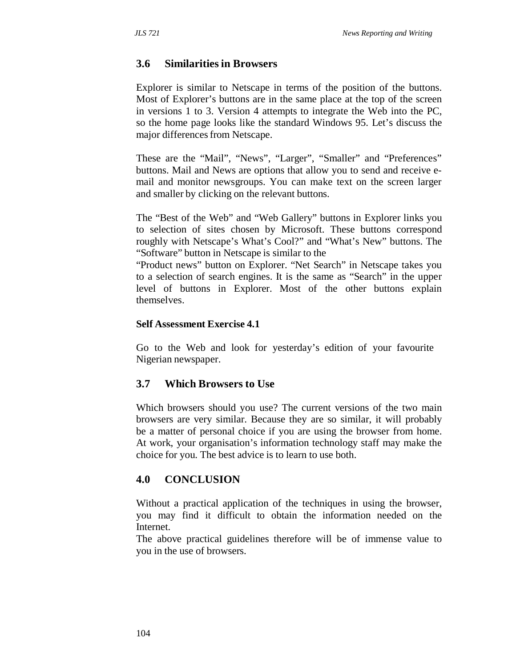#### **3.6 Similarities in Browsers**

Explorer is similar to Netscape in terms of the position of the buttons. Most of Explorer's buttons are in the same place at the top of the screen in versions 1 to 3. Version 4 attempts to integrate the Web into the PC, so the home page looks like the standard Windows 95. Let's discuss the major differences from Netscape.

These are the "Mail", "News", "Larger", "Smaller" and "Preferences" buttons. Mail and News are options that allow you to send and receive email and monitor newsgroups. You can make text on the screen larger and smaller by clicking on the relevant buttons.

The "Best of the Web" and "Web Gallery" buttons in Explorer links you to selection of sites chosen by Microsoft. These buttons correspond roughly with Netscape's What's Cool?" and "What's New" buttons. The "Software" button in Netscape is similar to the

"Product news" button on Explorer. "Net Search" in Netscape takes you to a selection of search engines. It is the same as "Search" in the upper level of buttons in Explorer. Most of the other buttons explain themselves.

#### **Self Assessment Exercise 4.1**

Go to the Web and look for yesterday's edition of your favourite Nigerian newspaper.

#### **3.7 Which Browsers to Use**

Which browsers should you use? The current versions of the two main browsers are very similar. Because they are so similar, it will probably be a matter of personal choice if you are using the browser from home. At work, your organisation's information technology staff may make the choice for you. The best advice is to learn to use both.

#### **4.0 CONCLUSION**

Without a practical application of the techniques in using the browser, you may find it difficult to obtain the information needed on the Internet.

The above practical guidelines therefore will be of immense value to you in the use of browsers.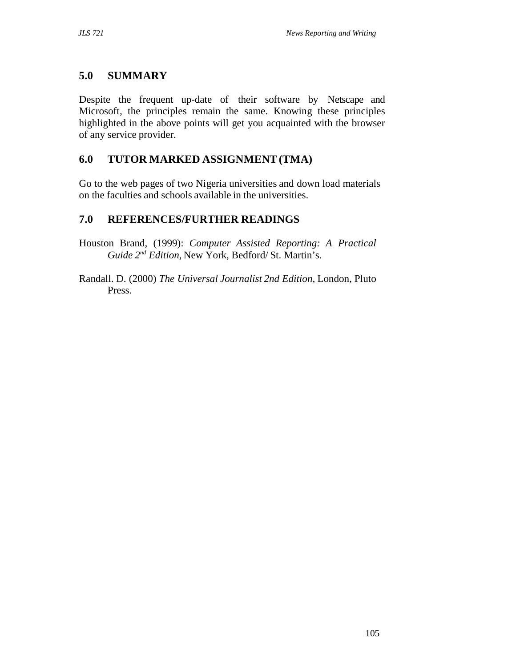# **5.0 SUMMARY**

Despite the frequent up-date of their software by Netscape and Microsoft, the principles remain the same. Knowing these principles highlighted in the above points will get you acquainted with the browser of any service provider.

# **6.0 TUTOR MARKED ASSIGNMENT (TMA)**

Go to the web pages of two Nigeria universities and down load materials on the faculties and schools available in the universities.

# **7.0 REFERENCES/FURTHER READINGS**

- Houston Brand, (1999): *Computer Assisted Reporting: A Practical Guide 2nd Edition,* New York, Bedford/ St. Martin's.
- Randall. D. (2000) *The Universal Journalist 2nd Edition,* London, Pluto Press.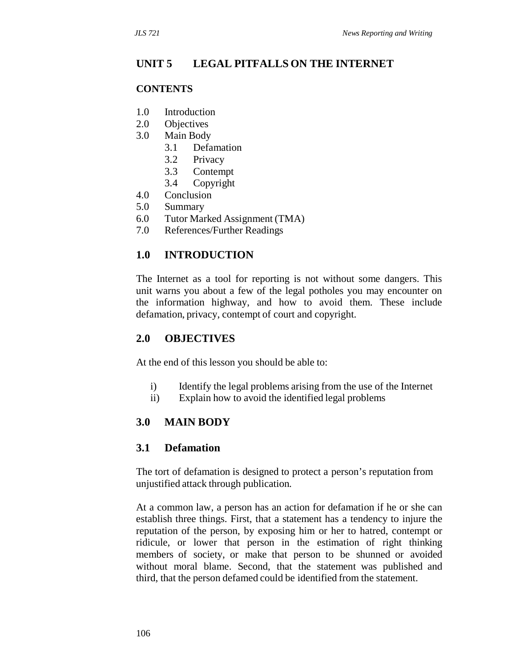## **UNIT 5 LEGAL PITFALLS ON THE INTERNET**

#### **CONTENTS**

- 1.0 Introduction
- 2.0 Objectives
- 3.0 Main Body
	- 3.1 Defamation
	- 3.2 Privacy
	- 3.3 Contempt
	- 3.4 Copyright
- 4.0 Conclusion
- 5.0 Summary
- 6.0 Tutor Marked Assignment (TMA)
- 7.0 References/Further Readings

#### **1.0 INTRODUCTION**

The Internet as a tool for reporting is not without some dangers. This unit warns you about a few of the legal potholes you may encounter on the information highway, and how to avoid them. These include defamation, privacy, contempt of court and copyright.

#### **2.0 OBJECTIVES**

At the end of this lesson you should be able to:

- i) Identify the legal problems arising from the use of the Internet
- ii) Explain how to avoid the identified legal problems

### **3.0 MAIN BODY**

#### **3.1 Defamation**

The tort of defamation is designed to protect a person's reputation from unjustified attack through publication.

At a common law, a person has an action for defamation if he or she can establish three things. First, that a statement has a tendency to injure the reputation of the person, by exposing him or her to hatred, contempt or ridicule, or lower that person in the estimation of right thinking members of society, or make that person to be shunned or avoided without moral blame. Second, that the statement was published and third, that the person defamed could be identified from the statement.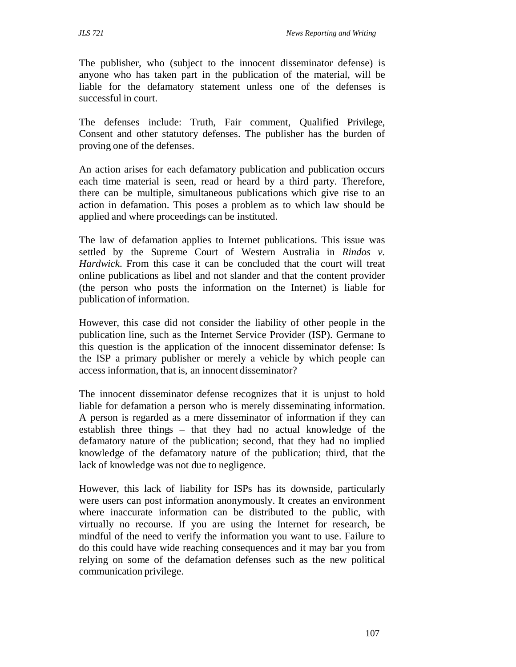The publisher, who (subject to the innocent disseminator defense) is anyone who has taken part in the publication of the material, will be liable for the defamatory statement unless one of the defenses is successful in court.

The defenses include: Truth, Fair comment, Qualified Privilege, Consent and other statutory defenses. The publisher has the burden of proving one of the defenses.

An action arises for each defamatory publication and publication occurs each time material is seen, read or heard by a third party. Therefore, there can be multiple, simultaneous publications which give rise to an action in defamation. This poses a problem as to which law should be applied and where proceedings can be instituted.

The law of defamation applies to Internet publications. This issue was settled by the Supreme Court of Western Australia in *Rindos v. Hardwick*. From this case it can be concluded that the court will treat online publications as libel and not slander and that the content provider (the person who posts the information on the Internet) is liable for publication of information.

However, this case did not consider the liability of other people in the publication line, such as the Internet Service Provider (ISP). Germane to this question is the application of the innocent disseminator defense: Is the ISP a primary publisher or merely a vehicle by which people can access information, that is, an innocent disseminator?

The innocent disseminator defense recognizes that it is unjust to hold liable for defamation a person who is merely disseminating information. A person is regarded as a mere disseminator of information if they can establish three things – that they had no actual knowledge of the defamatory nature of the publication; second, that they had no implied knowledge of the defamatory nature of the publication; third, that the lack of knowledge was not due to negligence.

However, this lack of liability for ISPs has its downside, particularly were users can post information anonymously. It creates an environment where inaccurate information can be distributed to the public, with virtually no recourse. If you are using the Internet for research, be mindful of the need to verify the information you want to use. Failure to do this could have wide reaching consequences and it may bar you from relying on some of the defamation defenses such as the new political communication privilege.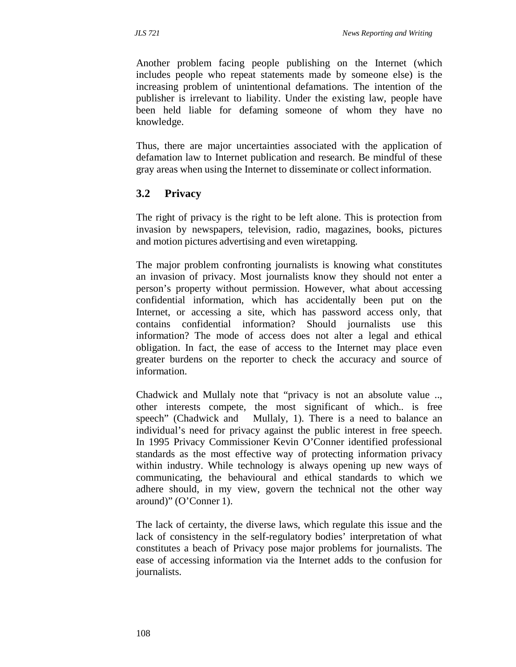Another problem facing people publishing on the Internet (which includes people who repeat statements made by someone else) is the increasing problem of unintentional defamations. The intention of the publisher is irrelevant to liability. Under the existing law, people have been held liable for defaming someone of whom they have no knowledge.

Thus, there are major uncertainties associated with the application of defamation law to Internet publication and research. Be mindful of these gray areas when using the Internet to disseminate or collect information.

## **3.2 Privacy**

The right of privacy is the right to be left alone. This is protection from invasion by newspapers, television, radio, magazines, books, pictures and motion pictures advertising and even wiretapping.

The major problem confronting journalists is knowing what constitutes an invasion of privacy. Most journalists know they should not enter a person's property without permission. However, what about accessing confidential information, which has accidentally been put on the Internet, or accessing a site, which has password access only, that contains confidential information? Should journalists use this information? The mode of access does not alter a legal and ethical obligation. In fact, the ease of access to the Internet may place even greater burdens on the reporter to check the accuracy and source of information.

Chadwick and Mullaly note that "privacy is not an absolute value .., other interests compete, the most significant of which.. is free speech" (Chadwick and Mullaly, 1). There is a need to balance an individual's need for privacy against the public interest in free speech. In 1995 Privacy Commissioner Kevin O'Conner identified professional standards as the most effective way of protecting information privacy within industry. While technology is always opening up new ways of communicating, the behavioural and ethical standards to which we adhere should, in my view, govern the technical not the other way around)" (O'Conner 1).

The lack of certainty, the diverse laws, which regulate this issue and the lack of consistency in the self-regulatory bodies' interpretation of what constitutes a beach of Privacy pose major problems for journalists. The ease of accessing information via the Internet adds to the confusion for journalists.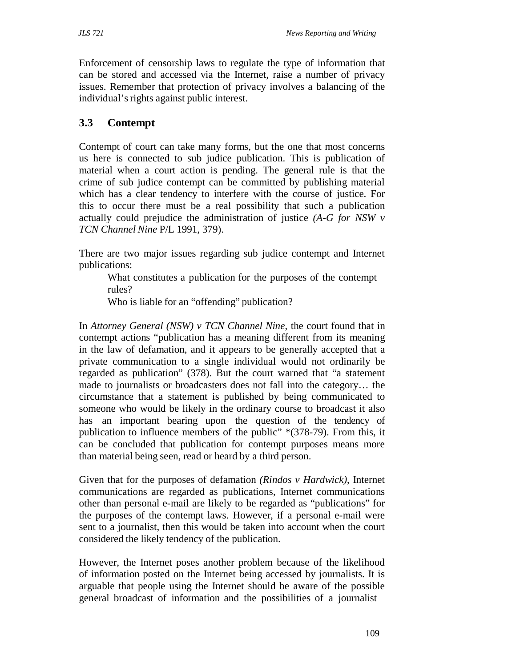Enforcement of censorship laws to regulate the type of information that can be stored and accessed via the Internet, raise a number of privacy issues. Remember that protection of privacy involves a balancing of the individual's rights against public interest.

# **3.3 Contempt**

Contempt of court can take many forms, but the one that most concerns us here is connected to sub judice publication. This is publication of material when a court action is pending. The general rule is that the crime of sub judice contempt can be committed by publishing material which has a clear tendency to interfere with the course of justice. For this to occur there must be a real possibility that such a publication actually could prejudice the administration of justice *(A-G for NSW v TCN Channel Nine* P/L 1991, 379).

There are two major issues regarding sub judice contempt and Internet publications:

What constitutes a publication for the purposes of the contempt rules?

Who is liable for an "offending" publication?

In *Attorney General (NSW) v TCN Channel Nine*, the court found that in contempt actions "publication has a meaning different from its meaning in the law of defamation, and it appears to be generally accepted that a private communication to a single individual would not ordinarily be regarded as publication" (378). But the court warned that "a statement made to journalists or broadcasters does not fall into the category… the circumstance that a statement is published by being communicated to someone who would be likely in the ordinary course to broadcast it also has an important bearing upon the question of the tendency of publication to influence members of the public" \*(378-79). From this, it can be concluded that publication for contempt purposes means more than material being seen, read or heard by a third person.

Given that for the purposes of defamation *(Rindos v Hardwick)*, Internet communications are regarded as publications, Internet communications other than personal e-mail are likely to be regarded as "publications" for the purposes of the contempt laws. However, if a personal e-mail were sent to a journalist, then this would be taken into account when the court considered the likely tendency of the publication.

However, the Internet poses another problem because of the likelihood of information posted on the Internet being accessed by journalists. It is arguable that people using the Internet should be aware of the possible general broadcast of information and the possibilities of a journalist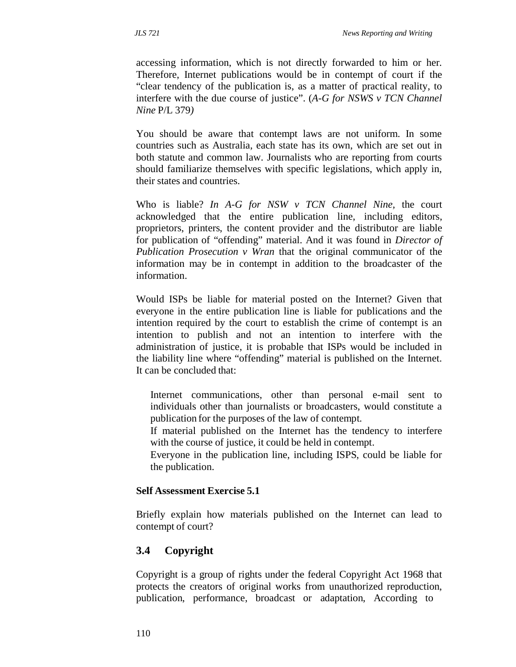accessing information, which is not directly forwarded to him or her. Therefore, Internet publications would be in contempt of court if the "clear tendency of the publication is, as a matter of practical reality, to interfere with the due course of justice". (*A-G for NSWS v TCN Channel Nine* P/L 379*)*

You should be aware that contempt laws are not uniform. In some countries such as Australia, each state has its own, which are set out in both statute and common law. Journalists who are reporting from courts should familiarize themselves with specific legislations, which apply in, their states and countries.

Who is liable? *In A-G for NSW v TCN Channel Nine,* the court acknowledged that the entire publication line, including editors, proprietors, printers, the content provider and the distributor are liable for publication of "offending" material. And it was found in *Director of Publication Prosecution v Wran* that the original communicator of the information may be in contempt in addition to the broadcaster of the information.

Would ISPs be liable for material posted on the Internet? Given that everyone in the entire publication line is liable for publications and the intention required by the court to establish the crime of contempt is an intention to publish and not an intention to interfere with the administration of justice, it is probable that ISPs would be included in the liability line where "offending" material is published on the Internet. It can be concluded that:

- Internet communications, other than personal e-mail sent to individuals other than journalists or broadcasters, would constitute a publication for the purposes of the law of contempt.
- If material published on the Internet has the tendency to interfere with the course of justice, it could be held in contempt.
- Everyone in the publication line, including ISPS, could be liable for the publication.

### **Self Assessment Exercise 5.1**

Briefly explain how materials published on the Internet can lead to contempt of court?

# **3.4 Copyright**

Copyright is a group of rights under the federal Copyright Act 1968 that protects the creators of original works from unauthorized reproduction, publication, performance, broadcast or adaptation, According to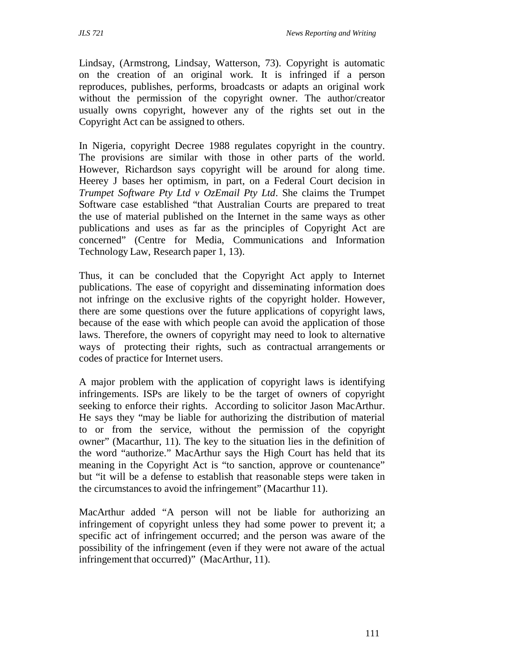Lindsay, (Armstrong, Lindsay, Watterson, 73). Copyright is automatic on the creation of an original work. It is infringed if a person reproduces, publishes, performs, broadcasts or adapts an original work without the permission of the copyright owner. The author/creator usually owns copyright, however any of the rights set out in the Copyright Act can be assigned to others.

In Nigeria, copyright Decree 1988 regulates copyright in the country. The provisions are similar with those in other parts of the world. However, Richardson says copyright will be around for along time. Heerey J bases her optimism, in part, on a Federal Court decision in *Trumpet Software Pty Ltd v OzEmail Pty Ltd*. She claims the Trumpet Software case established "that Australian Courts are prepared to treat the use of material published on the Internet in the same ways as other publications and uses as far as the principles of Copyright Act are concerned" (Centre for Media, Communications and Information Technology Law, Research paper 1, 13).

Thus, it can be concluded that the Copyright Act apply to Internet publications. The ease of copyright and disseminating information does not infringe on the exclusive rights of the copyright holder. However, there are some questions over the future applications of copyright laws, because of the ease with which people can avoid the application of those laws. Therefore, the owners of copyright may need to look to alternative ways of protecting their rights, such as contractual arrangements or codes of practice for Internet users.

A major problem with the application of copyright laws is identifying infringements. ISPs are likely to be the target of owners of copyright seeking to enforce their rights. According to solicitor Jason MacArthur. He says they "may be liable for authorizing the distribution of material to or from the service, without the permission of the copyright owner" (Macarthur, 11). The key to the situation lies in the definition of the word "authorize." MacArthur says the High Court has held that its meaning in the Copyright Act is "to sanction, approve or countenance" but "it will be a defense to establish that reasonable steps were taken in the circumstances to avoid the infringement" (Macarthur 11).

MacArthur added "A person will not be liable for authorizing an infringement of copyright unless they had some power to prevent it; a specific act of infringement occurred; and the person was aware of the possibility of the infringement (even if they were not aware of the actual infringement that occurred)" (MacArthur, 11).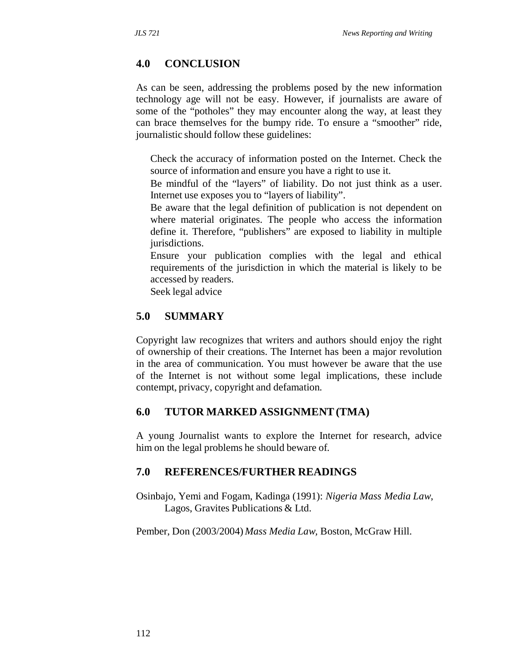### **4.0 CONCLUSION**

As can be seen, addressing the problems posed by the new information technology age will not be easy. However, if journalists are aware of some of the "potholes" they may encounter along the way, at least they can brace themselves for the bumpy ride. To ensure a "smoother" ride, journalistic should follow these guidelines:

Check the accuracy of information posted on the Internet. Check the source of information and ensure you have a right to use it.

Be mindful of the "layers" of liability. Do not just think as a user. Internet use exposes you to "layers of liability".

Be aware that the legal definition of publication is not dependent on where material originates. The people who access the information define it. Therefore, "publishers" are exposed to liability in multiple jurisdictions.

Ensure your publication complies with the legal and ethical requirements of the jurisdiction in which the material is likely to be accessed by readers.

Seek legal advice

### **5.0 SUMMARY**

Copyright law recognizes that writers and authors should enjoy the right of ownership of their creations. The Internet has been a major revolution in the area of communication. You must however be aware that the use of the Internet is not without some legal implications, these include contempt, privacy, copyright and defamation.

### **6.0 TUTOR MARKED ASSIGNMENT (TMA)**

A young Journalist wants to explore the Internet for research, advice him on the legal problems he should beware of.

#### **7.0 REFERENCES/FURTHER READINGS**

Osinbajo, Yemi and Fogam, Kadinga (1991): *Nigeria Mass Media Law*, Lagos, Gravites Publications & Ltd.

Pember, Don (2003/2004) *Mass Media Law,* Boston, McGraw Hill.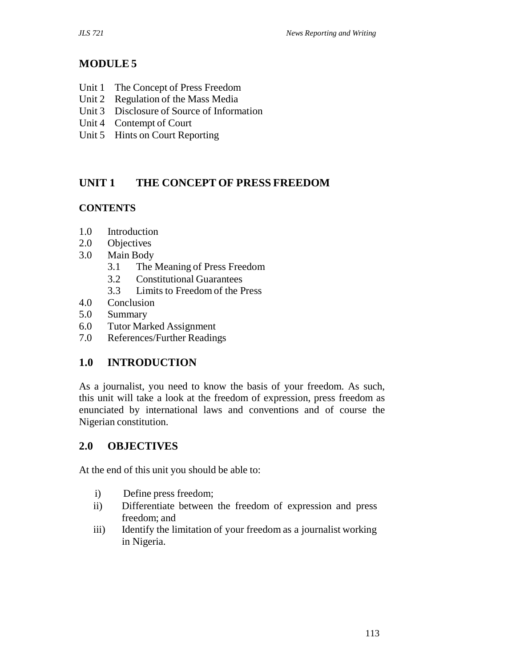# **MODULE 5**

- Unit 1 The Concept of Press Freedom
- Unit 2 Regulation of the Mass Media
- Unit 3 Disclosure of Source of Information
- Unit 4 Contempt of Court
- Unit 5 Hints on Court Reporting

# **UNIT 1 THE CONCEPT OF PRESS FREEDOM**

# **CONTENTS**

- 1.0 Introduction
- 2.0 Objectives
- 3.0 Main Body
	- 3.1 The Meaning of Press Freedom
	- 3.2 Constitutional Guarantees
	- 3.3 Limits to Freedom of the Press
- 4.0 Conclusion
- 5.0 Summary
- 6.0 Tutor Marked Assignment
- 7.0 References/Further Readings

# **1.0 INTRODUCTION**

As a journalist, you need to know the basis of your freedom. As such, this unit will take a look at the freedom of expression, press freedom as enunciated by international laws and conventions and of course the Nigerian constitution.

# **2.0 OBJECTIVES**

At the end of this unit you should be able to:

- i) Define press freedom;
- ii) Differentiate between the freedom of expression and press freedom; and
- iii) Identify the limitation of your freedom as a journalist working in Nigeria.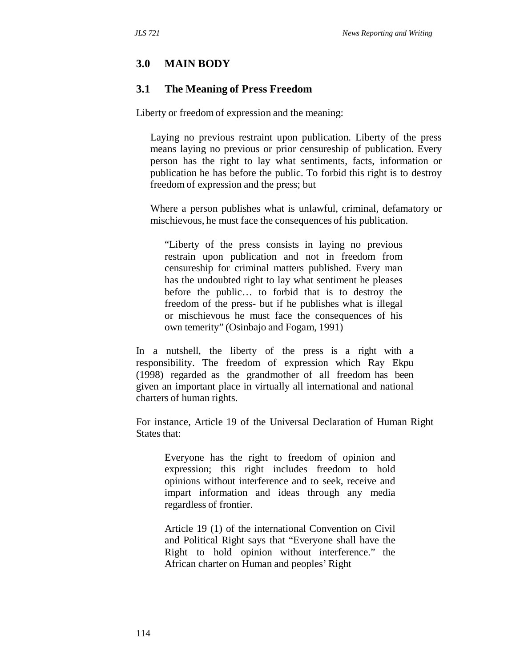### **3.0 MAIN BODY**

#### **3.1 The Meaning of Press Freedom**

Liberty or freedom of expression and the meaning:

Laying no previous restraint upon publication. Liberty of the press means laying no previous or prior censureship of publication. Every person has the right to lay what sentiments, facts, information or publication he has before the public. To forbid this right is to destroy freedom of expression and the press; but

Where a person publishes what is unlawful, criminal, defamatory or mischievous, he must face the consequences of his publication.

"Liberty of the press consists in laying no previous restrain upon publication and not in freedom from censureship for criminal matters published. Every man has the undoubted right to lay what sentiment he pleases before the public… to forbid that is to destroy the freedom of the press- but if he publishes what is illegal or mischievous he must face the consequences of his own temerity" (Osinbajo and Fogam, 1991)

In a nutshell, the liberty of the press is a right with a responsibility. The freedom of expression which Ray Ekpu (1998) regarded as the grandmother of all freedom has been given an important place in virtually all international and national charters of human rights.

For instance, Article 19 of the Universal Declaration of Human Right States that:

Everyone has the right to freedom of opinion and expression; this right includes freedom to hold opinions without interference and to seek, receive and impart information and ideas through any media regardless of frontier.

Article 19 (1) of the international Convention on Civil and Political Right says that "Everyone shall have the Right to hold opinion without interference." the African charter on Human and peoples' Right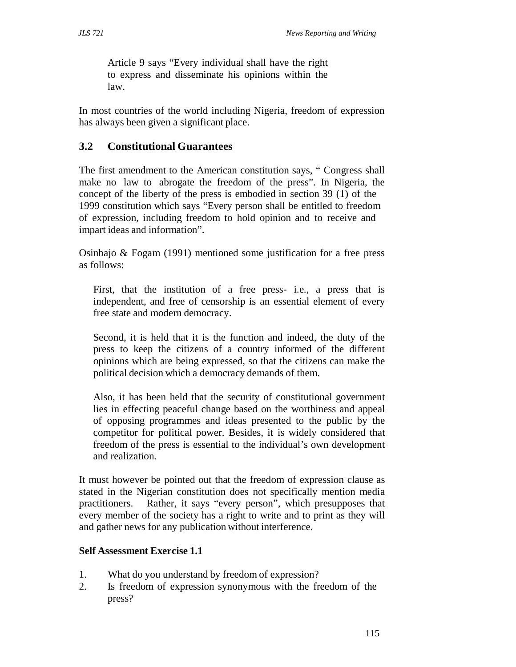Article 9 says "Every individual shall have the right to express and disseminate his opinions within the law.

In most countries of the world including Nigeria, freedom of expression has always been given a significant place.

# **3.2 Constitutional Guarantees**

The first amendment to the American constitution says, " Congress shall make no law to abrogate the freedom of the press". In Nigeria, the concept of the liberty of the press is embodied in section 39 (1) of the 1999 constitution which says "Every person shall be entitled to freedom of expression, including freedom to hold opinion and to receive and impart ideas and information".

Osinbajo & Fogam (1991) mentioned some justification for a free press as follows:

First, that the institution of a free press- i.e., a press that is independent, and free of censorship is an essential element of every free state and modern democracy.

Second, it is held that it is the function and indeed, the duty of the press to keep the citizens of a country informed of the different opinions which are being expressed, so that the citizens can make the political decision which a democracy demands of them.

Also, it has been held that the security of constitutional government lies in effecting peaceful change based on the worthiness and appeal of opposing programmes and ideas presented to the public by the competitor for political power. Besides, it is widely considered that freedom of the press is essential to the individual's own development and realization.

It must however be pointed out that the freedom of expression clause as stated in the Nigerian constitution does not specifically mention media practitioners. Rather, it says "every person", which presupposes that every member of the society has a right to write and to print as they will and gather news for any publication without interference.

## **Self Assessment Exercise 1.1**

- 1. What do you understand by freedom of expression?
- 2. Is freedom of expression synonymous with the freedom of the press?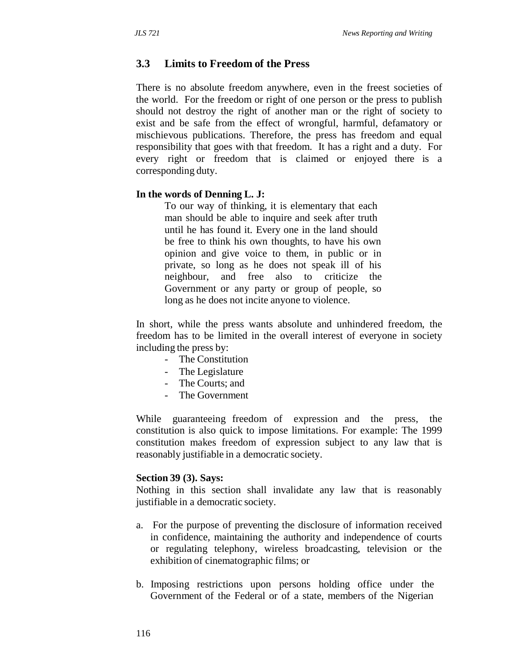# **3.3 Limits to Freedom of the Press**

There is no absolute freedom anywhere, even in the freest societies of the world. For the freedom or right of one person or the press to publish should not destroy the right of another man or the right of society to exist and be safe from the effect of wrongful, harmful, defamatory or mischievous publications. Therefore, the press has freedom and equal responsibility that goes with that freedom. It has a right and a duty. For every right or freedom that is claimed or enjoyed there is a corresponding duty.

### **In the words of Denning L. J:**

To our way of thinking, it is elementary that each man should be able to inquire and seek after truth until he has found it. Every one in the land should be free to think his own thoughts, to have his own opinion and give voice to them, in public or in private, so long as he does not speak ill of his neighbour, and free also to criticize the Government or any party or group of people, so long as he does not incite anyone to violence.

In short, while the press wants absolute and unhindered freedom, the freedom has to be limited in the overall interest of everyone in society including the press by:

- The Constitution
- The Legislature
- The Courts; and
- The Government

While guaranteeing freedom of expression and the press, the constitution is also quick to impose limitations. For example: The 1999 constitution makes freedom of expression subject to any law that is reasonably justifiable in a democratic society.

#### **Section 39 (3). Says:**

Nothing in this section shall invalidate any law that is reasonably justifiable in a democratic society.

- a. For the purpose of preventing the disclosure of information received in confidence, maintaining the authority and independence of courts or regulating telephony, wireless broadcasting, television or the exhibition of cinematographic films; or
- b. Imposing restrictions upon persons holding office under the Government of the Federal or of a state, members of the Nigerian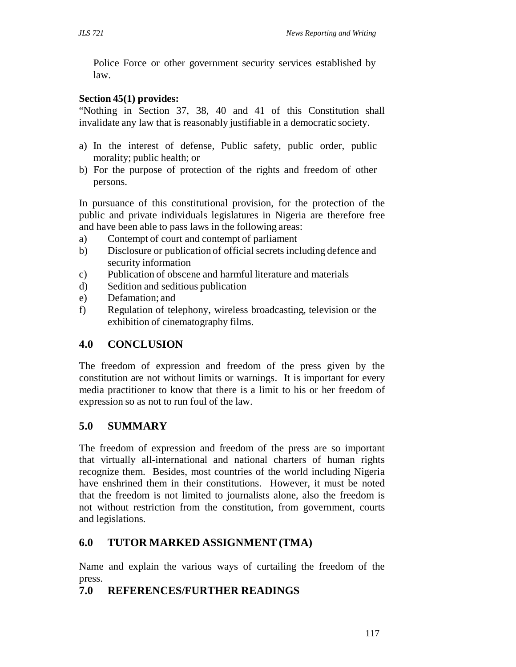Police Force or other government security services established by law.

### **Section 45(1) provides:**

"Nothing in Section 37, 38, 40 and 41 of this Constitution shall invalidate any law that is reasonably justifiable in a democratic society.

- a) In the interest of defense, Public safety, public order, public morality; public health; or
- b) For the purpose of protection of the rights and freedom of other persons.

In pursuance of this constitutional provision, for the protection of the public and private individuals legislatures in Nigeria are therefore free and have been able to pass laws in the following areas:

- a) Contempt of court and contempt of parliament
- b) Disclosure or publication of official secrets including defence and security information
- c) Publication of obscene and harmful literature and materials
- d) Sedition and seditious publication
- e) Defamation; and
- f) Regulation of telephony, wireless broadcasting, television or the exhibition of cinematography films.

# **4.0 CONCLUSION**

The freedom of expression and freedom of the press given by the constitution are not without limits or warnings. It is important for every media practitioner to know that there is a limit to his or her freedom of expression so as not to run foul of the law.

# **5.0 SUMMARY**

The freedom of expression and freedom of the press are so important that virtually all-international and national charters of human rights recognize them. Besides, most countries of the world including Nigeria have enshrined them in their constitutions. However, it must be noted that the freedom is not limited to journalists alone, also the freedom is not without restriction from the constitution, from government, courts and legislations.

# **6.0 TUTOR MARKED ASSIGNMENT (TMA)**

Name and explain the various ways of curtailing the freedom of the press.

# **7.0 REFERENCES/FURTHER READINGS**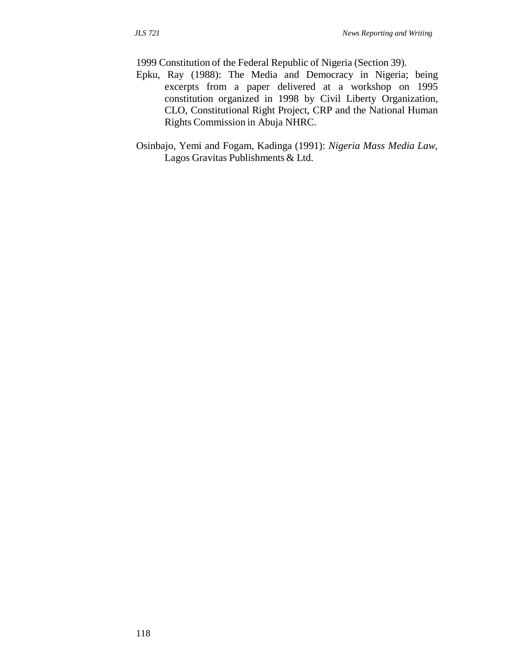1999 Constitution of the Federal Republic of Nigeria (Section 39).

- Epku, Ray (1988): The Media and Democracy in Nigeria; being excerpts from a paper delivered at a workshop on 1995 constitution organized in 1998 by Civil Liberty Organization, CLO, Constitutional Right Project, CRP and the National Human Rights Commission in Abuja NHRC.
- Osinbajo, Yemi and Fogam, Kadinga (1991): *Nigeria Mass Media Law*, Lagos Gravitas Publishments & Ltd.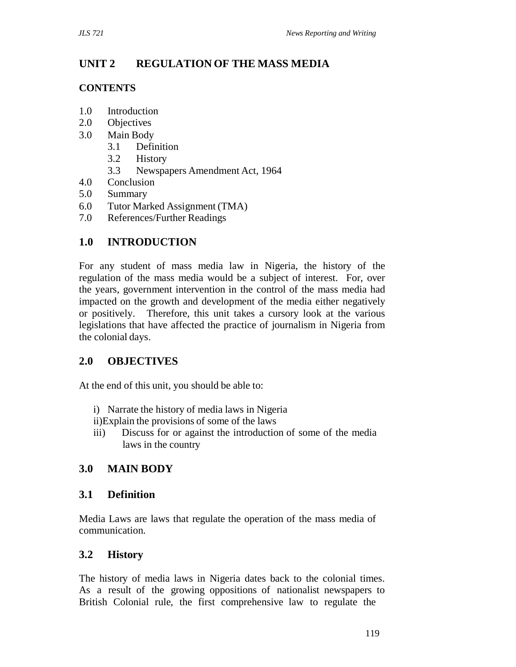# **UNIT 2 REGULATION OF THE MASS MEDIA**

### **CONTENTS**

- 1.0 Introduction
- 2.0 Objectives
- 3.0 Main Body
	- 3.1 Definition
	- 3.2 History
	- 3.3 Newspapers Amendment Act, 1964
- 4.0 Conclusion
- 5.0 Summary
- 6.0 Tutor Marked Assignment (TMA)
- 7.0 References/Further Readings

# **1.0 INTRODUCTION**

For any student of mass media law in Nigeria, the history of the regulation of the mass media would be a subject of interest. For, over the years, government intervention in the control of the mass media had impacted on the growth and development of the media either negatively or positively. Therefore, this unit takes a cursory look at the various legislations that have affected the practice of journalism in Nigeria from the colonial days.

## **2.0 OBJECTIVES**

At the end of this unit, you should be able to:

- i) Narrate the history of media laws in Nigeria
- ii)Explain the provisions of some of the laws
- iii) Discuss for or against the introduction of some of the media laws in the country

# **3.0 MAIN BODY**

## **3.1 Definition**

Media Laws are laws that regulate the operation of the mass media of communication.

## **3.2 History**

The history of media laws in Nigeria dates back to the colonial times. As a result of the growing oppositions of nationalist newspapers to British Colonial rule, the first comprehensive law to regulate the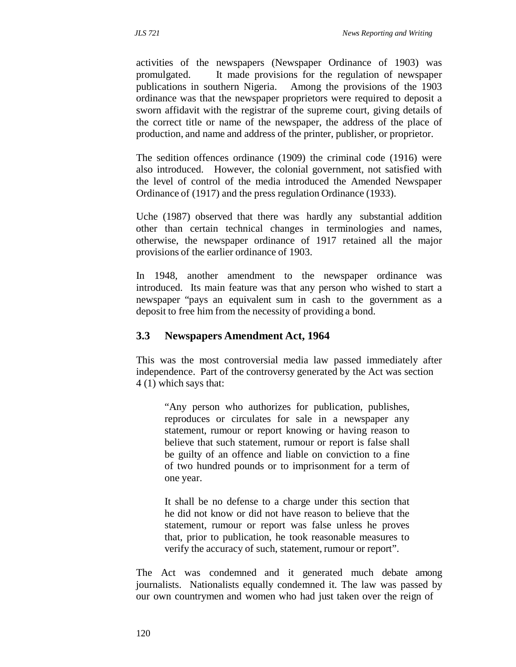activities of the newspapers (Newspaper Ordinance of 1903) was promulgated. It made provisions for the regulation of newspaper publications in southern Nigeria. Among the provisions of the 1903 ordinance was that the newspaper proprietors were required to deposit a sworn affidavit with the registrar of the supreme court, giving details of the correct title or name of the newspaper, the address of the place of production, and name and address of the printer, publisher, or proprietor.

The sedition offences ordinance (1909) the criminal code (1916) were also introduced. However, the colonial government, not satisfied with the level of control of the media introduced the Amended Newspaper Ordinance of (1917) and the press regulation Ordinance (1933).

Uche (1987) observed that there was hardly any substantial addition other than certain technical changes in terminologies and names, otherwise, the newspaper ordinance of 1917 retained all the major provisions of the earlier ordinance of 1903.

In 1948, another amendment to the newspaper ordinance was introduced. Its main feature was that any person who wished to start a newspaper "pays an equivalent sum in cash to the government as a deposit to free him from the necessity of providing a bond.

### **3.3 Newspapers Amendment Act, 1964**

This was the most controversial media law passed immediately after independence. Part of the controversy generated by the Act was section 4 (1) which says that:

"Any person who authorizes for publication, publishes, reproduces or circulates for sale in a newspaper any statement, rumour or report knowing or having reason to believe that such statement, rumour or report is false shall be guilty of an offence and liable on conviction to a fine of two hundred pounds or to imprisonment for a term of one year.

It shall be no defense to a charge under this section that he did not know or did not have reason to believe that the statement, rumour or report was false unless he proves that, prior to publication, he took reasonable measures to verify the accuracy of such, statement, rumour or report".

The Act was condemned and it generated much debate among journalists. Nationalists equally condemned it. The law was passed by our own countrymen and women who had just taken over the reign of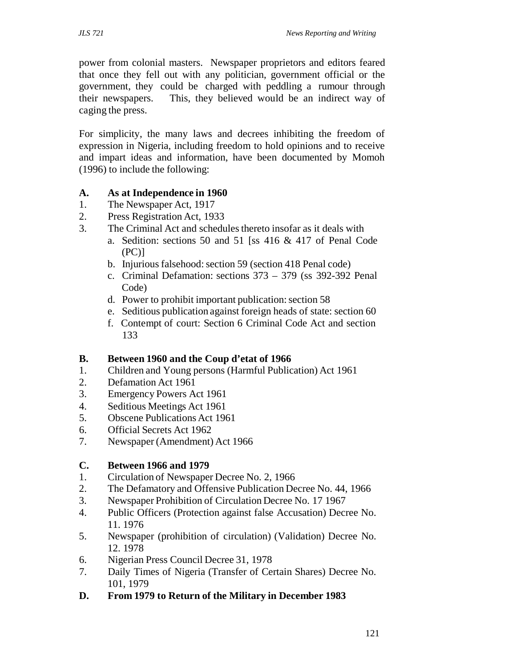power from colonial masters. Newspaper proprietors and editors feared that once they fell out with any politician, government official or the government, they could be charged with peddling a rumour through their newspapers. This, they believed would be an indirect way of caging the press.

For simplicity, the many laws and decrees inhibiting the freedom of expression in Nigeria, including freedom to hold opinions and to receive and impart ideas and information, have been documented by Momoh (1996) to include the following:

## **A. As at Independence in 1960**

- 1. The Newspaper Act, 1917
- 2. Press Registration Act, 1933
- 3. The Criminal Act and schedules thereto insofar as it deals with
	- a. Sedition: sections 50 and 51 [ss 416 & 417 of Penal Code (PC)]
	- b. Injurious falsehood: section 59 (section 418 Penal code)
	- c. Criminal Defamation: sections 373 379 (ss 392-392 Penal Code)
	- d. Power to prohibit important publication: section 58
	- e. Seditious publication against foreign heads of state: section 60
	- f. Contempt of court: Section 6 Criminal Code Act and section 133

# **B. Between 1960 and the Coup d'etat of 1966**

- 1. Children and Young persons (Harmful Publication) Act 1961
- 2. Defamation Act 1961
- 3. Emergency Powers Act 1961
- 4. Seditious Meetings Act 1961
- 5. Obscene Publications Act 1961
- 6. Official Secrets Act 1962
- 7. Newspaper (Amendment) Act 1966

# **C. Between 1966 and 1979**

- 1. Circulation of Newspaper Decree No. 2, 1966
- 2. The Defamatory and Offensive Publication Decree No. 44, 1966
- 3. Newspaper Prohibition of Circulation Decree No. 17 1967
- 4. Public Officers (Protection against false Accusation) Decree No. 11. 1976
- 5. Newspaper (prohibition of circulation) (Validation) Decree No. 12. 1978
- 6. Nigerian Press Council Decree 31, 1978
- 7. Daily Times of Nigeria (Transfer of Certain Shares) Decree No. 101, 1979
- **D. From 1979 to Return of the Military in December 1983**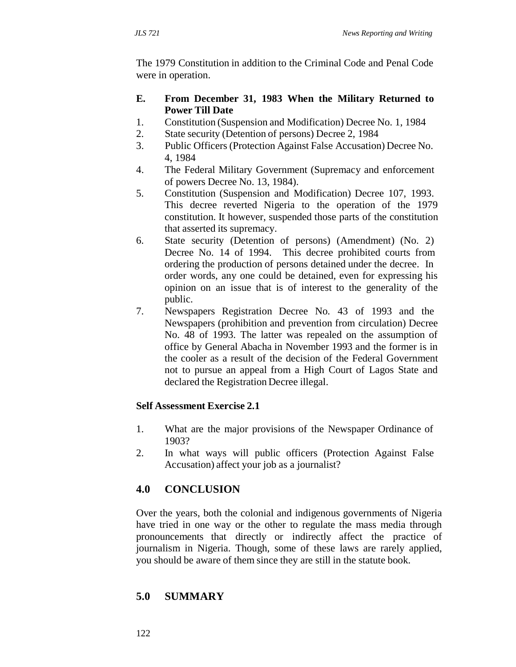The 1979 Constitution in addition to the Criminal Code and Penal Code were in operation.

- **E. From December 31, 1983 When the Military Returned to Power Till Date**
- 1. Constitution (Suspension and Modification) Decree No. 1, 1984
- 2. State security (Detention of persons) Decree 2, 1984
- 3. Public Officers (Protection Against False Accusation) Decree No. 4, 1984
- 4. The Federal Military Government (Supremacy and enforcement of powers Decree No. 13, 1984).
- 5. Constitution (Suspension and Modification) Decree 107, 1993. This decree reverted Nigeria to the operation of the 1979 constitution. It however, suspended those parts of the constitution that asserted its supremacy.
- 6. State security (Detention of persons) (Amendment) (No. 2) Decree No. 14 of 1994. This decree prohibited courts from ordering the production of persons detained under the decree. In order words, any one could be detained, even for expressing his opinion on an issue that is of interest to the generality of the public.
- 7. Newspapers Registration Decree No. 43 of 1993 and the Newspapers (prohibition and prevention from circulation) Decree No. 48 of 1993. The latter was repealed on the assumption of office by General Abacha in November 1993 and the former is in the cooler as a result of the decision of the Federal Government not to pursue an appeal from a High Court of Lagos State and declared the Registration Decree illegal.

### **Self Assessment Exercise 2.1**

- 1. What are the major provisions of the Newspaper Ordinance of 1903?
- 2. In what ways will public officers (Protection Against False Accusation) affect your job as a journalist?

## **4.0 CONCLUSION**

Over the years, both the colonial and indigenous governments of Nigeria have tried in one way or the other to regulate the mass media through pronouncements that directly or indirectly affect the practice of journalism in Nigeria. Though, some of these laws are rarely applied, you should be aware of them since they are still in the statute book.

# **5.0 SUMMARY**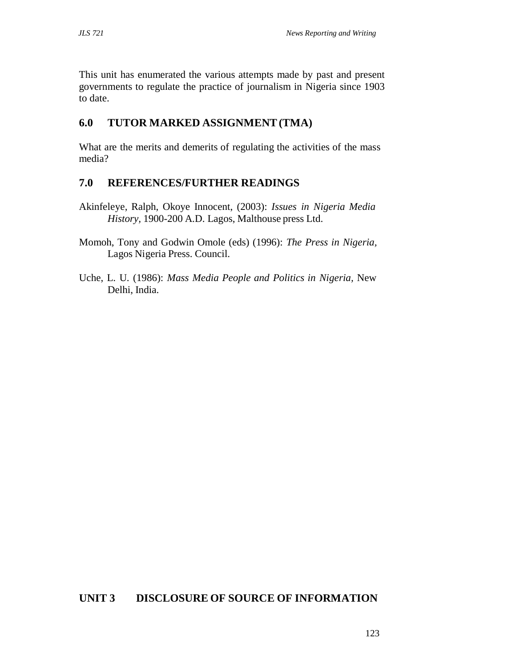This unit has enumerated the various attempts made by past and present governments to regulate the practice of journalism in Nigeria since 1903 to date.

## **6.0 TUTOR MARKED ASSIGNMENT (TMA)**

What are the merits and demerits of regulating the activities of the mass media?

## **7.0 REFERENCES/FURTHER READINGS**

- Akinfeleye, Ralph, Okoye Innocent, (2003): *Issues in Nigeria Media History,* 1900-200 A.D. Lagos, Malthouse press Ltd.
- Momoh, Tony and Godwin Omole (eds) (1996): *The Press in Nigeria,* Lagos Nigeria Press. Council.
- Uche, L. U. (1986): *Mass Media People and Politics in Nigeria,* New Delhi, India.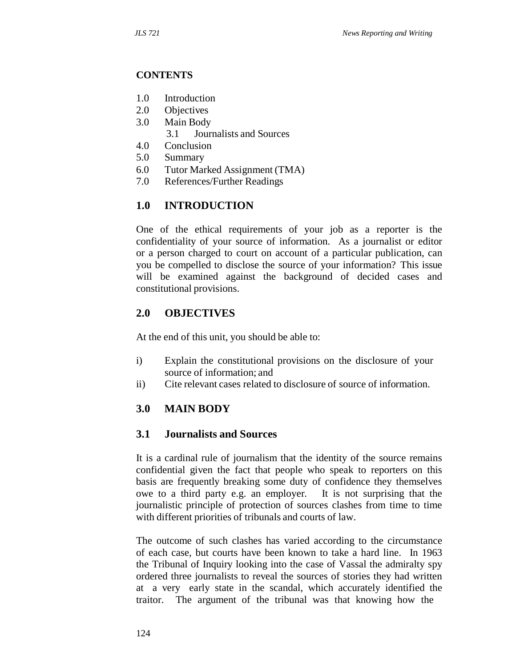### **CONTENTS**

- 1.0 Introduction
- 2.0 Objectives
- 3.0 Main Body
	- 3.1 Journalists and Sources
- 4.0 Conclusion
- 5.0 Summary
- 6.0 Tutor Marked Assignment (TMA)
- 7.0 References/Further Readings

## **1.0 INTRODUCTION**

One of the ethical requirements of your job as a reporter is the confidentiality of your source of information. As a journalist or editor or a person charged to court on account of a particular publication, can you be compelled to disclose the source of your information? This issue will be examined against the background of decided cases and constitutional provisions.

## **2.0 OBJECTIVES**

At the end of this unit, you should be able to:

- i) Explain the constitutional provisions on the disclosure of your source of information; and
- ii) Cite relevant cases related to disclosure of source of information.

## **3.0 MAIN BODY**

### **3.1 Journalists and Sources**

It is a cardinal rule of journalism that the identity of the source remains confidential given the fact that people who speak to reporters on this basis are frequently breaking some duty of confidence they themselves owe to a third party e.g. an employer. It is not surprising that the journalistic principle of protection of sources clashes from time to time with different priorities of tribunals and courts of law.

The outcome of such clashes has varied according to the circumstance of each case, but courts have been known to take a hard line. In 1963 the Tribunal of Inquiry looking into the case of Vassal the admiralty spy ordered three journalists to reveal the sources of stories they had written at a very early state in the scandal, which accurately identified the traitor. The argument of the tribunal was that knowing how the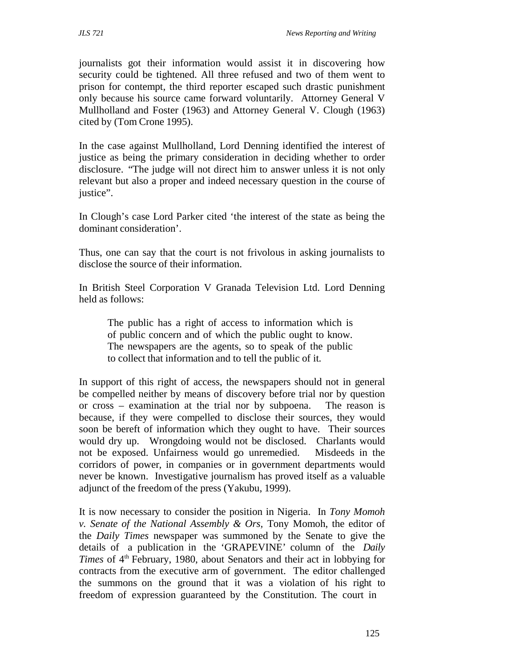journalists got their information would assist it in discovering how security could be tightened. All three refused and two of them went to prison for contempt, the third reporter escaped such drastic punishment only because his source came forward voluntarily. Attorney General V Mullholland and Foster (1963) and Attorney General V. Clough (1963) cited by (Tom Crone 1995).

In the case against Mullholland, Lord Denning identified the interest of justice as being the primary consideration in deciding whether to order disclosure. "The judge will not direct him to answer unless it is not only relevant but also a proper and indeed necessary question in the course of justice".

In Clough's case Lord Parker cited 'the interest of the state as being the dominant consideration'.

Thus, one can say that the court is not frivolous in asking journalists to disclose the source of their information.

In British Steel Corporation V Granada Television Ltd. Lord Denning held as follows:

The public has a right of access to information which is of public concern and of which the public ought to know. The newspapers are the agents, so to speak of the public to collect that information and to tell the public of it.

In support of this right of access, the newspapers should not in general be compelled neither by means of discovery before trial nor by question or cross – examination at the trial nor by subpoena. The reason is because, if they were compelled to disclose their sources, they would soon be bereft of information which they ought to have. Their sources would dry up. Wrongdoing would not be disclosed. Charlants would not be exposed. Unfairness would go unremedied. Misdeeds in the corridors of power, in companies or in government departments would never be known. Investigative journalism has proved itself as a valuable adjunct of the freedom of the press (Yakubu, 1999).

It is now necessary to consider the position in Nigeria. In *Tony Momoh v. Senate of the National Assembly & Ors,* Tony Momoh, the editor of the *Daily Times* newspaper was summoned by the Senate to give the details of a publication in the 'GRAPEVINE' column of the *Daily Times* of 4<sup>th</sup> February, 1980, about Senators and their act in lobbying for contracts from the executive arm of government. The editor challenged the summons on the ground that it was a violation of his right to freedom of expression guaranteed by the Constitution. The court in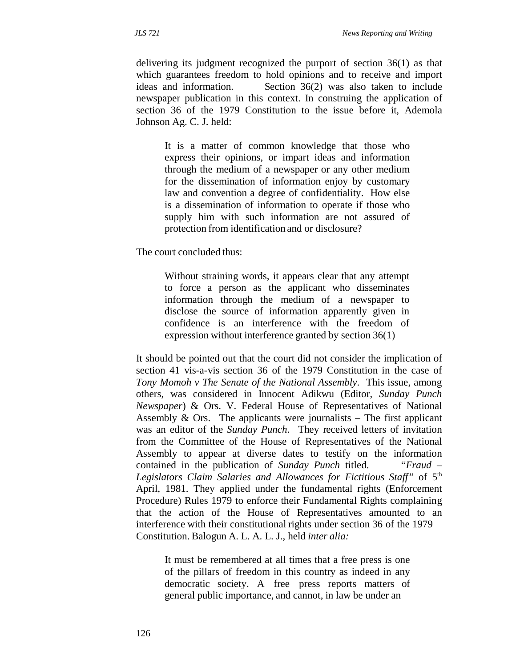delivering its judgment recognized the purport of section 36(1) as that which guarantees freedom to hold opinions and to receive and import ideas and information. Section 36(2) was also taken to include newspaper publication in this context. In construing the application of section 36 of the 1979 Constitution to the issue before it, Ademola Johnson Ag. C. J. held:

It is a matter of common knowledge that those who express their opinions, or impart ideas and information through the medium of a newspaper or any other medium for the dissemination of information enjoy by customary law and convention a degree of confidentiality. How else is a dissemination of information to operate if those who supply him with such information are not assured of protection from identification and or disclosure?

The court concluded thus:

Without straining words, it appears clear that any attempt to force a person as the applicant who disseminates information through the medium of a newspaper to disclose the source of information apparently given in confidence is an interference with the freedom of expression without interference granted by section 36(1)

It should be pointed out that the court did not consider the implication of section 41 vis-a-vis section 36 of the 1979 Constitution in the case of *Tony Momoh v The Senate of the National Assembly*. This issue, among others, was considered in Innocent Adikwu (Editor, *Sunday Punch Newspaper*) & Ors. V. Federal House of Representatives of National Assembly  $\&$  Ors. The applicants were journalists – The first applicant was an editor of the *Sunday Punch*. They received letters of invitation from the Committee of the House of Representatives of the National Assembly to appear at diverse dates to testify on the information contained in the publication of *Sunday Punch* titled. *"Fraud –*  Legislators Claim Salaries and Allowances for Fictitious Staff" of 5<sup>th</sup> April, 1981. They applied under the fundamental rights (Enforcement Procedure) Rules 1979 to enforce their Fundamental Rights complaining that the action of the House of Representatives amounted to an interference with their constitutional rights under section 36 of the 1979 Constitution. Balogun A. L. A. L. J., held *inter alia:*

It must be remembered at all times that a free press is one of the pillars of freedom in this country as indeed in any democratic society. A free press reports matters of general public importance, and cannot, in law be under an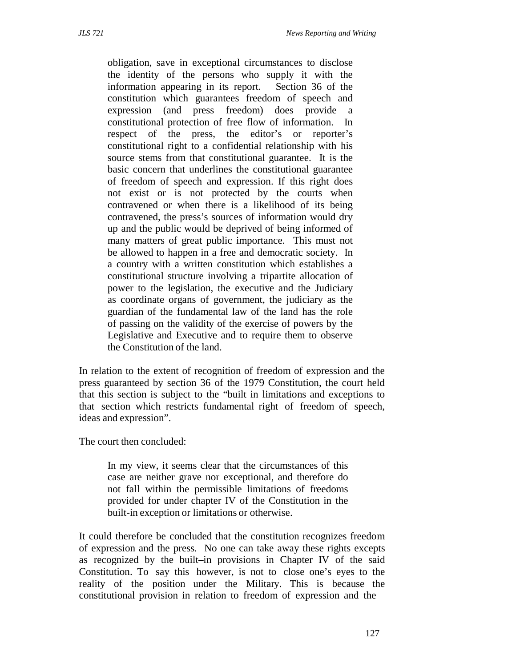obligation, save in exceptional circumstances to disclose the identity of the persons who supply it with the information appearing in its report. Section 36 of the constitution which guarantees freedom of speech and expression (and press freedom) does provide a constitutional protection of free flow of information. In respect of the press, the editor's or reporter's constitutional right to a confidential relationship with his source stems from that constitutional guarantee. It is the basic concern that underlines the constitutional guarantee of freedom of speech and expression. If this right does not exist or is not protected by the courts when contravened or when there is a likelihood of its being contravened, the press's sources of information would dry up and the public would be deprived of being informed of many matters of great public importance. This must not be allowed to happen in a free and democratic society. In a country with a written constitution which establishes a constitutional structure involving a tripartite allocation of power to the legislation, the executive and the Judiciary as coordinate organs of government, the judiciary as the guardian of the fundamental law of the land has the role of passing on the validity of the exercise of powers by the Legislative and Executive and to require them to observe the Constitution of the land.

In relation to the extent of recognition of freedom of expression and the press guaranteed by section 36 of the 1979 Constitution, the court held that this section is subject to the "built in limitations and exceptions to that section which restricts fundamental right of freedom of speech, ideas and expression".

The court then concluded:

In my view, it seems clear that the circumstances of this case are neither grave nor exceptional, and therefore do not fall within the permissible limitations of freedoms provided for under chapter IV of the Constitution in the built-in exception or limitations or otherwise.

It could therefore be concluded that the constitution recognizes freedom of expression and the press. No one can take away these rights excepts as recognized by the built–in provisions in Chapter IV of the said Constitution. To say this however, is not to close one's eyes to the reality of the position under the Military. This is because the constitutional provision in relation to freedom of expression and the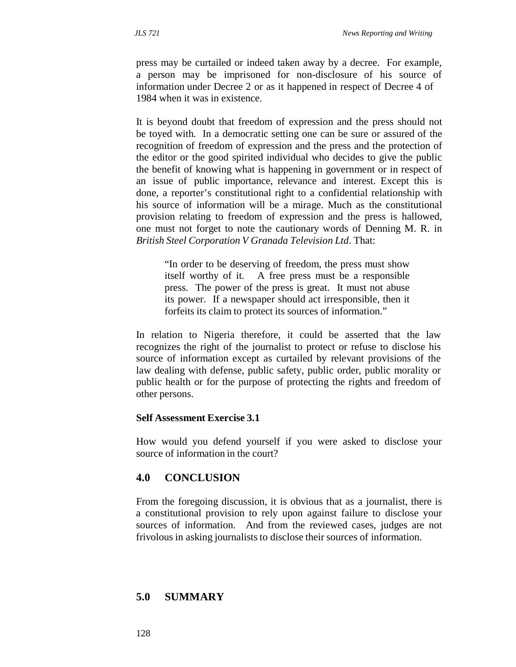press may be curtailed or indeed taken away by a decree. For example, a person may be imprisoned for non-disclosure of his source of information under Decree 2 or as it happened in respect of Decree 4 of 1984 when it was in existence.

It is beyond doubt that freedom of expression and the press should not be toyed with. In a democratic setting one can be sure or assured of the recognition of freedom of expression and the press and the protection of the editor or the good spirited individual who decides to give the public the benefit of knowing what is happening in government or in respect of an issue of public importance, relevance and interest. Except this is done, a reporter's constitutional right to a confidential relationship with his source of information will be a mirage. Much as the constitutional provision relating to freedom of expression and the press is hallowed, one must not forget to note the cautionary words of Denning M. R. in *British Steel Corporation V Granada Television Ltd*. That:

"In order to be deserving of freedom, the press must show itself worthy of it. A free press must be a responsible press. The power of the press is great. It must not abuse its power. If a newspaper should act irresponsible, then it forfeits its claim to protect its sources of information."

In relation to Nigeria therefore, it could be asserted that the law recognizes the right of the journalist to protect or refuse to disclose his source of information except as curtailed by relevant provisions of the law dealing with defense, public safety, public order, public morality or public health or for the purpose of protecting the rights and freedom of other persons.

#### **Self Assessment Exercise 3.1**

How would you defend yourself if you were asked to disclose your source of information in the court?

### **4.0 CONCLUSION**

From the foregoing discussion, it is obvious that as a journalist, there is a constitutional provision to rely upon against failure to disclose your sources of information. And from the reviewed cases, judges are not frivolous in asking journalists to disclose their sources of information.

#### **5.0 SUMMARY**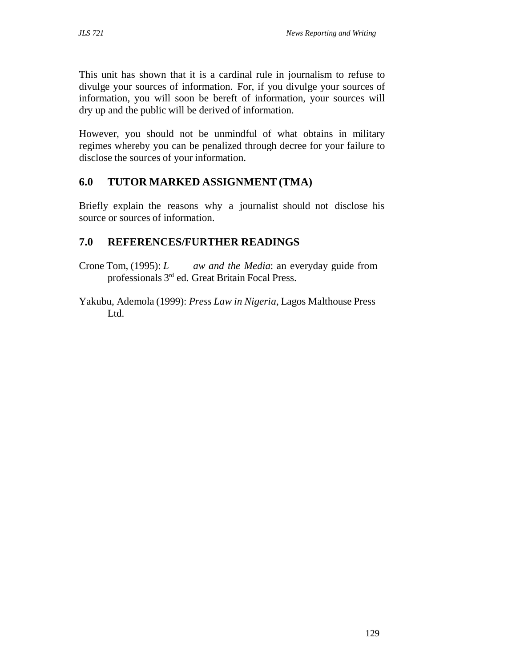This unit has shown that it is a cardinal rule in journalism to refuse to divulge your sources of information. For, if you divulge your sources of information, you will soon be bereft of information, your sources will dry up and the public will be derived of information.

However, you should not be unmindful of what obtains in military regimes whereby you can be penalized through decree for your failure to disclose the sources of your information.

## **6.0 TUTOR MARKED ASSIGNMENT (TMA)**

Briefly explain the reasons why a journalist should not disclose his source or sources of information.

## **7.0 REFERENCES/FURTHER READINGS**

- Crone Tom, (1995): *L aw and the Media*: an everyday guide from professionals 3rd ed. Great Britain Focal Press.
- Yakubu, Ademola (1999): *Press Law in Nigeria*, Lagos Malthouse Press Ltd.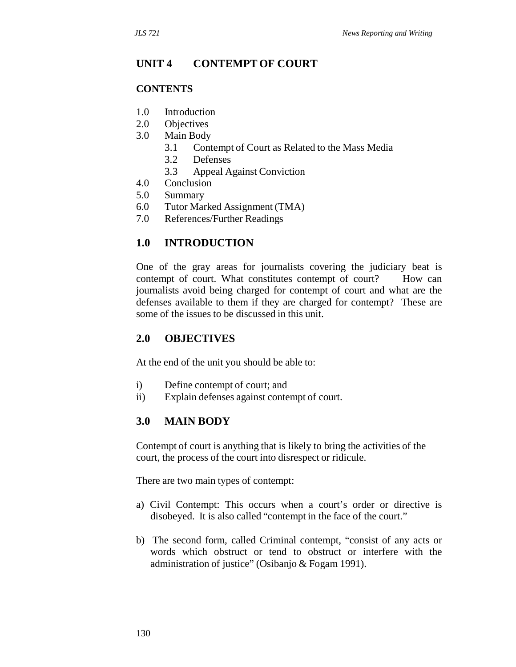## **UNIT 4 CONTEMPT OF COURT**

#### **CONTENTS**

- 1.0 Introduction
- 2.0 Objectives
- 3.0 Main Body
	- 3.1 Contempt of Court as Related to the Mass Media
	- 3.2 Defenses
	- 3.3 Appeal Against Conviction
- 4.0 Conclusion
- 5.0 Summary
- 6.0 Tutor Marked Assignment (TMA)
- 7.0 References/Further Readings

#### **1.0 INTRODUCTION**

One of the gray areas for journalists covering the judiciary beat is contempt of court. What constitutes contempt of court? How can journalists avoid being charged for contempt of court and what are the defenses available to them if they are charged for contempt? These are some of the issues to be discussed in this unit.

#### **2.0 OBJECTIVES**

At the end of the unit you should be able to:

- i) Define contempt of court; and
- ii) Explain defenses against contempt of court.

#### **3.0 MAIN BODY**

Contempt of court is anything that is likely to bring the activities of the court, the process of the court into disrespect or ridicule.

There are two main types of contempt:

- a) Civil Contempt: This occurs when a court's order or directive is disobeyed. It is also called "contempt in the face of the court."
- b) The second form, called Criminal contempt, "consist of any acts or words which obstruct or tend to obstruct or interfere with the administration of justice" (Osibanjo & Fogam 1991).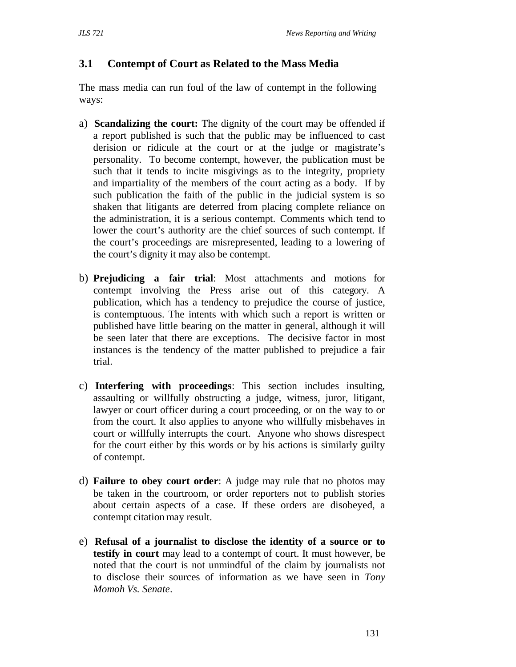# **3.1 Contempt of Court as Related to the Mass Media**

The mass media can run foul of the law of contempt in the following ways:

- a) **Scandalizing the court:** The dignity of the court may be offended if a report published is such that the public may be influenced to cast derision or ridicule at the court or at the judge or magistrate's personality. To become contempt, however, the publication must be such that it tends to incite misgivings as to the integrity, propriety and impartiality of the members of the court acting as a body. If by such publication the faith of the public in the judicial system is so shaken that litigants are deterred from placing complete reliance on the administration, it is a serious contempt. Comments which tend to lower the court's authority are the chief sources of such contempt. If the court's proceedings are misrepresented, leading to a lowering of the court's dignity it may also be contempt.
- b) **Prejudicing a fair trial**: Most attachments and motions for contempt involving the Press arise out of this category. A publication, which has a tendency to prejudice the course of justice, is contemptuous. The intents with which such a report is written or published have little bearing on the matter in general, although it will be seen later that there are exceptions. The decisive factor in most instances is the tendency of the matter published to prejudice a fair trial.
- c) **Interfering with proceedings**: This section includes insulting, assaulting or willfully obstructing a judge, witness, juror, litigant, lawyer or court officer during a court proceeding, or on the way to or from the court. It also applies to anyone who willfully misbehaves in court or willfully interrupts the court. Anyone who shows disrespect for the court either by this words or by his actions is similarly guilty of contempt.
- d) **Failure to obey court order**: A judge may rule that no photos may be taken in the courtroom, or order reporters not to publish stories about certain aspects of a case. If these orders are disobeyed, a contempt citation may result.
- e) **Refusal of a journalist to disclose the identity of a source or to testify in court** may lead to a contempt of court. It must however, be noted that the court is not unmindful of the claim by journalists not to disclose their sources of information as we have seen in *Tony Momoh Vs. Senate*.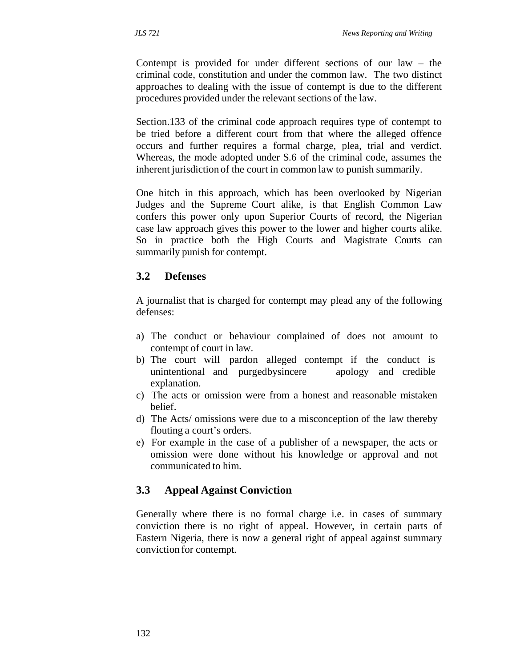Contempt is provided for under different sections of our law – the criminal code, constitution and under the common law. The two distinct approaches to dealing with the issue of contempt is due to the different procedures provided under the relevant sections of the law.

Section.133 of the criminal code approach requires type of contempt to be tried before a different court from that where the alleged offence occurs and further requires a formal charge, plea, trial and verdict. Whereas, the mode adopted under S.6 of the criminal code, assumes the inherent jurisdiction of the court in common law to punish summarily.

One hitch in this approach, which has been overlooked by Nigerian Judges and the Supreme Court alike, is that English Common Law confers this power only upon Superior Courts of record, the Nigerian case law approach gives this power to the lower and higher courts alike. So in practice both the High Courts and Magistrate Courts can summarily punish for contempt.

## **3.2 Defenses**

A journalist that is charged for contempt may plead any of the following defenses:

- a) The conduct or behaviour complained of does not amount to contempt of court in law.
- b) The court will pardon alleged contempt if the conduct is unintentional and purgedbysincere apology and credible explanation.
- c) The acts or omission were from a honest and reasonable mistaken belief.
- d) The Acts/ omissions were due to a misconception of the law thereby flouting a court's orders.
- e) For example in the case of a publisher of a newspaper, the acts or omission were done without his knowledge or approval and not communicated to him.

# **3.3 Appeal Against Conviction**

Generally where there is no formal charge i.e. in cases of summary conviction there is no right of appeal. However, in certain parts of Eastern Nigeria, there is now a general right of appeal against summary conviction for contempt.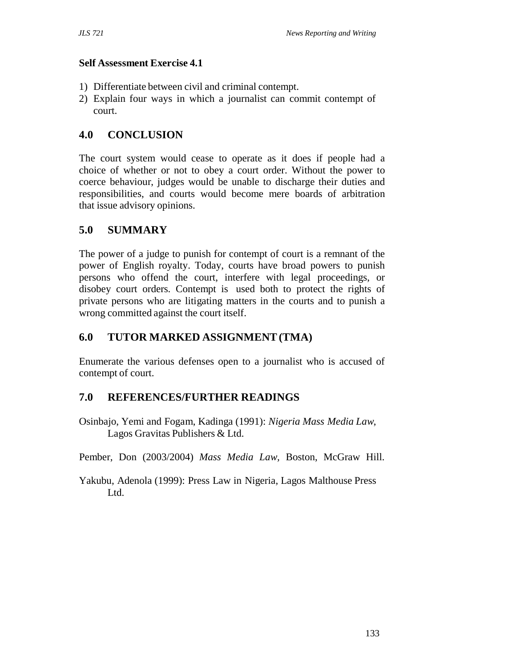## **Self Assessment Exercise 4.1**

- 1) Differentiate between civil and criminal contempt.
- 2) Explain four ways in which a journalist can commit contempt of court.

## **4.0 CONCLUSION**

The court system would cease to operate as it does if people had a choice of whether or not to obey a court order. Without the power to coerce behaviour, judges would be unable to discharge their duties and responsibilities, and courts would become mere boards of arbitration that issue advisory opinions.

# **5.0 SUMMARY**

The power of a judge to punish for contempt of court is a remnant of the power of English royalty. Today, courts have broad powers to punish persons who offend the court, interfere with legal proceedings, or disobey court orders. Contempt is used both to protect the rights of private persons who are litigating matters in the courts and to punish a wrong committed against the court itself.

# **6.0 TUTOR MARKED ASSIGNMENT (TMA)**

Enumerate the various defenses open to a journalist who is accused of contempt of court.

## **7.0 REFERENCES/FURTHER READINGS**

Osinbajo, Yemi and Fogam, Kadinga (1991): *Nigeria Mass Media Law*, Lagos Gravitas Publishers & Ltd.

Pember, Don (2003/2004) *Mass Media Law,* Boston, McGraw Hill.

Yakubu, Adenola (1999): Press Law in Nigeria, Lagos Malthouse Press Ltd.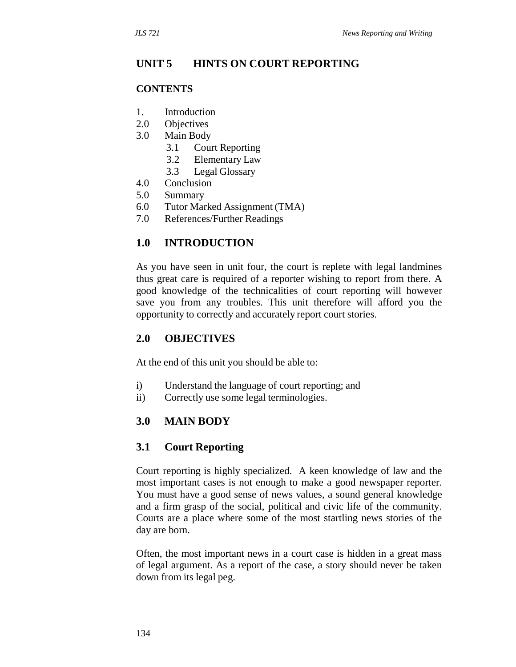## **UNIT 5 HINTS ON COURT REPORTING**

#### **CONTENTS**

- 1. Introduction
- 2.0 Objectives
- 3.0 Main Body
	- 3.1 Court Reporting
	- 3.2 Elementary Law
	- 3.3 Legal Glossary
- 4.0 Conclusion
- 5.0 Summary
- 6.0 Tutor Marked Assignment (TMA)
- 7.0 References/Further Readings

## **1.0 INTRODUCTION**

As you have seen in unit four, the court is replete with legal landmines thus great care is required of a reporter wishing to report from there. A good knowledge of the technicalities of court reporting will however save you from any troubles. This unit therefore will afford you the opportunity to correctly and accurately report court stories.

#### **2.0 OBJECTIVES**

At the end of this unit you should be able to:

- i) Understand the language of court reporting; and
- ii) Correctly use some legal terminologies.

#### **3.0 MAIN BODY**

#### **3.1 Court Reporting**

Court reporting is highly specialized. A keen knowledge of law and the most important cases is not enough to make a good newspaper reporter. You must have a good sense of news values, a sound general knowledge and a firm grasp of the social, political and civic life of the community. Courts are a place where some of the most startling news stories of the day are born.

Often, the most important news in a court case is hidden in a great mass of legal argument. As a report of the case, a story should never be taken down from its legal peg.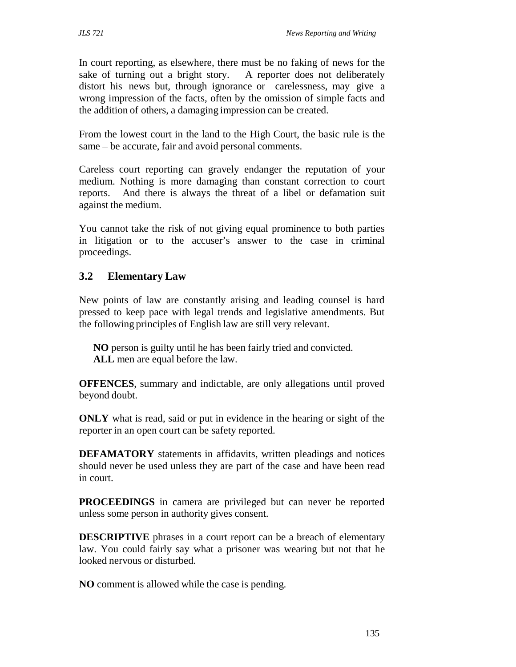In court reporting, as elsewhere, there must be no faking of news for the sake of turning out a bright story. A reporter does not deliberately distort his news but, through ignorance or carelessness, may give a wrong impression of the facts, often by the omission of simple facts and the addition of others, a damaging impression can be created.

From the lowest court in the land to the High Court, the basic rule is the same – be accurate, fair and avoid personal comments.

Careless court reporting can gravely endanger the reputation of your medium. Nothing is more damaging than constant correction to court reports. And there is always the threat of a libel or defamation suit against the medium.

You cannot take the risk of not giving equal prominence to both parties in litigation or to the accuser's answer to the case in criminal proceedings.

## **3.2 Elementary Law**

New points of law are constantly arising and leading counsel is hard pressed to keep pace with legal trends and legislative amendments. But the following principles of English law are still very relevant.

**NO** person is guilty until he has been fairly tried and convicted. **ALL** men are equal before the law.

**OFFENCES**, summary and indictable, are only allegations until proved beyond doubt.

**ONLY** what is read, said or put in evidence in the hearing or sight of the reporter in an open court can be safety reported.

**DEFAMATORY** statements in affidavits, written pleadings and notices should never be used unless they are part of the case and have been read in court.

**PROCEEDINGS** in camera are privileged but can never be reported unless some person in authority gives consent.

**DESCRIPTIVE** phrases in a court report can be a breach of elementary law. You could fairly say what a prisoner was wearing but not that he looked nervous or disturbed.

**NO** comment is allowed while the case is pending.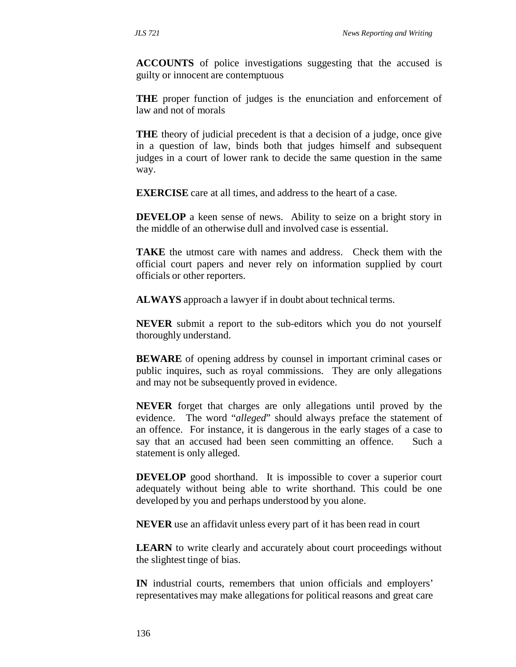**ACCOUNTS** of police investigations suggesting that the accused is guilty or innocent are contemptuous

**THE** proper function of judges is the enunciation and enforcement of law and not of morals

**THE** theory of judicial precedent is that a decision of a judge, once give in a question of law, binds both that judges himself and subsequent judges in a court of lower rank to decide the same question in the same way.

**EXERCISE** care at all times, and address to the heart of a case.

**DEVELOP** a keen sense of news. Ability to seize on a bright story in the middle of an otherwise dull and involved case is essential.

**TAKE** the utmost care with names and address. Check them with the official court papers and never rely on information supplied by court officials or other reporters.

**ALWAYS** approach a lawyer if in doubt about technical terms.

**NEVER** submit a report to the sub-editors which you do not yourself thoroughly understand.

**BEWARE** of opening address by counsel in important criminal cases or public inquires, such as royal commissions. They are only allegations and may not be subsequently proved in evidence.

**NEVER** forget that charges are only allegations until proved by the evidence. The word "*alleged*" should always preface the statement of an offence. For instance, it is dangerous in the early stages of a case to say that an accused had been seen committing an offence. Such a statement is only alleged.

**DEVELOP** good shorthand. It is impossible to cover a superior court adequately without being able to write shorthand. This could be one developed by you and perhaps understood by you alone.

**NEVER** use an affidavit unless every part of it has been read in court

**LEARN** to write clearly and accurately about court proceedings without the slightest tinge of bias.

**IN** industrial courts, remembers that union officials and employers' representatives may make allegations for political reasons and great care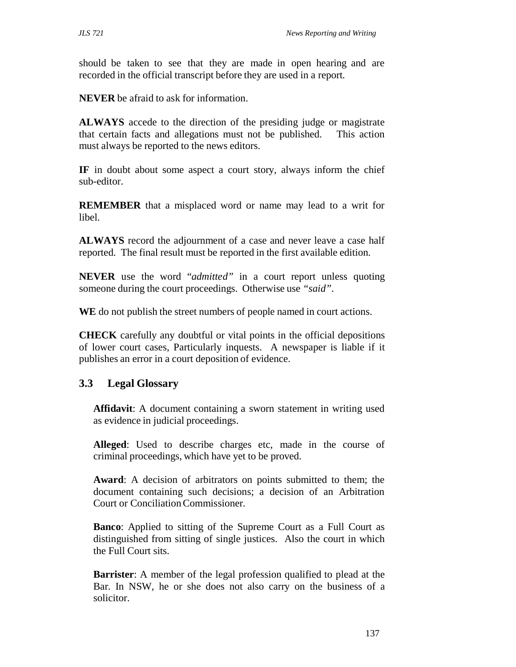should be taken to see that they are made in open hearing and are recorded in the official transcript before they are used in a report.

**NEVER** be afraid to ask for information.

**ALWAYS** accede to the direction of the presiding judge or magistrate that certain facts and allegations must not be published. This action must always be reported to the news editors.

**IF** in doubt about some aspect a court story, always inform the chief sub-editor.

**REMEMBER** that a misplaced word or name may lead to a writ for libel.

**ALWAYS** record the adjournment of a case and never leave a case half reported. The final result must be reported in the first available edition.

**NEVER** use the word "*admitted"* in a court report unless quoting someone during the court proceedings. Otherwise use *"said"*.

**WE** do not publish the street numbers of people named in court actions.

**CHECK** carefully any doubtful or vital points in the official depositions of lower court cases, Particularly inquests. A newspaper is liable if it publishes an error in a court deposition of evidence.

#### **3.3 Legal Glossary**

**Affidavit**: A document containing a sworn statement in writing used as evidence in judicial proceedings.

**Alleged**: Used to describe charges etc, made in the course of criminal proceedings, which have yet to be proved.

**Award**: A decision of arbitrators on points submitted to them; the document containing such decisions; a decision of an Arbitration Court or Conciliation Commissioner.

**Banco**: Applied to sitting of the Supreme Court as a Full Court as distinguished from sitting of single justices. Also the court in which the Full Court sits.

**Barrister**: A member of the legal profession qualified to plead at the Bar. In NSW, he or she does not also carry on the business of a solicitor.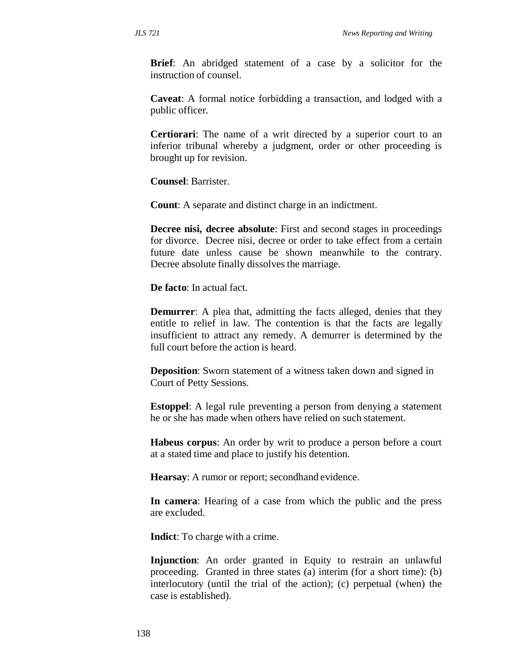**Brief**: An abridged statement of a case by a solicitor for the instruction of counsel.

**Caveat**: A formal notice forbidding a transaction, and lodged with a public officer.

**Certiorari**: The name of a writ directed by a superior court to an inferior tribunal whereby a judgment, order or other proceeding is brought up for revision.

**Counsel**: Barrister.

**Count**: A separate and distinct charge in an indictment.

**Decree nisi, decree absolute**: First and second stages in proceedings for divorce. Decree nisi, decree or order to take effect from a certain future date unless cause be shown meanwhile to the contrary. Decree absolute finally dissolves the marriage.

**De facto**: In actual fact.

**Demurrer**: A plea that, admitting the facts alleged, denies that they entitle to relief in law. The contention is that the facts are legally insufficient to attract any remedy. A demurrer is determined by the full court before the action is heard.

**Deposition**: Sworn statement of a witness taken down and signed in Court of Petty Sessions.

**Estoppel**: A legal rule preventing a person from denying a statement he or she has made when others have relied on such statement.

**Habeus corpus**: An order by writ to produce a person before a court at a stated time and place to justify his detention.

**Hearsay:** A rumor or report; secondhand evidence.

**In camera**: Hearing of a case from which the public and the press are excluded.

**Indict**: To charge with a crime.

**Injunction**: An order granted in Equity to restrain an unlawful proceeding. Granted in three states (a) interim (for a short time): (b) interlocutory (until the trial of the action); (c) perpetual (when) the case is established).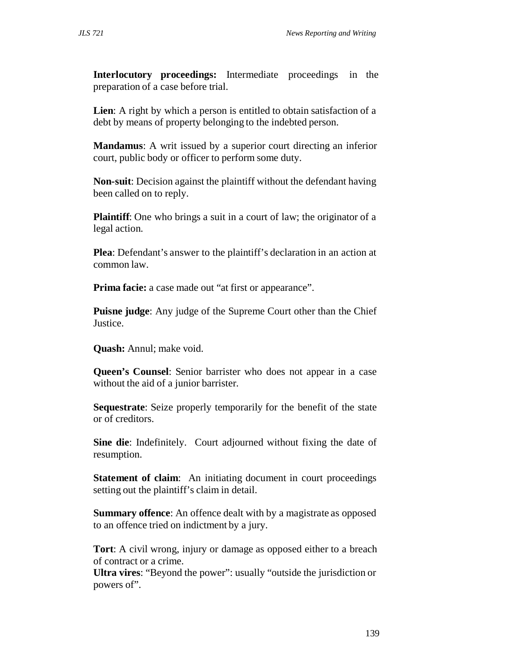**Interlocutory proceedings:** Intermediate proceedings in the preparation of a case before trial.

Lien: A right by which a person is entitled to obtain satisfaction of a debt by means of property belonging to the indebted person.

**Mandamus**: A writ issued by a superior court directing an inferior court, public body or officer to perform some duty.

**Non-suit**: Decision against the plaintiff without the defendant having been called on to reply.

**Plaintiff:** One who brings a suit in a court of law; the originator of a legal action.

**Plea**: Defendant's answer to the plaintiff's declaration in an action at common law.

**Prima facie:** a case made out "at first or appearance".

**Puisne judge**: Any judge of the Supreme Court other than the Chief Justice.

**Quash:** Annul; make void.

**Queen's Counsel**: Senior barrister who does not appear in a case without the aid of a junior barrister.

**Sequestrate**: Seize properly temporarily for the benefit of the state or of creditors.

**Sine die:** Indefinitely. Court adjourned without fixing the date of resumption.

**Statement of claim:** An initiating document in court proceedings setting out the plaintiff's claim in detail.

**Summary offence**: An offence dealt with by a magistrate as opposed to an offence tried on indictment by a jury.

**Tort**: A civil wrong, injury or damage as opposed either to a breach of contract or a crime.

**Ultra vires**: "Beyond the power": usually "outside the jurisdiction or powers of".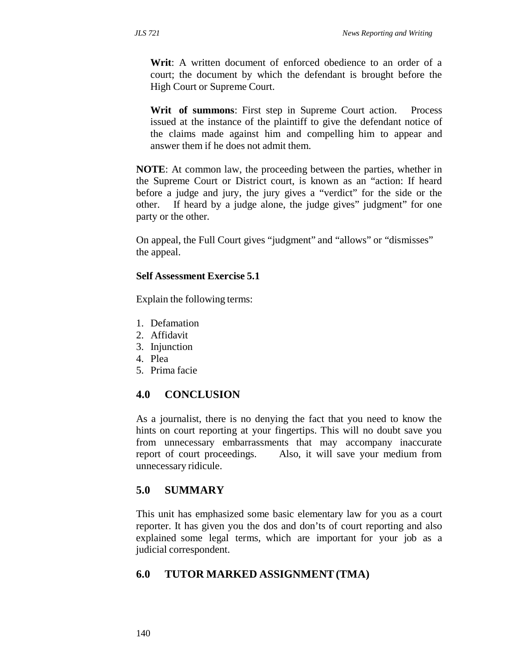**Writ**: A written document of enforced obedience to an order of a court; the document by which the defendant is brought before the High Court or Supreme Court.

**Writ of summons**: First step in Supreme Court action. Process issued at the instance of the plaintiff to give the defendant notice of the claims made against him and compelling him to appear and answer them if he does not admit them.

**NOTE**: At common law, the proceeding between the parties, whether in the Supreme Court or District court, is known as an "action: If heard before a judge and jury, the jury gives a "verdict" for the side or the other. If heard by a judge alone, the judge gives" judgment" for one party or the other.

On appeal, the Full Court gives "judgment" and "allows" or "dismisses" the appeal.

## **Self Assessment Exercise 5.1**

Explain the following terms:

- 1. Defamation
- 2. Affidavit
- 3. Injunction
- 4. Plea
- 5. Prima facie

# **4.0 CONCLUSION**

As a journalist, there is no denying the fact that you need to know the hints on court reporting at your fingertips. This will no doubt save you from unnecessary embarrassments that may accompany inaccurate report of court proceedings. Also, it will save your medium from unnecessary ridicule.

## **5.0 SUMMARY**

This unit has emphasized some basic elementary law for you as a court reporter. It has given you the dos and don'ts of court reporting and also explained some legal terms, which are important for your job as a judicial correspondent.

# **6.0 TUTOR MARKED ASSIGNMENT (TMA)**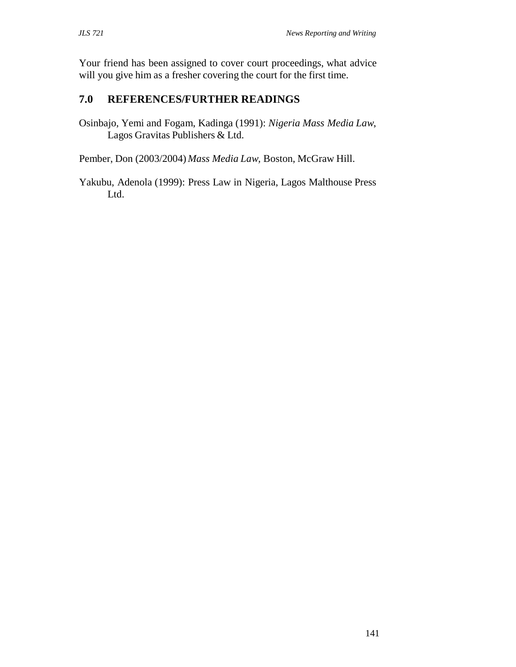Your friend has been assigned to cover court proceedings, what advice will you give him as a fresher covering the court for the first time.

## **7.0 REFERENCES/FURTHER READINGS**

- Osinbajo, Yemi and Fogam, Kadinga (1991): *Nigeria Mass Media Law*, Lagos Gravitas Publishers & Ltd.
- Pember, Don (2003/2004) *Mass Media Law,* Boston, McGraw Hill.
- Yakubu, Adenola (1999): Press Law in Nigeria, Lagos Malthouse Press Ltd.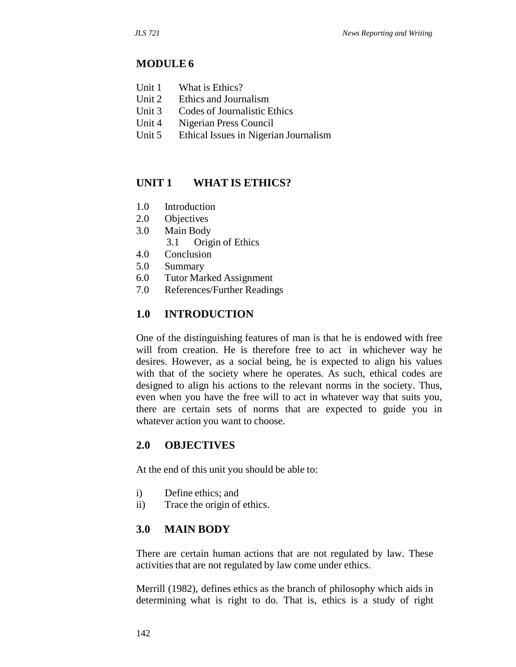#### **MODULE 6**

- Unit 1 What is Ethics?
- Unit 2 Ethics and Journalism
- Unit 3 Codes of Journalistic Ethics
- Unit 4 Nigerian Press Council
- Unit 5 Ethical Issues in Nigerian Journalism

#### **UNIT 1 WHAT IS ETHICS?**

- 1.0 Introduction
- 2.0 Objectives
- 3.0 Main Body
	- 3.1 Origin of Ethics
- 4.0 Conclusion
- 5.0 Summary
- 6.0 Tutor Marked Assignment
- 7.0 References/Further Readings

## **1.0 INTRODUCTION**

One of the distinguishing features of man is that he is endowed with free will from creation. He is therefore free to act in whichever way he desires. However, as a social being, he is expected to align his values with that of the society where he operates. As such, ethical codes are designed to align his actions to the relevant norms in the society. Thus, even when you have the free will to act in whatever way that suits you, there are certain sets of norms that are expected to guide you in whatever action you want to choose.

#### **2.0 OBJECTIVES**

At the end of this unit you should be able to:

- i) Define ethics; and
- ii) Trace the origin of ethics.

#### **3.0 MAIN BODY**

There are certain human actions that are not regulated by law. These activities that are not regulated by law come under ethics.

Merrill (1982), defines ethics as the branch of philosophy which aids in determining what is right to do. That is, ethics is a study of right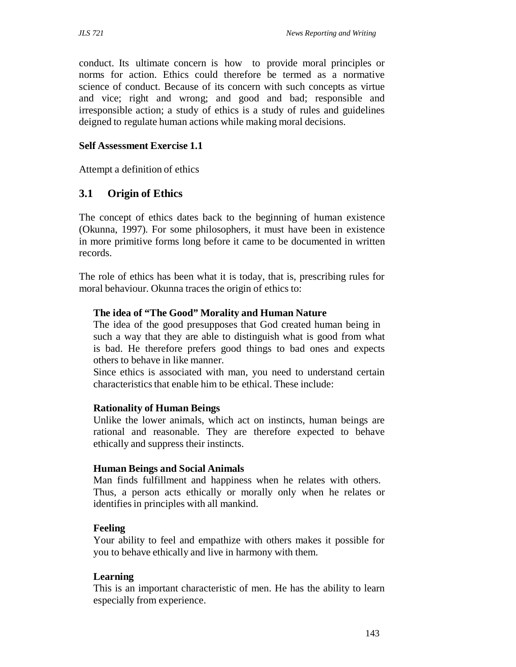conduct. Its ultimate concern is how to provide moral principles or norms for action. Ethics could therefore be termed as a normative science of conduct. Because of its concern with such concepts as virtue and vice; right and wrong; and good and bad; responsible and irresponsible action; a study of ethics is a study of rules and guidelines deigned to regulate human actions while making moral decisions.

## **Self Assessment Exercise 1.1**

Attempt a definition of ethics

## **3.1 Origin of Ethics**

The concept of ethics dates back to the beginning of human existence (Okunna, 1997). For some philosophers, it must have been in existence in more primitive forms long before it came to be documented in written records.

The role of ethics has been what it is today, that is, prescribing rules for moral behaviour. Okunna traces the origin of ethics to:

## **The idea of "The Good" Morality and Human Nature**

The idea of the good presupposes that God created human being in such a way that they are able to distinguish what is good from what is bad. He therefore prefers good things to bad ones and expects others to behave in like manner.

Since ethics is associated with man, you need to understand certain characteristics that enable him to be ethical. These include:

## **Rationality of Human Beings**

Unlike the lower animals, which act on instincts, human beings are rational and reasonable. They are therefore expected to behave ethically and suppress their instincts.

## **Human Beings and Social Animals**

Man finds fulfillment and happiness when he relates with others. Thus, a person acts ethically or morally only when he relates or identifies in principles with all mankind.

## **Feeling**

Your ability to feel and empathize with others makes it possible for you to behave ethically and live in harmony with them.

## **Learning**

This is an important characteristic of men. He has the ability to learn especially from experience.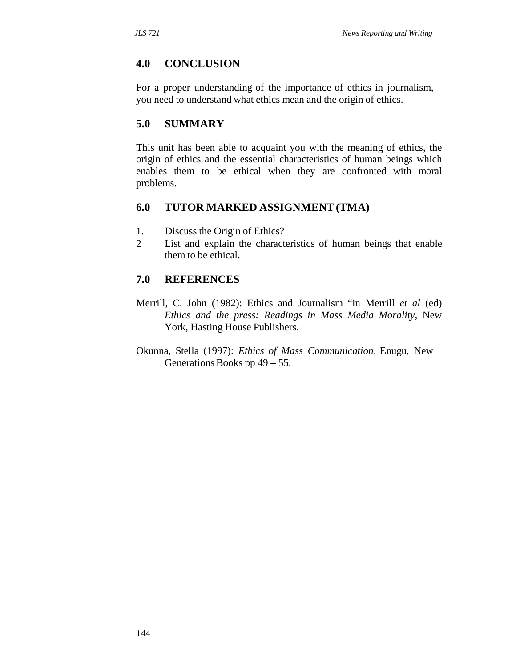# **4.0 CONCLUSION**

For a proper understanding of the importance of ethics in journalism, you need to understand what ethics mean and the origin of ethics.

# **5.0 SUMMARY**

This unit has been able to acquaint you with the meaning of ethics, the origin of ethics and the essential characteristics of human beings which enables them to be ethical when they are confronted with moral problems.

# **6.0 TUTOR MARKED ASSIGNMENT (TMA)**

- 1. Discuss the Origin of Ethics?
- 2 List and explain the characteristics of human beings that enable them to be ethical.

# **7.0 REFERENCES**

- Merrill, C. John (1982): Ethics and Journalism "in Merrill *et al* (ed) *Ethics and the press: Readings in Mass Media Morality,* New York, Hasting House Publishers.
- Okunna, Stella (1997): *Ethics of Mass Communication,* Enugu, New Generations Books pp 49 – 55.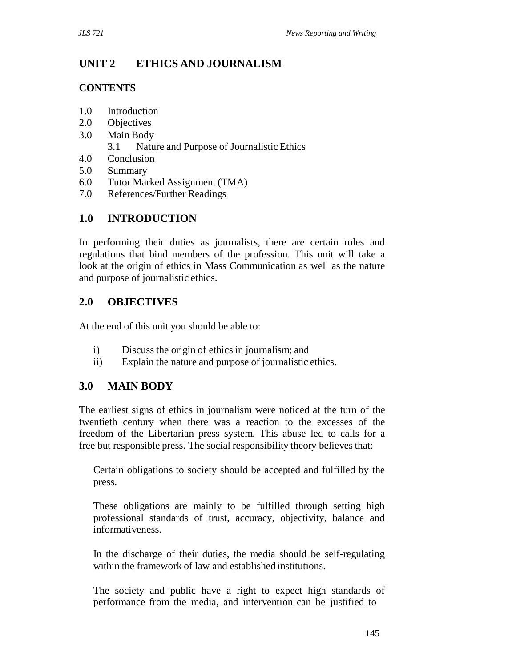# **UNIT 2 ETHICS AND JOURNALISM**

## **CONTENTS**

- 1.0 Introduction
- 2.0 Objectives
- 3.0 Main Body
	- 3.1 Nature and Purpose of Journalistic Ethics
- 4.0 Conclusion
- 5.0 Summary
- 6.0 Tutor Marked Assignment (TMA)
- 7.0 References/Further Readings

# **1.0 INTRODUCTION**

In performing their duties as journalists, there are certain rules and regulations that bind members of the profession. This unit will take a look at the origin of ethics in Mass Communication as well as the nature and purpose of journalistic ethics.

## **2.0 OBJECTIVES**

At the end of this unit you should be able to:

- i) Discuss the origin of ethics in journalism; and
- ii) Explain the nature and purpose of journalistic ethics.

# **3.0 MAIN BODY**

The earliest signs of ethics in journalism were noticed at the turn of the twentieth century when there was a reaction to the excesses of the freedom of the Libertarian press system. This abuse led to calls for a free but responsible press. The social responsibility theory believes that:

Certain obligations to society should be accepted and fulfilled by the press.

These obligations are mainly to be fulfilled through setting high professional standards of trust, accuracy, objectivity, balance and informativeness.

In the discharge of their duties, the media should be self-regulating within the framework of law and established institutions.

The society and public have a right to expect high standards of performance from the media, and intervention can be justified to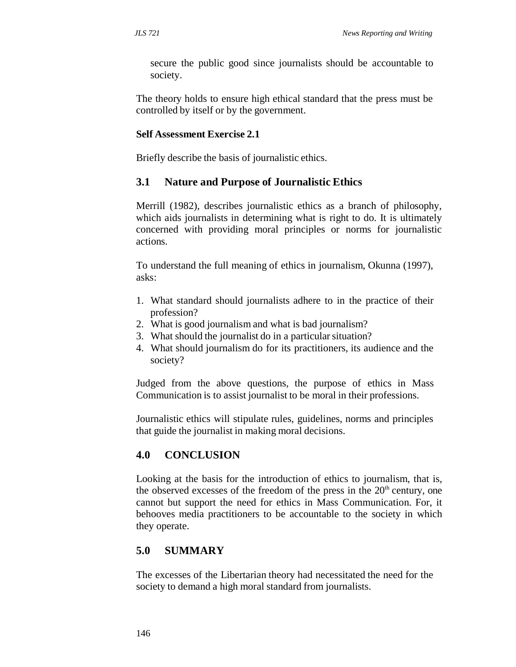secure the public good since journalists should be accountable to society.

The theory holds to ensure high ethical standard that the press must be controlled by itself or by the government.

#### **Self Assessment Exercise 2.1**

Briefly describe the basis of journalistic ethics.

## **3.1 Nature and Purpose of Journalistic Ethics**

Merrill (1982), describes journalistic ethics as a branch of philosophy, which aids journalists in determining what is right to do. It is ultimately concerned with providing moral principles or norms for journalistic actions.

To understand the full meaning of ethics in journalism, Okunna (1997), asks:

- 1. What standard should journalists adhere to in the practice of their profession?
- 2. What is good journalism and what is bad journalism?
- 3. What should the journalist do in a particular situation?
- 4. What should journalism do for its practitioners, its audience and the society?

Judged from the above questions, the purpose of ethics in Mass Communication is to assist journalist to be moral in their professions.

Journalistic ethics will stipulate rules, guidelines, norms and principles that guide the journalist in making moral decisions.

# **4.0 CONCLUSION**

Looking at the basis for the introduction of ethics to journalism, that is, the observed excesses of the freedom of the press in the  $20<sup>th</sup>$  century, one cannot but support the need for ethics in Mass Communication. For, it behooves media practitioners to be accountable to the society in which they operate.

# **5.0 SUMMARY**

The excesses of the Libertarian theory had necessitated the need for the society to demand a high moral standard from journalists.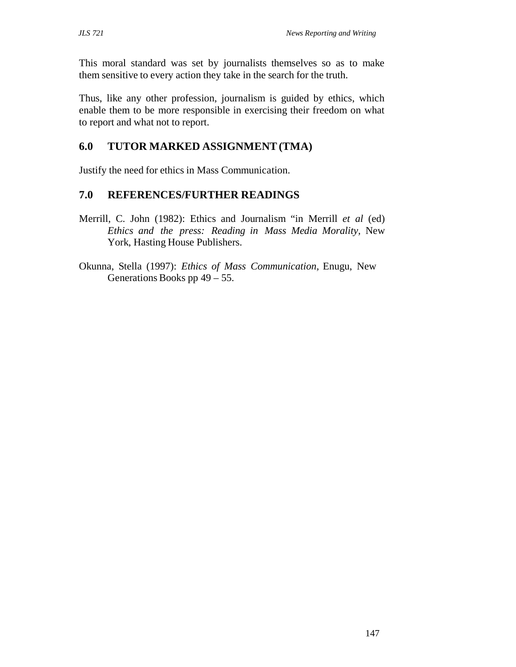This moral standard was set by journalists themselves so as to make them sensitive to every action they take in the search for the truth.

Thus, like any other profession, journalism is guided by ethics, which enable them to be more responsible in exercising their freedom on what to report and what not to report.

## **6.0 TUTOR MARKED ASSIGNMENT (TMA)**

Justify the need for ethics in Mass Communication.

#### **7.0 REFERENCES/FURTHER READINGS**

- Merrill, C. John (1982): Ethics and Journalism "in Merrill *et al* (ed) *Ethics and the press: Reading in Mass Media Morality,* New York, Hasting House Publishers.
- Okunna, Stella (1997): *Ethics of Mass Communication,* Enugu, New Generations Books pp 49 – 55.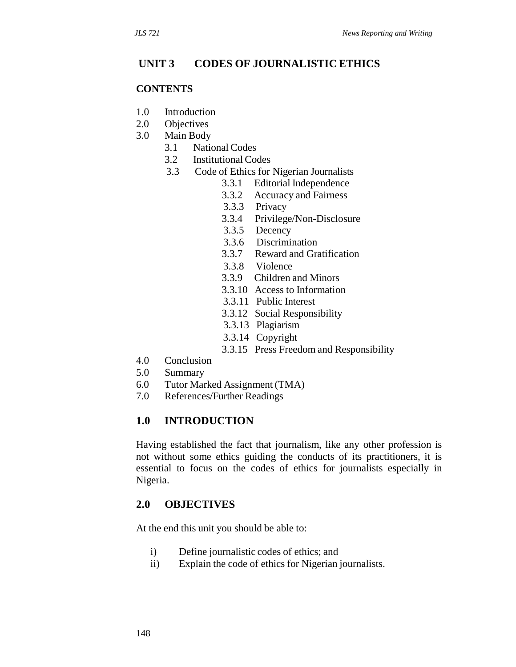#### **UNIT 3 CODES OF JOURNALISTIC ETHICS**

#### **CONTENTS**

- 1.0 Introduction
- 2.0 Objectives
- 3.0 Main Body
	- 3.1 National Codes
	- 3.2 Institutional Codes
	- 3.3 Code of Ethics for Nigerian Journalists
		- 3.3.1 Editorial Independence
			- 3.3.2 Accuracy and Fairness
			- 3.3.3 Privacy
			- 3.3.4 Privilege/Non-Disclosure
			- 3.3.5 Decency
			- 3.3.6 Discrimination
			- 3.3.7 Reward and Gratification
			- 3.3.8 Violence
		- 3.3.9 Children and Minors
		- 3.3.10 Access to Information
		- 3.3.11 Public Interest
		- 3.3.12 Social Responsibility
		- 3.3.13 Plagiarism
		- 3.3.14 Copyright
		- 3.3.15 Press Freedom and Responsibility
- 4.0 Conclusion
- 5.0 Summary
- 6.0 Tutor Marked Assignment (TMA)
- 7.0 References/Further Readings

#### **1.0 INTRODUCTION**

Having established the fact that journalism, like any other profession is not without some ethics guiding the conducts of its practitioners, it is essential to focus on the codes of ethics for journalists especially in Nigeria.

#### **2.0 OBJECTIVES**

At the end this unit you should be able to:

- i) Define journalistic codes of ethics; and
- ii) Explain the code of ethics for Nigerian journalists.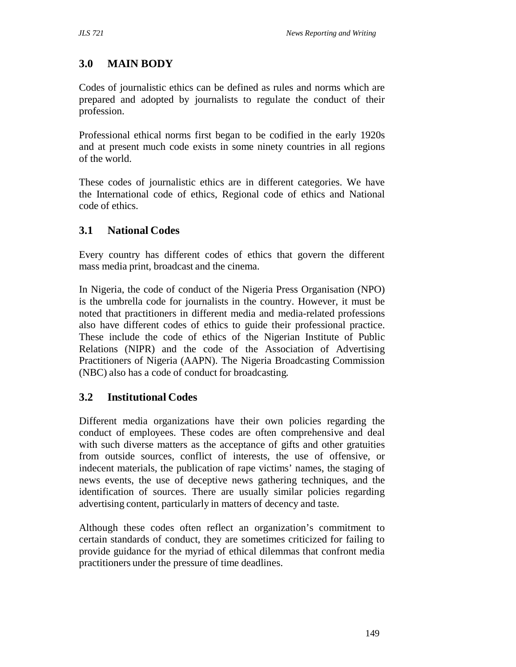# **3.0 MAIN BODY**

Codes of journalistic ethics can be defined as rules and norms which are prepared and adopted by journalists to regulate the conduct of their profession.

Professional ethical norms first began to be codified in the early 1920s and at present much code exists in some ninety countries in all regions of the world.

These codes of journalistic ethics are in different categories. We have the International code of ethics, Regional code of ethics and National code of ethics.

## **3.1 National Codes**

Every country has different codes of ethics that govern the different mass media print, broadcast and the cinema.

In Nigeria, the code of conduct of the Nigeria Press Organisation (NPO) is the umbrella code for journalists in the country. However, it must be noted that practitioners in different media and media-related professions also have different codes of ethics to guide their professional practice. These include the code of ethics of the Nigerian Institute of Public Relations (NIPR) and the code of the Association of Advertising Practitioners of Nigeria (AAPN). The Nigeria Broadcasting Commission (NBC) also has a code of conduct for broadcasting.

## **3.2 Institutional Codes**

Different media organizations have their own policies regarding the conduct of employees. These codes are often comprehensive and deal with such diverse matters as the acceptance of gifts and other gratuities from outside sources, conflict of interests, the use of offensive, or indecent materials, the publication of rape victims' names, the staging of news events, the use of deceptive news gathering techniques, and the identification of sources. There are usually similar policies regarding advertising content, particularly in matters of decency and taste.

Although these codes often reflect an organization's commitment to certain standards of conduct, they are sometimes criticized for failing to provide guidance for the myriad of ethical dilemmas that confront media practitioners under the pressure of time deadlines.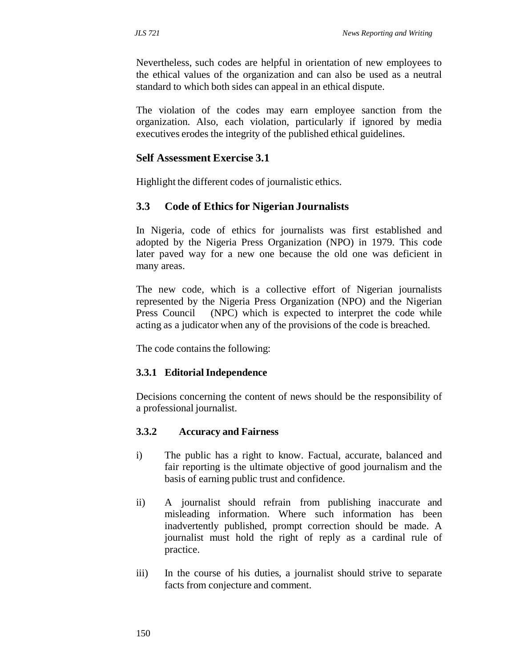Nevertheless, such codes are helpful in orientation of new employees to the ethical values of the organization and can also be used as a neutral standard to which both sides can appeal in an ethical dispute.

The violation of the codes may earn employee sanction from the organization. Also, each violation, particularly if ignored by media executives erodes the integrity of the published ethical guidelines.

## **Self Assessment Exercise 3.1**

Highlight the different codes of journalistic ethics.

## **3.3 Code of Ethics for Nigerian Journalists**

In Nigeria, code of ethics for journalists was first established and adopted by the Nigeria Press Organization (NPO) in 1979. This code later paved way for a new one because the old one was deficient in many areas.

The new code, which is a collective effort of Nigerian journalists represented by the Nigeria Press Organization (NPO) and the Nigerian Press Council (NPC) which is expected to interpret the code while acting as a judicator when any of the provisions of the code is breached.

The code contains the following:

## **3.3.1 Editorial Independence**

Decisions concerning the content of news should be the responsibility of a professional journalist.

#### **3.3.2 Accuracy and Fairness**

- i) The public has a right to know. Factual, accurate, balanced and fair reporting is the ultimate objective of good journalism and the basis of earning public trust and confidence.
- ii) A journalist should refrain from publishing inaccurate and misleading information. Where such information has been inadvertently published, prompt correction should be made. A journalist must hold the right of reply as a cardinal rule of practice.
- iii) In the course of his duties, a journalist should strive to separate facts from conjecture and comment.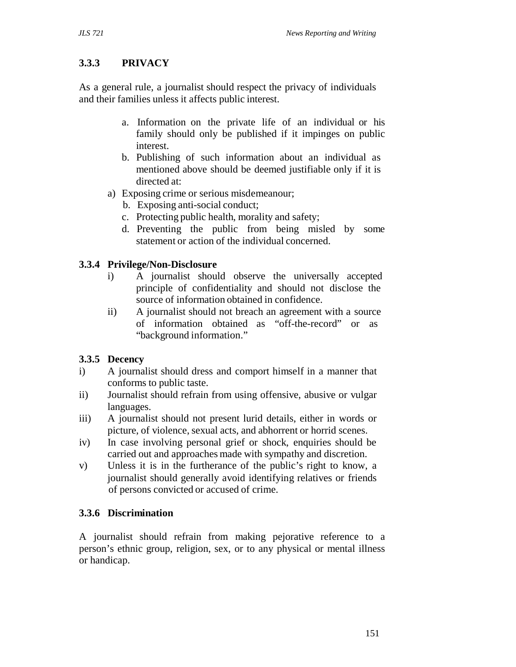# **3.3.3 PRIVACY**

As a general rule, a journalist should respect the privacy of individuals and their families unless it affects public interest.

- a. Information on the private life of an individual or his family should only be published if it impinges on public interest.
- b. Publishing of such information about an individual as mentioned above should be deemed justifiable only if it is directed at:
- a) Exposing crime or serious misdemeanour;
	- b. Exposing anti-social conduct;
	- c. Protecting public health, morality and safety;
	- d. Preventing the public from being misled by some statement or action of the individual concerned.

## **3.3.4 Privilege/Non-Disclosure**

- i) A journalist should observe the universally accepted principle of confidentiality and should not disclose the source of information obtained in confidence.
- ii) A journalist should not breach an agreement with a source of information obtained as "off-the-record" or as "background information."

## **3.3.5 Decency**

- i) A journalist should dress and comport himself in a manner that conforms to public taste.
- ii) Journalist should refrain from using offensive, abusive or vulgar languages.
- iii) A journalist should not present lurid details, either in words or picture, of violence, sexual acts, and abhorrent or horrid scenes.
- iv) In case involving personal grief or shock, enquiries should be carried out and approaches made with sympathy and discretion.
- v) Unless it is in the furtherance of the public's right to know, a journalist should generally avoid identifying relatives or friends of persons convicted or accused of crime.

## **3.3.6 Discrimination**

A journalist should refrain from making pejorative reference to a person's ethnic group, religion, sex, or to any physical or mental illness or handicap.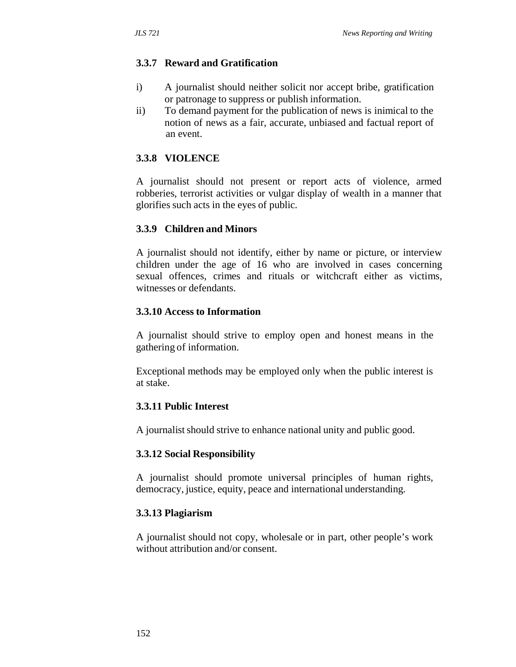#### **3.3.7 Reward and Gratification**

- i) A journalist should neither solicit nor accept bribe, gratification or patronage to suppress or publish information.
- ii) To demand payment for the publication of news is inimical to the notion of news as a fair, accurate, unbiased and factual report of an event.

#### **3.3.8 VIOLENCE**

A journalist should not present or report acts of violence, armed robberies, terrorist activities or vulgar display of wealth in a manner that glorifies such acts in the eyes of public.

#### **3.3.9 Children and Minors**

A journalist should not identify, either by name or picture, or interview children under the age of 16 who are involved in cases concerning sexual offences, crimes and rituals or witchcraft either as victims, witnesses or defendants.

#### **3.3.10 Access to Information**

A journalist should strive to employ open and honest means in the gathering of information.

Exceptional methods may be employed only when the public interest is at stake.

#### **3.3.11 Public Interest**

A journalist should strive to enhance national unity and public good.

#### **3.3.12 Social Responsibility**

A journalist should promote universal principles of human rights, democracy, justice, equity, peace and international understanding.

#### **3.3.13 Plagiarism**

A journalist should not copy, wholesale or in part, other people's work without attribution and/or consent.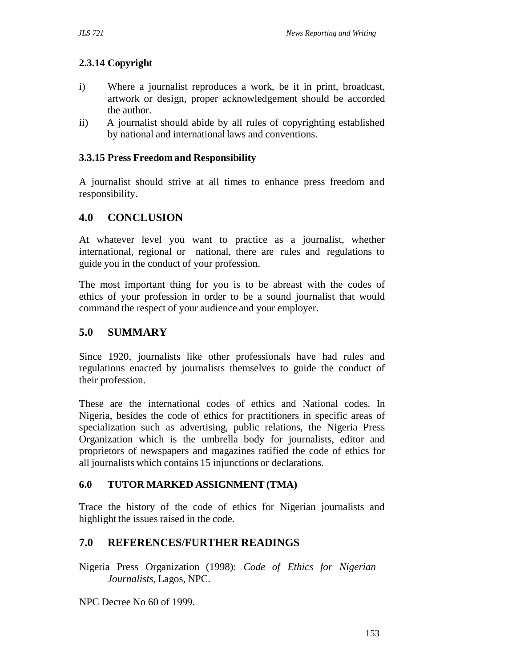# **2.3.14 Copyright**

- i) Where a journalist reproduces a work, be it in print, broadcast, artwork or design, proper acknowledgement should be accorded the author.
- ii) A journalist should abide by all rules of copyrighting established by national and international laws and conventions.

## **3.3.15 Press Freedom and Responsibility**

A journalist should strive at all times to enhance press freedom and responsibility.

# **4.0 CONCLUSION**

At whatever level you want to practice as a journalist, whether international, regional or national, there are rules and regulations to guide you in the conduct of your profession.

The most important thing for you is to be abreast with the codes of ethics of your profession in order to be a sound journalist that would command the respect of your audience and your employer.

## **5.0 SUMMARY**

Since 1920, journalists like other professionals have had rules and regulations enacted by journalists themselves to guide the conduct of their profession.

These are the international codes of ethics and National codes. In Nigeria, besides the code of ethics for practitioners in specific areas of specialization such as advertising, public relations, the Nigeria Press Organization which is the umbrella body for journalists, editor and proprietors of newspapers and magazines ratified the code of ethics for all journalists which contains 15 injunctions or declarations.

## **6.0 TUTOR MARKED ASSIGNMENT (TMA)**

Trace the history of the code of ethics for Nigerian journalists and highlight the issues raised in the code.

# **7.0 REFERENCES/FURTHER READINGS**

Nigeria Press Organization (1998): *Code of Ethics for Nigerian Journalists*, Lagos, NPC.

NPC Decree No 60 of 1999.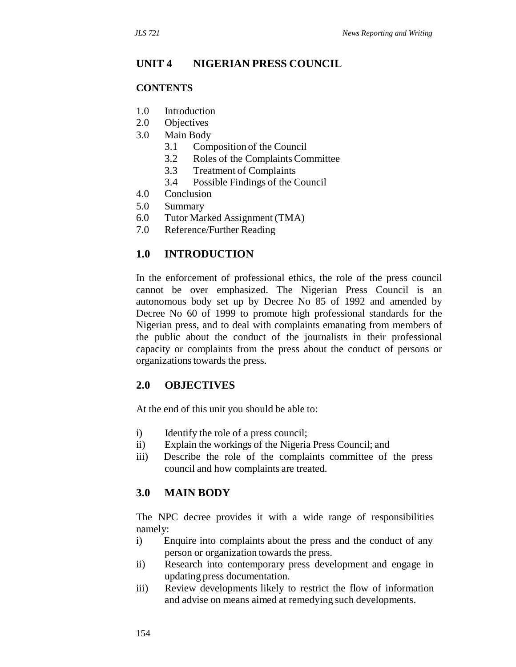## **UNIT 4 NIGERIAN PRESS COUNCIL**

#### **CONTENTS**

- 1.0 Introduction
- 2.0 Objectives
- 3.0 Main Body
	- 3.1 Composition of the Council
	- 3.2 Roles of the Complaints Committee
	- 3.3 Treatment of Complaints
	- 3.4 Possible Findings of the Council
- 4.0 Conclusion
- 5.0 Summary
- 6.0 Tutor Marked Assignment (TMA)
- 7.0 Reference/Further Reading

## **1.0 INTRODUCTION**

In the enforcement of professional ethics, the role of the press council cannot be over emphasized. The Nigerian Press Council is an autonomous body set up by Decree No 85 of 1992 and amended by Decree No 60 of 1999 to promote high professional standards for the Nigerian press, and to deal with complaints emanating from members of the public about the conduct of the journalists in their professional capacity or complaints from the press about the conduct of persons or organizations towards the press.

## **2.0 OBJECTIVES**

At the end of this unit you should be able to:

- i) Identify the role of a press council;
- ii) Explain the workings of the Nigeria Press Council; and
- iii) Describe the role of the complaints committee of the press council and how complaints are treated.

## **3.0 MAIN BODY**

The NPC decree provides it with a wide range of responsibilities namely:

- i) Enquire into complaints about the press and the conduct of any person or organization towards the press.
- ii) Research into contemporary press development and engage in updating press documentation.
- iii) Review developments likely to restrict the flow of information and advise on means aimed at remedying such developments.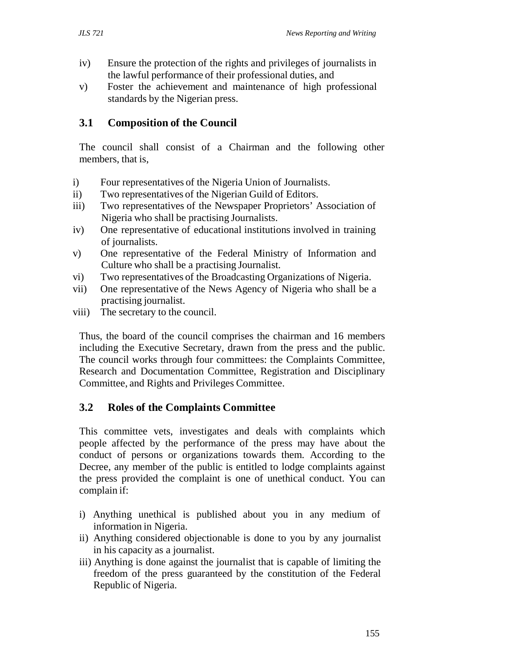- iv) Ensure the protection of the rights and privileges of journalists in the lawful performance of their professional duties, and
- v) Foster the achievement and maintenance of high professional standards by the Nigerian press.

# **3.1 Composition of the Council**

The council shall consist of a Chairman and the following other members, that is,

- i) Four representatives of the Nigeria Union of Journalists.
- ii) Two representatives of the Nigerian Guild of Editors.
- iii) Two representatives of the Newspaper Proprietors' Association of Nigeria who shall be practising Journalists.
- iv) One representative of educational institutions involved in training of journalists.
- v) One representative of the Federal Ministry of Information and Culture who shall be a practising Journalist.
- vi) Two representatives of the Broadcasting Organizations of Nigeria.
- vii) One representative of the News Agency of Nigeria who shall be a practising journalist.
- viii) The secretary to the council.

Thus, the board of the council comprises the chairman and 16 members including the Executive Secretary, drawn from the press and the public. The council works through four committees: the Complaints Committee, Research and Documentation Committee, Registration and Disciplinary Committee, and Rights and Privileges Committee.

# **3.2 Roles of the Complaints Committee**

This committee vets, investigates and deals with complaints which people affected by the performance of the press may have about the conduct of persons or organizations towards them. According to the Decree, any member of the public is entitled to lodge complaints against the press provided the complaint is one of unethical conduct. You can complain if:

- i) Anything unethical is published about you in any medium of information in Nigeria.
- ii) Anything considered objectionable is done to you by any journalist in his capacity as a journalist.
- iii) Anything is done against the journalist that is capable of limiting the freedom of the press guaranteed by the constitution of the Federal Republic of Nigeria.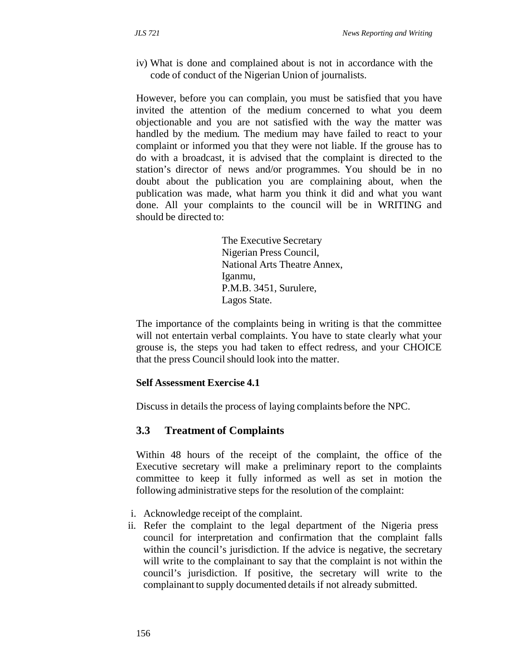iv) What is done and complained about is not in accordance with the code of conduct of the Nigerian Union of journalists.

However, before you can complain, you must be satisfied that you have invited the attention of the medium concerned to what you deem objectionable and you are not satisfied with the way the matter was handled by the medium. The medium may have failed to react to your complaint or informed you that they were not liable. If the grouse has to do with a broadcast, it is advised that the complaint is directed to the station's director of news and/or programmes. You should be in no doubt about the publication you are complaining about, when the publication was made, what harm you think it did and what you want done. All your complaints to the council will be in WRITING and should be directed to:

> The Executive Secretary Nigerian Press Council, National Arts Theatre Annex, Iganmu, P.M.B. 3451, Surulere, Lagos State.

The importance of the complaints being in writing is that the committee will not entertain verbal complaints. You have to state clearly what your grouse is, the steps you had taken to effect redress, and your CHOICE that the press Council should look into the matter.

#### **Self Assessment Exercise 4.1**

Discuss in details the process of laying complaints before the NPC.

#### **3.3 Treatment of Complaints**

Within 48 hours of the receipt of the complaint, the office of the Executive secretary will make a preliminary report to the complaints committee to keep it fully informed as well as set in motion the following administrative steps for the resolution of the complaint:

- i. Acknowledge receipt of the complaint.
- ii. Refer the complaint to the legal department of the Nigeria press council for interpretation and confirmation that the complaint falls within the council's jurisdiction. If the advice is negative, the secretary will write to the complainant to say that the complaint is not within the council's jurisdiction. If positive, the secretary will write to the complainant to supply documented details if not already submitted.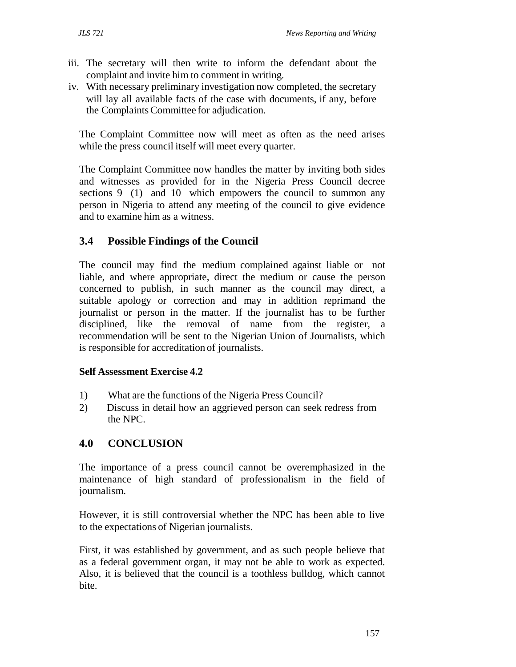- iii. The secretary will then write to inform the defendant about the complaint and invite him to comment in writing.
- iv. With necessary preliminary investigation now completed, the secretary will lay all available facts of the case with documents, if any, before the Complaints Committee for adjudication.

The Complaint Committee now will meet as often as the need arises while the press council itself will meet every quarter.

The Complaint Committee now handles the matter by inviting both sides and witnesses as provided for in the Nigeria Press Council decree sections 9 (1) and 10 which empowers the council to summon any person in Nigeria to attend any meeting of the council to give evidence and to examine him as a witness.

## **3.4 Possible Findings of the Council**

The council may find the medium complained against liable or not liable, and where appropriate, direct the medium or cause the person concerned to publish, in such manner as the council may direct, a suitable apology or correction and may in addition reprimand the journalist or person in the matter. If the journalist has to be further disciplined, like the removal of name from the register, a recommendation will be sent to the Nigerian Union of Journalists, which is responsible for accreditation of journalists.

## **Self Assessment Exercise 4.2**

- 1) What are the functions of the Nigeria Press Council?
- 2) Discuss in detail how an aggrieved person can seek redress from the NPC.

## **4.0 CONCLUSION**

The importance of a press council cannot be overemphasized in the maintenance of high standard of professionalism in the field of journalism.

However, it is still controversial whether the NPC has been able to live to the expectations of Nigerian journalists.

First, it was established by government, and as such people believe that as a federal government organ, it may not be able to work as expected. Also, it is believed that the council is a toothless bulldog, which cannot bite.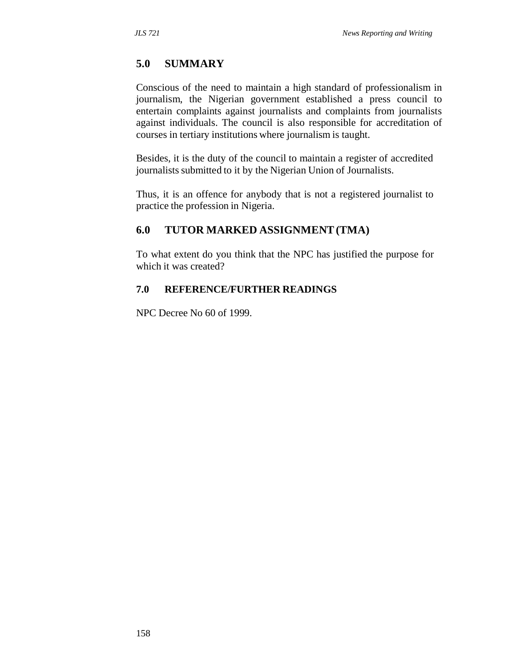## **5.0 SUMMARY**

Conscious of the need to maintain a high standard of professionalism in journalism, the Nigerian government established a press council to entertain complaints against journalists and complaints from journalists against individuals. The council is also responsible for accreditation of courses in tertiary institutions where journalism is taught.

Besides, it is the duty of the council to maintain a register of accredited journalists submitted to it by the Nigerian Union of Journalists.

Thus, it is an offence for anybody that is not a registered journalist to practice the profession in Nigeria.

## **6.0 TUTOR MARKED ASSIGNMENT (TMA)**

To what extent do you think that the NPC has justified the purpose for which it was created?

#### **7.0 REFERENCE/FURTHER READINGS**

NPC Decree No 60 of 1999.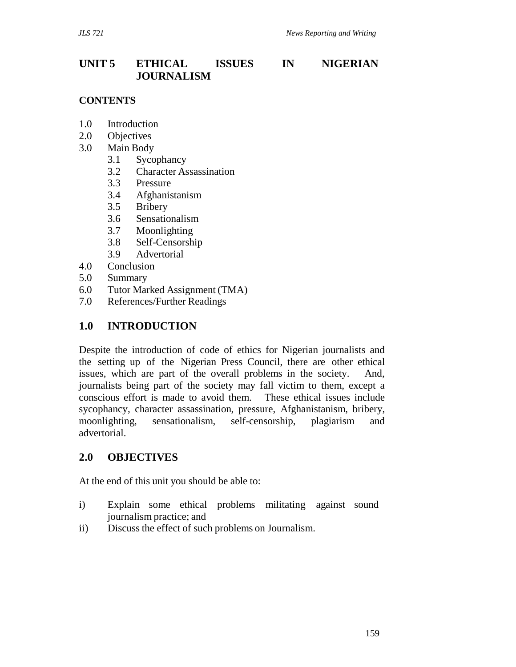# **UNIT 5 ETHICAL ISSUES IN NIGERIAN JOURNALISM**

## **CONTENTS**

- 1.0 Introduction
- 2.0 Objectives
- 3.0 Main Body
	- 3.1 Sycophancy
	- 3.2 Character Assassination
	- 3.3 Pressure
	- 3.4 Afghanistanism
	- 3.5 Bribery
	- 3.6 Sensationalism
	- 3.7 Moonlighting
	- 3.8 Self-Censorship
	- 3.9 Advertorial
- 4.0 Conclusion
- 5.0 Summary
- 6.0 Tutor Marked Assignment (TMA)
- 7.0 References/Further Readings

## **1.0 INTRODUCTION**

Despite the introduction of code of ethics for Nigerian journalists and the setting up of the Nigerian Press Council, there are other ethical issues, which are part of the overall problems in the society. And, journalists being part of the society may fall victim to them, except a conscious effort is made to avoid them. These ethical issues include sycophancy, character assassination, pressure, Afghanistanism, bribery, moonlighting, sensationalism, self-censorship, plagiarism and advertorial.

## **2.0 OBJECTIVES**

At the end of this unit you should be able to:

- i) Explain some ethical problems militating against sound journalism practice; and
- ii) Discuss the effect of such problems on Journalism.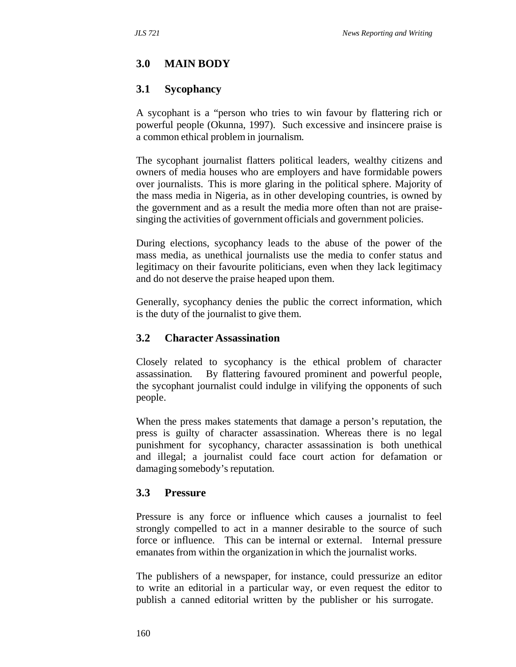# **3.0 MAIN BODY**

## **3.1 Sycophancy**

A sycophant is a "person who tries to win favour by flattering rich or powerful people (Okunna, 1997). Such excessive and insincere praise is a common ethical problem in journalism.

The sycophant journalist flatters political leaders, wealthy citizens and owners of media houses who are employers and have formidable powers over journalists. This is more glaring in the political sphere. Majority of the mass media in Nigeria, as in other developing countries, is owned by the government and as a result the media more often than not are praisesinging the activities of government officials and government policies.

During elections, sycophancy leads to the abuse of the power of the mass media, as unethical journalists use the media to confer status and legitimacy on their favourite politicians, even when they lack legitimacy and do not deserve the praise heaped upon them.

Generally, sycophancy denies the public the correct information, which is the duty of the journalist to give them.

## **3.2 Character Assassination**

Closely related to sycophancy is the ethical problem of character assassination. By flattering favoured prominent and powerful people, the sycophant journalist could indulge in vilifying the opponents of such people.

When the press makes statements that damage a person's reputation, the press is guilty of character assassination. Whereas there is no legal punishment for sycophancy, character assassination is both unethical and illegal; a journalist could face court action for defamation or damaging somebody's reputation.

## **3.3 Pressure**

Pressure is any force or influence which causes a journalist to feel strongly compelled to act in a manner desirable to the source of such force or influence. This can be internal or external. Internal pressure emanates from within the organization in which the journalist works.

The publishers of a newspaper, for instance, could pressurize an editor to write an editorial in a particular way, or even request the editor to publish a canned editorial written by the publisher or his surrogate.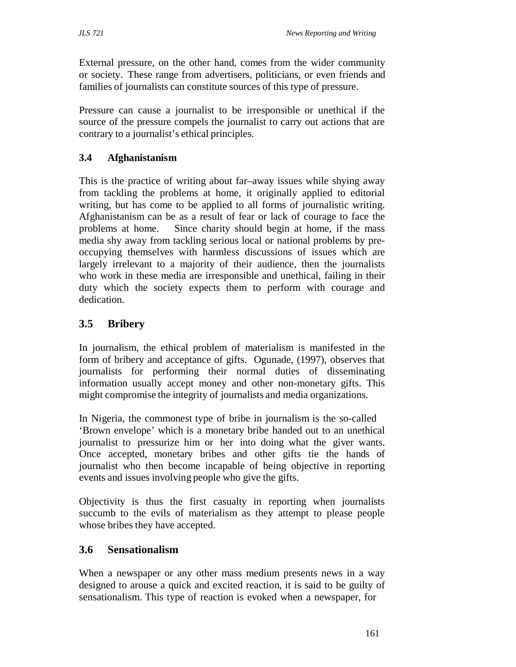External pressure, on the other hand, comes from the wider community or society. These range from advertisers, politicians, or even friends and families of journalists can constitute sources of this type of pressure.

Pressure can cause a journalist to be irresponsible or unethical if the source of the pressure compels the journalist to carry out actions that are contrary to a journalist's ethical principles.

# **3.4 Afghanistanism**

This is the practice of writing about far–away issues while shying away from tackling the problems at home, it originally applied to editorial writing, but has come to be applied to all forms of journalistic writing. Afghanistanism can be as a result of fear or lack of courage to face the problems at home. Since charity should begin at home, if the mass media shy away from tackling serious local or national problems by preoccupying themselves with harmless discussions of issues which are largely irrelevant to a majority of their audience, then the journalists who work in these media are irresponsible and unethical, failing in their duty which the society expects them to perform with courage and dedication.

# **3.5 Bribery**

In journalism, the ethical problem of materialism is manifested in the form of bribery and acceptance of gifts. Ogunade, (1997), observes that journalists for performing their normal duties of disseminating information usually accept money and other non-monetary gifts. This might compromise the integrity of journalists and media organizations.

In Nigeria, the commonest type of bribe in journalism is the so-called 'Brown envelope' which is a monetary bribe handed out to an unethical journalist to pressurize him or her into doing what the giver wants. Once accepted, monetary bribes and other gifts tie the hands of journalist who then become incapable of being objective in reporting events and issues involving people who give the gifts.

Objectivity is thus the first casualty in reporting when journalists succumb to the evils of materialism as they attempt to please people whose bribes they have accepted.

# **3.6 Sensationalism**

When a newspaper or any other mass medium presents news in a way designed to arouse a quick and excited reaction, it is said to be guilty of sensationalism. This type of reaction is evoked when a newspaper, for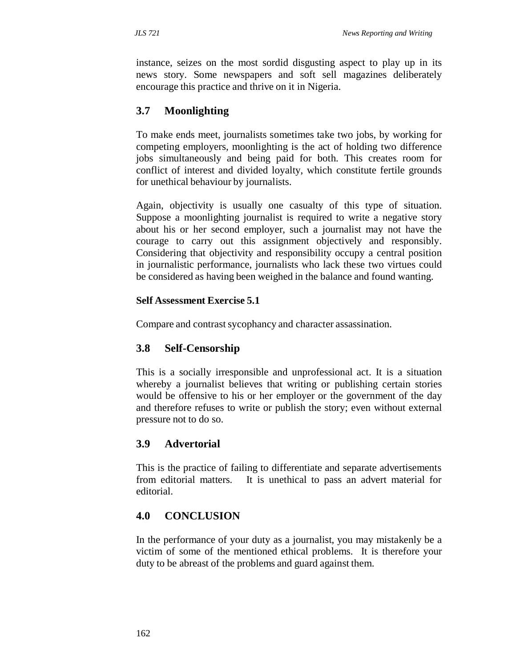instance, seizes on the most sordid disgusting aspect to play up in its news story. Some newspapers and soft sell magazines deliberately encourage this practice and thrive on it in Nigeria.

## **3.7 Moonlighting**

To make ends meet, journalists sometimes take two jobs, by working for competing employers, moonlighting is the act of holding two difference jobs simultaneously and being paid for both. This creates room for conflict of interest and divided loyalty, which constitute fertile grounds for unethical behaviour by journalists.

Again, objectivity is usually one casualty of this type of situation. Suppose a moonlighting journalist is required to write a negative story about his or her second employer, such a journalist may not have the courage to carry out this assignment objectively and responsibly. Considering that objectivity and responsibility occupy a central position in journalistic performance, journalists who lack these two virtues could be considered as having been weighed in the balance and found wanting.

## **Self Assessment Exercise 5.1**

Compare and contrast sycophancy and character assassination.

## **3.8 Self-Censorship**

This is a socially irresponsible and unprofessional act. It is a situation whereby a journalist believes that writing or publishing certain stories would be offensive to his or her employer or the government of the day and therefore refuses to write or publish the story; even without external pressure not to do so.

## **3.9 Advertorial**

This is the practice of failing to differentiate and separate advertisements from editorial matters. It is unethical to pass an advert material for editorial.

# **4.0 CONCLUSION**

In the performance of your duty as a journalist, you may mistakenly be a victim of some of the mentioned ethical problems. It is therefore your duty to be abreast of the problems and guard against them.